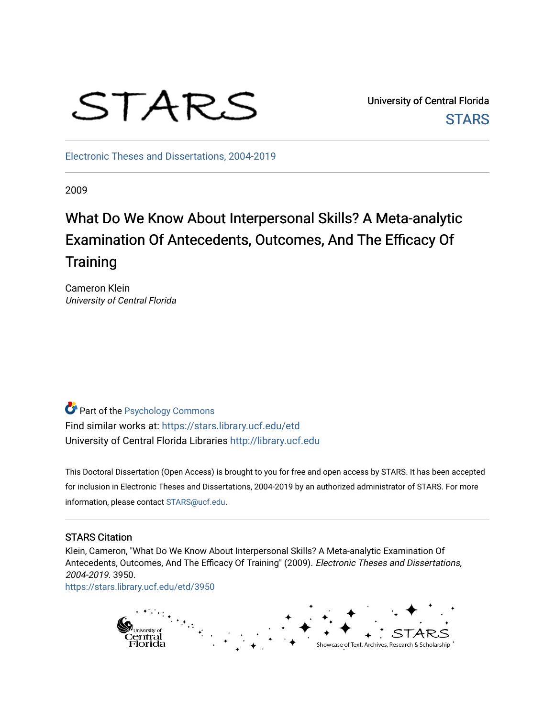# STARS

University of Central Florida **STARS** 

[Electronic Theses and Dissertations, 2004-2019](https://stars.library.ucf.edu/etd) 

2009

# What Do We Know About Interpersonal Skills? A Meta-analytic Examination Of Antecedents, Outcomes, And The Efficacy Of **Training**

Cameron Klein University of Central Florida

**Part of the Psychology Commons** Find similar works at: <https://stars.library.ucf.edu/etd> University of Central Florida Libraries [http://library.ucf.edu](http://library.ucf.edu/) 

This Doctoral Dissertation (Open Access) is brought to you for free and open access by STARS. It has been accepted for inclusion in Electronic Theses and Dissertations, 2004-2019 by an authorized administrator of STARS. For more information, please contact [STARS@ucf.edu.](mailto:STARS@ucf.edu)

#### STARS Citation

Klein, Cameron, "What Do We Know About Interpersonal Skills? A Meta-analytic Examination Of Antecedents, Outcomes, And The Efficacy Of Training" (2009). Electronic Theses and Dissertations, 2004-2019. 3950.

[https://stars.library.ucf.edu/etd/3950](https://stars.library.ucf.edu/etd/3950?utm_source=stars.library.ucf.edu%2Fetd%2F3950&utm_medium=PDF&utm_campaign=PDFCoverPages) 

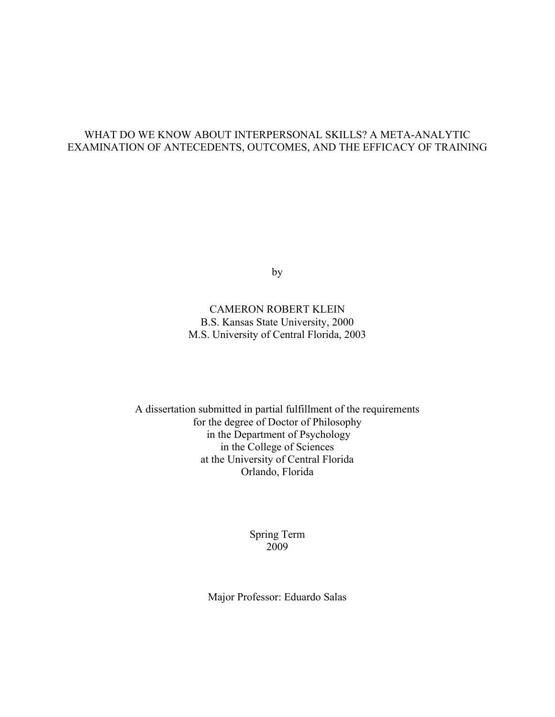#### WHAT DO WE KNOW ABOUT INTERPERSONAL SKILLS? A META-ANALYTIC EXAMINATION OF ANTECEDENTS, OUTCOMES, AND THE EFFICACY OF TRAINING

by

## CAMERON ROBERT KLEIN B.S. Kansas State University, 2000 M.S. University of Central Florida, 2003

A dissertation submitted in partial fulfillment of the requirements for the degree of Doctor of Philosophy in the Department of Psychology in the College of Sciences at the University of Central Florida Orlando, Florida

## Spring Term 2009

Major Professor: Eduardo Salas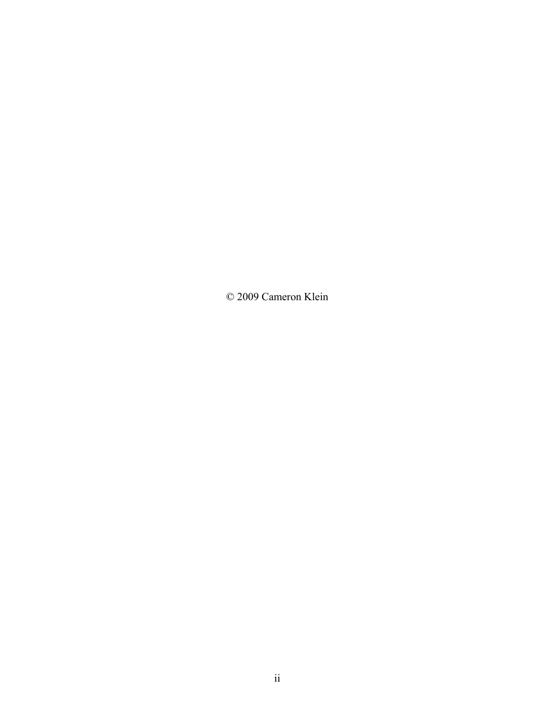© 2009 Cameron Klein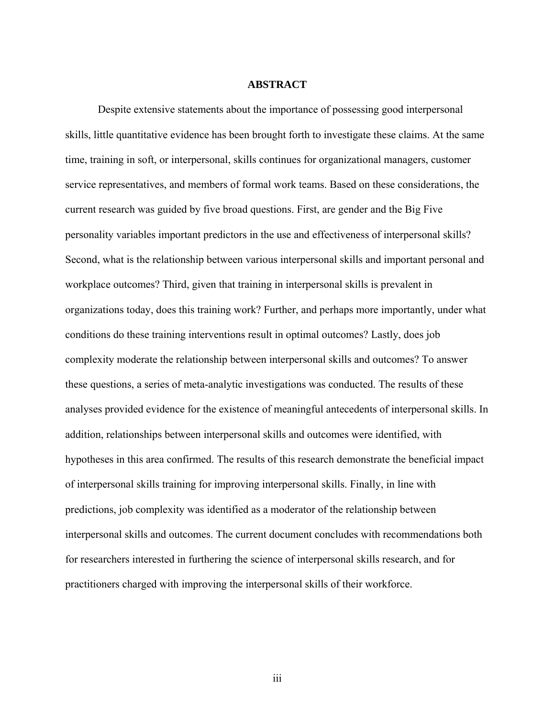#### **ABSTRACT**

Despite extensive statements about the importance of possessing good interpersonal skills, little quantitative evidence has been brought forth to investigate these claims. At the same time, training in soft, or interpersonal, skills continues for organizational managers, customer service representatives, and members of formal work teams. Based on these considerations, the current research was guided by five broad questions. First, are gender and the Big Five personality variables important predictors in the use and effectiveness of interpersonal skills? Second, what is the relationship between various interpersonal skills and important personal and workplace outcomes? Third, given that training in interpersonal skills is prevalent in organizations today, does this training work? Further, and perhaps more importantly, under what conditions do these training interventions result in optimal outcomes? Lastly, does job complexity moderate the relationship between interpersonal skills and outcomes? To answer these questions, a series of meta-analytic investigations was conducted. The results of these analyses provided evidence for the existence of meaningful antecedents of interpersonal skills. In addition, relationships between interpersonal skills and outcomes were identified, with hypotheses in this area confirmed. The results of this research demonstrate the beneficial impact of interpersonal skills training for improving interpersonal skills. Finally, in line with predictions, job complexity was identified as a moderator of the relationship between interpersonal skills and outcomes. The current document concludes with recommendations both for researchers interested in furthering the science of interpersonal skills research, and for practitioners charged with improving the interpersonal skills of their workforce.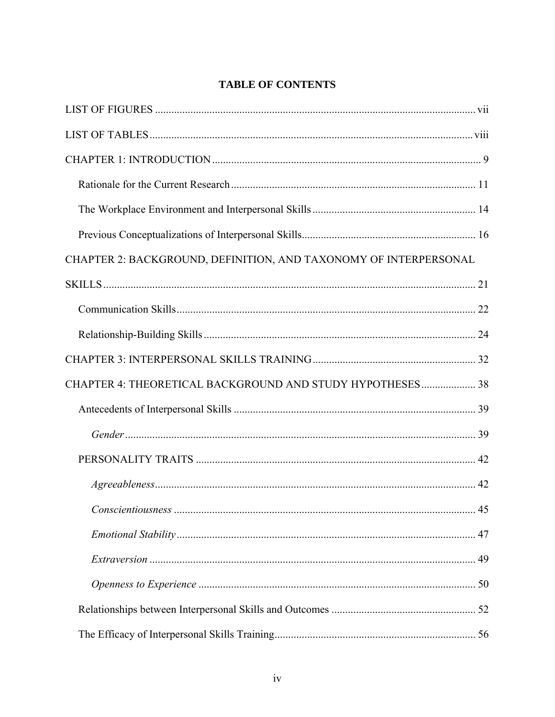# **TABLE OF CONTENTS**

| CHAPTER 2: BACKGROUND, DEFINITION, AND TAXONOMY OF INTERPERSONAL |  |
|------------------------------------------------------------------|--|
|                                                                  |  |
|                                                                  |  |
|                                                                  |  |
|                                                                  |  |
| CHAPTER 4: THEORETICAL BACKGROUND AND STUDY HYPOTHESES 38        |  |
|                                                                  |  |
|                                                                  |  |
|                                                                  |  |
|                                                                  |  |
|                                                                  |  |
|                                                                  |  |
|                                                                  |  |
|                                                                  |  |
|                                                                  |  |
|                                                                  |  |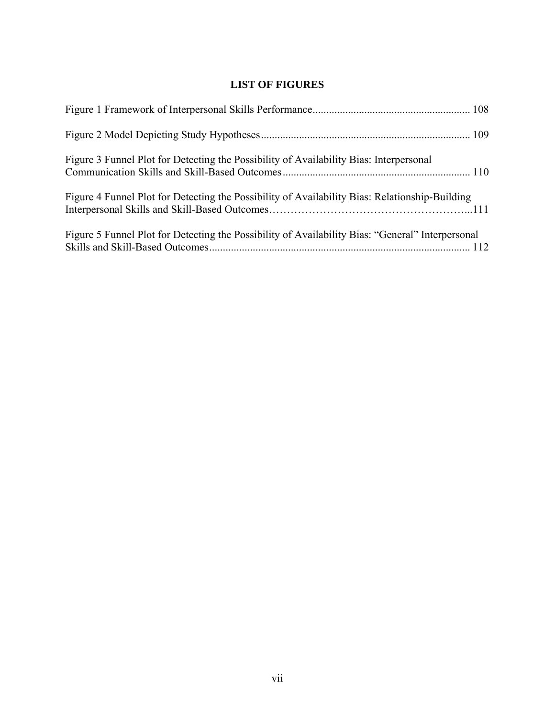# **LIST OF FIGURES**

<span id="page-7-1"></span><span id="page-7-0"></span>

| Figure 3 Funnel Plot for Detecting the Possibility of Availability Bias: Interpersonal           |  |
|--------------------------------------------------------------------------------------------------|--|
| Figure 4 Funnel Plot for Detecting the Possibility of Availability Bias: Relationship-Building   |  |
| Figure 5 Funnel Plot for Detecting the Possibility of Availability Bias: "General" Interpersonal |  |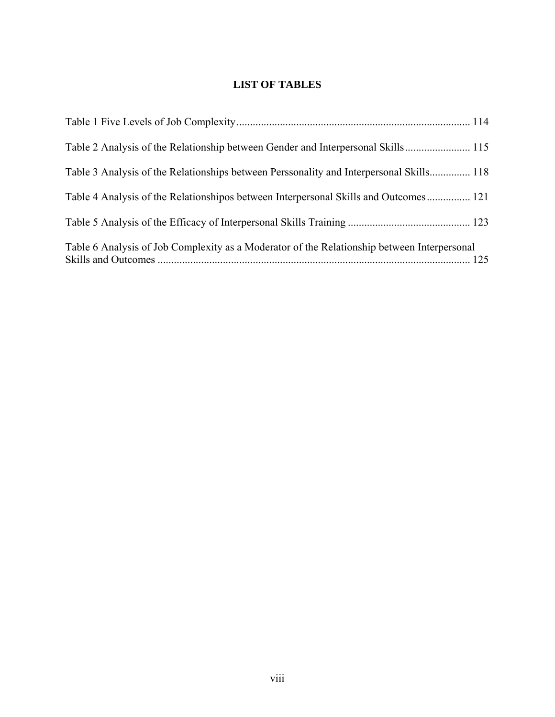# **LIST OF TABLES**

<span id="page-8-1"></span><span id="page-8-0"></span>

| Table 2 Analysis of the Relationship between Gender and Interpersonal Skills 115            |  |
|---------------------------------------------------------------------------------------------|--|
| Table 3 Analysis of the Relationships between Perssonality and Interpersonal Skills 118     |  |
| Table 4 Analysis of the Relationshipos between Interpersonal Skills and Outcomes 121        |  |
|                                                                                             |  |
| Table 6 Analysis of Job Complexity as a Moderator of the Relationship between Interpersonal |  |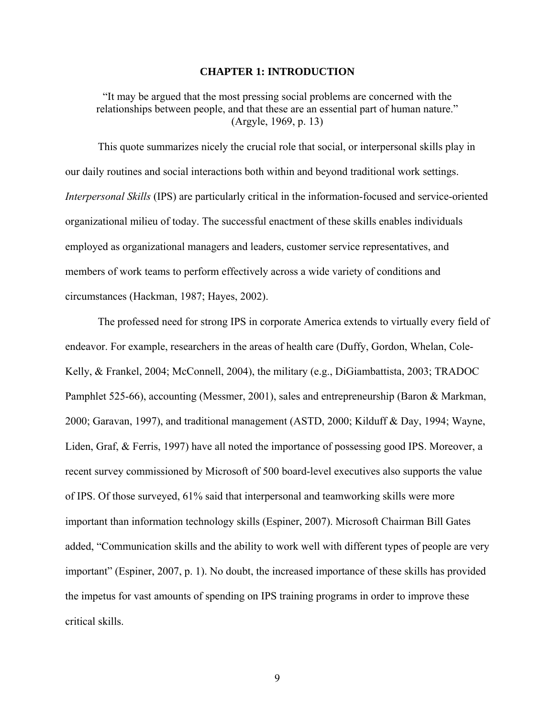#### **CHAPTER 1: INTRODUCTION**

<span id="page-9-1"></span><span id="page-9-0"></span>"It may be argued that the most pressing social problems are concerned with the relationships between people, and that these are an essential part of human nature." (Argyle, 1969, p. 13)

This quote summarizes nicely the crucial role that social, or interpersonal skills play in our daily routines and social interactions both within and beyond traditional work settings. *Interpersonal Skills* (IPS) are particularly critical in the information-focused and service-oriented organizational milieu of today. The successful enactment of these skills enables individuals employed as organizational managers and leaders, customer service representatives, and members of work teams to perform effectively across a wide variety of conditions and circumstances (Hackman, 1987; Hayes, 2002).

The professed need for strong IPS in corporate America extends to virtually every field of endeavor. For example, researchers in the areas of health care (Duffy, Gordon, Whelan, Cole-Kelly, & Frankel, 2004; McConnell, 2004), the military (e.g., DiGiambattista, 2003; TRADOC Pamphlet 525-66), accounting (Messmer, 2001), sales and entrepreneurship (Baron & Markman, 2000; Garavan, 1997), and traditional management (ASTD, 2000; Kilduff & Day, 1994; Wayne, Liden, Graf, & Ferris, 1997) have all noted the importance of possessing good IPS. Moreover, a recent survey commissioned by Microsoft of 500 board-level executives also supports the value of IPS. Of those surveyed, 61% said that interpersonal and teamworking skills were more important than information technology skills (Espiner, 2007). Microsoft Chairman Bill Gates added, "Communication skills and the ability to work well with different types of people are very important" (Espiner, 2007, p. 1). No doubt, the increased importance of these skills has provided the impetus for vast amounts of spending on IPS training programs in order to improve these critical skills.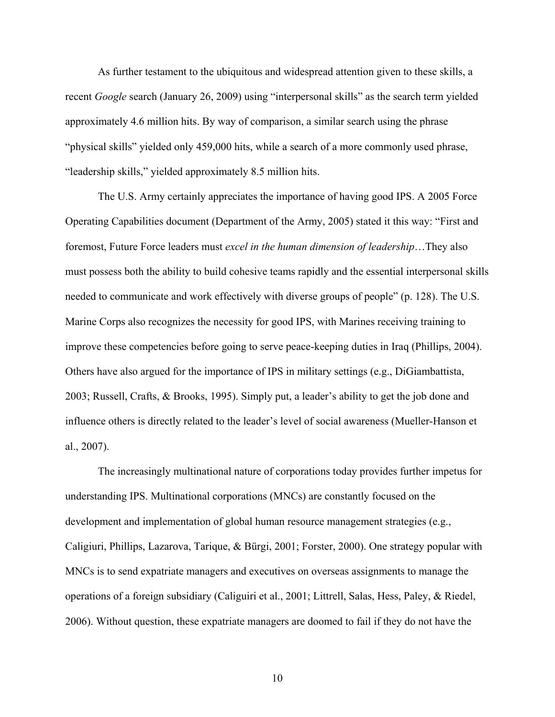As further testament to the ubiquitous and widespread attention given to these skills, a recent *Google* search (January 26, 2009) using "interpersonal skills" as the search term yielded approximately 4.6 million hits. By way of comparison, a similar search using the phrase "physical skills" yielded only 459,000 hits, while a search of a more commonly used phrase, "leadership skills," yielded approximately 8.5 million hits.

The U.S. Army certainly appreciates the importance of having good IPS. A 2005 Force Operating Capabilities document (Department of the Army, 2005) stated it this way: "First and foremost, Future Force leaders must *excel in the human dimension of leadership*…They also must possess both the ability to build cohesive teams rapidly and the essential interpersonal skills needed to communicate and work effectively with diverse groups of people" (p. 128). The U.S. Marine Corps also recognizes the necessity for good IPS, with Marines receiving training to improve these competencies before going to serve peace-keeping duties in Iraq (Phillips, 2004). Others have also argued for the importance of IPS in military settings (e.g., DiGiambattista, 2003; Russell, Crafts, & Brooks, 1995). Simply put, a leader's ability to get the job done and influence others is directly related to the leader's level of social awareness (Mueller-Hanson et al., 2007).

The increasingly multinational nature of corporations today provides further impetus for understanding IPS. Multinational corporations (MNCs) are constantly focused on the development and implementation of global human resource management strategies (e.g., Caligiuri, Phillips, Lazarova, Tarique, & Bürgi, 2001; Forster, 2000). One strategy popular with MNCs is to send expatriate managers and executives on overseas assignments to manage the operations of a foreign subsidiary (Caliguiri et al., 2001; Littrell, Salas, Hess, Paley, & Riedel, 2006). Without question, these expatriate managers are doomed to fail if they do not have the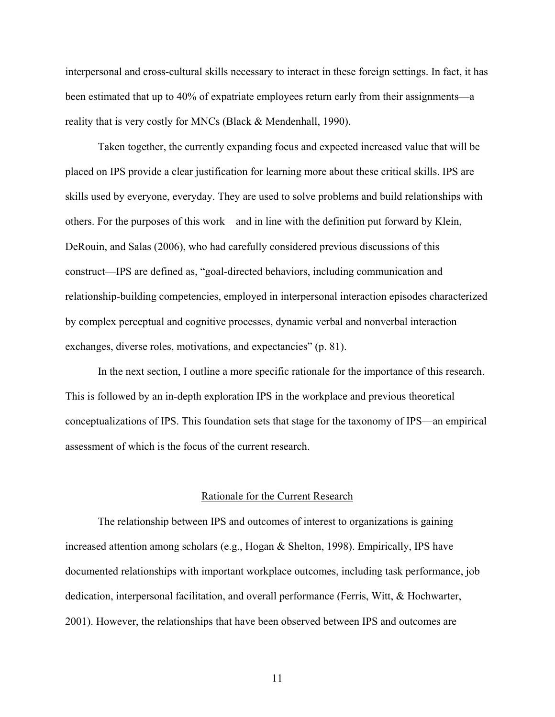<span id="page-11-0"></span>interpersonal and cross-cultural skills necessary to interact in these foreign settings. In fact, it has been estimated that up to 40% of expatriate employees return early from their assignments—a reality that is very costly for MNCs (Black & Mendenhall, 1990).

Taken together, the currently expanding focus and expected increased value that will be placed on IPS provide a clear justification for learning more about these critical skills. IPS are skills used by everyone, everyday. They are used to solve problems and build relationships with others. For the purposes of this work—and in line with the definition put forward by Klein, DeRouin, and Salas (2006), who had carefully considered previous discussions of this construct—IPS are defined as, "goal-directed behaviors, including communication and relationship-building competencies, employed in interpersonal interaction episodes characterized by complex perceptual and cognitive processes, dynamic verbal and nonverbal interaction exchanges, diverse roles, motivations, and expectancies" (p. 81).

In the next section, I outline a more specific rationale for the importance of this research. This is followed by an in-depth exploration IPS in the workplace and previous theoretical conceptualizations of IPS. This foundation sets that stage for the taxonomy of IPS—an empirical assessment of which is the focus of the current research.

#### Rationale for the Current Research

<span id="page-11-1"></span>The relationship between IPS and outcomes of interest to organizations is gaining increased attention among scholars (e.g., Hogan & Shelton, 1998). Empirically, IPS have documented relationships with important workplace outcomes, including task performance, job dedication, interpersonal facilitation, and overall performance (Ferris, Witt, & Hochwarter, 2001). However, the relationships that have been observed between IPS and outcomes are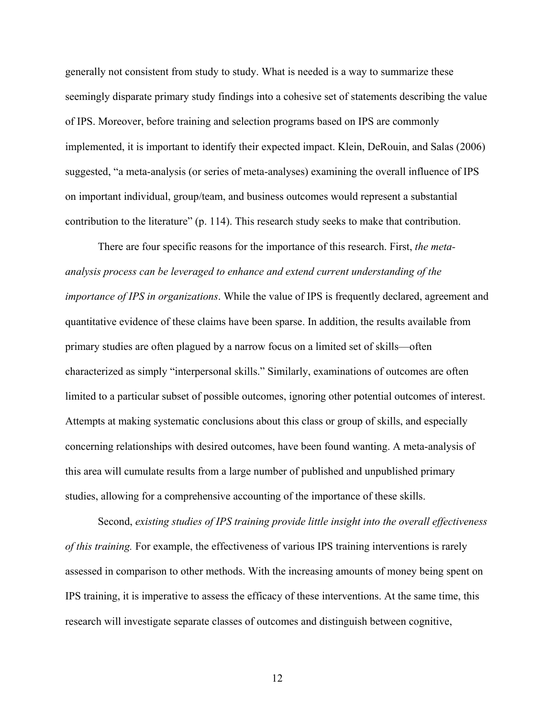generally not consistent from study to study. What is needed is a way to summarize these seemingly disparate primary study findings into a cohesive set of statements describing the value of IPS. Moreover, before training and selection programs based on IPS are commonly implemented, it is important to identify their expected impact. Klein, DeRouin, and Salas (2006) suggested, "a meta-analysis (or series of meta-analyses) examining the overall influence of IPS on important individual, group/team, and business outcomes would represent a substantial contribution to the literature" (p. 114). This research study seeks to make that contribution.

There are four specific reasons for the importance of this research. First, *the metaanalysis process can be leveraged to enhance and extend current understanding of the importance of IPS in organizations*. While the value of IPS is frequently declared, agreement and quantitative evidence of these claims have been sparse. In addition, the results available from primary studies are often plagued by a narrow focus on a limited set of skills—often characterized as simply "interpersonal skills." Similarly, examinations of outcomes are often limited to a particular subset of possible outcomes, ignoring other potential outcomes of interest. Attempts at making systematic conclusions about this class or group of skills, and especially concerning relationships with desired outcomes, have been found wanting. A meta-analysis of this area will cumulate results from a large number of published and unpublished primary studies, allowing for a comprehensive accounting of the importance of these skills.

Second, *existing studies of IPS training provide little insight into the overall effectiveness of this training.* For example, the effectiveness of various IPS training interventions is rarely assessed in comparison to other methods. With the increasing amounts of money being spent on IPS training, it is imperative to assess the efficacy of these interventions. At the same time, this research will investigate separate classes of outcomes and distinguish between cognitive,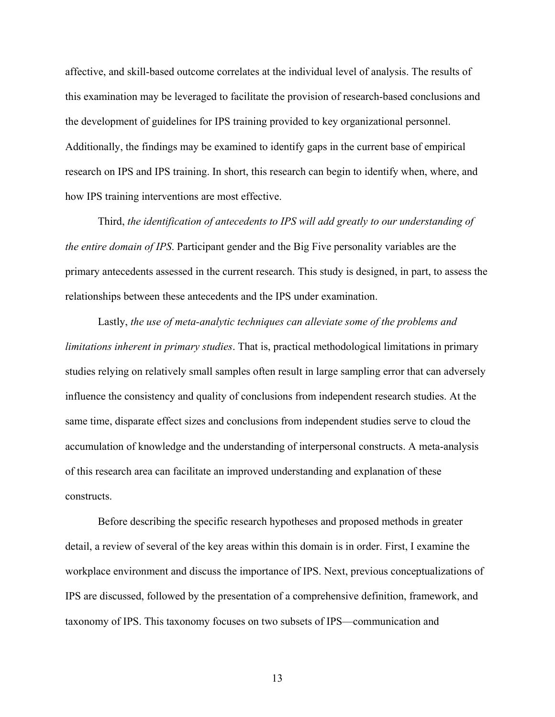affective, and skill-based outcome correlates at the individual level of analysis. The results of this examination may be leveraged to facilitate the provision of research-based conclusions and the development of guidelines for IPS training provided to key organizational personnel. Additionally, the findings may be examined to identify gaps in the current base of empirical research on IPS and IPS training. In short, this research can begin to identify when, where, and how IPS training interventions are most effective.

Third, *the identification of antecedents to IPS will add greatly to our understanding of the entire domain of IPS*. Participant gender and the Big Five personality variables are the primary antecedents assessed in the current research. This study is designed, in part, to assess the relationships between these antecedents and the IPS under examination.

Lastly, *the use of meta-analytic techniques can alleviate some of the problems and limitations inherent in primary studies*. That is, practical methodological limitations in primary studies relying on relatively small samples often result in large sampling error that can adversely influence the consistency and quality of conclusions from independent research studies. At the same time, disparate effect sizes and conclusions from independent studies serve to cloud the accumulation of knowledge and the understanding of interpersonal constructs. A meta-analysis of this research area can facilitate an improved understanding and explanation of these constructs.

Before describing the specific research hypotheses and proposed methods in greater detail, a review of several of the key areas within this domain is in order. First, I examine the workplace environment and discuss the importance of IPS. Next, previous conceptualizations of IPS are discussed, followed by the presentation of a comprehensive definition, framework, and taxonomy of IPS. This taxonomy focuses on two subsets of IPS—communication and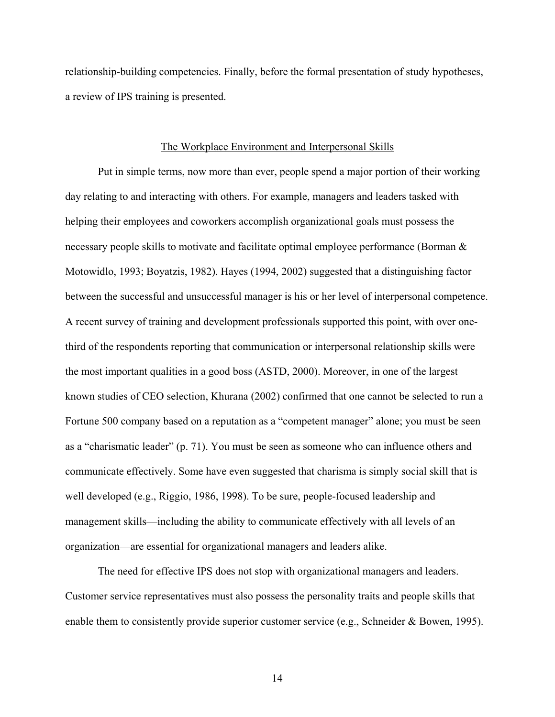<span id="page-14-0"></span>relationship-building competencies. Finally, before the formal presentation of study hypotheses, a review of IPS training is presented.

#### The Workplace Environment and Interpersonal Skills

<span id="page-14-1"></span>Put in simple terms, now more than ever, people spend a major portion of their working day relating to and interacting with others. For example, managers and leaders tasked with helping their employees and coworkers accomplish organizational goals must possess the necessary people skills to motivate and facilitate optimal employee performance (Borman & Motowidlo, 1993; Boyatzis, 1982). Hayes (1994, 2002) suggested that a distinguishing factor between the successful and unsuccessful manager is his or her level of interpersonal competence. A recent survey of training and development professionals supported this point, with over onethird of the respondents reporting that communication or interpersonal relationship skills were the most important qualities in a good boss (ASTD, 2000). Moreover, in one of the largest known studies of CEO selection, Khurana (2002) confirmed that one cannot be selected to run a Fortune 500 company based on a reputation as a "competent manager" alone; you must be seen as a "charismatic leader" (p. 71). You must be seen as someone who can influence others and communicate effectively. Some have even suggested that charisma is simply social skill that is well developed (e.g., Riggio, 1986, 1998). To be sure, people-focused leadership and management skills—including the ability to communicate effectively with all levels of an organization—are essential for organizational managers and leaders alike.

The need for effective IPS does not stop with organizational managers and leaders. Customer service representatives must also possess the personality traits and people skills that enable them to consistently provide superior customer service (e.g., Schneider & Bowen, 1995).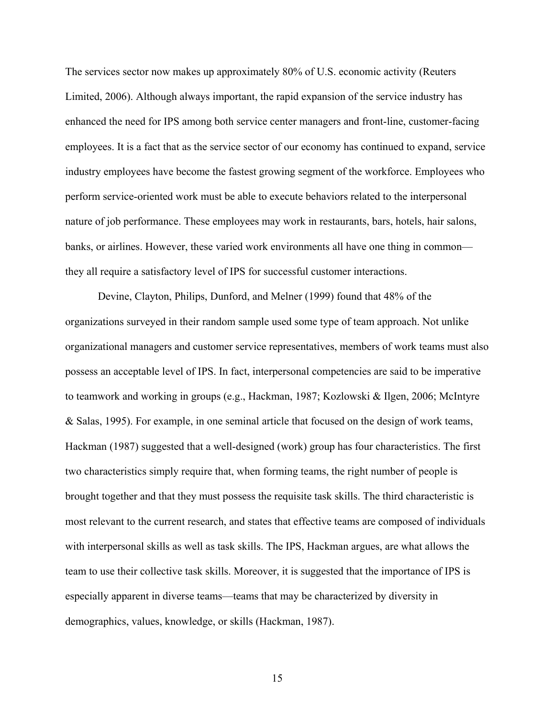The services sector now makes up approximately 80% of U.S. economic activity (Reuters Limited, 2006). Although always important, the rapid expansion of the service industry has enhanced the need for IPS among both service center managers and front-line, customer-facing employees. It is a fact that as the service sector of our economy has continued to expand, service industry employees have become the fastest growing segment of the workforce. Employees who perform service-oriented work must be able to execute behaviors related to the interpersonal nature of job performance. These employees may work in restaurants, bars, hotels, hair salons, banks, or airlines. However, these varied work environments all have one thing in common they all require a satisfactory level of IPS for successful customer interactions.

Devine, Clayton, Philips, Dunford, and Melner (1999) found that 48% of the organizations surveyed in their random sample used some type of team approach. Not unlike organizational managers and customer service representatives, members of work teams must also possess an acceptable level of IPS. In fact, interpersonal competencies are said to be imperative to teamwork and working in groups (e.g., Hackman, 1987; Kozlowski & Ilgen, 2006; McIntyre & Salas, 1995). For example, in one seminal article that focused on the design of work teams, Hackman (1987) suggested that a well-designed (work) group has four characteristics. The first two characteristics simply require that, when forming teams, the right number of people is brought together and that they must possess the requisite task skills. The third characteristic is most relevant to the current research, and states that effective teams are composed of individuals with interpersonal skills as well as task skills. The IPS, Hackman argues, are what allows the team to use their collective task skills. Moreover, it is suggested that the importance of IPS is especially apparent in diverse teams—teams that may be characterized by diversity in demographics, values, knowledge, or skills (Hackman, 1987).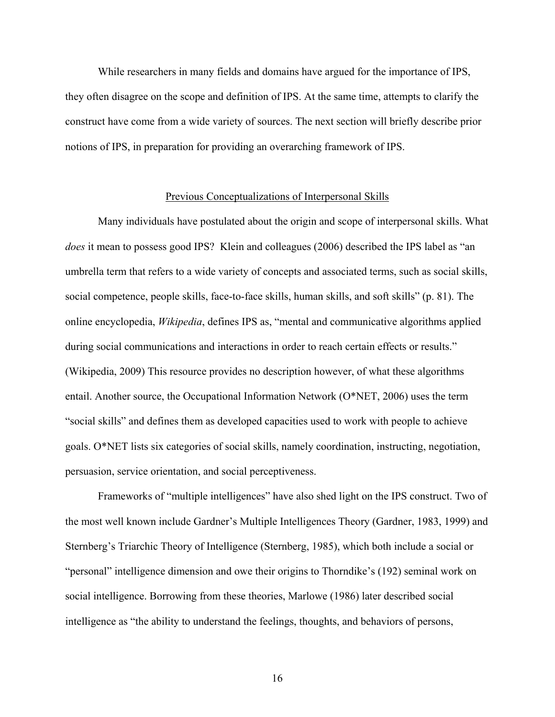<span id="page-16-0"></span>While researchers in many fields and domains have argued for the importance of IPS, they often disagree on the scope and definition of IPS. At the same time, attempts to clarify the construct have come from a wide variety of sources. The next section will briefly describe prior notions of IPS, in preparation for providing an overarching framework of IPS.

#### Previous Conceptualizations of Interpersonal Skills

<span id="page-16-1"></span>Many individuals have postulated about the origin and scope of interpersonal skills. What *does* it mean to possess good IPS? Klein and colleagues (2006) described the IPS label as "an umbrella term that refers to a wide variety of concepts and associated terms, such as social skills, social competence, people skills, face-to-face skills, human skills, and soft skills" (p. 81). The online encyclopedia, *Wikipedia*, defines IPS as, "mental and communicative algorithms applied during social communications and interactions in order to reach certain effects or results." (Wikipedia, 2009) This resource provides no description however, of what these algorithms entail. Another source, the Occupational Information Network (O\*NET, 2006) uses the term "social skills" and defines them as developed capacities used to work with people to achieve goals. O\*NET lists six categories of social skills, namely coordination, instructing, negotiation, persuasion, service orientation, and social perceptiveness.

Frameworks of "multiple intelligences" have also shed light on the IPS construct. Two of the most well known include Gardner's Multiple Intelligences Theory (Gardner, 1983, 1999) and Sternberg's Triarchic Theory of Intelligence (Sternberg, 1985), which both include a social or "personal" intelligence dimension and owe their origins to Thorndike's (192) seminal work on social intelligence. Borrowing from these theories, Marlowe (1986) later described social intelligence as "the ability to understand the feelings, thoughts, and behaviors of persons,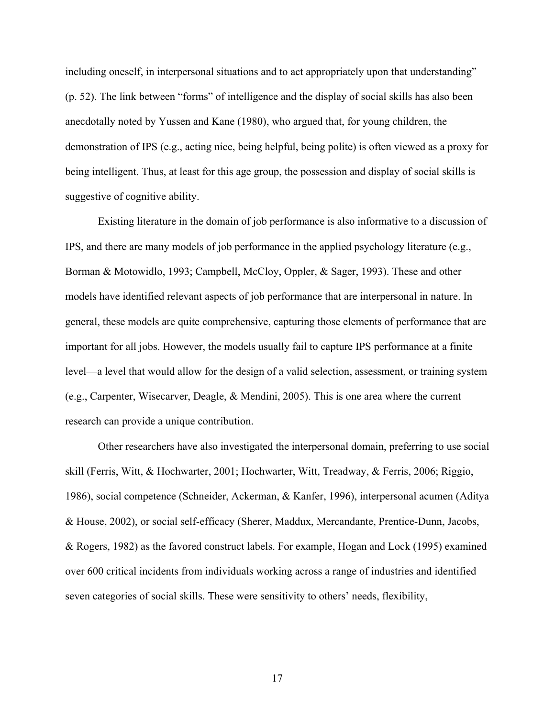including oneself, in interpersonal situations and to act appropriately upon that understanding" (p. 52). The link between "forms" of intelligence and the display of social skills has also been anecdotally noted by Yussen and Kane (1980), who argued that, for young children, the demonstration of IPS (e.g., acting nice, being helpful, being polite) is often viewed as a proxy for being intelligent. Thus, at least for this age group, the possession and display of social skills is suggestive of cognitive ability.

Existing literature in the domain of job performance is also informative to a discussion of IPS, and there are many models of job performance in the applied psychology literature (e.g., Borman & Motowidlo, 1993; Campbell, McCloy, Oppler, & Sager, 1993). These and other models have identified relevant aspects of job performance that are interpersonal in nature. In general, these models are quite comprehensive, capturing those elements of performance that are important for all jobs. However, the models usually fail to capture IPS performance at a finite level—a level that would allow for the design of a valid selection, assessment, or training system (e.g., Carpenter, Wisecarver, Deagle, & Mendini, 2005). This is one area where the current research can provide a unique contribution.

Other researchers have also investigated the interpersonal domain, preferring to use social skill (Ferris, Witt, & Hochwarter, 2001; Hochwarter, Witt, Treadway, & Ferris, 2006; Riggio, 1986), social competence (Schneider, Ackerman, & Kanfer, 1996), interpersonal acumen (Aditya & House, 2002), or social self-efficacy (Sherer, Maddux, Mercandante, Prentice-Dunn, Jacobs, & Rogers, 1982) as the favored construct labels. For example, Hogan and Lock (1995) examined over 600 critical incidents from individuals working across a range of industries and identified seven categories of social skills. These were sensitivity to others' needs, flexibility,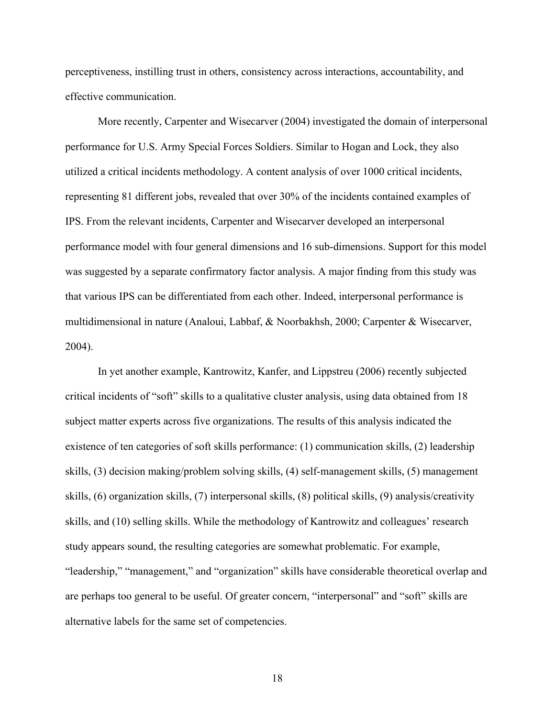perceptiveness, instilling trust in others, consistency across interactions, accountability, and effective communication.

More recently, Carpenter and Wisecarver (2004) investigated the domain of interpersonal performance for U.S. Army Special Forces Soldiers. Similar to Hogan and Lock, they also utilized a critical incidents methodology. A content analysis of over 1000 critical incidents, representing 81 different jobs, revealed that over 30% of the incidents contained examples of IPS. From the relevant incidents, Carpenter and Wisecarver developed an interpersonal performance model with four general dimensions and 16 sub-dimensions. Support for this model was suggested by a separate confirmatory factor analysis. A major finding from this study was that various IPS can be differentiated from each other. Indeed, interpersonal performance is multidimensional in nature (Analoui, Labbaf, & Noorbakhsh, 2000; Carpenter & Wisecarver, 2004).

In yet another example, Kantrowitz, Kanfer, and Lippstreu (2006) recently subjected critical incidents of "soft" skills to a qualitative cluster analysis, using data obtained from 18 subject matter experts across five organizations. The results of this analysis indicated the existence of ten categories of soft skills performance: (1) communication skills, (2) leadership skills, (3) decision making/problem solving skills, (4) self-management skills, (5) management skills, (6) organization skills, (7) interpersonal skills, (8) political skills, (9) analysis/creativity skills, and (10) selling skills. While the methodology of Kantrowitz and colleagues' research study appears sound, the resulting categories are somewhat problematic. For example, "leadership," "management," and "organization" skills have considerable theoretical overlap and are perhaps too general to be useful. Of greater concern, "interpersonal" and "soft" skills are alternative labels for the same set of competencies.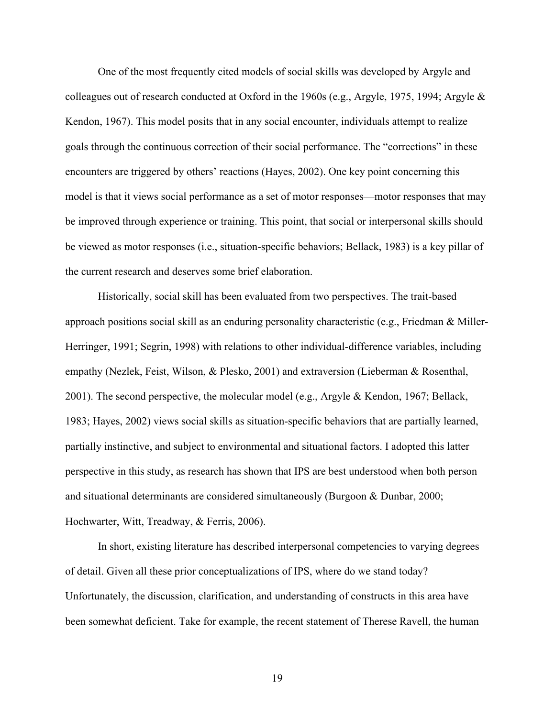One of the most frequently cited models of social skills was developed by Argyle and colleagues out of research conducted at Oxford in the 1960s (e.g., Argyle, 1975, 1994; Argyle & Kendon, 1967). This model posits that in any social encounter, individuals attempt to realize goals through the continuous correction of their social performance. The "corrections" in these encounters are triggered by others' reactions (Hayes, 2002). One key point concerning this model is that it views social performance as a set of motor responses—motor responses that may be improved through experience or training. This point, that social or interpersonal skills should be viewed as motor responses (i.e., situation-specific behaviors; Bellack, 1983) is a key pillar of the current research and deserves some brief elaboration.

Historically, social skill has been evaluated from two perspectives. The trait-based approach positions social skill as an enduring personality characteristic (e.g., Friedman & Miller-Herringer, 1991; Segrin, 1998) with relations to other individual-difference variables, including empathy (Nezlek, Feist, Wilson, & Plesko, 2001) and extraversion (Lieberman & Rosenthal, 2001). The second perspective, the molecular model (e.g., Argyle & Kendon, 1967; Bellack, 1983; Hayes, 2002) views social skills as situation-specific behaviors that are partially learned, partially instinctive, and subject to environmental and situational factors. I adopted this latter perspective in this study, as research has shown that IPS are best understood when both person and situational determinants are considered simultaneously (Burgoon & Dunbar, 2000; Hochwarter, Witt, Treadway, & Ferris, 2006).

In short, existing literature has described interpersonal competencies to varying degrees of detail. Given all these prior conceptualizations of IPS, where do we stand today? Unfortunately, the discussion, clarification, and understanding of constructs in this area have been somewhat deficient. Take for example, the recent statement of Therese Ravell, the human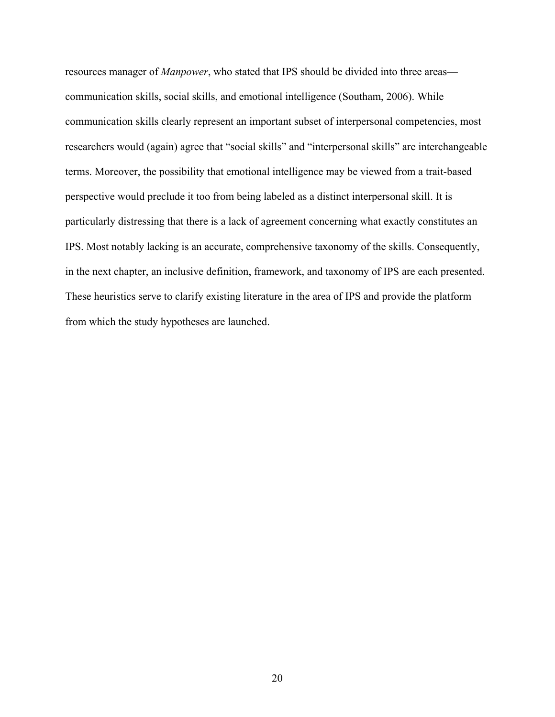resources manager of *Manpower*, who stated that IPS should be divided into three areas communication skills, social skills, and emotional intelligence (Southam, 2006). While communication skills clearly represent an important subset of interpersonal competencies, most researchers would (again) agree that "social skills" and "interpersonal skills" are interchangeable terms. Moreover, the possibility that emotional intelligence may be viewed from a trait-based perspective would preclude it too from being labeled as a distinct interpersonal skill. It is particularly distressing that there is a lack of agreement concerning what exactly constitutes an IPS. Most notably lacking is an accurate, comprehensive taxonomy of the skills. Consequently, in the next chapter, an inclusive definition, framework, and taxonomy of IPS are each presented. These heuristics serve to clarify existing literature in the area of IPS and provide the platform from which the study hypotheses are launched.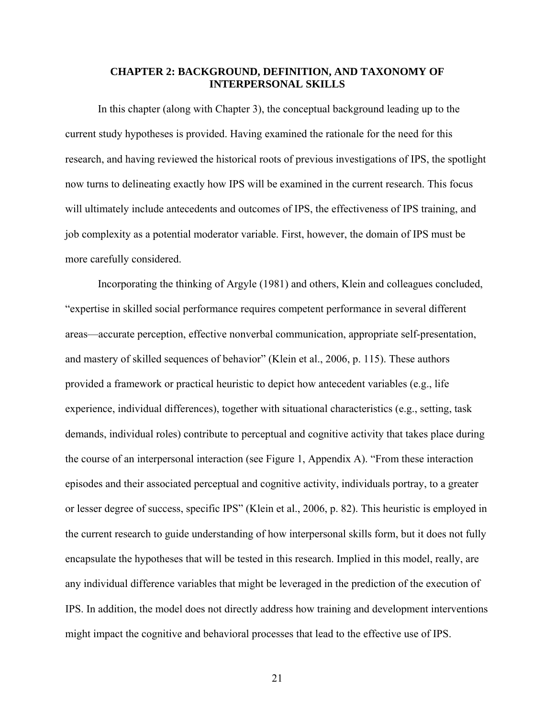#### **CHAPTER 2: BACKGROUND, DEFINITION, AND TAXONOMY OF INTERPERSONAL SKILLS**

<span id="page-21-1"></span><span id="page-21-0"></span>In this chapter (along with Chapter 3), the conceptual background leading up to the current study hypotheses is provided. Having examined the rationale for the need for this research, and having reviewed the historical roots of previous investigations of IPS, the spotlight now turns to delineating exactly how IPS will be examined in the current research. This focus will ultimately include antecedents and outcomes of IPS, the effectiveness of IPS training, and job complexity as a potential moderator variable. First, however, the domain of IPS must be more carefully considered.

Incorporating the thinking of Argyle (1981) and others, Klein and colleagues concluded, "expertise in skilled social performance requires competent performance in several different areas—accurate perception, effective nonverbal communication, appropriate self-presentation, and mastery of skilled sequences of behavior" (Klein et al., 2006, p. 115). These authors provided a framework or practical heuristic to depict how antecedent variables (e.g., life experience, individual differences), together with situational characteristics (e.g., setting, task demands, individual roles) contribute to perceptual and cognitive activity that takes place during the course of an interpersonal interaction (see Figure 1, Appendix A). "From these interaction episodes and their associated perceptual and cognitive activity, individuals portray, to a greater or lesser degree of success, specific IPS" (Klein et al., 2006, p. 82). This heuristic is employed in the current research to guide understanding of how interpersonal skills form, but it does not fully encapsulate the hypotheses that will be tested in this research. Implied in this model, really, are any individual difference variables that might be leveraged in the prediction of the execution of IPS. In addition, the model does not directly address how training and development interventions might impact the cognitive and behavioral processes that lead to the effective use of IPS.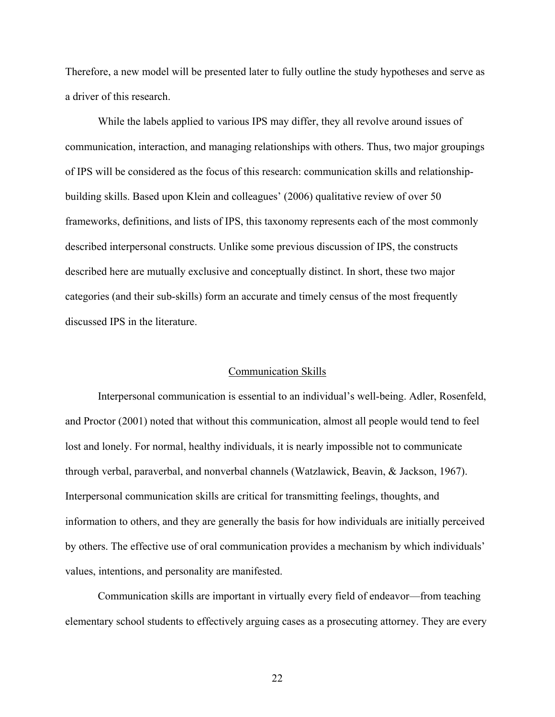<span id="page-22-0"></span>Therefore, a new model will be presented later to fully outline the study hypotheses and serve as a driver of this research.

 While the labels applied to various IPS may differ, they all revolve around issues of communication, interaction, and managing relationships with others. Thus, two major groupings of IPS will be considered as the focus of this research: communication skills and relationshipbuilding skills. Based upon Klein and colleagues' (2006) qualitative review of over 50 frameworks, definitions, and lists of IPS, this taxonomy represents each of the most commonly described interpersonal constructs. Unlike some previous discussion of IPS, the constructs described here are mutually exclusive and conceptually distinct. In short, these two major categories (and their sub-skills) form an accurate and timely census of the most frequently discussed IPS in the literature.

#### Communication Skills

<span id="page-22-1"></span>Interpersonal communication is essential to an individual's well-being. Adler, Rosenfeld, and Proctor (2001) noted that without this communication, almost all people would tend to feel lost and lonely. For normal, healthy individuals, it is nearly impossible not to communicate through verbal, paraverbal, and nonverbal channels (Watzlawick, Beavin, & Jackson, 1967). Interpersonal communication skills are critical for transmitting feelings, thoughts, and information to others, and they are generally the basis for how individuals are initially perceived by others. The effective use of oral communication provides a mechanism by which individuals' values, intentions, and personality are manifested.

Communication skills are important in virtually every field of endeavor—from teaching elementary school students to effectively arguing cases as a prosecuting attorney. They are every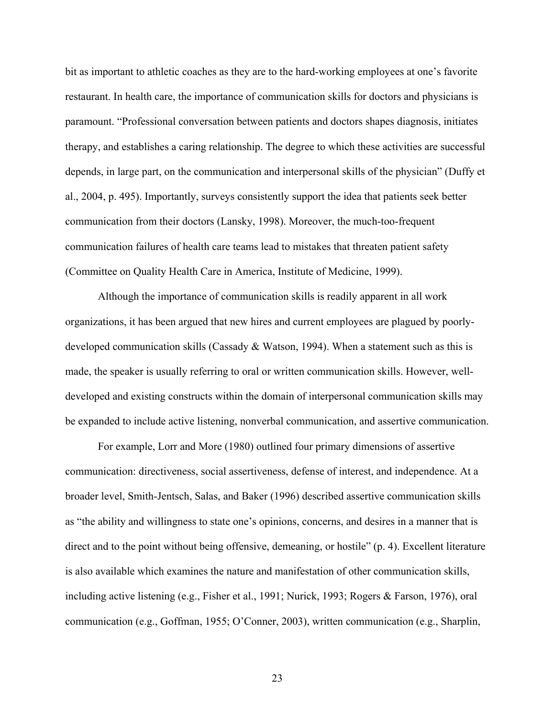bit as important to athletic coaches as they are to the hard-working employees at one's favorite restaurant. In health care, the importance of communication skills for doctors and physicians is paramount. "Professional conversation between patients and doctors shapes diagnosis, initiates therapy, and establishes a caring relationship. The degree to which these activities are successful depends, in large part, on the communication and interpersonal skills of the physician" (Duffy et al., 2004, p. 495). Importantly, surveys consistently support the idea that patients seek better communication from their doctors (Lansky, 1998). Moreover, the much-too-frequent communication failures of health care teams lead to mistakes that threaten patient safety (Committee on Quality Health Care in America, Institute of Medicine, 1999).

Although the importance of communication skills is readily apparent in all work organizations, it has been argued that new hires and current employees are plagued by poorlydeveloped communication skills (Cassady  $\&$  Watson, 1994). When a statement such as this is made, the speaker is usually referring to oral or written communication skills. However, welldeveloped and existing constructs within the domain of interpersonal communication skills may be expanded to include active listening, nonverbal communication, and assertive communication.

For example, Lorr and More (1980) outlined four primary dimensions of assertive communication: directiveness, social assertiveness, defense of interest, and independence. At a broader level, Smith-Jentsch, Salas, and Baker (1996) described assertive communication skills as "the ability and willingness to state one's opinions, concerns, and desires in a manner that is direct and to the point without being offensive, demeaning, or hostile" (p. 4). Excellent literature is also available which examines the nature and manifestation of other communication skills, including active listening (e.g., Fisher et al., 1991; Nurick, 1993; Rogers & Farson, 1976), oral communication (e.g., Goffman, 1955; O'Conner, 2003), written communication (e.g., Sharplin,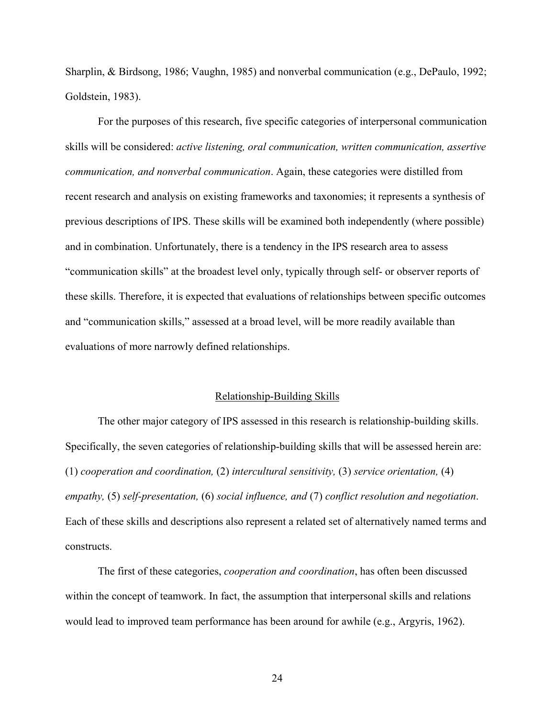<span id="page-24-0"></span>Sharplin, & Birdsong, 1986; Vaughn, 1985) and nonverbal communication (e.g., DePaulo, 1992; Goldstein, 1983).

For the purposes of this research, five specific categories of interpersonal communication skills will be considered: *active listening, oral communication, written communication, assertive communication, and nonverbal communication*. Again, these categories were distilled from recent research and analysis on existing frameworks and taxonomies; it represents a synthesis of previous descriptions of IPS. These skills will be examined both independently (where possible) and in combination. Unfortunately, there is a tendency in the IPS research area to assess "communication skills" at the broadest level only, typically through self- or observer reports of these skills. Therefore, it is expected that evaluations of relationships between specific outcomes and "communication skills," assessed at a broad level, will be more readily available than evaluations of more narrowly defined relationships.

#### Relationship-Building Skills

<span id="page-24-1"></span>The other major category of IPS assessed in this research is relationship-building skills. Specifically, the seven categories of relationship-building skills that will be assessed herein are: (1) *cooperation and coordination,* (2) *intercultural sensitivity,* (3) *service orientation,* (4) *empathy,* (5) *self-presentation,* (6) *social influence, and* (7) *conflict resolution and negotiation*. Each of these skills and descriptions also represent a related set of alternatively named terms and constructs.

The first of these categories, *cooperation and coordination*, has often been discussed within the concept of teamwork. In fact, the assumption that interpersonal skills and relations would lead to improved team performance has been around for awhile (e.g., Argyris, 1962).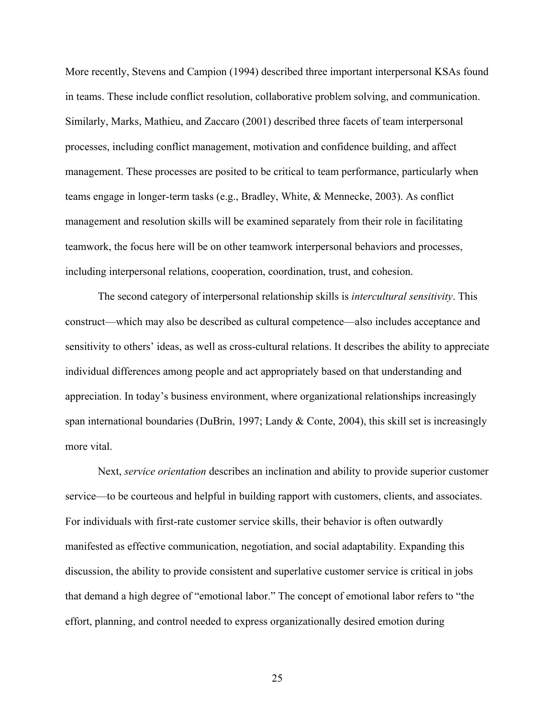More recently, Stevens and Campion (1994) described three important interpersonal KSAs found in teams. These include conflict resolution, collaborative problem solving, and communication. Similarly, Marks, Mathieu, and Zaccaro (2001) described three facets of team interpersonal processes, including conflict management, motivation and confidence building, and affect management. These processes are posited to be critical to team performance, particularly when teams engage in longer-term tasks (e.g., Bradley, White, & Mennecke, 2003). As conflict management and resolution skills will be examined separately from their role in facilitating teamwork, the focus here will be on other teamwork interpersonal behaviors and processes, including interpersonal relations, cooperation, coordination, trust, and cohesion.

The second category of interpersonal relationship skills is *intercultural sensitivity*. This construct—which may also be described as cultural competence—also includes acceptance and sensitivity to others' ideas, as well as cross-cultural relations. It describes the ability to appreciate individual differences among people and act appropriately based on that understanding and appreciation. In today's business environment, where organizational relationships increasingly span international boundaries (DuBrin, 1997; Landy & Conte, 2004), this skill set is increasingly more vital.

Next, *service orientation* describes an inclination and ability to provide superior customer service—to be courteous and helpful in building rapport with customers, clients, and associates. For individuals with first-rate customer service skills, their behavior is often outwardly manifested as effective communication, negotiation, and social adaptability. Expanding this discussion, the ability to provide consistent and superlative customer service is critical in jobs that demand a high degree of "emotional labor." The concept of emotional labor refers to "the effort, planning, and control needed to express organizationally desired emotion during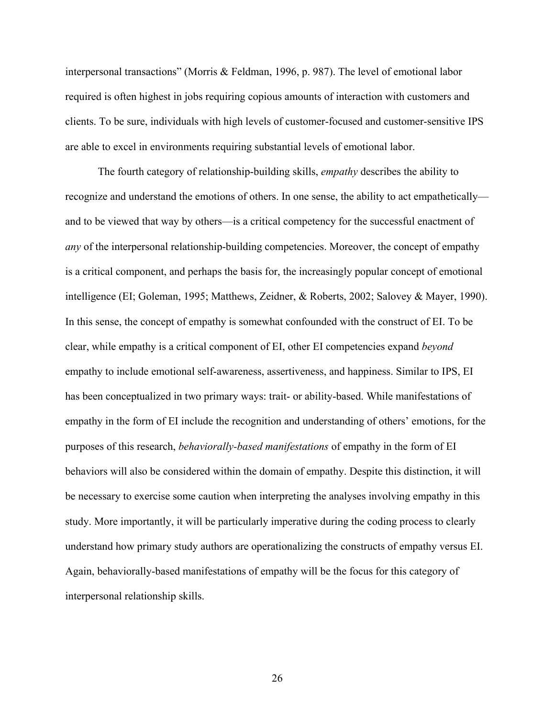interpersonal transactions" (Morris & Feldman, 1996, p. 987). The level of emotional labor required is often highest in jobs requiring copious amounts of interaction with customers and clients. To be sure, individuals with high levels of customer-focused and customer-sensitive IPS are able to excel in environments requiring substantial levels of emotional labor.

The fourth category of relationship-building skills, *empathy* describes the ability to recognize and understand the emotions of others. In one sense, the ability to act empathetically and to be viewed that way by others—is a critical competency for the successful enactment of *any* of the interpersonal relationship-building competencies. Moreover, the concept of empathy is a critical component, and perhaps the basis for, the increasingly popular concept of emotional intelligence (EI; Goleman, 1995; Matthews, Zeidner, & Roberts, 2002; Salovey & Mayer, 1990). In this sense, the concept of empathy is somewhat confounded with the construct of EI. To be clear, while empathy is a critical component of EI, other EI competencies expand *beyond* empathy to include emotional self-awareness, assertiveness, and happiness. Similar to IPS, EI has been conceptualized in two primary ways: trait- or ability-based. While manifestations of empathy in the form of EI include the recognition and understanding of others' emotions, for the purposes of this research, *behaviorally-based manifestations* of empathy in the form of EI behaviors will also be considered within the domain of empathy. Despite this distinction, it will be necessary to exercise some caution when interpreting the analyses involving empathy in this study. More importantly, it will be particularly imperative during the coding process to clearly understand how primary study authors are operationalizing the constructs of empathy versus EI. Again, behaviorally-based manifestations of empathy will be the focus for this category of interpersonal relationship skills.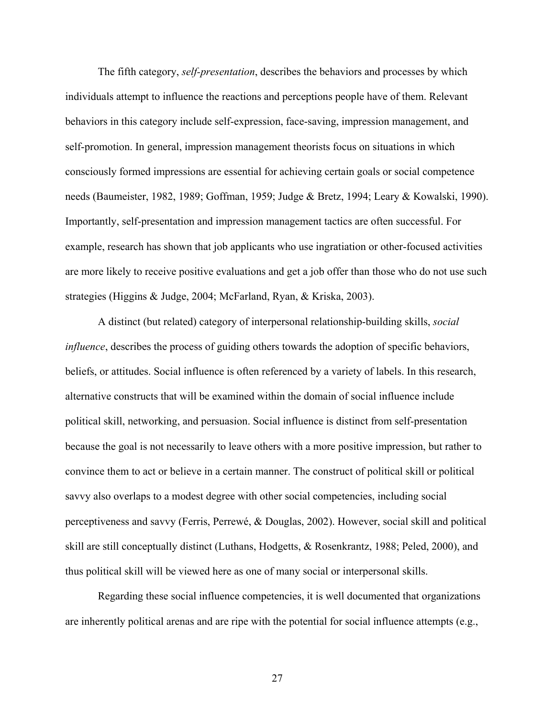The fifth category, *self-presentation*, describes the behaviors and processes by which individuals attempt to influence the reactions and perceptions people have of them. Relevant behaviors in this category include self-expression, face-saving, impression management, and self-promotion. In general, impression management theorists focus on situations in which consciously formed impressions are essential for achieving certain goals or social competence needs (Baumeister, 1982, 1989; Goffman, 1959; Judge & Bretz, 1994; Leary & Kowalski, 1990). Importantly, self-presentation and impression management tactics are often successful. For example, research has shown that job applicants who use ingratiation or other-focused activities are more likely to receive positive evaluations and get a job offer than those who do not use such strategies (Higgins & Judge, 2004; McFarland, Ryan, & Kriska, 2003).

A distinct (but related) category of interpersonal relationship-building skills, *social influence*, describes the process of guiding others towards the adoption of specific behaviors, beliefs, or attitudes. Social influence is often referenced by a variety of labels. In this research, alternative constructs that will be examined within the domain of social influence include political skill, networking, and persuasion. Social influence is distinct from self-presentation because the goal is not necessarily to leave others with a more positive impression, but rather to convince them to act or believe in a certain manner. The construct of political skill or political savvy also overlaps to a modest degree with other social competencies, including social perceptiveness and savvy (Ferris, Perrewé, & Douglas, 2002). However, social skill and political skill are still conceptually distinct (Luthans, Hodgetts, & Rosenkrantz, 1988; Peled, 2000), and thus political skill will be viewed here as one of many social or interpersonal skills.

Regarding these social influence competencies, it is well documented that organizations are inherently political arenas and are ripe with the potential for social influence attempts (e.g.,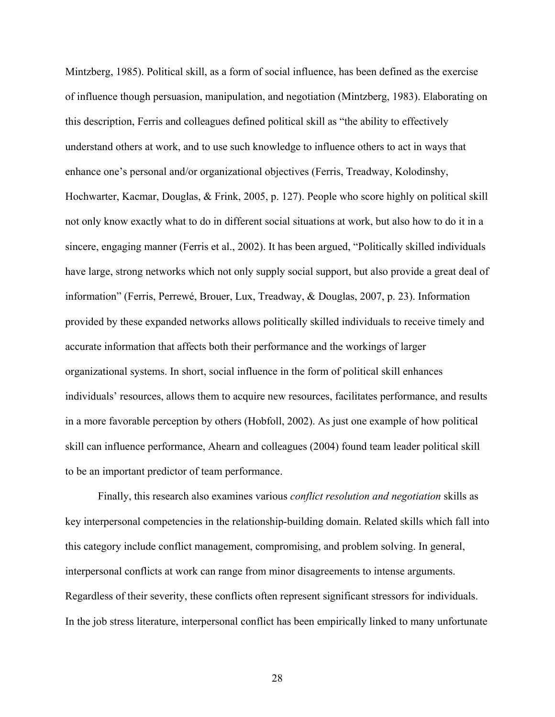Mintzberg, 1985). Political skill, as a form of social influence, has been defined as the exercise of influence though persuasion, manipulation, and negotiation (Mintzberg, 1983). Elaborating on this description, Ferris and colleagues defined political skill as "the ability to effectively understand others at work, and to use such knowledge to influence others to act in ways that enhance one's personal and/or organizational objectives (Ferris, Treadway, Kolodinshy, Hochwarter, Kacmar, Douglas, & Frink, 2005, p. 127). People who score highly on political skill not only know exactly what to do in different social situations at work, but also how to do it in a sincere, engaging manner (Ferris et al., 2002). It has been argued, "Politically skilled individuals have large, strong networks which not only supply social support, but also provide a great deal of information" (Ferris, Perrewé, Brouer, Lux, Treadway, & Douglas, 2007, p. 23). Information provided by these expanded networks allows politically skilled individuals to receive timely and accurate information that affects both their performance and the workings of larger organizational systems. In short, social influence in the form of political skill enhances individuals' resources, allows them to acquire new resources, facilitates performance, and results in a more favorable perception by others (Hobfoll, 2002). As just one example of how political skill can influence performance, Ahearn and colleagues (2004) found team leader political skill to be an important predictor of team performance.

Finally, this research also examines various *conflict resolution and negotiation* skills as key interpersonal competencies in the relationship-building domain. Related skills which fall into this category include conflict management, compromising, and problem solving. In general, interpersonal conflicts at work can range from minor disagreements to intense arguments. Regardless of their severity, these conflicts often represent significant stressors for individuals. In the job stress literature, interpersonal conflict has been empirically linked to many unfortunate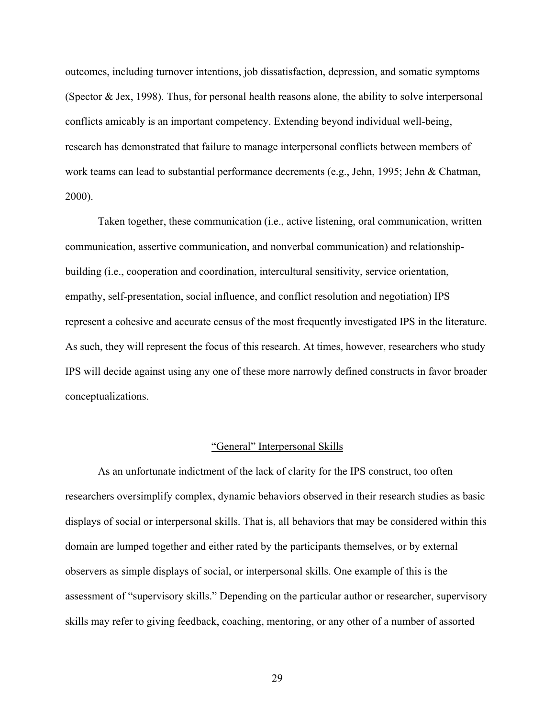outcomes, including turnover intentions, job dissatisfaction, depression, and somatic symptoms (Spector  $&$  Jex, 1998). Thus, for personal health reasons alone, the ability to solve interpersonal conflicts amicably is an important competency. Extending beyond individual well-being, research has demonstrated that failure to manage interpersonal conflicts between members of work teams can lead to substantial performance decrements (e.g., Jehn, 1995; Jehn & Chatman, 2000).

Taken together, these communication (i.e., active listening, oral communication, written communication, assertive communication, and nonverbal communication) and relationshipbuilding (i.e., cooperation and coordination, intercultural sensitivity, service orientation, empathy, self-presentation, social influence, and conflict resolution and negotiation) IPS represent a cohesive and accurate census of the most frequently investigated IPS in the literature. As such, they will represent the focus of this research. At times, however, researchers who study IPS will decide against using any one of these more narrowly defined constructs in favor broader conceptualizations.

#### "General" Interpersonal Skills

 As an unfortunate indictment of the lack of clarity for the IPS construct, too often researchers oversimplify complex, dynamic behaviors observed in their research studies as basic displays of social or interpersonal skills. That is, all behaviors that may be considered within this domain are lumped together and either rated by the participants themselves, or by external observers as simple displays of social, or interpersonal skills. One example of this is the assessment of "supervisory skills." Depending on the particular author or researcher, supervisory skills may refer to giving feedback, coaching, mentoring, or any other of a number of assorted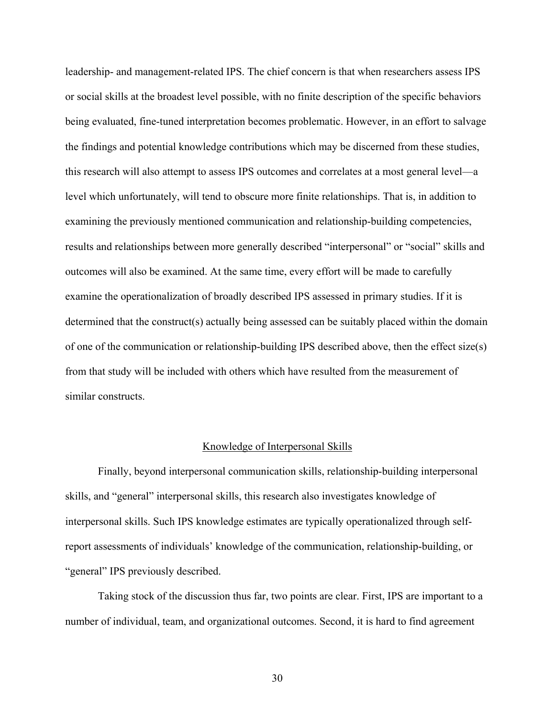leadership- and management-related IPS. The chief concern is that when researchers assess IPS or social skills at the broadest level possible, with no finite description of the specific behaviors being evaluated, fine-tuned interpretation becomes problematic. However, in an effort to salvage the findings and potential knowledge contributions which may be discerned from these studies, this research will also attempt to assess IPS outcomes and correlates at a most general level—a level which unfortunately, will tend to obscure more finite relationships. That is, in addition to examining the previously mentioned communication and relationship-building competencies, results and relationships between more generally described "interpersonal" or "social" skills and outcomes will also be examined. At the same time, every effort will be made to carefully examine the operationalization of broadly described IPS assessed in primary studies. If it is determined that the construct(s) actually being assessed can be suitably placed within the domain of one of the communication or relationship-building IPS described above, then the effect size(s) from that study will be included with others which have resulted from the measurement of similar constructs.

#### Knowledge of Interpersonal Skills

Finally, beyond interpersonal communication skills, relationship-building interpersonal skills, and "general" interpersonal skills, this research also investigates knowledge of interpersonal skills. Such IPS knowledge estimates are typically operationalized through selfreport assessments of individuals' knowledge of the communication, relationship-building, or "general" IPS previously described.

Taking stock of the discussion thus far, two points are clear. First, IPS are important to a number of individual, team, and organizational outcomes. Second, it is hard to find agreement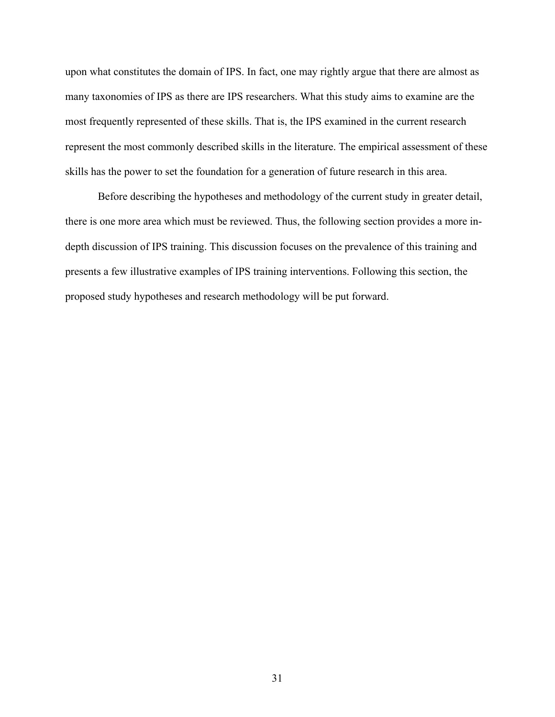upon what constitutes the domain of IPS. In fact, one may rightly argue that there are almost as many taxonomies of IPS as there are IPS researchers. What this study aims to examine are the most frequently represented of these skills. That is, the IPS examined in the current research represent the most commonly described skills in the literature. The empirical assessment of these skills has the power to set the foundation for a generation of future research in this area.

Before describing the hypotheses and methodology of the current study in greater detail, there is one more area which must be reviewed. Thus, the following section provides a more indepth discussion of IPS training. This discussion focuses on the prevalence of this training and presents a few illustrative examples of IPS training interventions. Following this section, the proposed study hypotheses and research methodology will be put forward.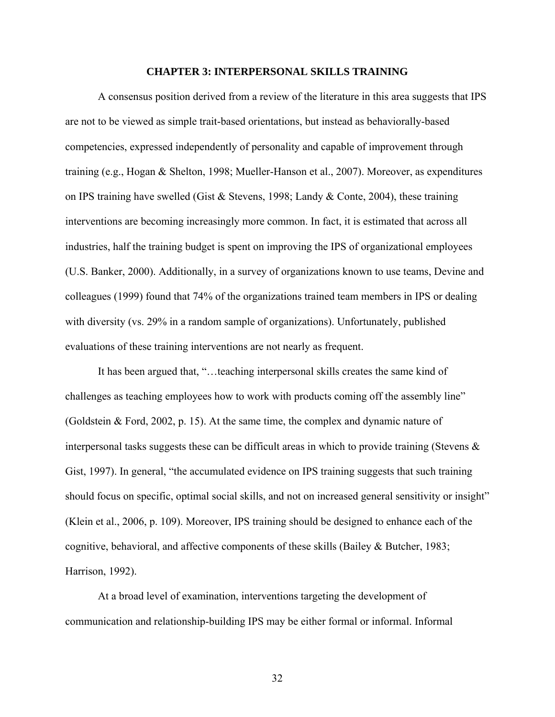#### **CHAPTER 3: INTERPERSONAL SKILLS TRAINING**

<span id="page-32-1"></span><span id="page-32-0"></span>A consensus position derived from a review of the literature in this area suggests that IPS are not to be viewed as simple trait-based orientations, but instead as behaviorally-based competencies, expressed independently of personality and capable of improvement through training (e.g., Hogan & Shelton, 1998; Mueller-Hanson et al., 2007). Moreover, as expenditures on IPS training have swelled (Gist  $\&$  Stevens, 1998; Landy  $\&$  Conte, 2004), these training interventions are becoming increasingly more common. In fact, it is estimated that across all industries, half the training budget is spent on improving the IPS of organizational employees (U.S. Banker, 2000). Additionally, in a survey of organizations known to use teams, Devine and colleagues (1999) found that 74% of the organizations trained team members in IPS or dealing with diversity (vs. 29% in a random sample of organizations). Unfortunately, published evaluations of these training interventions are not nearly as frequent.

It has been argued that, "…teaching interpersonal skills creates the same kind of challenges as teaching employees how to work with products coming off the assembly line" (Goldstein & Ford, 2002, p. 15). At the same time, the complex and dynamic nature of interpersonal tasks suggests these can be difficult areas in which to provide training (Stevens  $\&$ Gist, 1997). In general, "the accumulated evidence on IPS training suggests that such training should focus on specific, optimal social skills, and not on increased general sensitivity or insight" (Klein et al., 2006, p. 109). Moreover, IPS training should be designed to enhance each of the cognitive, behavioral, and affective components of these skills (Bailey & Butcher, 1983; Harrison, 1992).

At a broad level of examination, interventions targeting the development of communication and relationship-building IPS may be either formal or informal. Informal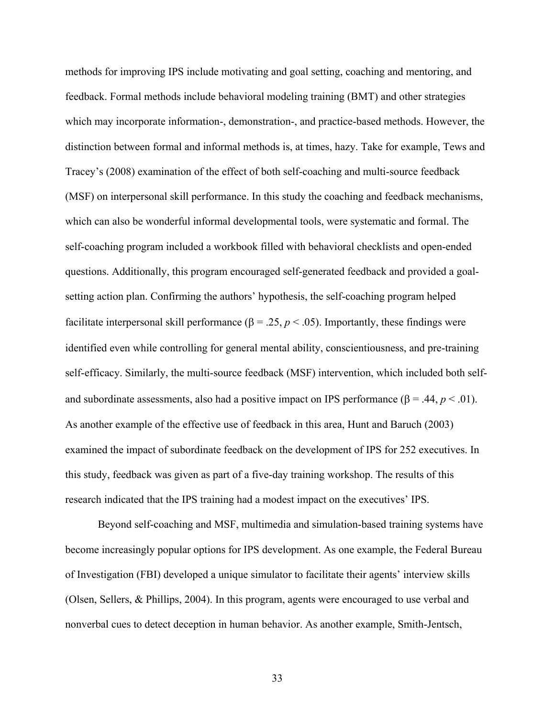methods for improving IPS include motivating and goal setting, coaching and mentoring, and feedback. Formal methods include behavioral modeling training (BMT) and other strategies which may incorporate information-, demonstration-, and practice-based methods. However, the distinction between formal and informal methods is, at times, hazy. Take for example, Tews and Tracey's (2008) examination of the effect of both self-coaching and multi-source feedback (MSF) on interpersonal skill performance. In this study the coaching and feedback mechanisms, which can also be wonderful informal developmental tools, were systematic and formal. The self-coaching program included a workbook filled with behavioral checklists and open-ended questions. Additionally, this program encouraged self-generated feedback and provided a goalsetting action plan. Confirming the authors' hypothesis, the self-coaching program helped facilitate interpersonal skill performance ( $\beta = 0.25$ ,  $p < 0.05$ ). Importantly, these findings were identified even while controlling for general mental ability, conscientiousness, and pre-training self-efficacy. Similarly, the multi-source feedback (MSF) intervention, which included both selfand subordinate assessments, also had a positive impact on IPS performance  $(\beta = .44, p < .01)$ . As another example of the effective use of feedback in this area, Hunt and Baruch (2003) examined the impact of subordinate feedback on the development of IPS for 252 executives. In this study, feedback was given as part of a five-day training workshop. The results of this research indicated that the IPS training had a modest impact on the executives' IPS.

Beyond self-coaching and MSF, multimedia and simulation-based training systems have become increasingly popular options for IPS development. As one example, the Federal Bureau of Investigation (FBI) developed a unique simulator to facilitate their agents' interview skills (Olsen, Sellers, & Phillips, 2004). In this program, agents were encouraged to use verbal and nonverbal cues to detect deception in human behavior. As another example, Smith-Jentsch,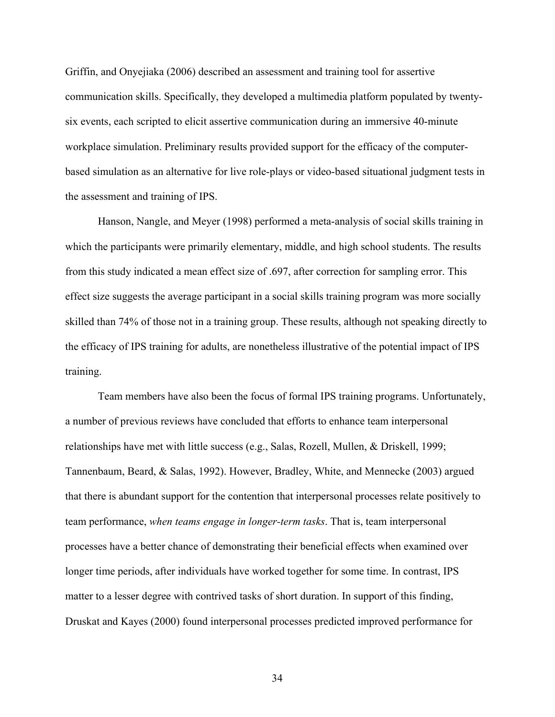Griffin, and Onyejiaka (2006) described an assessment and training tool for assertive communication skills. Specifically, they developed a multimedia platform populated by twentysix events, each scripted to elicit assertive communication during an immersive 40-minute workplace simulation. Preliminary results provided support for the efficacy of the computerbased simulation as an alternative for live role-plays or video-based situational judgment tests in the assessment and training of IPS.

Hanson, Nangle, and Meyer (1998) performed a meta-analysis of social skills training in which the participants were primarily elementary, middle, and high school students. The results from this study indicated a mean effect size of .697, after correction for sampling error. This effect size suggests the average participant in a social skills training program was more socially skilled than 74% of those not in a training group. These results, although not speaking directly to the efficacy of IPS training for adults, are nonetheless illustrative of the potential impact of IPS training.

Team members have also been the focus of formal IPS training programs. Unfortunately, a number of previous reviews have concluded that efforts to enhance team interpersonal relationships have met with little success (e.g., Salas, Rozell, Mullen, & Driskell, 1999; Tannenbaum, Beard, & Salas, 1992). However, Bradley, White, and Mennecke (2003) argued that there is abundant support for the contention that interpersonal processes relate positively to team performance, *when teams engage in longer-term tasks*. That is, team interpersonal processes have a better chance of demonstrating their beneficial effects when examined over longer time periods, after individuals have worked together for some time. In contrast, IPS matter to a lesser degree with contrived tasks of short duration. In support of this finding, Druskat and Kayes (2000) found interpersonal processes predicted improved performance for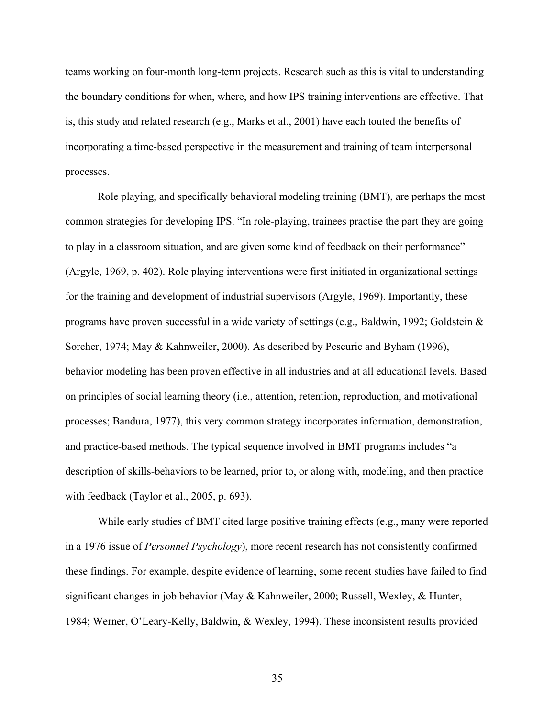teams working on four-month long-term projects. Research such as this is vital to understanding the boundary conditions for when, where, and how IPS training interventions are effective. That is, this study and related research (e.g., Marks et al., 2001) have each touted the benefits of incorporating a time-based perspective in the measurement and training of team interpersonal processes.

Role playing, and specifically behavioral modeling training (BMT), are perhaps the most common strategies for developing IPS. "In role-playing, trainees practise the part they are going to play in a classroom situation, and are given some kind of feedback on their performance" (Argyle, 1969, p. 402). Role playing interventions were first initiated in organizational settings for the training and development of industrial supervisors (Argyle, 1969). Importantly, these programs have proven successful in a wide variety of settings (e.g., Baldwin, 1992; Goldstein  $\&$ Sorcher, 1974; May & Kahnweiler, 2000). As described by Pescuric and Byham (1996), behavior modeling has been proven effective in all industries and at all educational levels. Based on principles of social learning theory (i.e., attention, retention, reproduction, and motivational processes; Bandura, 1977), this very common strategy incorporates information, demonstration, and practice-based methods. The typical sequence involved in BMT programs includes "a description of skills-behaviors to be learned, prior to, or along with, modeling, and then practice with feedback (Taylor et al., 2005, p. 693).

While early studies of BMT cited large positive training effects (e.g., many were reported in a 1976 issue of *Personnel Psychology*), more recent research has not consistently confirmed these findings. For example, despite evidence of learning, some recent studies have failed to find significant changes in job behavior (May & Kahnweiler, 2000; Russell, Wexley, & Hunter, 1984; Werner, O'Leary-Kelly, Baldwin, & Wexley, 1994). These inconsistent results provided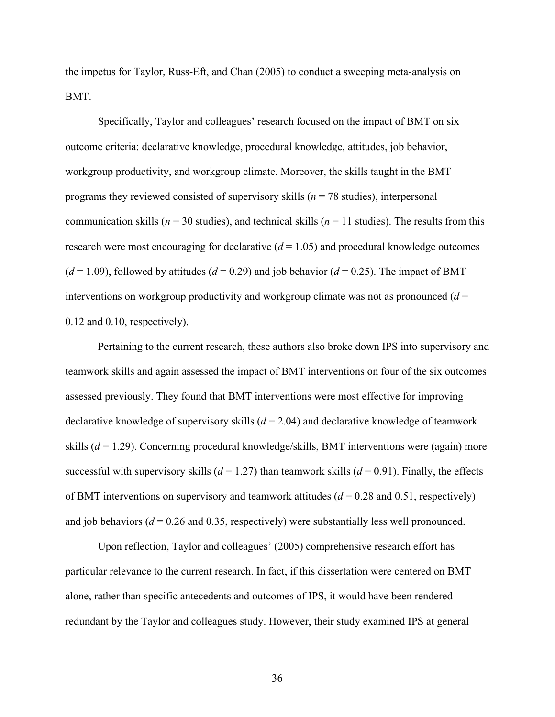the impetus for Taylor, Russ-Eft, and Chan (2005) to conduct a sweeping meta-analysis on BMT.

Specifically, Taylor and colleagues' research focused on the impact of BMT on six outcome criteria: declarative knowledge, procedural knowledge, attitudes, job behavior, workgroup productivity, and workgroup climate. Moreover, the skills taught in the BMT programs they reviewed consisted of supervisory skills (*n* = 78 studies), interpersonal communication skills ( $n = 30$  studies), and technical skills ( $n = 11$  studies). The results from this research were most encouraging for declarative  $(d = 1.05)$  and procedural knowledge outcomes  $(d=1.09)$ , followed by attitudes  $(d=0.29)$  and job behavior  $(d=0.25)$ . The impact of BMT interventions on workgroup productivity and workgroup climate was not as pronounced  $(d =$ 0.12 and 0.10, respectively).

Pertaining to the current research, these authors also broke down IPS into supervisory and teamwork skills and again assessed the impact of BMT interventions on four of the six outcomes assessed previously. They found that BMT interventions were most effective for improving declarative knowledge of supervisory skills (*d* = 2.04) and declarative knowledge of teamwork skills (*d* = 1.29). Concerning procedural knowledge/skills, BMT interventions were (again) more successful with supervisory skills ( $d = 1.27$ ) than teamwork skills ( $d = 0.91$ ). Finally, the effects of BMT interventions on supervisory and teamwork attitudes (*d* = 0.28 and 0.51, respectively) and job behaviors ( $d = 0.26$  and 0.35, respectively) were substantially less well pronounced.

 Upon reflection, Taylor and colleagues' (2005) comprehensive research effort has particular relevance to the current research. In fact, if this dissertation were centered on BMT alone, rather than specific antecedents and outcomes of IPS, it would have been rendered redundant by the Taylor and colleagues study. However, their study examined IPS at general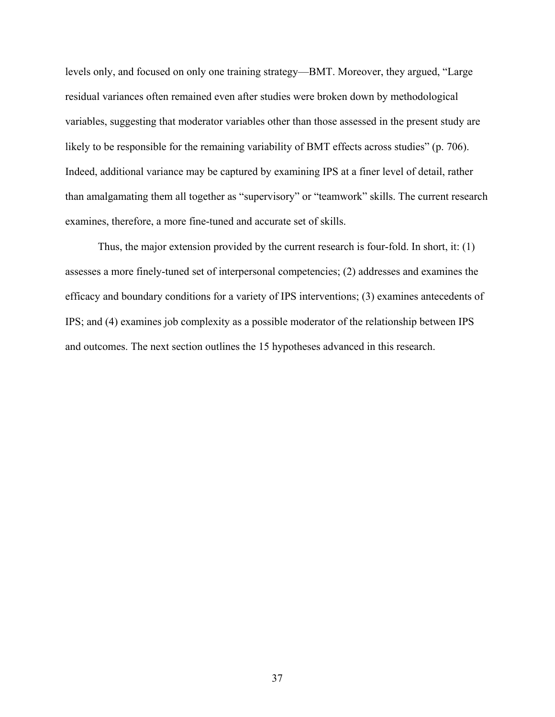levels only, and focused on only one training strategy—BMT. Moreover, they argued, "Large residual variances often remained even after studies were broken down by methodological variables, suggesting that moderator variables other than those assessed in the present study are likely to be responsible for the remaining variability of BMT effects across studies" (p. 706). Indeed, additional variance may be captured by examining IPS at a finer level of detail, rather than amalgamating them all together as "supervisory" or "teamwork" skills. The current research examines, therefore, a more fine-tuned and accurate set of skills.

Thus, the major extension provided by the current research is four-fold. In short, it: (1) assesses a more finely-tuned set of interpersonal competencies; (2) addresses and examines the efficacy and boundary conditions for a variety of IPS interventions; (3) examines antecedents of IPS; and (4) examines job complexity as a possible moderator of the relationship between IPS and outcomes. The next section outlines the 15 hypotheses advanced in this research.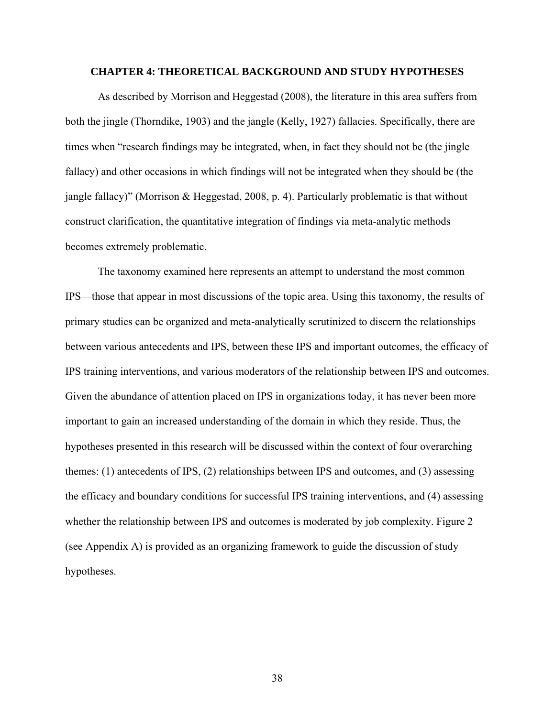#### **CHAPTER 4: THEORETICAL BACKGROUND AND STUDY HYPOTHESES**

As described by Morrison and Heggestad (2008), the literature in this area suffers from both the jingle (Thorndike, 1903) and the jangle (Kelly, 1927) fallacies. Specifically, there are times when "research findings may be integrated, when, in fact they should not be (the jingle fallacy) and other occasions in which findings will not be integrated when they should be (the jangle fallacy)" (Morrison & Heggestad, 2008, p. 4). Particularly problematic is that without construct clarification, the quantitative integration of findings via meta-analytic methods becomes extremely problematic.

The taxonomy examined here represents an attempt to understand the most common IPS—those that appear in most discussions of the topic area. Using this taxonomy, the results of primary studies can be organized and meta-analytically scrutinized to discern the relationships between various antecedents and IPS, between these IPS and important outcomes, the efficacy of IPS training interventions, and various moderators of the relationship between IPS and outcomes. Given the abundance of attention placed on IPS in organizations today, it has never been more important to gain an increased understanding of the domain in which they reside. Thus, the hypotheses presented in this research will be discussed within the context of four overarching themes: (1) antecedents of IPS, (2) relationships between IPS and outcomes, and (3) assessing the efficacy and boundary conditions for successful IPS training interventions, and (4) assessing whether the relationship between IPS and outcomes is moderated by job complexity. Figure 2 (see Appendix A) is provided as an organizing framework to guide the discussion of study hypotheses.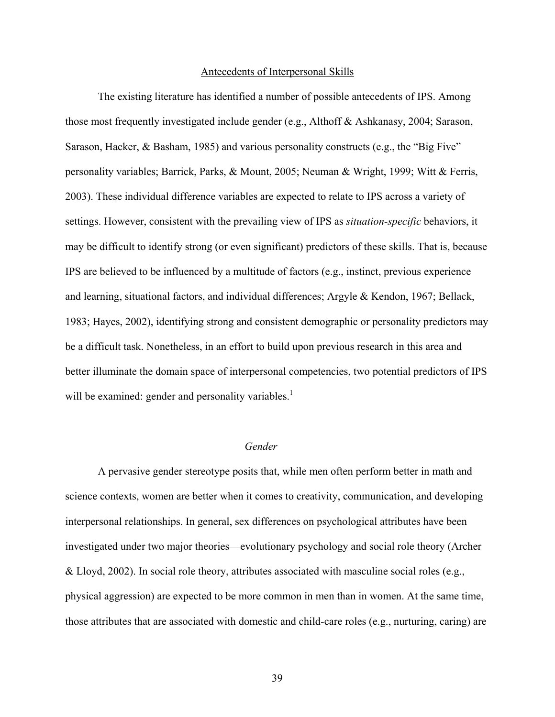### Antecedents of Interpersonal Skills

The existing literature has identified a number of possible antecedents of IPS. Among those most frequently investigated include gender (e.g., Althoff & Ashkanasy, 2004; Sarason, Sarason, Hacker, & Basham, 1985) and various personality constructs (e.g., the "Big Five" personality variables; Barrick, Parks, & Mount, 2005; Neuman & Wright, 1999; Witt & Ferris, 2003). These individual difference variables are expected to relate to IPS across a variety of settings. However, consistent with the prevailing view of IPS as *situation-specific* behaviors, it may be difficult to identify strong (or even significant) predictors of these skills. That is, because IPS are believed to be influenced by a multitude of factors (e.g., instinct, previous experience and learning, situational factors, and individual differences; Argyle & Kendon, 1967; Bellack, 1983; Hayes, 2002), identifying strong and consistent demographic or personality predictors may be a difficult task. Nonetheless, in an effort to build upon previous research in this area and better illuminate the domain space of interpersonal competencies, two potential predictors of IPS will be examined: gender and personality variables.<sup>1</sup>

## *Gender*

A pervasive gender stereotype posits that, while men often perform better in math and science contexts, women are better when it comes to creativity, communication, and developing interpersonal relationships. In general, sex differences on psychological attributes have been investigated under two major theories—evolutionary psychology and social role theory (Archer & Lloyd, 2002). In social role theory, attributes associated with masculine social roles (e.g., physical aggression) are expected to be more common in men than in women. At the same time, those attributes that are associated with domestic and child-care roles (e.g., nurturing, caring) are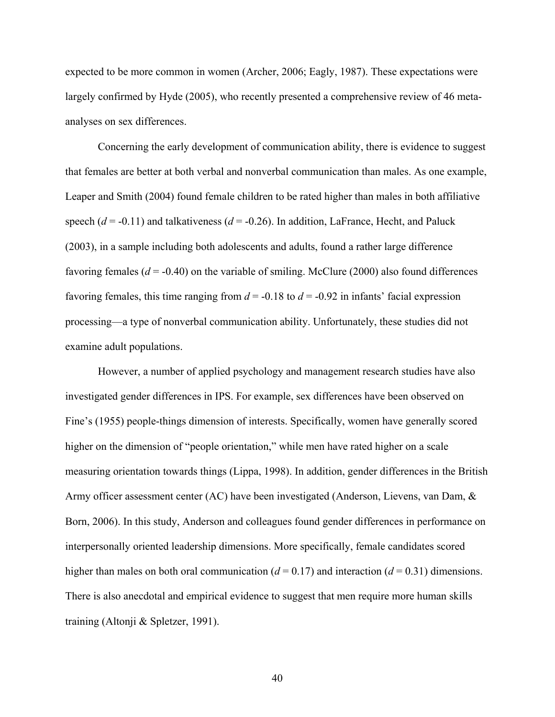expected to be more common in women (Archer, 2006; Eagly, 1987). These expectations were largely confirmed by Hyde (2005), who recently presented a comprehensive review of 46 metaanalyses on sex differences.

Concerning the early development of communication ability, there is evidence to suggest that females are better at both verbal and nonverbal communication than males. As one example, Leaper and Smith (2004) found female children to be rated higher than males in both affiliative speech  $(d = -0.11)$  and talkativeness  $(d = -0.26)$ . In addition, LaFrance, Hecht, and Paluck (2003), in a sample including both adolescents and adults, found a rather large difference favoring females  $(d = -0.40)$  on the variable of smiling. McClure (2000) also found differences favoring females, this time ranging from  $d = -0.18$  to  $d = -0.92$  in infants' facial expression processing—a type of nonverbal communication ability. Unfortunately, these studies did not examine adult populations.

However, a number of applied psychology and management research studies have also investigated gender differences in IPS. For example, sex differences have been observed on Fine's (1955) people-things dimension of interests. Specifically, women have generally scored higher on the dimension of "people orientation," while men have rated higher on a scale measuring orientation towards things (Lippa, 1998). In addition, gender differences in the British Army officer assessment center (AC) have been investigated (Anderson, Lievens, van Dam, & Born, 2006). In this study, Anderson and colleagues found gender differences in performance on interpersonally oriented leadership dimensions. More specifically, female candidates scored higher than males on both oral communication ( $d = 0.17$ ) and interaction ( $d = 0.31$ ) dimensions. There is also anecdotal and empirical evidence to suggest that men require more human skills training (Altonji & Spletzer, 1991).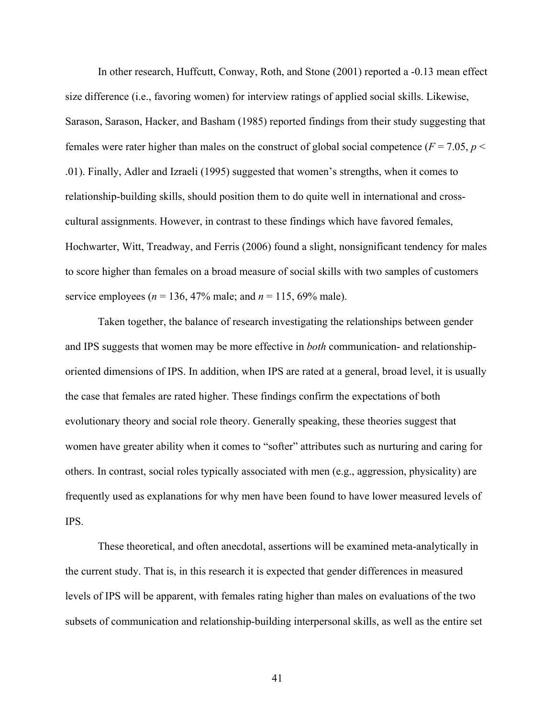In other research, Huffcutt, Conway, Roth, and Stone (2001) reported a -0.13 mean effect size difference (i.e., favoring women) for interview ratings of applied social skills. Likewise, Sarason, Sarason, Hacker, and Basham (1985) reported findings from their study suggesting that females were rater higher than males on the construct of global social competence ( $F = 7.05$ ,  $p <$ .01). Finally, Adler and Izraeli (1995) suggested that women's strengths, when it comes to relationship-building skills, should position them to do quite well in international and crosscultural assignments. However, in contrast to these findings which have favored females, Hochwarter, Witt, Treadway, and Ferris (2006) found a slight, nonsignificant tendency for males to score higher than females on a broad measure of social skills with two samples of customers service employees ( $n = 136, 47\%$  male; and  $n = 115, 69\%$  male).

Taken together, the balance of research investigating the relationships between gender and IPS suggests that women may be more effective in *both* communication- and relationshiporiented dimensions of IPS. In addition, when IPS are rated at a general, broad level, it is usually the case that females are rated higher. These findings confirm the expectations of both evolutionary theory and social role theory. Generally speaking, these theories suggest that women have greater ability when it comes to "softer" attributes such as nurturing and caring for others. In contrast, social roles typically associated with men (e.g., aggression, physicality) are frequently used as explanations for why men have been found to have lower measured levels of IPS.

These theoretical, and often anecdotal, assertions will be examined meta-analytically in the current study. That is, in this research it is expected that gender differences in measured levels of IPS will be apparent, with females rating higher than males on evaluations of the two subsets of communication and relationship-building interpersonal skills, as well as the entire set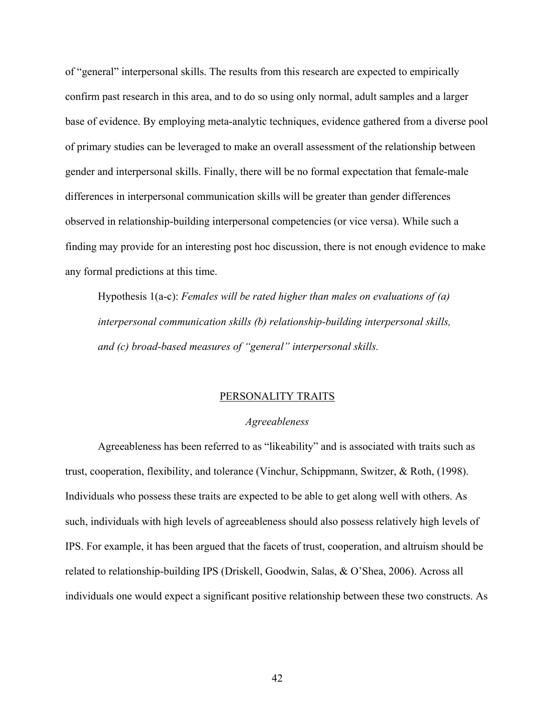of "general" interpersonal skills. The results from this research are expected to empirically confirm past research in this area, and to do so using only normal, adult samples and a larger base of evidence. By employing meta-analytic techniques, evidence gathered from a diverse pool of primary studies can be leveraged to make an overall assessment of the relationship between gender and interpersonal skills. Finally, there will be no formal expectation that female-male differences in interpersonal communication skills will be greater than gender differences observed in relationship-building interpersonal competencies (or vice versa). While such a finding may provide for an interesting post hoc discussion, there is not enough evidence to make any formal predictions at this time.

Hypothesis 1(a-c): *Females will be rated higher than males on evaluations of (a) interpersonal communication skills (b) relationship-building interpersonal skills, and (c) broad-based measures of "general" interpersonal skills.* 

# PERSONALITY TRAITS

### *Agreeableness*

Agreeableness has been referred to as "likeability" and is associated with traits such as trust, cooperation, flexibility, and tolerance (Vinchur, Schippmann, Switzer, & Roth, (1998). Individuals who possess these traits are expected to be able to get along well with others. As such, individuals with high levels of agreeableness should also possess relatively high levels of IPS. For example, it has been argued that the facets of trust, cooperation, and altruism should be related to relationship-building IPS (Driskell, Goodwin, Salas, & O'Shea, 2006). Across all individuals one would expect a significant positive relationship between these two constructs. As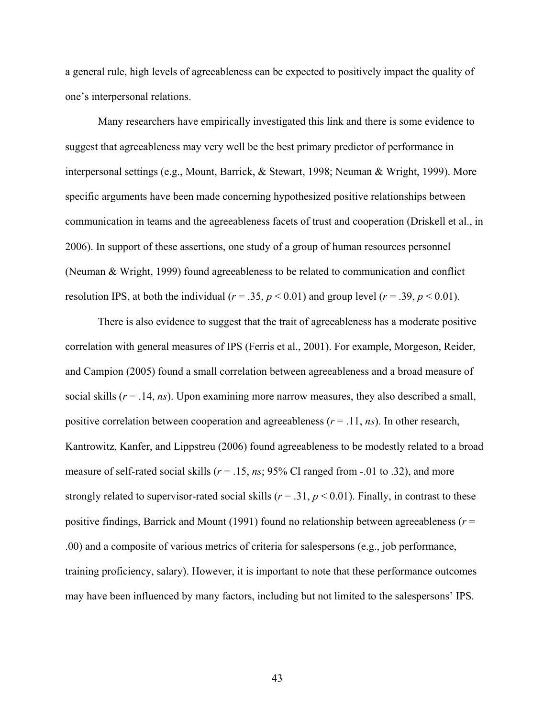a general rule, high levels of agreeableness can be expected to positively impact the quality of one's interpersonal relations.

Many researchers have empirically investigated this link and there is some evidence to suggest that agreeableness may very well be the best primary predictor of performance in interpersonal settings (e.g., Mount, Barrick, & Stewart, 1998; Neuman & Wright, 1999). More specific arguments have been made concerning hypothesized positive relationships between communication in teams and the agreeableness facets of trust and cooperation (Driskell et al., in 2006). In support of these assertions, one study of a group of human resources personnel (Neuman & Wright, 1999) found agreeableness to be related to communication and conflict resolution IPS, at both the individual ( $r = .35$ ,  $p < 0.01$ ) and group level ( $r = .39$ ,  $p < 0.01$ ).

There is also evidence to suggest that the trait of agreeableness has a moderate positive correlation with general measures of IPS (Ferris et al., 2001). For example, Morgeson, Reider, and Campion (2005) found a small correlation between agreeableness and a broad measure of social skills  $(r = .14, ns)$ . Upon examining more narrow measures, they also described a small, positive correlation between cooperation and agreeableness  $(r = .11, ns)$ . In other research, Kantrowitz, Kanfer, and Lippstreu (2006) found agreeableness to be modestly related to a broad measure of self-rated social skills ( $r = .15$ ,  $ns$ ; 95% CI ranged from  $-.01$  to .32), and more strongly related to supervisor-rated social skills ( $r = .31$ ,  $p < 0.01$ ). Finally, in contrast to these positive findings, Barrick and Mount (1991) found no relationship between agreeableness (*r* = .00) and a composite of various metrics of criteria for salespersons (e.g., job performance, training proficiency, salary). However, it is important to note that these performance outcomes may have been influenced by many factors, including but not limited to the salespersons' IPS.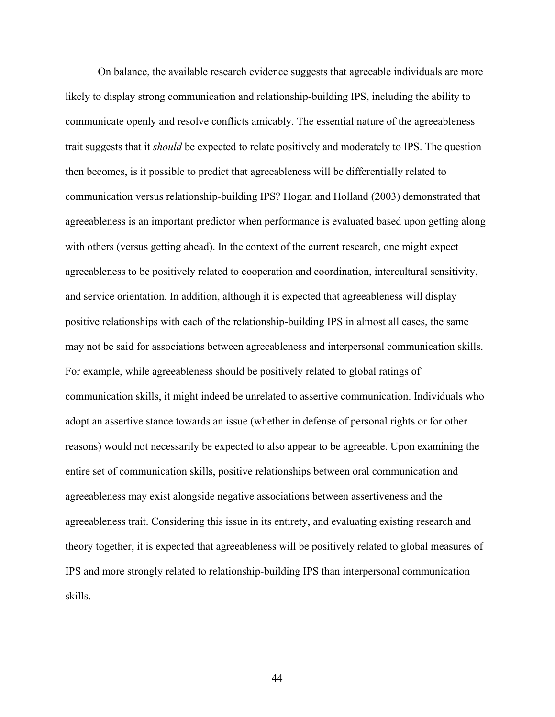On balance, the available research evidence suggests that agreeable individuals are more likely to display strong communication and relationship-building IPS, including the ability to communicate openly and resolve conflicts amicably. The essential nature of the agreeableness trait suggests that it *should* be expected to relate positively and moderately to IPS. The question then becomes, is it possible to predict that agreeableness will be differentially related to communication versus relationship-building IPS? Hogan and Holland (2003) demonstrated that agreeableness is an important predictor when performance is evaluated based upon getting along with others (versus getting ahead). In the context of the current research, one might expect agreeableness to be positively related to cooperation and coordination, intercultural sensitivity, and service orientation. In addition, although it is expected that agreeableness will display positive relationships with each of the relationship-building IPS in almost all cases, the same may not be said for associations between agreeableness and interpersonal communication skills. For example, while agreeableness should be positively related to global ratings of communication skills, it might indeed be unrelated to assertive communication. Individuals who adopt an assertive stance towards an issue (whether in defense of personal rights or for other reasons) would not necessarily be expected to also appear to be agreeable. Upon examining the entire set of communication skills, positive relationships between oral communication and agreeableness may exist alongside negative associations between assertiveness and the agreeableness trait. Considering this issue in its entirety, and evaluating existing research and theory together, it is expected that agreeableness will be positively related to global measures of IPS and more strongly related to relationship-building IPS than interpersonal communication skills.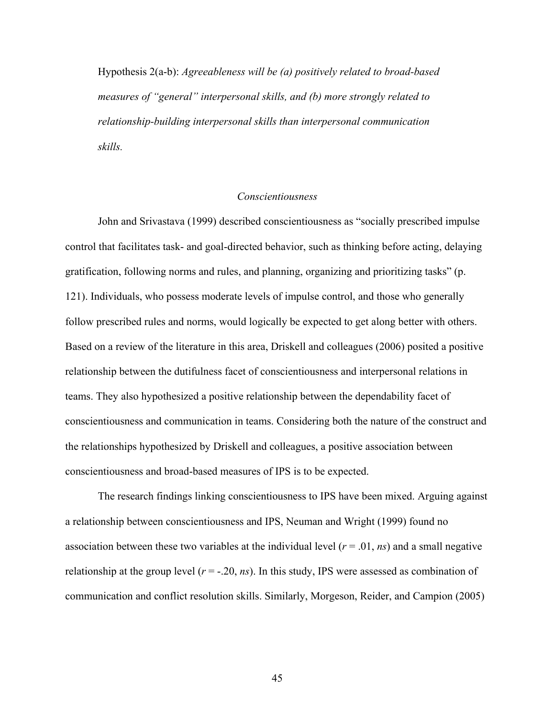Hypothesis 2(a-b): *Agreeableness will be (a) positively related to broad-based measures of "general" interpersonal skills, and (b) more strongly related to relationship-building interpersonal skills than interpersonal communication skills.* 

# *Conscientiousness*

John and Srivastava (1999) described conscientiousness as "socially prescribed impulse control that facilitates task- and goal-directed behavior, such as thinking before acting, delaying gratification, following norms and rules, and planning, organizing and prioritizing tasks" (p. 121). Individuals, who possess moderate levels of impulse control, and those who generally follow prescribed rules and norms, would logically be expected to get along better with others. Based on a review of the literature in this area, Driskell and colleagues (2006) posited a positive relationship between the dutifulness facet of conscientiousness and interpersonal relations in teams. They also hypothesized a positive relationship between the dependability facet of conscientiousness and communication in teams. Considering both the nature of the construct and the relationships hypothesized by Driskell and colleagues, a positive association between conscientiousness and broad-based measures of IPS is to be expected.

The research findings linking conscientiousness to IPS have been mixed. Arguing against a relationship between conscientiousness and IPS, Neuman and Wright (1999) found no association between these two variables at the individual level  $(r = .01, ns)$  and a small negative relationship at the group level (*r* = -.20, *ns*). In this study, IPS were assessed as combination of communication and conflict resolution skills. Similarly, Morgeson, Reider, and Campion (2005)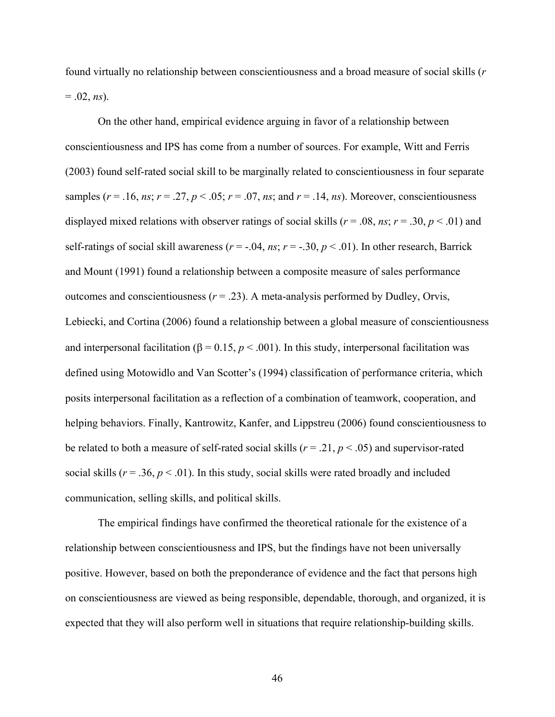found virtually no relationship between conscientiousness and a broad measure of social skills (*r*  $= .02, ns$ ).

On the other hand, empirical evidence arguing in favor of a relationship between conscientiousness and IPS has come from a number of sources. For example, Witt and Ferris (2003) found self-rated social skill to be marginally related to conscientiousness in four separate samples ( $r = .16$ ,  $ns$ ;  $r = .27$ ,  $p < .05$ ;  $r = .07$ ,  $ns$ ; and  $r = .14$ ,  $ns$ ). Moreover, conscientiousness displayed mixed relations with observer ratings of social skills ( $r = .08$ ,  $ns$ ;  $r = .30$ ,  $p < .01$ ) and self-ratings of social skill awareness ( $r = -0.04$ ,  $ns$ ;  $r = -0.30$ ,  $p < 0.01$ ). In other research, Barrick and Mount (1991) found a relationship between a composite measure of sales performance outcomes and conscientiousness  $(r = .23)$ . A meta-analysis performed by Dudley, Orvis, Lebiecki, and Cortina (2006) found a relationship between a global measure of conscientiousness and interpersonal facilitation ( $\beta$  = 0.15,  $p$  < .001). In this study, interpersonal facilitation was defined using Motowidlo and Van Scotter's (1994) classification of performance criteria, which posits interpersonal facilitation as a reflection of a combination of teamwork, cooperation, and helping behaviors. Finally, Kantrowitz, Kanfer, and Lippstreu (2006) found conscientiousness to be related to both a measure of self-rated social skills ( $r = .21$ ,  $p < .05$ ) and supervisor-rated social skills ( $r = .36$ ,  $p < .01$ ). In this study, social skills were rated broadly and included communication, selling skills, and political skills.

The empirical findings have confirmed the theoretical rationale for the existence of a relationship between conscientiousness and IPS, but the findings have not been universally positive. However, based on both the preponderance of evidence and the fact that persons high on conscientiousness are viewed as being responsible, dependable, thorough, and organized, it is expected that they will also perform well in situations that require relationship-building skills.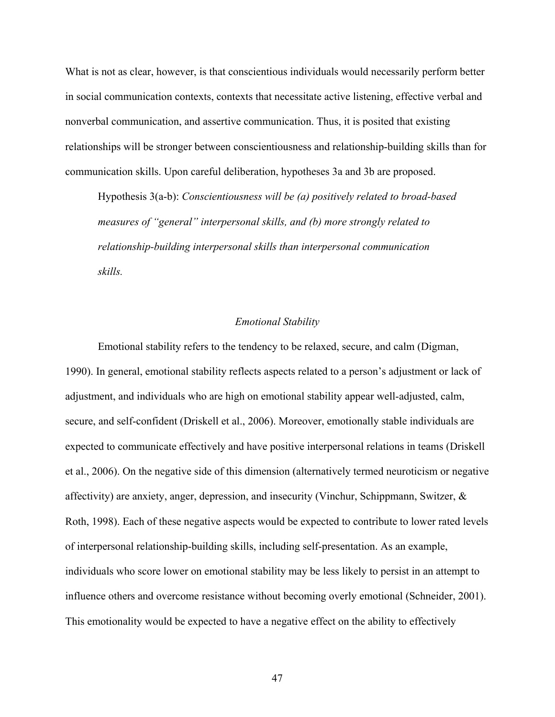What is not as clear, however, is that conscientious individuals would necessarily perform better in social communication contexts, contexts that necessitate active listening, effective verbal and nonverbal communication, and assertive communication. Thus, it is posited that existing relationships will be stronger between conscientiousness and relationship-building skills than for communication skills. Upon careful deliberation, hypotheses 3a and 3b are proposed.

Hypothesis 3(a-b): *Conscientiousness will be (a) positively related to broad-based measures of "general" interpersonal skills, and (b) more strongly related to relationship-building interpersonal skills than interpersonal communication skills.*

# *Emotional Stability*

Emotional stability refers to the tendency to be relaxed, secure, and calm (Digman, 1990). In general, emotional stability reflects aspects related to a person's adjustment or lack of adjustment, and individuals who are high on emotional stability appear well-adjusted, calm, secure, and self-confident (Driskell et al., 2006). Moreover, emotionally stable individuals are expected to communicate effectively and have positive interpersonal relations in teams (Driskell et al., 2006). On the negative side of this dimension (alternatively termed neuroticism or negative affectivity) are anxiety, anger, depression, and insecurity (Vinchur, Schippmann, Switzer, & Roth, 1998). Each of these negative aspects would be expected to contribute to lower rated levels of interpersonal relationship-building skills, including self-presentation. As an example, individuals who score lower on emotional stability may be less likely to persist in an attempt to influence others and overcome resistance without becoming overly emotional (Schneider, 2001). This emotionality would be expected to have a negative effect on the ability to effectively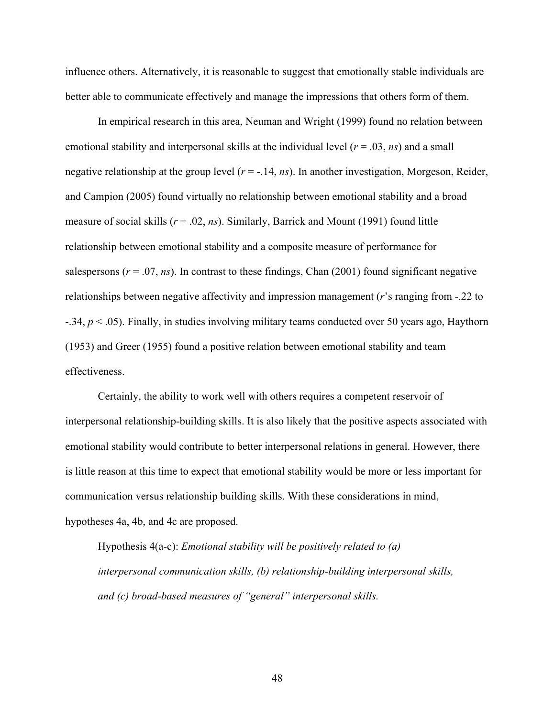influence others. Alternatively, it is reasonable to suggest that emotionally stable individuals are better able to communicate effectively and manage the impressions that others form of them.

In empirical research in this area, Neuman and Wright (1999) found no relation between emotional stability and interpersonal skills at the individual level (*r* = .03, *ns*) and a small negative relationship at the group level (*r* = -.14, *ns*). In another investigation, Morgeson, Reider, and Campion (2005) found virtually no relationship between emotional stability and a broad measure of social skills (*r* = .02, *ns*). Similarly, Barrick and Mount (1991) found little relationship between emotional stability and a composite measure of performance for salespersons ( $r = .07$ ,  $ns$ ). In contrast to these findings, Chan (2001) found significant negative relationships between negative affectivity and impression management (*r*'s ranging from -.22 to -.34, *p* < .05). Finally, in studies involving military teams conducted over 50 years ago, Haythorn (1953) and Greer (1955) found a positive relation between emotional stability and team effectiveness.

Certainly, the ability to work well with others requires a competent reservoir of interpersonal relationship-building skills. It is also likely that the positive aspects associated with emotional stability would contribute to better interpersonal relations in general. However, there is little reason at this time to expect that emotional stability would be more or less important for communication versus relationship building skills. With these considerations in mind, hypotheses 4a, 4b, and 4c are proposed.

Hypothesis 4(a-c): *Emotional stability will be positively related to (a) interpersonal communication skills, (b) relationship-building interpersonal skills, and (c) broad-based measures of "general" interpersonal skills.*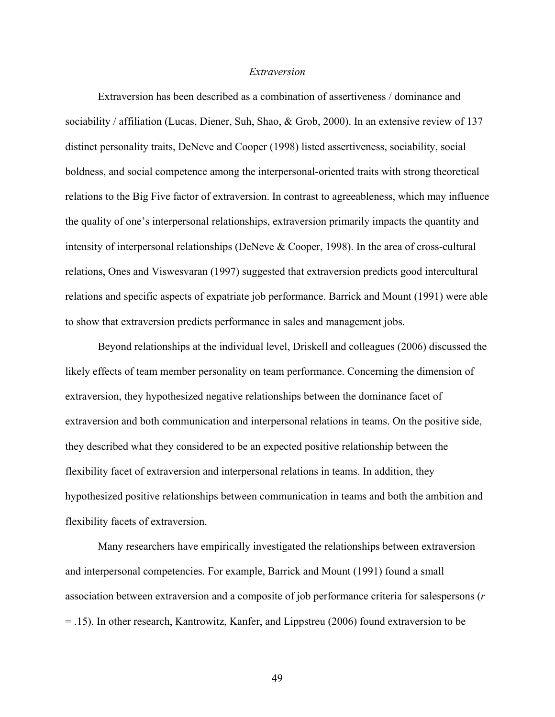## *Extraversion*

Extraversion has been described as a combination of assertiveness / dominance and sociability / affiliation (Lucas, Diener, Suh, Shao, & Grob, 2000). In an extensive review of 137 distinct personality traits, DeNeve and Cooper (1998) listed assertiveness, sociability, social boldness, and social competence among the interpersonal-oriented traits with strong theoretical relations to the Big Five factor of extraversion. In contrast to agreeableness, which may influence the quality of one's interpersonal relationships, extraversion primarily impacts the quantity and intensity of interpersonal relationships (DeNeve & Cooper, 1998). In the area of cross-cultural relations, Ones and Viswesvaran (1997) suggested that extraversion predicts good intercultural relations and specific aspects of expatriate job performance. Barrick and Mount (1991) were able to show that extraversion predicts performance in sales and management jobs.

Beyond relationships at the individual level, Driskell and colleagues (2006) discussed the likely effects of team member personality on team performance. Concerning the dimension of extraversion, they hypothesized negative relationships between the dominance facet of extraversion and both communication and interpersonal relations in teams. On the positive side, they described what they considered to be an expected positive relationship between the flexibility facet of extraversion and interpersonal relations in teams. In addition, they hypothesized positive relationships between communication in teams and both the ambition and flexibility facets of extraversion.

Many researchers have empirically investigated the relationships between extraversion and interpersonal competencies. For example, Barrick and Mount (1991) found a small association between extraversion and a composite of job performance criteria for salespersons (*r* = .15). In other research, Kantrowitz, Kanfer, and Lippstreu (2006) found extraversion to be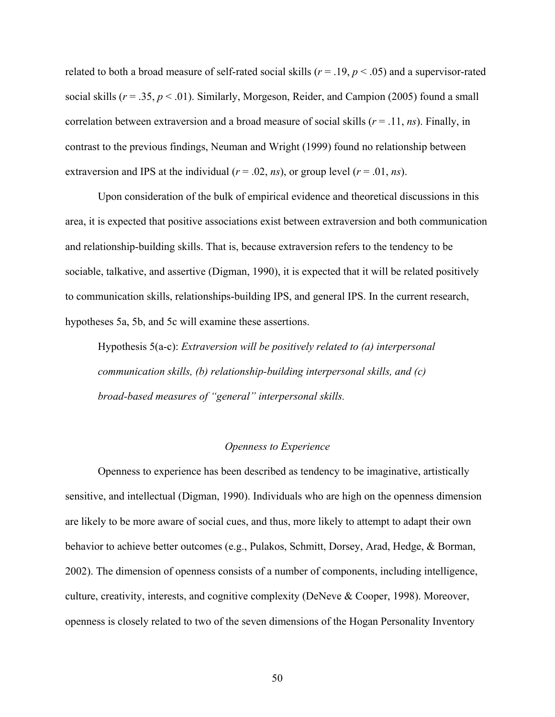related to both a broad measure of self-rated social skills ( $r = .19$ ,  $p < .05$ ) and a supervisor-rated social skills ( $r = .35$ ,  $p < .01$ ). Similarly, Morgeson, Reider, and Campion (2005) found a small correlation between extraversion and a broad measure of social skills  $(r = .11, ns)$ . Finally, in contrast to the previous findings, Neuman and Wright (1999) found no relationship between extraversion and IPS at the individual  $(r = .02, ns)$ , or group level  $(r = .01, ns)$ .

Upon consideration of the bulk of empirical evidence and theoretical discussions in this area, it is expected that positive associations exist between extraversion and both communication and relationship-building skills. That is, because extraversion refers to the tendency to be sociable, talkative, and assertive (Digman, 1990), it is expected that it will be related positively to communication skills, relationships-building IPS, and general IPS. In the current research, hypotheses 5a, 5b, and 5c will examine these assertions.

Hypothesis 5(a-c): *Extraversion will be positively related to (a) interpersonal communication skills, (b) relationship-building interpersonal skills, and (c) broad-based measures of "general" interpersonal skills.*

## *Openness to Experience*

Openness to experience has been described as tendency to be imaginative, artistically sensitive, and intellectual (Digman, 1990). Individuals who are high on the openness dimension are likely to be more aware of social cues, and thus, more likely to attempt to adapt their own behavior to achieve better outcomes (e.g., Pulakos, Schmitt, Dorsey, Arad, Hedge, & Borman, 2002). The dimension of openness consists of a number of components, including intelligence, culture, creativity, interests, and cognitive complexity (DeNeve & Cooper, 1998). Moreover, openness is closely related to two of the seven dimensions of the Hogan Personality Inventory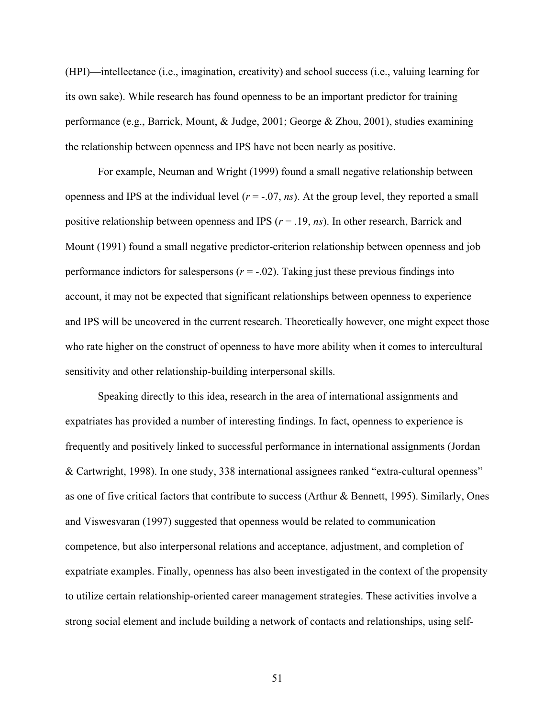(HPI)—intellectance (i.e., imagination, creativity) and school success (i.e., valuing learning for its own sake). While research has found openness to be an important predictor for training performance (e.g., Barrick, Mount, & Judge, 2001; George & Zhou, 2001), studies examining the relationship between openness and IPS have not been nearly as positive.

For example, Neuman and Wright (1999) found a small negative relationship between openness and IPS at the individual level  $(r = -0.07, ns)$ . At the group level, they reported a small positive relationship between openness and IPS (*r* = .19, *ns*). In other research, Barrick and Mount (1991) found a small negative predictor-criterion relationship between openness and job performance indictors for salespersons  $(r = -0.02)$ . Taking just these previous findings into account, it may not be expected that significant relationships between openness to experience and IPS will be uncovered in the current research. Theoretically however, one might expect those who rate higher on the construct of openness to have more ability when it comes to intercultural sensitivity and other relationship-building interpersonal skills.

Speaking directly to this idea, research in the area of international assignments and expatriates has provided a number of interesting findings. In fact, openness to experience is frequently and positively linked to successful performance in international assignments (Jordan & Cartwright, 1998). In one study, 338 international assignees ranked "extra-cultural openness" as one of five critical factors that contribute to success (Arthur & Bennett, 1995). Similarly, Ones and Viswesvaran (1997) suggested that openness would be related to communication competence, but also interpersonal relations and acceptance, adjustment, and completion of expatriate examples. Finally, openness has also been investigated in the context of the propensity to utilize certain relationship-oriented career management strategies. These activities involve a strong social element and include building a network of contacts and relationships, using self-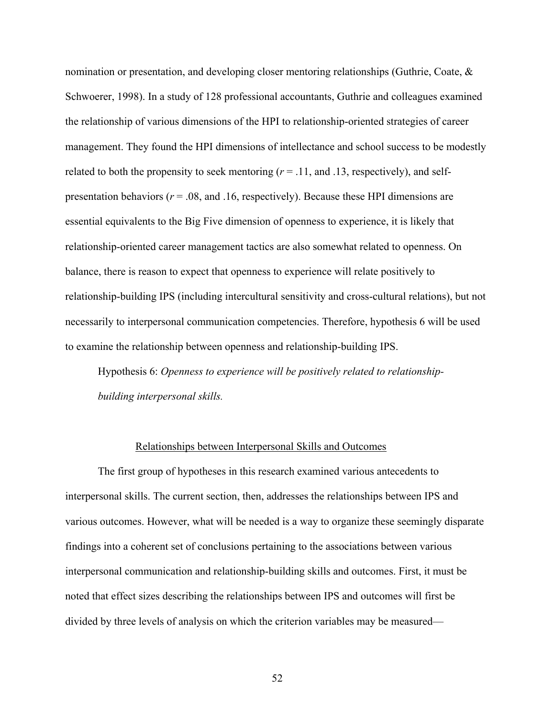nomination or presentation, and developing closer mentoring relationships (Guthrie, Coate, & Schwoerer, 1998). In a study of 128 professional accountants, Guthrie and colleagues examined the relationship of various dimensions of the HPI to relationship-oriented strategies of career management. They found the HPI dimensions of intellectance and school success to be modestly related to both the propensity to seek mentoring  $(r = .11, \text{ and } .13, \text{ respectively})$ , and selfpresentation behaviors ( $r = .08$ , and .16, respectively). Because these HPI dimensions are essential equivalents to the Big Five dimension of openness to experience, it is likely that relationship-oriented career management tactics are also somewhat related to openness. On balance, there is reason to expect that openness to experience will relate positively to relationship-building IPS (including intercultural sensitivity and cross-cultural relations), but not necessarily to interpersonal communication competencies. Therefore, hypothesis 6 will be used to examine the relationship between openness and relationship-building IPS.

Hypothesis 6: *Openness to experience will be positively related to relationshipbuilding interpersonal skills.* 

### Relationships between Interpersonal Skills and Outcomes

The first group of hypotheses in this research examined various antecedents to interpersonal skills. The current section, then, addresses the relationships between IPS and various outcomes. However, what will be needed is a way to organize these seemingly disparate findings into a coherent set of conclusions pertaining to the associations between various interpersonal communication and relationship-building skills and outcomes. First, it must be noted that effect sizes describing the relationships between IPS and outcomes will first be divided by three levels of analysis on which the criterion variables may be measured—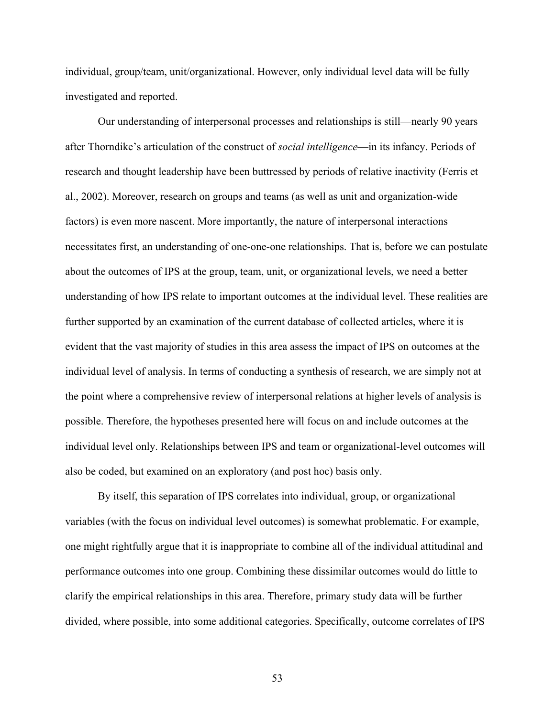individual, group/team, unit/organizational. However, only individual level data will be fully investigated and reported.

Our understanding of interpersonal processes and relationships is still—nearly 90 years after Thorndike's articulation of the construct of *social intelligence*—in its infancy. Periods of research and thought leadership have been buttressed by periods of relative inactivity (Ferris et al., 2002). Moreover, research on groups and teams (as well as unit and organization-wide factors) is even more nascent. More importantly, the nature of interpersonal interactions necessitates first, an understanding of one-one-one relationships. That is, before we can postulate about the outcomes of IPS at the group, team, unit, or organizational levels, we need a better understanding of how IPS relate to important outcomes at the individual level. These realities are further supported by an examination of the current database of collected articles, where it is evident that the vast majority of studies in this area assess the impact of IPS on outcomes at the individual level of analysis. In terms of conducting a synthesis of research, we are simply not at the point where a comprehensive review of interpersonal relations at higher levels of analysis is possible. Therefore, the hypotheses presented here will focus on and include outcomes at the individual level only. Relationships between IPS and team or organizational-level outcomes will also be coded, but examined on an exploratory (and post hoc) basis only.

By itself, this separation of IPS correlates into individual, group, or organizational variables (with the focus on individual level outcomes) is somewhat problematic. For example, one might rightfully argue that it is inappropriate to combine all of the individual attitudinal and performance outcomes into one group. Combining these dissimilar outcomes would do little to clarify the empirical relationships in this area. Therefore, primary study data will be further divided, where possible, into some additional categories. Specifically, outcome correlates of IPS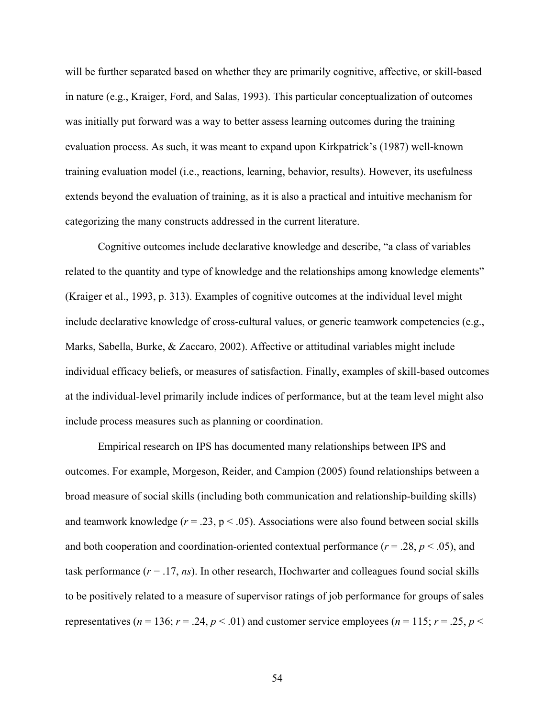will be further separated based on whether they are primarily cognitive, affective, or skill-based in nature (e.g., Kraiger, Ford, and Salas, 1993). This particular conceptualization of outcomes was initially put forward was a way to better assess learning outcomes during the training evaluation process. As such, it was meant to expand upon Kirkpatrick's (1987) well-known training evaluation model (i.e., reactions, learning, behavior, results). However, its usefulness extends beyond the evaluation of training, as it is also a practical and intuitive mechanism for categorizing the many constructs addressed in the current literature.

Cognitive outcomes include declarative knowledge and describe, "a class of variables related to the quantity and type of knowledge and the relationships among knowledge elements" (Kraiger et al., 1993, p. 313). Examples of cognitive outcomes at the individual level might include declarative knowledge of cross-cultural values, or generic teamwork competencies (e.g., Marks, Sabella, Burke, & Zaccaro, 2002). Affective or attitudinal variables might include individual efficacy beliefs, or measures of satisfaction. Finally, examples of skill-based outcomes at the individual-level primarily include indices of performance, but at the team level might also include process measures such as planning or coordination.

Empirical research on IPS has documented many relationships between IPS and outcomes. For example, Morgeson, Reider, and Campion (2005) found relationships between a broad measure of social skills (including both communication and relationship-building skills) and teamwork knowledge  $(r = .23, p < .05)$ . Associations were also found between social skills and both cooperation and coordination-oriented contextual performance ( $r = .28$ ,  $p < .05$ ), and task performance  $(r = .17, ns)$ . In other research, Hochwarter and colleagues found social skills to be positively related to a measure of supervisor ratings of job performance for groups of sales representatives ( $n = 136$ ;  $r = .24$ ,  $p < .01$ ) and customer service employees ( $n = 115$ ;  $r = .25$ ,  $p <$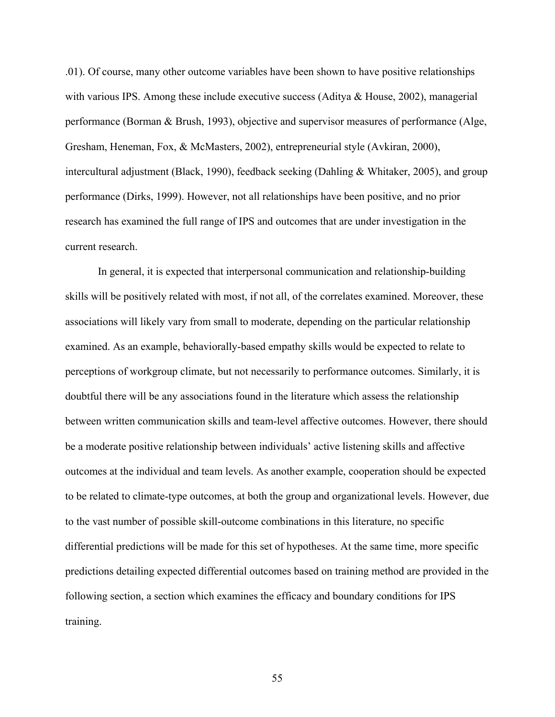.01). Of course, many other outcome variables have been shown to have positive relationships with various IPS. Among these include executive success (Aditya & House, 2002), managerial performance (Borman & Brush, 1993), objective and supervisor measures of performance (Alge, Gresham, Heneman, Fox, & McMasters, 2002), entrepreneurial style (Avkiran, 2000), intercultural adjustment (Black, 1990), feedback seeking (Dahling & Whitaker, 2005), and group performance (Dirks, 1999). However, not all relationships have been positive, and no prior research has examined the full range of IPS and outcomes that are under investigation in the current research.

In general, it is expected that interpersonal communication and relationship-building skills will be positively related with most, if not all, of the correlates examined. Moreover, these associations will likely vary from small to moderate, depending on the particular relationship examined. As an example, behaviorally-based empathy skills would be expected to relate to perceptions of workgroup climate, but not necessarily to performance outcomes. Similarly, it is doubtful there will be any associations found in the literature which assess the relationship between written communication skills and team-level affective outcomes. However, there should be a moderate positive relationship between individuals' active listening skills and affective outcomes at the individual and team levels. As another example, cooperation should be expected to be related to climate-type outcomes, at both the group and organizational levels. However, due to the vast number of possible skill-outcome combinations in this literature, no specific differential predictions will be made for this set of hypotheses. At the same time, more specific predictions detailing expected differential outcomes based on training method are provided in the following section, a section which examines the efficacy and boundary conditions for IPS training.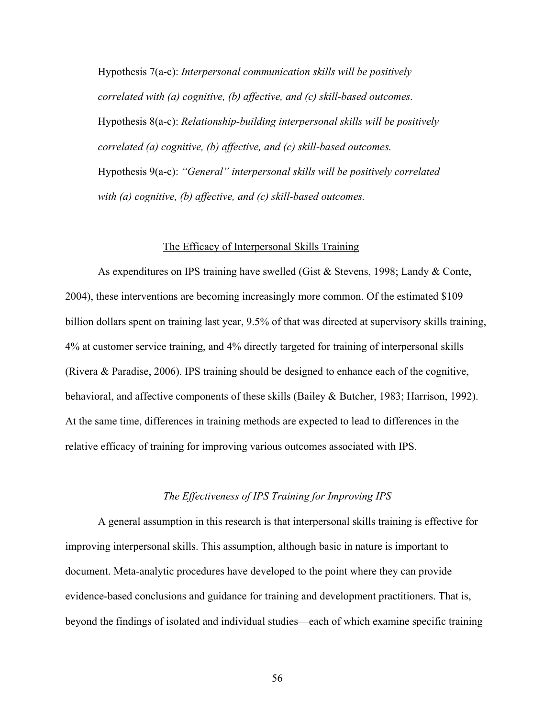Hypothesis 7(a-c): *Interpersonal communication skills will be positively correlated with (a) cognitive, (b) affective, and (c) skill-based outcomes.* Hypothesis 8(a-c): *Relationship-building interpersonal skills will be positively correlated (a) cognitive, (b) affective, and (c) skill-based outcomes.*  Hypothesis 9(a-c): *"General" interpersonal skills will be positively correlated with (a) cognitive, (b) affective, and (c) skill-based outcomes.*

### The Efficacy of Interpersonal Skills Training

As expenditures on IPS training have swelled (Gist & Stevens, 1998; Landy & Conte, 2004), these interventions are becoming increasingly more common. Of the estimated \$109 billion dollars spent on training last year, 9.5% of that was directed at supervisory skills training, 4% at customer service training, and 4% directly targeted for training of interpersonal skills (Rivera & Paradise, 2006). IPS training should be designed to enhance each of the cognitive, behavioral, and affective components of these skills (Bailey & Butcher, 1983; Harrison, 1992). At the same time, differences in training methods are expected to lead to differences in the relative efficacy of training for improving various outcomes associated with IPS.

#### *The Effectiveness of IPS Training for Improving IPS*

A general assumption in this research is that interpersonal skills training is effective for improving interpersonal skills. This assumption, although basic in nature is important to document. Meta-analytic procedures have developed to the point where they can provide evidence-based conclusions and guidance for training and development practitioners. That is, beyond the findings of isolated and individual studies—each of which examine specific training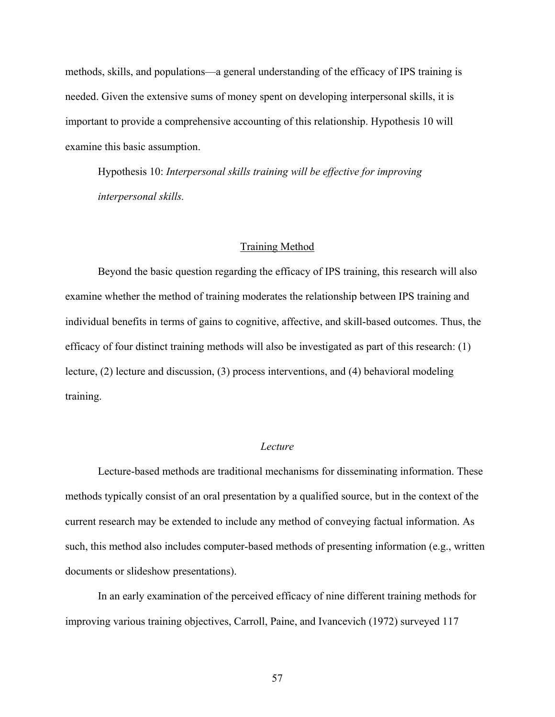methods, skills, and populations—a general understanding of the efficacy of IPS training is needed. Given the extensive sums of money spent on developing interpersonal skills, it is important to provide a comprehensive accounting of this relationship. Hypothesis 10 will examine this basic assumption.

Hypothesis 10: *Interpersonal skills training will be effective for improving interpersonal skills.* 

## Training Method

Beyond the basic question regarding the efficacy of IPS training, this research will also examine whether the method of training moderates the relationship between IPS training and individual benefits in terms of gains to cognitive, affective, and skill-based outcomes. Thus, the efficacy of four distinct training methods will also be investigated as part of this research: (1) lecture, (2) lecture and discussion, (3) process interventions, and (4) behavioral modeling training.

### *Lecture*

Lecture-based methods are traditional mechanisms for disseminating information. These methods typically consist of an oral presentation by a qualified source, but in the context of the current research may be extended to include any method of conveying factual information. As such, this method also includes computer-based methods of presenting information (e.g., written documents or slideshow presentations).

In an early examination of the perceived efficacy of nine different training methods for improving various training objectives, Carroll, Paine, and Ivancevich (1972) surveyed 117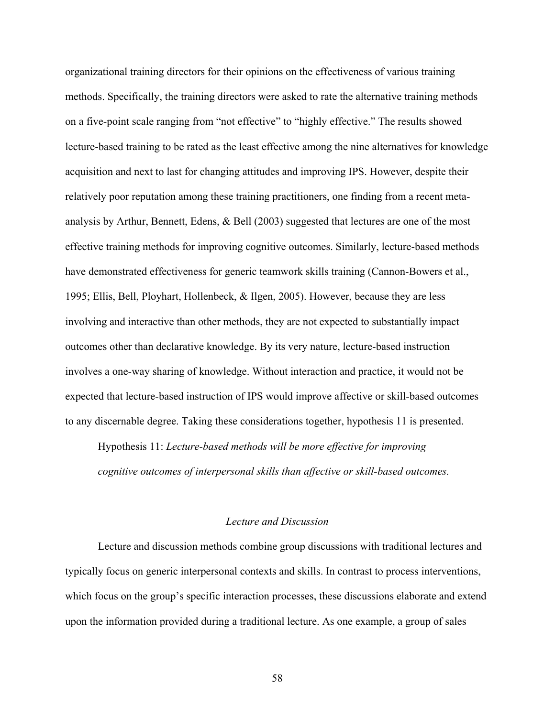organizational training directors for their opinions on the effectiveness of various training methods. Specifically, the training directors were asked to rate the alternative training methods on a five-point scale ranging from "not effective" to "highly effective." The results showed lecture-based training to be rated as the least effective among the nine alternatives for knowledge acquisition and next to last for changing attitudes and improving IPS. However, despite their relatively poor reputation among these training practitioners, one finding from a recent metaanalysis by Arthur, Bennett, Edens, & Bell (2003) suggested that lectures are one of the most effective training methods for improving cognitive outcomes. Similarly, lecture-based methods have demonstrated effectiveness for generic teamwork skills training (Cannon-Bowers et al., 1995; Ellis, Bell, Ployhart, Hollenbeck, & Ilgen, 2005). However, because they are less involving and interactive than other methods, they are not expected to substantially impact outcomes other than declarative knowledge. By its very nature, lecture-based instruction involves a one-way sharing of knowledge. Without interaction and practice, it would not be expected that lecture-based instruction of IPS would improve affective or skill-based outcomes to any discernable degree. Taking these considerations together, hypothesis 11 is presented.

Hypothesis 11: *Lecture-based methods will be more effective for improving cognitive outcomes of interpersonal skills than affective or skill-based outcomes.* 

## *Lecture and Discussion*

Lecture and discussion methods combine group discussions with traditional lectures and typically focus on generic interpersonal contexts and skills. In contrast to process interventions, which focus on the group's specific interaction processes, these discussions elaborate and extend upon the information provided during a traditional lecture. As one example, a group of sales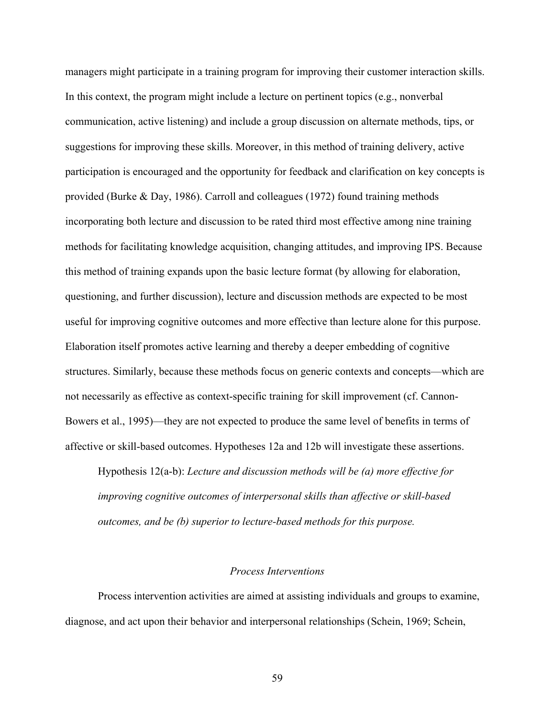managers might participate in a training program for improving their customer interaction skills. In this context, the program might include a lecture on pertinent topics (e.g., nonverbal communication, active listening) and include a group discussion on alternate methods, tips, or suggestions for improving these skills. Moreover, in this method of training delivery, active participation is encouraged and the opportunity for feedback and clarification on key concepts is provided (Burke & Day, 1986). Carroll and colleagues (1972) found training methods incorporating both lecture and discussion to be rated third most effective among nine training methods for facilitating knowledge acquisition, changing attitudes, and improving IPS. Because this method of training expands upon the basic lecture format (by allowing for elaboration, questioning, and further discussion), lecture and discussion methods are expected to be most useful for improving cognitive outcomes and more effective than lecture alone for this purpose. Elaboration itself promotes active learning and thereby a deeper embedding of cognitive structures. Similarly, because these methods focus on generic contexts and concepts—which are not necessarily as effective as context-specific training for skill improvement (cf. Cannon-Bowers et al., 1995)—they are not expected to produce the same level of benefits in terms of affective or skill-based outcomes. Hypotheses 12a and 12b will investigate these assertions.

Hypothesis 12(a-b): *Lecture and discussion methods will be (a) more effective for improving cognitive outcomes of interpersonal skills than affective or skill-based outcomes, and be (b) superior to lecture-based methods for this purpose.* 

#### *Process Interventions*

Process intervention activities are aimed at assisting individuals and groups to examine, diagnose, and act upon their behavior and interpersonal relationships (Schein, 1969; Schein,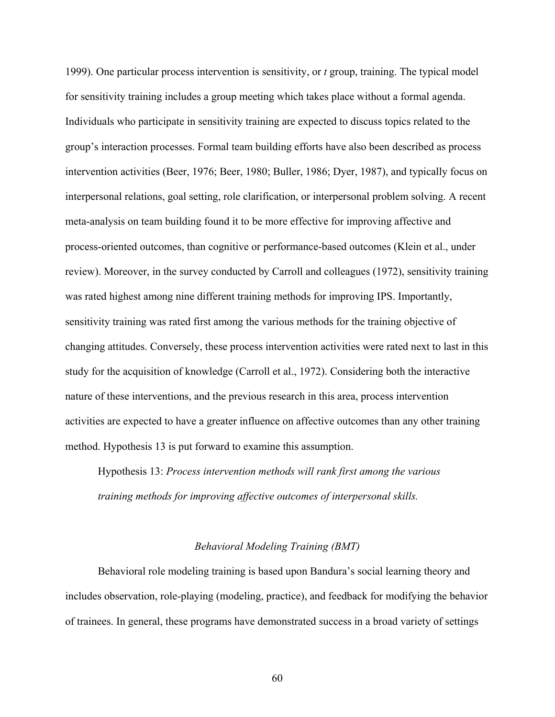1999). One particular process intervention is sensitivity, or *t* group, training. The typical model for sensitivity training includes a group meeting which takes place without a formal agenda. Individuals who participate in sensitivity training are expected to discuss topics related to the group's interaction processes. Formal team building efforts have also been described as process intervention activities (Beer, 1976; Beer, 1980; Buller, 1986; Dyer, 1987), and typically focus on interpersonal relations, goal setting, role clarification, or interpersonal problem solving. A recent meta-analysis on team building found it to be more effective for improving affective and process-oriented outcomes, than cognitive or performance-based outcomes (Klein et al., under review). Moreover, in the survey conducted by Carroll and colleagues (1972), sensitivity training was rated highest among nine different training methods for improving IPS. Importantly, sensitivity training was rated first among the various methods for the training objective of changing attitudes. Conversely, these process intervention activities were rated next to last in this study for the acquisition of knowledge (Carroll et al., 1972). Considering both the interactive nature of these interventions, and the previous research in this area, process intervention activities are expected to have a greater influence on affective outcomes than any other training method. Hypothesis 13 is put forward to examine this assumption.

Hypothesis 13: *Process intervention methods will rank first among the various training methods for improving affective outcomes of interpersonal skills.*

### *Behavioral Modeling Training (BMT)*

Behavioral role modeling training is based upon Bandura's social learning theory and includes observation, role-playing (modeling, practice), and feedback for modifying the behavior of trainees. In general, these programs have demonstrated success in a broad variety of settings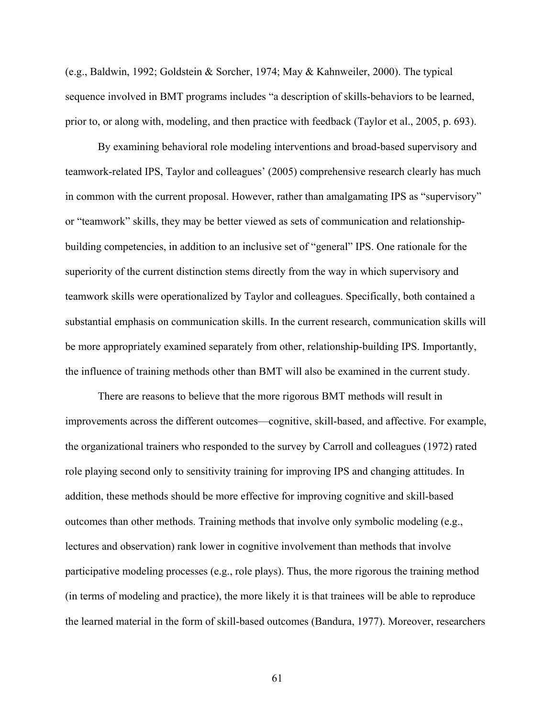(e.g., Baldwin, 1992; Goldstein & Sorcher, 1974; May & Kahnweiler, 2000). The typical sequence involved in BMT programs includes "a description of skills-behaviors to be learned, prior to, or along with, modeling, and then practice with feedback (Taylor et al., 2005, p. 693).

By examining behavioral role modeling interventions and broad-based supervisory and teamwork-related IPS, Taylor and colleagues' (2005) comprehensive research clearly has much in common with the current proposal. However, rather than amalgamating IPS as "supervisory" or "teamwork" skills, they may be better viewed as sets of communication and relationshipbuilding competencies, in addition to an inclusive set of "general" IPS. One rationale for the superiority of the current distinction stems directly from the way in which supervisory and teamwork skills were operationalized by Taylor and colleagues. Specifically, both contained a substantial emphasis on communication skills. In the current research, communication skills will be more appropriately examined separately from other, relationship-building IPS. Importantly, the influence of training methods other than BMT will also be examined in the current study.

There are reasons to believe that the more rigorous BMT methods will result in improvements across the different outcomes—cognitive, skill-based, and affective. For example, the organizational trainers who responded to the survey by Carroll and colleagues (1972) rated role playing second only to sensitivity training for improving IPS and changing attitudes. In addition, these methods should be more effective for improving cognitive and skill-based outcomes than other methods. Training methods that involve only symbolic modeling (e.g., lectures and observation) rank lower in cognitive involvement than methods that involve participative modeling processes (e.g., role plays). Thus, the more rigorous the training method (in terms of modeling and practice), the more likely it is that trainees will be able to reproduce the learned material in the form of skill-based outcomes (Bandura, 1977). Moreover, researchers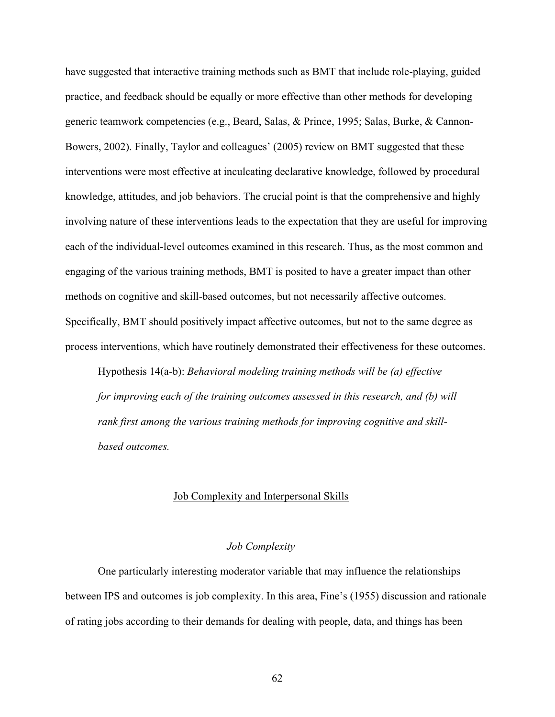have suggested that interactive training methods such as BMT that include role-playing, guided practice, and feedback should be equally or more effective than other methods for developing generic teamwork competencies (e.g., Beard, Salas, & Prince, 1995; Salas, Burke, & Cannon-Bowers, 2002). Finally, Taylor and colleagues' (2005) review on BMT suggested that these interventions were most effective at inculcating declarative knowledge, followed by procedural knowledge, attitudes, and job behaviors. The crucial point is that the comprehensive and highly involving nature of these interventions leads to the expectation that they are useful for improving each of the individual-level outcomes examined in this research. Thus, as the most common and engaging of the various training methods, BMT is posited to have a greater impact than other methods on cognitive and skill-based outcomes, but not necessarily affective outcomes. Specifically, BMT should positively impact affective outcomes, but not to the same degree as process interventions, which have routinely demonstrated their effectiveness for these outcomes.

Hypothesis 14(a-b): *Behavioral modeling training methods will be (a) effective for improving each of the training outcomes assessed in this research, and (b) will rank first among the various training methods for improving cognitive and skillbased outcomes.*

#### Job Complexity and Interpersonal Skills

## *Job Complexity*

One particularly interesting moderator variable that may influence the relationships between IPS and outcomes is job complexity. In this area, Fine's (1955) discussion and rationale of rating jobs according to their demands for dealing with people, data, and things has been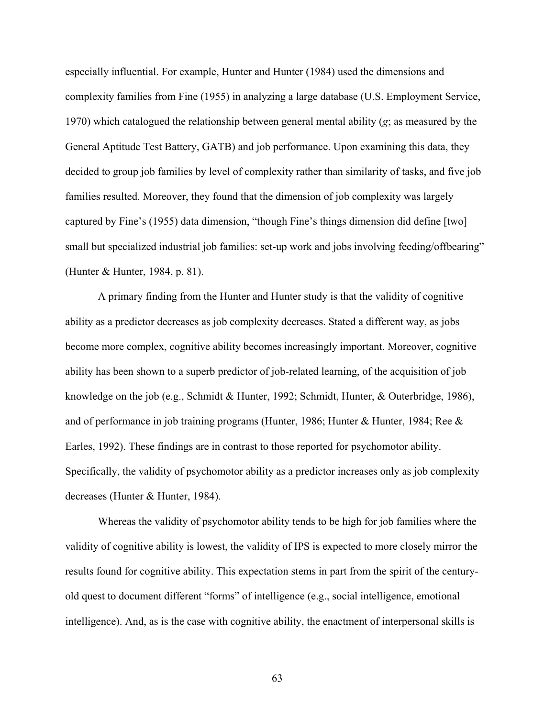especially influential. For example, Hunter and Hunter (1984) used the dimensions and complexity families from Fine (1955) in analyzing a large database (U.S. Employment Service, 1970) which catalogued the relationship between general mental ability (*g*; as measured by the General Aptitude Test Battery, GATB) and job performance. Upon examining this data, they decided to group job families by level of complexity rather than similarity of tasks, and five job families resulted. Moreover, they found that the dimension of job complexity was largely captured by Fine's (1955) data dimension, "though Fine's things dimension did define [two] small but specialized industrial job families: set-up work and jobs involving feeding/offbearing" (Hunter & Hunter, 1984, p. 81).

A primary finding from the Hunter and Hunter study is that the validity of cognitive ability as a predictor decreases as job complexity decreases. Stated a different way, as jobs become more complex, cognitive ability becomes increasingly important. Moreover, cognitive ability has been shown to a superb predictor of job-related learning, of the acquisition of job knowledge on the job (e.g., Schmidt & Hunter, 1992; Schmidt, Hunter, & Outerbridge, 1986), and of performance in job training programs (Hunter, 1986; Hunter & Hunter, 1984; Ree  $\&$ Earles, 1992). These findings are in contrast to those reported for psychomotor ability. Specifically, the validity of psychomotor ability as a predictor increases only as job complexity decreases (Hunter & Hunter, 1984).

Whereas the validity of psychomotor ability tends to be high for job families where the validity of cognitive ability is lowest, the validity of IPS is expected to more closely mirror the results found for cognitive ability. This expectation stems in part from the spirit of the centuryold quest to document different "forms" of intelligence (e.g., social intelligence, emotional intelligence). And, as is the case with cognitive ability, the enactment of interpersonal skills is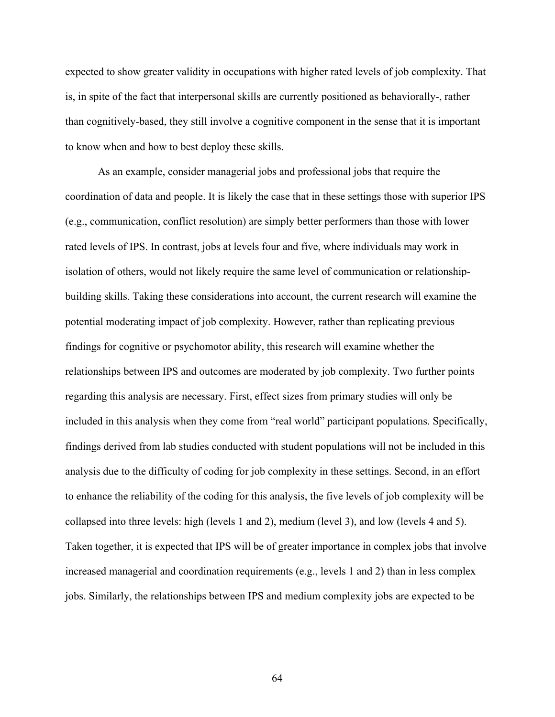expected to show greater validity in occupations with higher rated levels of job complexity. That is, in spite of the fact that interpersonal skills are currently positioned as behaviorally-, rather than cognitively-based, they still involve a cognitive component in the sense that it is important to know when and how to best deploy these skills.

As an example, consider managerial jobs and professional jobs that require the coordination of data and people. It is likely the case that in these settings those with superior IPS (e.g., communication, conflict resolution) are simply better performers than those with lower rated levels of IPS. In contrast, jobs at levels four and five, where individuals may work in isolation of others, would not likely require the same level of communication or relationshipbuilding skills. Taking these considerations into account, the current research will examine the potential moderating impact of job complexity. However, rather than replicating previous findings for cognitive or psychomotor ability, this research will examine whether the relationships between IPS and outcomes are moderated by job complexity. Two further points regarding this analysis are necessary. First, effect sizes from primary studies will only be included in this analysis when they come from "real world" participant populations. Specifically, findings derived from lab studies conducted with student populations will not be included in this analysis due to the difficulty of coding for job complexity in these settings. Second, in an effort to enhance the reliability of the coding for this analysis, the five levels of job complexity will be collapsed into three levels: high (levels 1 and 2), medium (level 3), and low (levels 4 and 5). Taken together, it is expected that IPS will be of greater importance in complex jobs that involve increased managerial and coordination requirements (e.g., levels 1 and 2) than in less complex jobs. Similarly, the relationships between IPS and medium complexity jobs are expected to be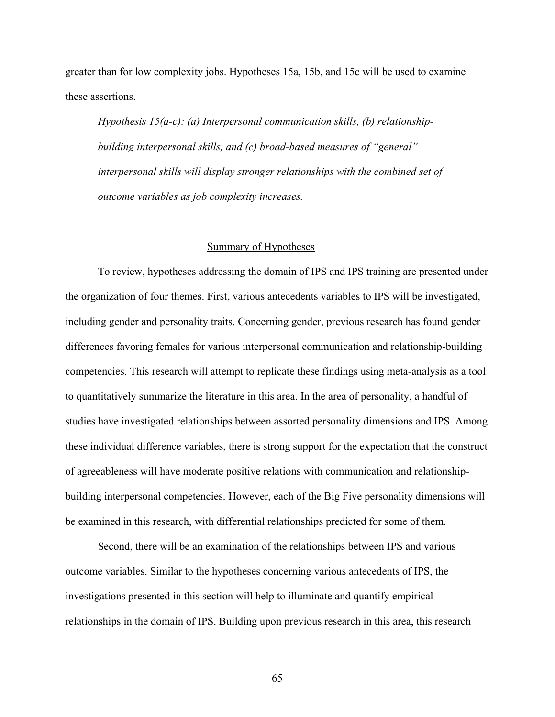greater than for low complexity jobs. Hypotheses 15a, 15b, and 15c will be used to examine these assertions.

*Hypothesis 15(a-c): (a) Interpersonal communication skills, (b) relationshipbuilding interpersonal skills, and (c) broad-based measures of "general" interpersonal skills will display stronger relationships with the combined set of outcome variables as job complexity increases.* 

## Summary of Hypotheses

To review, hypotheses addressing the domain of IPS and IPS training are presented under the organization of four themes. First, various antecedents variables to IPS will be investigated, including gender and personality traits. Concerning gender, previous research has found gender differences favoring females for various interpersonal communication and relationship-building competencies. This research will attempt to replicate these findings using meta-analysis as a tool to quantitatively summarize the literature in this area. In the area of personality, a handful of studies have investigated relationships between assorted personality dimensions and IPS. Among these individual difference variables, there is strong support for the expectation that the construct of agreeableness will have moderate positive relations with communication and relationshipbuilding interpersonal competencies. However, each of the Big Five personality dimensions will be examined in this research, with differential relationships predicted for some of them.

Second, there will be an examination of the relationships between IPS and various outcome variables. Similar to the hypotheses concerning various antecedents of IPS, the investigations presented in this section will help to illuminate and quantify empirical relationships in the domain of IPS. Building upon previous research in this area, this research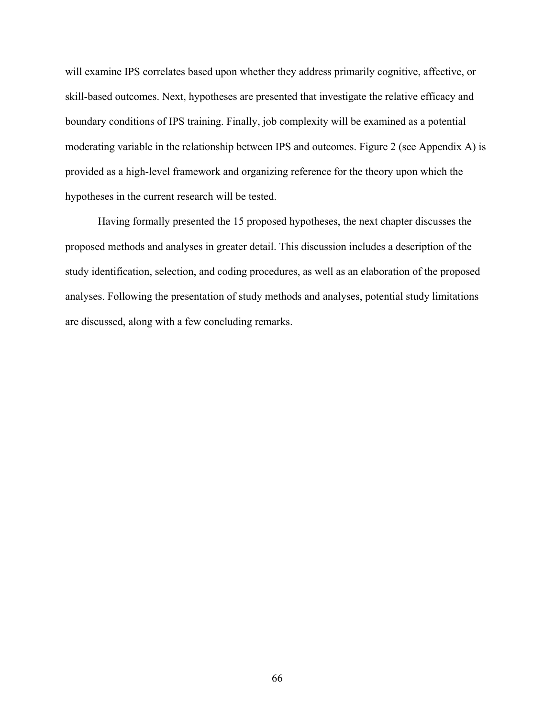will examine IPS correlates based upon whether they address primarily cognitive, affective, or skill-based outcomes. Next, hypotheses are presented that investigate the relative efficacy and boundary conditions of IPS training. Finally, job complexity will be examined as a potential moderating variable in the relationship between IPS and outcomes. Figure 2 (see Appendix A) is provided as a high-level framework and organizing reference for the theory upon which the hypotheses in the current research will be tested.

Having formally presented the 15 proposed hypotheses, the next chapter discusses the proposed methods and analyses in greater detail. This discussion includes a description of the study identification, selection, and coding procedures, as well as an elaboration of the proposed analyses. Following the presentation of study methods and analyses, potential study limitations are discussed, along with a few concluding remarks.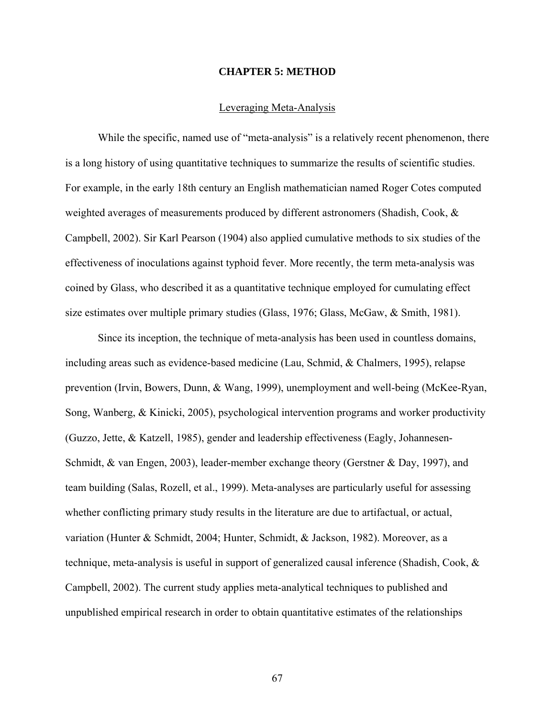### **CHAPTER 5: METHOD**

# Leveraging Meta-Analysis

While the specific, named use of "meta-analysis" is a relatively recent phenomenon, there is a long history of using quantitative techniques to summarize the results of scientific studies. For example, in the early 18th century an English mathematician named Roger Cotes computed weighted averages of measurements produced by different astronomers (Shadish, Cook, & Campbell, 2002). Sir Karl Pearson (1904) also applied cumulative methods to six studies of the effectiveness of inoculations against typhoid fever. More recently, the term meta-analysis was coined by Glass, who described it as a quantitative technique employed for cumulating effect size estimates over multiple primary studies (Glass, 1976; Glass, McGaw, & Smith, 1981).

Since its inception, the technique of meta-analysis has been used in countless domains, including areas such as evidence-based medicine (Lau, Schmid, & Chalmers, 1995), relapse prevention (Irvin, Bowers, Dunn, & Wang, 1999), unemployment and well-being (McKee-Ryan, Song, Wanberg, & Kinicki, 2005), psychological intervention programs and worker productivity (Guzzo, Jette, & Katzell, 1985), gender and leadership effectiveness (Eagly, Johannesen-Schmidt, & van Engen, 2003), leader-member exchange theory (Gerstner & Day, 1997), and team building (Salas, Rozell, et al., 1999). Meta-analyses are particularly useful for assessing whether conflicting primary study results in the literature are due to artifactual, or actual, variation (Hunter & Schmidt, 2004; Hunter, Schmidt, & Jackson, 1982). Moreover, as a technique, meta-analysis is useful in support of generalized causal inference (Shadish, Cook, & Campbell, 2002). The current study applies meta-analytical techniques to published and unpublished empirical research in order to obtain quantitative estimates of the relationships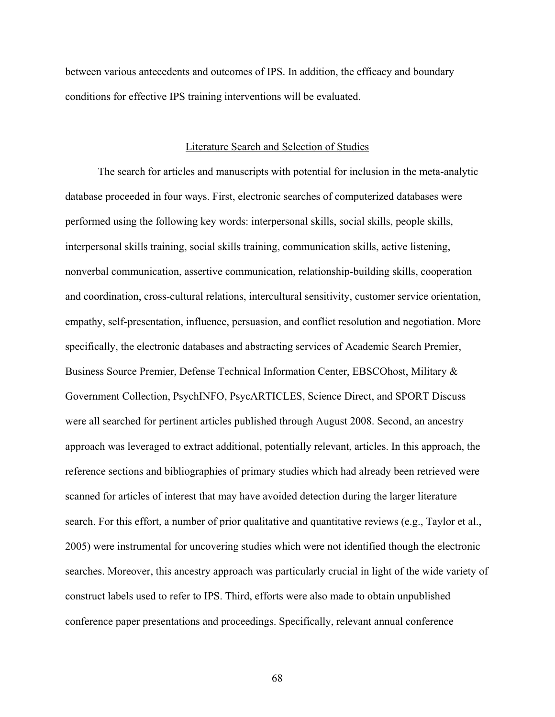between various antecedents and outcomes of IPS. In addition, the efficacy and boundary conditions for effective IPS training interventions will be evaluated.

### Literature Search and Selection of Studies

The search for articles and manuscripts with potential for inclusion in the meta-analytic database proceeded in four ways. First, electronic searches of computerized databases were performed using the following key words: interpersonal skills, social skills, people skills, interpersonal skills training, social skills training, communication skills, active listening, nonverbal communication, assertive communication, relationship-building skills, cooperation and coordination, cross-cultural relations, intercultural sensitivity, customer service orientation, empathy, self-presentation, influence, persuasion, and conflict resolution and negotiation. More specifically, the electronic databases and abstracting services of Academic Search Premier, Business Source Premier, Defense Technical Information Center, EBSCOhost, Military & Government Collection, PsychINFO, PsycARTICLES, Science Direct, and SPORT Discuss were all searched for pertinent articles published through August 2008. Second, an ancestry approach was leveraged to extract additional, potentially relevant, articles. In this approach, the reference sections and bibliographies of primary studies which had already been retrieved were scanned for articles of interest that may have avoided detection during the larger literature search. For this effort, a number of prior qualitative and quantitative reviews (e.g., Taylor et al., 2005) were instrumental for uncovering studies which were not identified though the electronic searches. Moreover, this ancestry approach was particularly crucial in light of the wide variety of construct labels used to refer to IPS. Third, efforts were also made to obtain unpublished conference paper presentations and proceedings. Specifically, relevant annual conference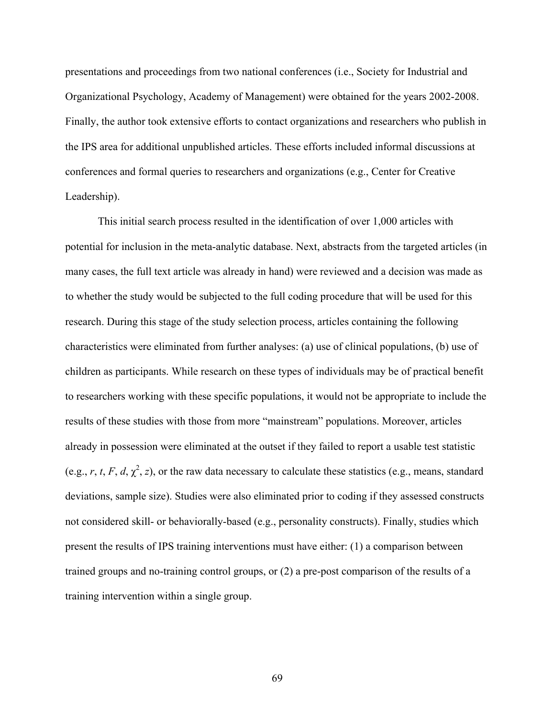presentations and proceedings from two national conferences (i.e., Society for Industrial and Organizational Psychology, Academy of Management) were obtained for the years 2002-2008. Finally, the author took extensive efforts to contact organizations and researchers who publish in the IPS area for additional unpublished articles. These efforts included informal discussions at conferences and formal queries to researchers and organizations (e.g., Center for Creative Leadership).

This initial search process resulted in the identification of over 1,000 articles with potential for inclusion in the meta-analytic database. Next, abstracts from the targeted articles (in many cases, the full text article was already in hand) were reviewed and a decision was made as to whether the study would be subjected to the full coding procedure that will be used for this research. During this stage of the study selection process, articles containing the following characteristics were eliminated from further analyses: (a) use of clinical populations, (b) use of children as participants. While research on these types of individuals may be of practical benefit to researchers working with these specific populations, it would not be appropriate to include the results of these studies with those from more "mainstream" populations. Moreover, articles already in possession were eliminated at the outset if they failed to report a usable test statistic (e.g., *r*, *t*, *F*, *d*,  $\chi^2$ , *z*), or the raw data necessary to calculate these statistics (e.g., means, standard deviations, sample size). Studies were also eliminated prior to coding if they assessed constructs not considered skill- or behaviorally-based (e.g., personality constructs). Finally, studies which present the results of IPS training interventions must have either: (1) a comparison between trained groups and no-training control groups, or (2) a pre-post comparison of the results of a training intervention within a single group.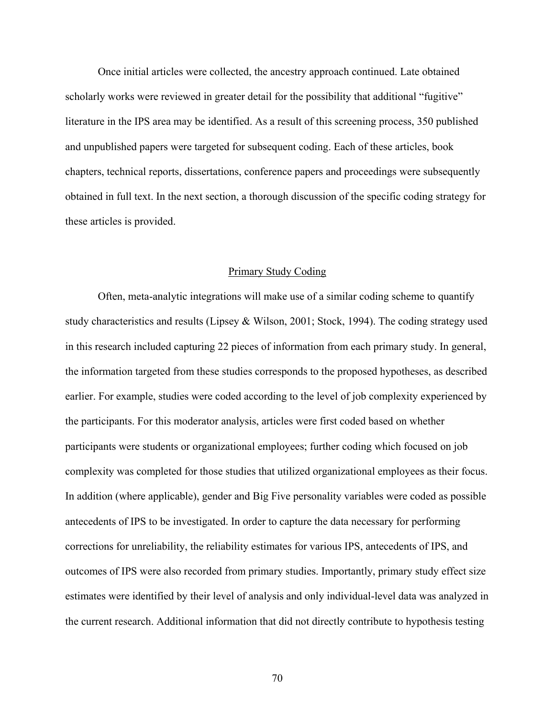Once initial articles were collected, the ancestry approach continued. Late obtained scholarly works were reviewed in greater detail for the possibility that additional "fugitive" literature in the IPS area may be identified. As a result of this screening process, 350 published and unpublished papers were targeted for subsequent coding. Each of these articles, book chapters, technical reports, dissertations, conference papers and proceedings were subsequently obtained in full text. In the next section, a thorough discussion of the specific coding strategy for these articles is provided.

## Primary Study Coding

Often, meta-analytic integrations will make use of a similar coding scheme to quantify study characteristics and results (Lipsey & Wilson, 2001; Stock, 1994). The coding strategy used in this research included capturing 22 pieces of information from each primary study. In general, the information targeted from these studies corresponds to the proposed hypotheses, as described earlier. For example, studies were coded according to the level of job complexity experienced by the participants. For this moderator analysis, articles were first coded based on whether participants were students or organizational employees; further coding which focused on job complexity was completed for those studies that utilized organizational employees as their focus. In addition (where applicable), gender and Big Five personality variables were coded as possible antecedents of IPS to be investigated. In order to capture the data necessary for performing corrections for unreliability, the reliability estimates for various IPS, antecedents of IPS, and outcomes of IPS were also recorded from primary studies. Importantly, primary study effect size estimates were identified by their level of analysis and only individual-level data was analyzed in the current research. Additional information that did not directly contribute to hypothesis testing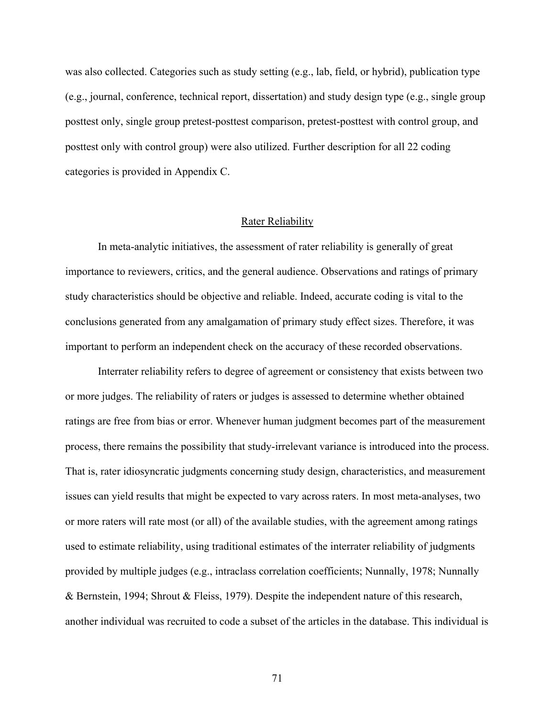was also collected. Categories such as study setting (e.g., lab, field, or hybrid), publication type (e.g., journal, conference, technical report, dissertation) and study design type (e.g., single group posttest only, single group pretest-posttest comparison, pretest-posttest with control group, and posttest only with control group) were also utilized. Further description for all 22 coding categories is provided in Appendix C.

## Rater Reliability

In meta-analytic initiatives, the assessment of rater reliability is generally of great importance to reviewers, critics, and the general audience. Observations and ratings of primary study characteristics should be objective and reliable. Indeed, accurate coding is vital to the conclusions generated from any amalgamation of primary study effect sizes. Therefore, it was important to perform an independent check on the accuracy of these recorded observations.

Interrater reliability refers to degree of agreement or consistency that exists between two or more judges. The reliability of raters or judges is assessed to determine whether obtained ratings are free from bias or error. Whenever human judgment becomes part of the measurement process, there remains the possibility that study-irrelevant variance is introduced into the process. That is, rater idiosyncratic judgments concerning study design, characteristics, and measurement issues can yield results that might be expected to vary across raters. In most meta-analyses, two or more raters will rate most (or all) of the available studies, with the agreement among ratings used to estimate reliability, using traditional estimates of the interrater reliability of judgments provided by multiple judges (e.g., intraclass correlation coefficients; Nunnally, 1978; Nunnally & Bernstein, 1994; Shrout & Fleiss, 1979). Despite the independent nature of this research, another individual was recruited to code a subset of the articles in the database. This individual is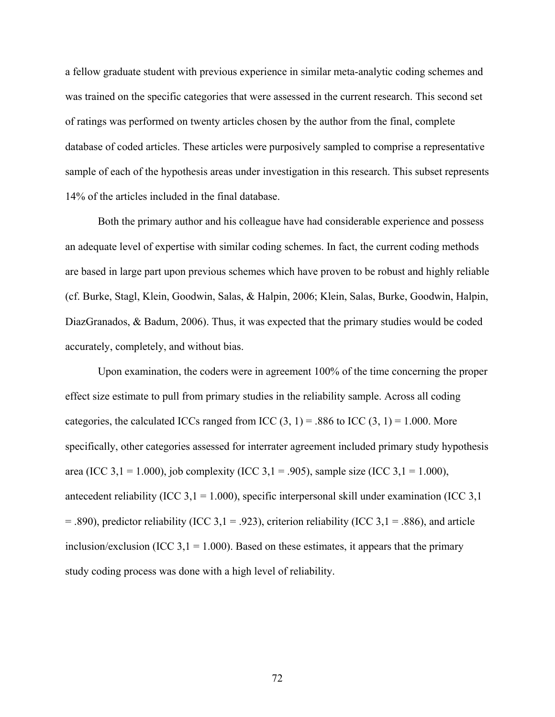a fellow graduate student with previous experience in similar meta-analytic coding schemes and was trained on the specific categories that were assessed in the current research. This second set of ratings was performed on twenty articles chosen by the author from the final, complete database of coded articles. These articles were purposively sampled to comprise a representative sample of each of the hypothesis areas under investigation in this research. This subset represents 14% of the articles included in the final database.

Both the primary author and his colleague have had considerable experience and possess an adequate level of expertise with similar coding schemes. In fact, the current coding methods are based in large part upon previous schemes which have proven to be robust and highly reliable (cf. Burke, Stagl, Klein, Goodwin, Salas, & Halpin, 2006; Klein, Salas, Burke, Goodwin, Halpin, DiazGranados, & Badum, 2006). Thus, it was expected that the primary studies would be coded accurately, completely, and without bias.

Upon examination, the coders were in agreement 100% of the time concerning the proper effect size estimate to pull from primary studies in the reliability sample. Across all coding categories, the calculated ICCs ranged from ICC  $(3, 1) = .886$  to ICC  $(3, 1) = 1.000$ . More specifically, other categories assessed for interrater agreement included primary study hypothesis area (ICC 3,1 = 1.000), job complexity (ICC 3,1 = .905), sample size (ICC 3,1 = 1.000), antecedent reliability (ICC 3,1 = 1.000), specific interpersonal skill under examination (ICC 3,1)  $=$  .890), predictor reliability (ICC 3,1 = .923), criterion reliability (ICC 3,1 = .886), and article inclusion/exclusion (ICC 3,1 = 1.000). Based on these estimates, it appears that the primary study coding process was done with a high level of reliability.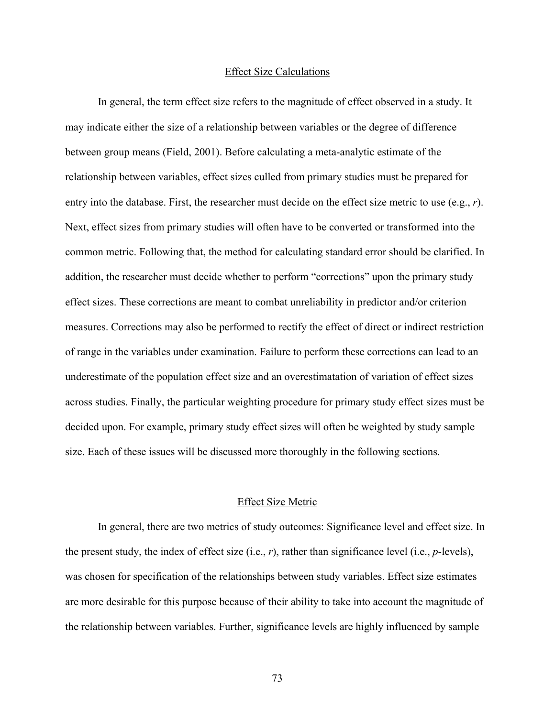## Effect Size Calculations

In general, the term effect size refers to the magnitude of effect observed in a study. It may indicate either the size of a relationship between variables or the degree of difference between group means (Field, 2001). Before calculating a meta-analytic estimate of the relationship between variables, effect sizes culled from primary studies must be prepared for entry into the database. First, the researcher must decide on the effect size metric to use (e.g., *r*). Next, effect sizes from primary studies will often have to be converted or transformed into the common metric. Following that, the method for calculating standard error should be clarified. In addition, the researcher must decide whether to perform "corrections" upon the primary study effect sizes. These corrections are meant to combat unreliability in predictor and/or criterion measures. Corrections may also be performed to rectify the effect of direct or indirect restriction of range in the variables under examination. Failure to perform these corrections can lead to an underestimate of the population effect size and an overestimatation of variation of effect sizes across studies. Finally, the particular weighting procedure for primary study effect sizes must be decided upon. For example, primary study effect sizes will often be weighted by study sample size. Each of these issues will be discussed more thoroughly in the following sections.

## Effect Size Metric

In general, there are two metrics of study outcomes: Significance level and effect size. In the present study, the index of effect size (i.e., *r*), rather than significance level (i.e., *p*-levels), was chosen for specification of the relationships between study variables. Effect size estimates are more desirable for this purpose because of their ability to take into account the magnitude of the relationship between variables. Further, significance levels are highly influenced by sample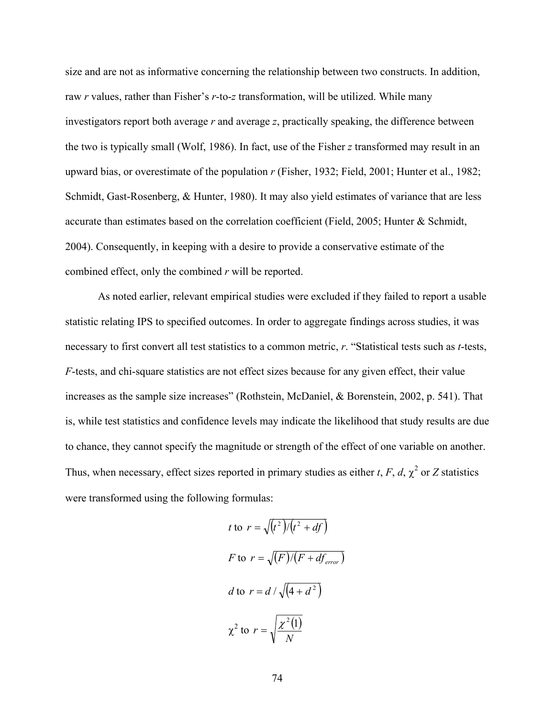size and are not as informative concerning the relationship between two constructs. In addition, raw *r* values, rather than Fisher's *r*-to-*z* transformation, will be utilized. While many investigators report both average *r* and average *z*, practically speaking, the difference between the two is typically small (Wolf, 1986). In fact, use of the Fisher *z* transformed may result in an upward bias, or overestimate of the population *r* (Fisher, 1932; Field, 2001; Hunter et al., 1982; Schmidt, Gast-Rosenberg, & Hunter, 1980). It may also yield estimates of variance that are less accurate than estimates based on the correlation coefficient (Field, 2005; Hunter & Schmidt, 2004). Consequently, in keeping with a desire to provide a conservative estimate of the combined effect, only the combined *r* will be reported.

As noted earlier, relevant empirical studies were excluded if they failed to report a usable statistic relating IPS to specified outcomes. In order to aggregate findings across studies, it was necessary to first convert all test statistics to a common metric, *r*. "Statistical tests such as *t*-tests, *F*-tests, and chi-square statistics are not effect sizes because for any given effect, their value increases as the sample size increases" (Rothstein, McDaniel, & Borenstein, 2002, p. 541). That is, while test statistics and confidence levels may indicate the likelihood that study results are due to chance, they cannot specify the magnitude or strength of the effect of one variable on another. Thus, when necessary, effect sizes reported in primary studies as either *t*, *F*, *d*,  $\chi^2$  or *Z* statistics were transformed using the following formulas:

$$
t \text{ to } r = \sqrt{(t^2)/(t^2 + df)}
$$
  

$$
F \text{ to } r = \sqrt{(F)/(F + df_{error})}
$$
  

$$
d \text{ to } r = d / \sqrt{(4 + d^2)}
$$
  

$$
\chi^2 \text{ to } r = \sqrt{\frac{\chi^2(1)}{N}}
$$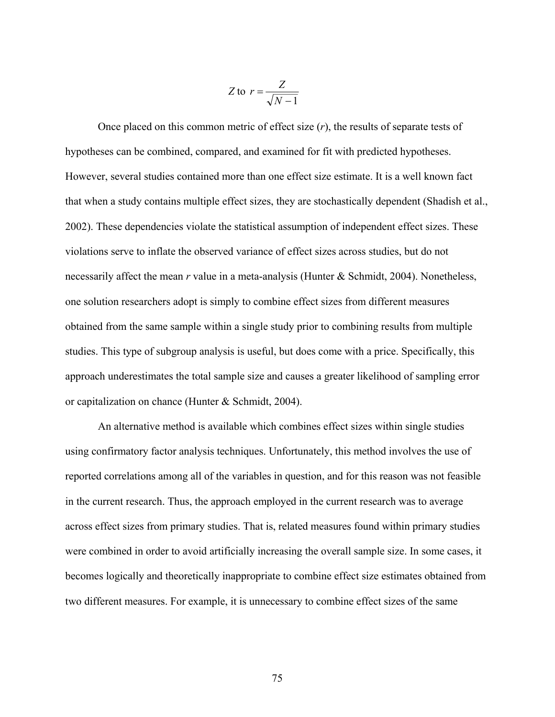$$
Z \text{ to } r = \frac{Z}{\sqrt{N-1}}
$$

Once placed on this common metric of effect size (*r*), the results of separate tests of hypotheses can be combined, compared, and examined for fit with predicted hypotheses. However, several studies contained more than one effect size estimate. It is a well known fact that when a study contains multiple effect sizes, they are stochastically dependent (Shadish et al., 2002). These dependencies violate the statistical assumption of independent effect sizes. These violations serve to inflate the observed variance of effect sizes across studies, but do not necessarily affect the mean *r* value in a meta-analysis (Hunter & Schmidt, 2004). Nonetheless, one solution researchers adopt is simply to combine effect sizes from different measures obtained from the same sample within a single study prior to combining results from multiple studies. This type of subgroup analysis is useful, but does come with a price. Specifically, this approach underestimates the total sample size and causes a greater likelihood of sampling error or capitalization on chance (Hunter & Schmidt, 2004).

An alternative method is available which combines effect sizes within single studies using confirmatory factor analysis techniques. Unfortunately, this method involves the use of reported correlations among all of the variables in question, and for this reason was not feasible in the current research. Thus, the approach employed in the current research was to average across effect sizes from primary studies. That is, related measures found within primary studies were combined in order to avoid artificially increasing the overall sample size. In some cases, it becomes logically and theoretically inappropriate to combine effect size estimates obtained from two different measures. For example, it is unnecessary to combine effect sizes of the same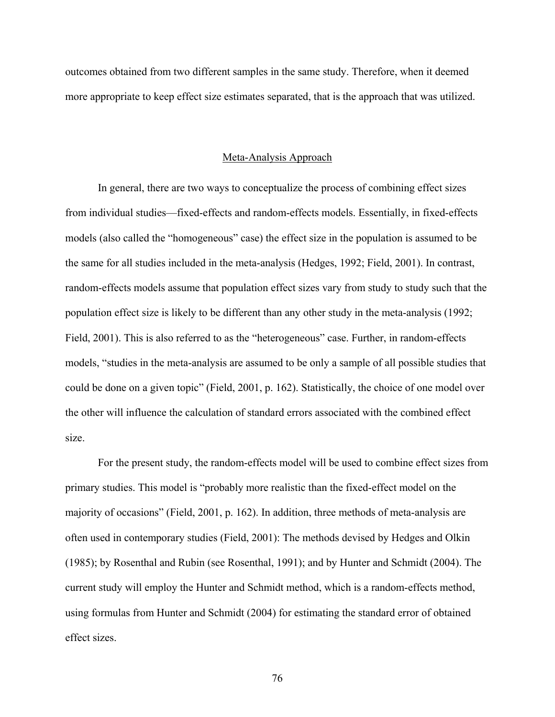outcomes obtained from two different samples in the same study. Therefore, when it deemed more appropriate to keep effect size estimates separated, that is the approach that was utilized.

#### Meta-Analysis Approach

In general, there are two ways to conceptualize the process of combining effect sizes from individual studies—fixed-effects and random-effects models. Essentially, in fixed-effects models (also called the "homogeneous" case) the effect size in the population is assumed to be the same for all studies included in the meta-analysis (Hedges, 1992; Field, 2001). In contrast, random-effects models assume that population effect sizes vary from study to study such that the population effect size is likely to be different than any other study in the meta-analysis (1992; Field, 2001). This is also referred to as the "heterogeneous" case. Further, in random-effects models, "studies in the meta-analysis are assumed to be only a sample of all possible studies that could be done on a given topic" (Field, 2001, p. 162). Statistically, the choice of one model over the other will influence the calculation of standard errors associated with the combined effect size.

For the present study, the random-effects model will be used to combine effect sizes from primary studies. This model is "probably more realistic than the fixed-effect model on the majority of occasions" (Field, 2001, p. 162). In addition, three methods of meta-analysis are often used in contemporary studies (Field, 2001): The methods devised by Hedges and Olkin (1985); by Rosenthal and Rubin (see Rosenthal, 1991); and by Hunter and Schmidt (2004). The current study will employ the Hunter and Schmidt method, which is a random-effects method, using formulas from Hunter and Schmidt (2004) for estimating the standard error of obtained effect sizes.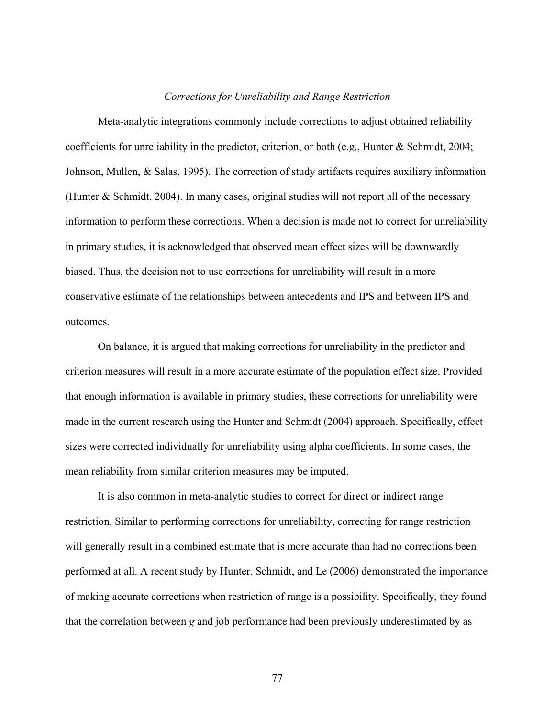#### *Corrections for Unreliability and Range Restriction*

Meta-analytic integrations commonly include corrections to adjust obtained reliability coefficients for unreliability in the predictor, criterion, or both (e.g., Hunter & Schmidt, 2004; Johnson, Mullen, & Salas, 1995). The correction of study artifacts requires auxiliary information (Hunter & Schmidt, 2004). In many cases, original studies will not report all of the necessary information to perform these corrections. When a decision is made not to correct for unreliability in primary studies, it is acknowledged that observed mean effect sizes will be downwardly biased. Thus, the decision not to use corrections for unreliability will result in a more conservative estimate of the relationships between antecedents and IPS and between IPS and outcomes.

On balance, it is argued that making corrections for unreliability in the predictor and criterion measures will result in a more accurate estimate of the population effect size. Provided that enough information is available in primary studies, these corrections for unreliability were made in the current research using the Hunter and Schmidt (2004) approach. Specifically, effect sizes were corrected individually for unreliability using alpha coefficients. In some cases, the mean reliability from similar criterion measures may be imputed.

It is also common in meta-analytic studies to correct for direct or indirect range restriction. Similar to performing corrections for unreliability, correcting for range restriction will generally result in a combined estimate that is more accurate than had no corrections been performed at all. A recent study by Hunter, Schmidt, and Le (2006) demonstrated the importance of making accurate corrections when restriction of range is a possibility. Specifically, they found that the correlation between *g* and job performance had been previously underestimated by as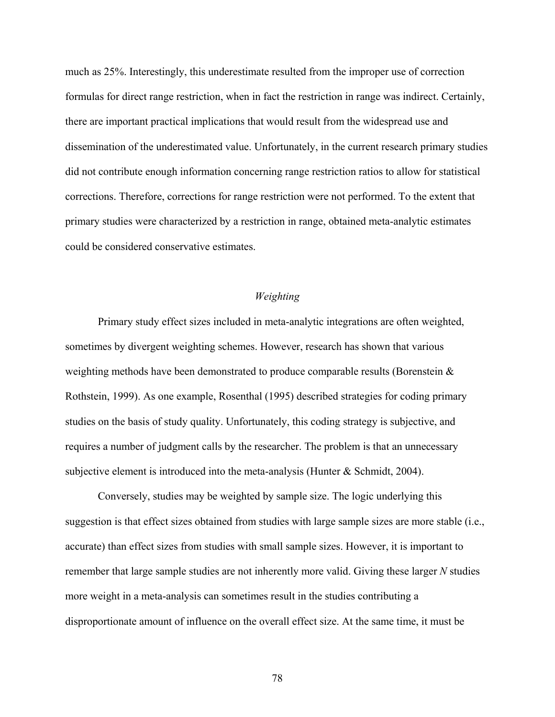much as 25%. Interestingly, this underestimate resulted from the improper use of correction formulas for direct range restriction, when in fact the restriction in range was indirect. Certainly, there are important practical implications that would result from the widespread use and dissemination of the underestimated value. Unfortunately, in the current research primary studies did not contribute enough information concerning range restriction ratios to allow for statistical corrections. Therefore, corrections for range restriction were not performed. To the extent that primary studies were characterized by a restriction in range, obtained meta-analytic estimates could be considered conservative estimates.

# *Weighting*

Primary study effect sizes included in meta-analytic integrations are often weighted, sometimes by divergent weighting schemes. However, research has shown that various weighting methods have been demonstrated to produce comparable results (Borenstein & Rothstein, 1999). As one example, Rosenthal (1995) described strategies for coding primary studies on the basis of study quality. Unfortunately, this coding strategy is subjective, and requires a number of judgment calls by the researcher. The problem is that an unnecessary subjective element is introduced into the meta-analysis (Hunter  $\&$  Schmidt, 2004).

Conversely, studies may be weighted by sample size. The logic underlying this suggestion is that effect sizes obtained from studies with large sample sizes are more stable (i.e., accurate) than effect sizes from studies with small sample sizes. However, it is important to remember that large sample studies are not inherently more valid. Giving these larger *N* studies more weight in a meta-analysis can sometimes result in the studies contributing a disproportionate amount of influence on the overall effect size. At the same time, it must be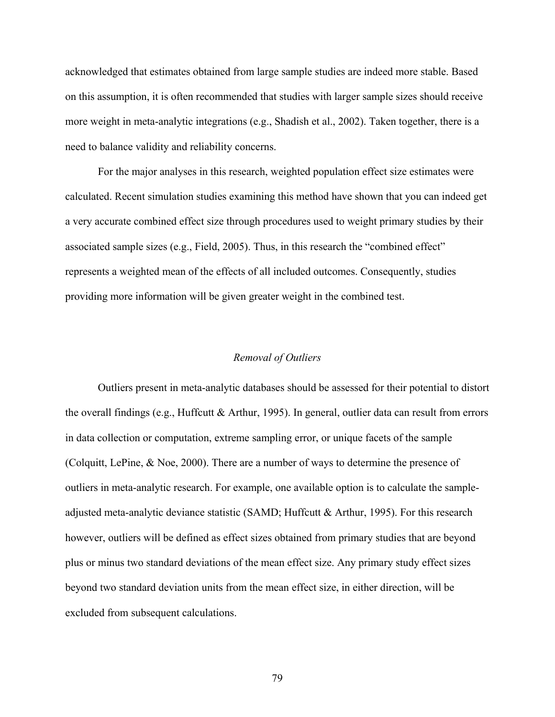acknowledged that estimates obtained from large sample studies are indeed more stable. Based on this assumption, it is often recommended that studies with larger sample sizes should receive more weight in meta-analytic integrations (e.g., Shadish et al., 2002). Taken together, there is a need to balance validity and reliability concerns.

For the major analyses in this research, weighted population effect size estimates were calculated. Recent simulation studies examining this method have shown that you can indeed get a very accurate combined effect size through procedures used to weight primary studies by their associated sample sizes (e.g., Field, 2005). Thus, in this research the "combined effect" represents a weighted mean of the effects of all included outcomes. Consequently, studies providing more information will be given greater weight in the combined test.

# *Removal of Outliers*

Outliers present in meta-analytic databases should be assessed for their potential to distort the overall findings (e.g., Huffcutt & Arthur, 1995). In general, outlier data can result from errors in data collection or computation, extreme sampling error, or unique facets of the sample (Colquitt, LePine, & Noe, 2000). There are a number of ways to determine the presence of outliers in meta-analytic research. For example, one available option is to calculate the sampleadjusted meta-analytic deviance statistic (SAMD; Huffcutt & Arthur, 1995). For this research however, outliers will be defined as effect sizes obtained from primary studies that are beyond plus or minus two standard deviations of the mean effect size. Any primary study effect sizes beyond two standard deviation units from the mean effect size, in either direction, will be excluded from subsequent calculations.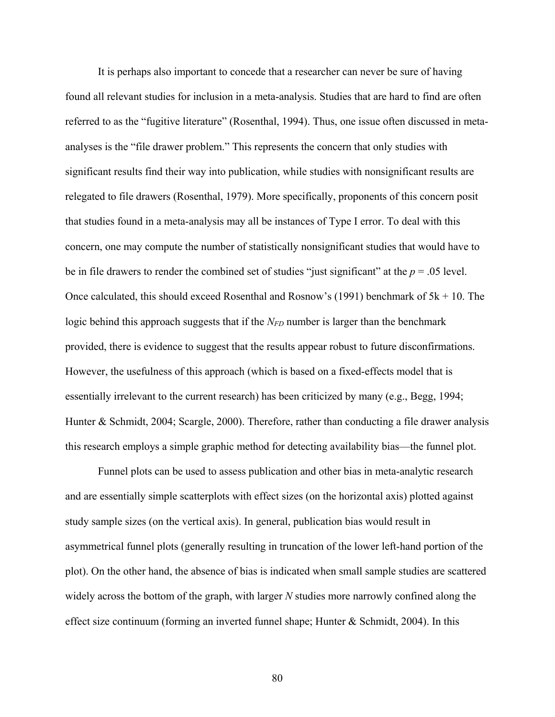It is perhaps also important to concede that a researcher can never be sure of having found all relevant studies for inclusion in a meta-analysis. Studies that are hard to find are often referred to as the "fugitive literature" (Rosenthal, 1994). Thus, one issue often discussed in metaanalyses is the "file drawer problem." This represents the concern that only studies with significant results find their way into publication, while studies with nonsignificant results are relegated to file drawers (Rosenthal, 1979). More specifically, proponents of this concern posit that studies found in a meta-analysis may all be instances of Type I error. To deal with this concern, one may compute the number of statistically nonsignificant studies that would have to be in file drawers to render the combined set of studies "just significant" at the *p* = .05 level. Once calculated, this should exceed Rosenthal and Rosnow's (1991) benchmark of  $5k + 10$ . The logic behind this approach suggests that if the *N<sub>FD</sub>* number is larger than the benchmark provided, there is evidence to suggest that the results appear robust to future disconfirmations. However, the usefulness of this approach (which is based on a fixed-effects model that is essentially irrelevant to the current research) has been criticized by many (e.g., Begg, 1994; Hunter & Schmidt, 2004; Scargle, 2000). Therefore, rather than conducting a file drawer analysis this research employs a simple graphic method for detecting availability bias—the funnel plot.

Funnel plots can be used to assess publication and other bias in meta-analytic research and are essentially simple scatterplots with effect sizes (on the horizontal axis) plotted against study sample sizes (on the vertical axis). In general, publication bias would result in asymmetrical funnel plots (generally resulting in truncation of the lower left-hand portion of the plot). On the other hand, the absence of bias is indicated when small sample studies are scattered widely across the bottom of the graph, with larger *N* studies more narrowly confined along the effect size continuum (forming an inverted funnel shape; Hunter & Schmidt, 2004). In this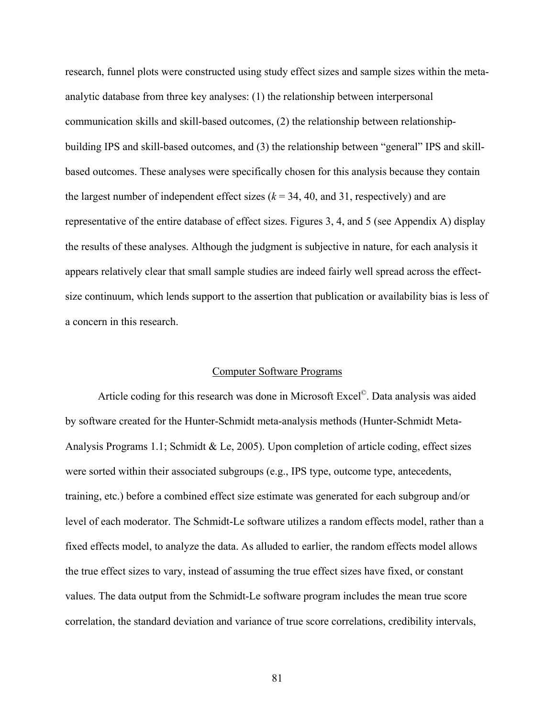research, funnel plots were constructed using study effect sizes and sample sizes within the metaanalytic database from three key analyses: (1) the relationship between interpersonal communication skills and skill-based outcomes, (2) the relationship between relationshipbuilding IPS and skill-based outcomes, and (3) the relationship between "general" IPS and skillbased outcomes. These analyses were specifically chosen for this analysis because they contain the largest number of independent effect sizes  $(k = 34, 40,$  and 31, respectively) and are representative of the entire database of effect sizes. Figures 3, 4, and 5 (see Appendix A) display the results of these analyses. Although the judgment is subjective in nature, for each analysis it appears relatively clear that small sample studies are indeed fairly well spread across the effectsize continuum, which lends support to the assertion that publication or availability bias is less of a concern in this research.

## Computer Software Programs

Article coding for this research was done in Microsoft Excel<sup>©</sup>. Data analysis was aided by software created for the Hunter-Schmidt meta-analysis methods (Hunter-Schmidt Meta-Analysis Programs 1.1; Schmidt & Le, 2005). Upon completion of article coding, effect sizes were sorted within their associated subgroups (e.g., IPS type, outcome type, antecedents, training, etc.) before a combined effect size estimate was generated for each subgroup and/or level of each moderator. The Schmidt-Le software utilizes a random effects model, rather than a fixed effects model, to analyze the data. As alluded to earlier, the random effects model allows the true effect sizes to vary, instead of assuming the true effect sizes have fixed, or constant values. The data output from the Schmidt-Le software program includes the mean true score correlation, the standard deviation and variance of true score correlations, credibility intervals,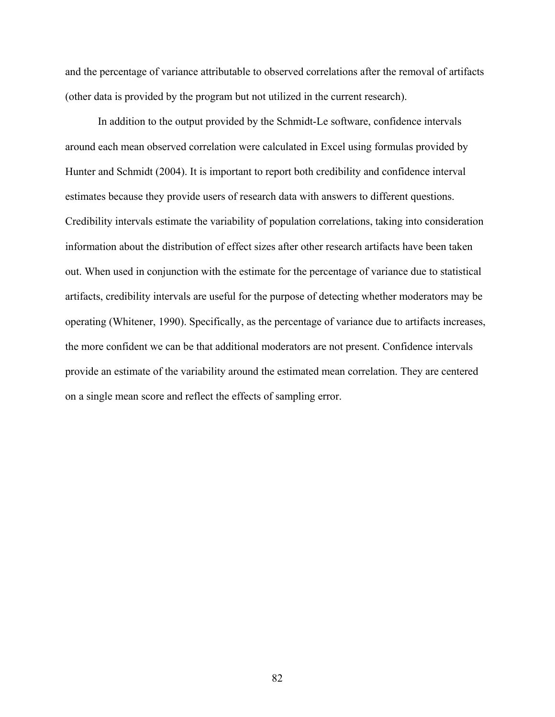and the percentage of variance attributable to observed correlations after the removal of artifacts (other data is provided by the program but not utilized in the current research).

In addition to the output provided by the Schmidt-Le software, confidence intervals around each mean observed correlation were calculated in Excel using formulas provided by Hunter and Schmidt (2004). It is important to report both credibility and confidence interval estimates because they provide users of research data with answers to different questions. Credibility intervals estimate the variability of population correlations, taking into consideration information about the distribution of effect sizes after other research artifacts have been taken out. When used in conjunction with the estimate for the percentage of variance due to statistical artifacts, credibility intervals are useful for the purpose of detecting whether moderators may be operating (Whitener, 1990). Specifically, as the percentage of variance due to artifacts increases, the more confident we can be that additional moderators are not present. Confidence intervals provide an estimate of the variability around the estimated mean correlation. They are centered on a single mean score and reflect the effects of sampling error.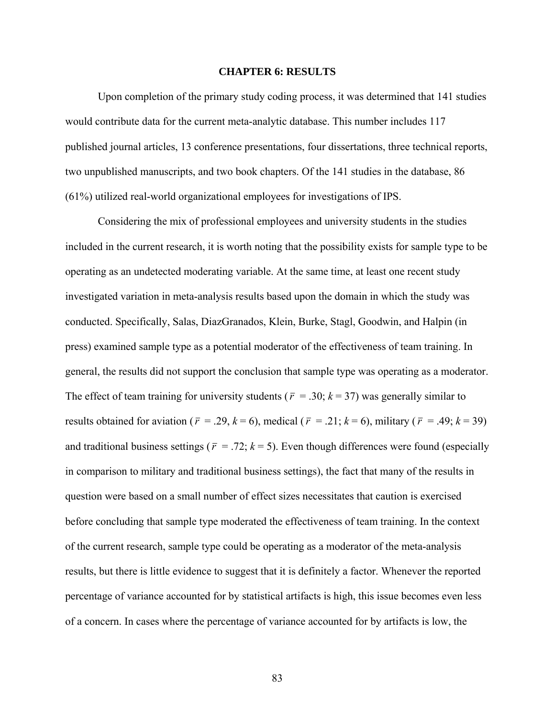#### **CHAPTER 6: RESULTS**

Upon completion of the primary study coding process, it was determined that 141 studies would contribute data for the current meta-analytic database. This number includes 117 published journal articles, 13 conference presentations, four dissertations, three technical reports, two unpublished manuscripts, and two book chapters. Of the 141 studies in the database, 86 (61%) utilized real-world organizational employees for investigations of IPS.

Considering the mix of professional employees and university students in the studies included in the current research, it is worth noting that the possibility exists for sample type to be operating as an undetected moderating variable. At the same time, at least one recent study investigated variation in meta-analysis results based upon the domain in which the study was conducted. Specifically, Salas, DiazGranados, Klein, Burke, Stagl, Goodwin, and Halpin (in press) examined sample type as a potential moderator of the effectiveness of team training. In general, the results did not support the conclusion that sample type was operating as a moderator. The effect of team training for university students ( $\bar{r}$  = .30;  $k$  = 37) was generally similar to results obtained for aviation ( $\bar{r}$  = .29,  $k$  = 6), medical ( $\bar{r}$  = .21;  $k$  = 6), military ( $\bar{r}$  = .49;  $k$  = 39) and traditional business settings ( $\bar{r}$  = .72;  $k$  = 5). Even though differences were found (especially in comparison to military and traditional business settings), the fact that many of the results in question were based on a small number of effect sizes necessitates that caution is exercised before concluding that sample type moderated the effectiveness of team training. In the context of the current research, sample type could be operating as a moderator of the meta-analysis results, but there is little evidence to suggest that it is definitely a factor. Whenever the reported percentage of variance accounted for by statistical artifacts is high, this issue becomes even less of a concern. In cases where the percentage of variance accounted for by artifacts is low, the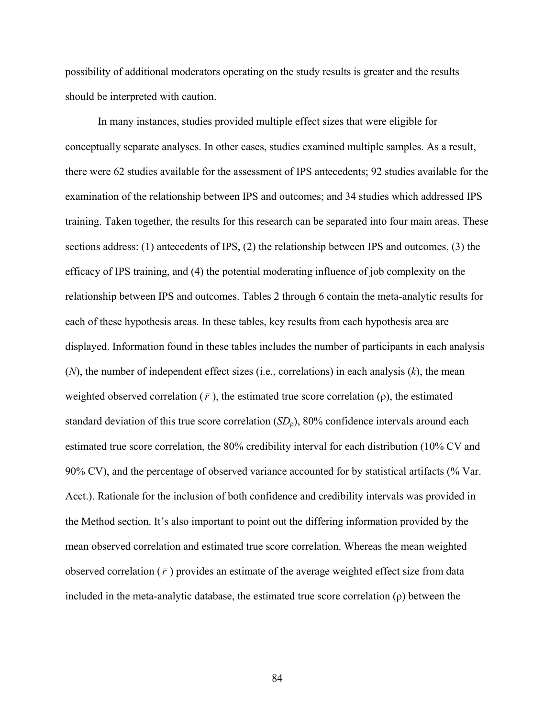possibility of additional moderators operating on the study results is greater and the results should be interpreted with caution.

In many instances, studies provided multiple effect sizes that were eligible for conceptually separate analyses. In other cases, studies examined multiple samples. As a result, there were 62 studies available for the assessment of IPS antecedents; 92 studies available for the examination of the relationship between IPS and outcomes; and 34 studies which addressed IPS training. Taken together, the results for this research can be separated into four main areas. These sections address: (1) antecedents of IPS, (2) the relationship between IPS and outcomes, (3) the efficacy of IPS training, and (4) the potential moderating influence of job complexity on the relationship between IPS and outcomes. Tables 2 through 6 contain the meta-analytic results for each of these hypothesis areas. In these tables, key results from each hypothesis area are displayed. Information found in these tables includes the number of participants in each analysis (*N*), the number of independent effect sizes (i.e., correlations) in each analysis (*k*), the mean weighted observed correlation  $(\bar{r})$ , the estimated true score correlation  $(\rho)$ , the estimated standard deviation of this true score correlation (*SD*ρ), 80% confidence intervals around each estimated true score correlation, the 80% credibility interval for each distribution (10% CV and 90% CV), and the percentage of observed variance accounted for by statistical artifacts (% Var. Acct.). Rationale for the inclusion of both confidence and credibility intervals was provided in the Method section. It's also important to point out the differing information provided by the mean observed correlation and estimated true score correlation. Whereas the mean weighted observed correlation  $(\bar{r})$  provides an estimate of the average weighted effect size from data included in the meta-analytic database, the estimated true score correlation (ρ) between the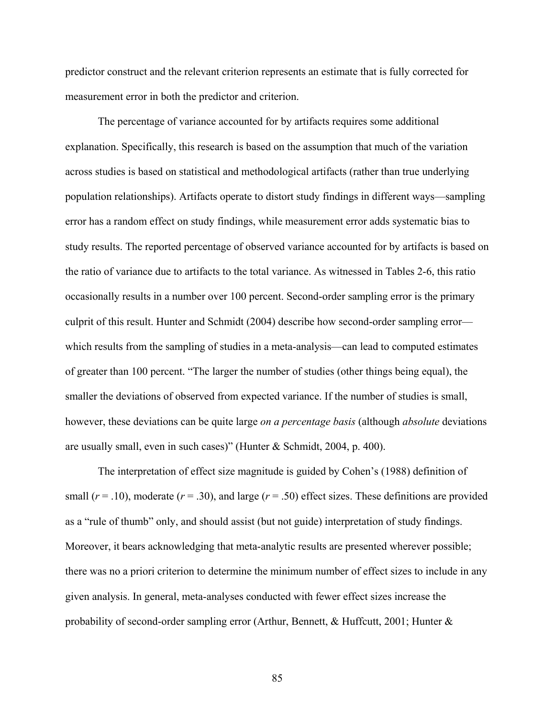predictor construct and the relevant criterion represents an estimate that is fully corrected for measurement error in both the predictor and criterion.

The percentage of variance accounted for by artifacts requires some additional explanation. Specifically, this research is based on the assumption that much of the variation across studies is based on statistical and methodological artifacts (rather than true underlying population relationships). Artifacts operate to distort study findings in different ways—sampling error has a random effect on study findings, while measurement error adds systematic bias to study results. The reported percentage of observed variance accounted for by artifacts is based on the ratio of variance due to artifacts to the total variance. As witnessed in Tables 2-6, this ratio occasionally results in a number over 100 percent. Second-order sampling error is the primary culprit of this result. Hunter and Schmidt (2004) describe how second-order sampling error which results from the sampling of studies in a meta-analysis—can lead to computed estimates of greater than 100 percent. "The larger the number of studies (other things being equal), the smaller the deviations of observed from expected variance. If the number of studies is small, however, these deviations can be quite large *on a percentage basis* (although *absolute* deviations are usually small, even in such cases)" (Hunter & Schmidt, 2004, p. 400).

The interpretation of effect size magnitude is guided by Cohen's (1988) definition of small  $(r = .10)$ , moderate  $(r = .30)$ , and large  $(r = .50)$  effect sizes. These definitions are provided as a "rule of thumb" only, and should assist (but not guide) interpretation of study findings. Moreover, it bears acknowledging that meta-analytic results are presented wherever possible; there was no a priori criterion to determine the minimum number of effect sizes to include in any given analysis. In general, meta-analyses conducted with fewer effect sizes increase the probability of second-order sampling error (Arthur, Bennett, & Huffcutt, 2001; Hunter &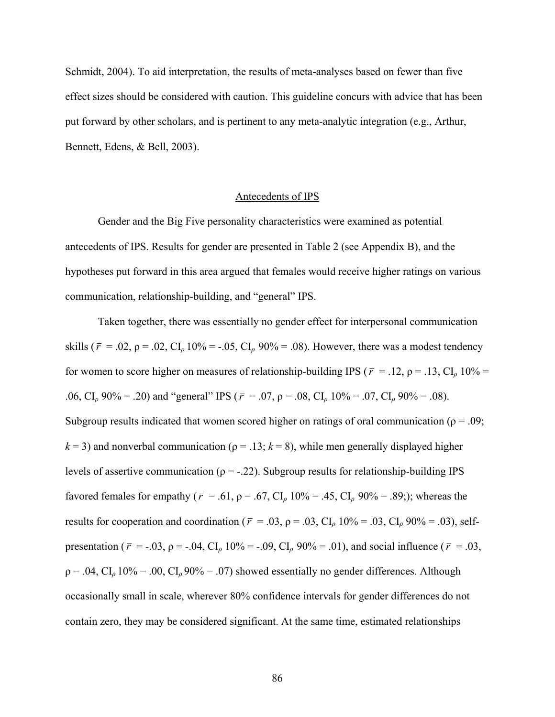Schmidt, 2004). To aid interpretation, the results of meta-analyses based on fewer than five effect sizes should be considered with caution. This guideline concurs with advice that has been put forward by other scholars, and is pertinent to any meta-analytic integration (e.g., Arthur, Bennett, Edens, & Bell, 2003).

# Antecedents of IPS

 Gender and the Big Five personality characteristics were examined as potential antecedents of IPS. Results for gender are presented in Table 2 (see Appendix B), and the hypotheses put forward in this area argued that females would receive higher ratings on various communication, relationship-building, and "general" IPS.

 Taken together, there was essentially no gender effect for interpersonal communication skills ( $\bar{r}$  = .02,  $ρ$  = .02, CI<sub>ρ</sub> 10% = -.05, CI<sub>ρ</sub> 90% = .08). However, there was a modest tendency for women to score higher on measures of relationship-building IPS ( $\bar{r}$  = .12,  $\rho$  = .13, CI<sub>*ρ*</sub> 10% = .06, CI<sub>*ρ*</sub> 90% = .20) and "general" IPS ( $\bar{r}$  = .07,  $\rho$  = .08, CI<sub>*ρ*</sub> 10% = .07, CI<sub>*ρ*</sub> 90% = .08). Subgroup results indicated that women scored higher on ratings of oral communication ( $\rho = .09$ ;  $k = 3$ ) and nonverbal communication ( $p = 0.13$ ;  $k = 8$ ), while men generally displayed higher levels of assertive communication ( $\rho = -0.22$ ). Subgroup results for relationship-building IPS favored females for empathy ( $\bar{r}$  = .61,  $\rho$  = .67, CI<sub>ρ</sub> 10% = .45, CI<sub>ρ</sub> 90% = .89;); whereas the results for cooperation and coordination ( $\bar{r}$  = .03,  $\rho$  = .03, CI<sub>*ρ*</sub> 10% = .03, CI<sub>*ρ*</sub> 90% = .03), selfpresentation ( $\bar{r}$  = -.03,  $\rho$  = -.04, CI<sub>*ρ*</sub> 10% = -.09, CI<sub>*ρ*</sub> 90% = .01), and social influence ( $\bar{r}$  = .03,  $\rho = .04$ , CI<sub>*ρ*</sub> 10% = .00, CI<sub>*ρ*</sub> 90% = .07) showed essentially no gender differences. Although occasionally small in scale, wherever 80% confidence intervals for gender differences do not contain zero, they may be considered significant. At the same time, estimated relationships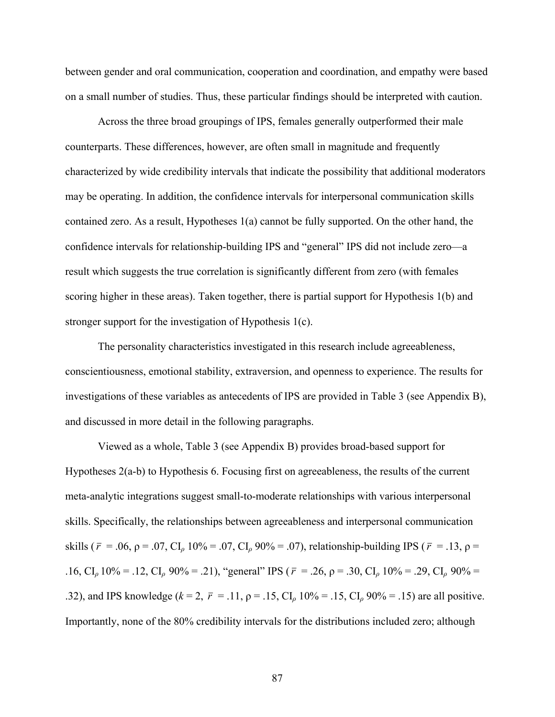between gender and oral communication, cooperation and coordination, and empathy were based on a small number of studies. Thus, these particular findings should be interpreted with caution.

Across the three broad groupings of IPS, females generally outperformed their male counterparts. These differences, however, are often small in magnitude and frequently characterized by wide credibility intervals that indicate the possibility that additional moderators may be operating. In addition, the confidence intervals for interpersonal communication skills contained zero. As a result, Hypotheses 1(a) cannot be fully supported. On the other hand, the confidence intervals for relationship-building IPS and "general" IPS did not include zero—a result which suggests the true correlation is significantly different from zero (with females scoring higher in these areas). Taken together, there is partial support for Hypothesis 1(b) and stronger support for the investigation of Hypothesis 1(c).

The personality characteristics investigated in this research include agreeableness, conscientiousness, emotional stability, extraversion, and openness to experience. The results for investigations of these variables as antecedents of IPS are provided in Table 3 (see Appendix B), and discussed in more detail in the following paragraphs.

 Viewed as a whole, Table 3 (see Appendix B) provides broad-based support for Hypotheses 2(a-b) to Hypothesis 6. Focusing first on agreeableness, the results of the current meta-analytic integrations suggest small-to-moderate relationships with various interpersonal skills. Specifically, the relationships between agreeableness and interpersonal communication skills ( $\bar{r}$  = .06,  $\rho$  = .07, CI<sub>*ρ*</sub> 10% = .07, CI<sub>*ρ*</sub> 90% = .07), relationship-building IPS ( $\bar{r}$  = .13,  $\rho$  = .16, CI<sub>*ρ*</sub> 10% = .12, CI<sub>*ρ*</sub> 90% = .21), "general" IPS ( $\bar{r}$  = .26,  $\rho$  = .30, CI<sub>*ρ*</sub> 10% = .29, CI<sub>*ρ*</sub> 90% = .32), and IPS knowledge  $(k = 2, \bar{r} = .11, \rho = .15, \text{CI}_p 10\% = .15, \text{CI}_p 90\% = .15)$  are all positive. Importantly, none of the 80% credibility intervals for the distributions included zero; although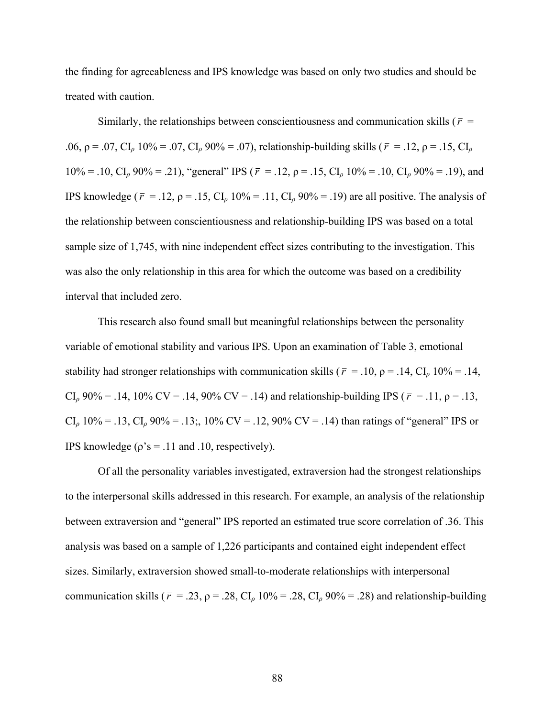the finding for agreeableness and IPS knowledge was based on only two studies and should be treated with caution.

Similarly, the relationships between conscientiousness and communication skills ( $\bar{r}$  = .06,  $\rho = .07$ , CI<sub>*ρ*</sub> 10% = .07, CI<sub>*ρ*</sub> 90% = .07), relationship-building skills ( $\bar{r} = .12$ ,  $\rho = .15$ , CI<sub>*ρ*</sub> 10% = .10, CI<sub>ρ</sub> 90% = .21), "general" IPS ( $\bar{r}$  = .12,  $\rho$  = .15, CI<sub>ρ</sub> 10% = .10, CI<sub>ρ</sub> 90% = .19), and IPS knowledge ( $\bar{r}$  = .12,  $\rho$  = .15, CI<sub>*ρ*</sub> 10% = .11, CI<sub>*ρ*</sub> 90% = .19) are all positive. The analysis of the relationship between conscientiousness and relationship-building IPS was based on a total sample size of 1,745, with nine independent effect sizes contributing to the investigation. This was also the only relationship in this area for which the outcome was based on a credibility interval that included zero.

 This research also found small but meaningful relationships between the personality variable of emotional stability and various IPS. Upon an examination of Table 3, emotional stability had stronger relationships with communication skills ( $\bar{r}$  = .10,  $\rho$  = .14, CI<sub>*ρ*</sub> 10% = .14, CI<sub>ρ</sub> 90% = .14, 10% CV = .14, 90% CV = .14) and relationship-building IPS ( $\bar{r}$  = .11,  $\rho$  = .13,  $CI<sub>0</sub> 10\% = .13$ ,  $CI<sub>0</sub> 90\% = .13$ ;, 10% CV = .12, 90% CV = .14) than ratings of "general" IPS or IPS knowledge ( $\rho$ 's = .11 and .10, respectively).

 Of all the personality variables investigated, extraversion had the strongest relationships to the interpersonal skills addressed in this research. For example, an analysis of the relationship between extraversion and "general" IPS reported an estimated true score correlation of .36. This analysis was based on a sample of 1,226 participants and contained eight independent effect sizes. Similarly, extraversion showed small-to-moderate relationships with interpersonal communication skills ( $\bar{r}$  = .23,  $\rho$  = .28, CI<sub>*ρ*</sub> 10% = .28, CI<sub>*ρ*</sub> 90% = .28) and relationship-building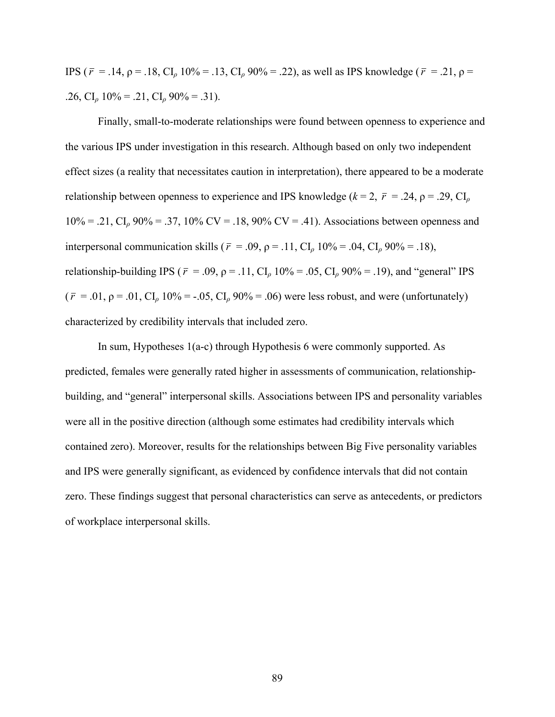IPS (*r* = .14, ρ = .18, CI*ρ* 10% = .13, CI*ρ* 90% = .22), as well as IPS knowledge (*r* = .21, ρ = .26, CI<sub>ρ</sub> 10% = .21, CI<sub>ρ</sub> 90% = .31).

 Finally, small-to-moderate relationships were found between openness to experience and the various IPS under investigation in this research. Although based on only two independent effect sizes (a reality that necessitates caution in interpretation), there appeared to be a moderate relationship between openness to experience and IPS knowledge ( $k = 2$ ,  $\bar{r} = .24$ ,  $\rho = .29$ , CI<sub>*ρ*</sub> 10% = .21, CI*ρ* 90% = .37, 10% CV = .18, 90% CV = .41). Associations between openness and interpersonal communication skills ( $\bar{r}$  = .09,  $\rho$  = .11, CI<sub>*ρ*</sub> 10% = .04, CI<sub>*ρ*</sub> 90% = .18), relationship-building IPS ( $\bar{r}$  = .09,  $\rho$  = .11, CI<sub>*ρ*</sub> 10% = .05, CI<sub>*ρ*</sub> 90% = .19), and "general" IPS  $(\bar{r} = .01, \rho = .01, \text{CI}_0 10\% = -.05, \text{CI}_0 90\% = .06)$  were less robust, and were (unfortunately) characterized by credibility intervals that included zero.

 In sum, Hypotheses 1(a-c) through Hypothesis 6 were commonly supported. As predicted, females were generally rated higher in assessments of communication, relationshipbuilding, and "general" interpersonal skills. Associations between IPS and personality variables were all in the positive direction (although some estimates had credibility intervals which contained zero). Moreover, results for the relationships between Big Five personality variables and IPS were generally significant, as evidenced by confidence intervals that did not contain zero. These findings suggest that personal characteristics can serve as antecedents, or predictors of workplace interpersonal skills.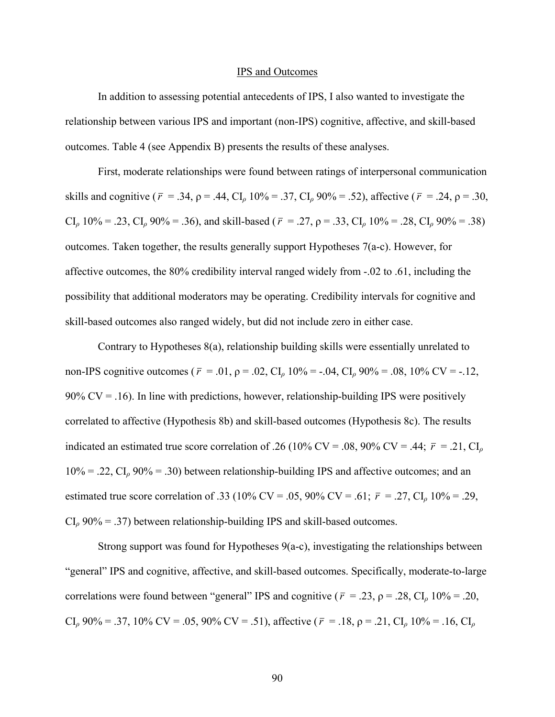#### IPS and Outcomes

 In addition to assessing potential antecedents of IPS, I also wanted to investigate the relationship between various IPS and important (non-IPS) cognitive, affective, and skill-based outcomes. Table 4 (see Appendix B) presents the results of these analyses.

First, moderate relationships were found between ratings of interpersonal communication skills and cognitive ( $\bar{r}$  = .34,  $\rho$  = .44, CI<sub>*ρ*</sub> 10% = .37, CI<sub>*ρ*</sub> 90% = .52), affective ( $\bar{r}$  = .24,  $\rho$  = .30,  $CI_{\rho}$  10% = .23,  $CI_{\rho}$  90% = .36), and skill-based ( $\bar{r}$  = .27,  $\rho$  = .33,  $CI_{\rho}$  10% = .28,  $CI_{\rho}$  90% = .38) outcomes. Taken together, the results generally support Hypotheses 7(a-c). However, for affective outcomes, the 80% credibility interval ranged widely from -.02 to .61, including the possibility that additional moderators may be operating. Credibility intervals for cognitive and skill-based outcomes also ranged widely, but did not include zero in either case.

Contrary to Hypotheses 8(a), relationship building skills were essentially unrelated to non-IPS cognitive outcomes ( $\bar{r}$  = .01,  $\rho$  = .02, CI<sub>*ρ*</sub> 10% = -.04, CI<sub>*ρ*</sub> 90% = .08, 10% CV = -.12, 90%  $CV = .16$ ). In line with predictions, however, relationship-building IPS were positively correlated to affective (Hypothesis 8b) and skill-based outcomes (Hypothesis 8c). The results indicated an estimated true score correlation of .26 (10% CV = .08, 90% CV = .44;  $\bar{r}$  = .21, CI<sub>*ρ*</sub> 10% = .22, CI*ρ* 90% = .30) between relationship-building IPS and affective outcomes; and an estimated true score correlation of .33 (10% CV = .05, 90% CV = .61;  $\bar{r}$  = .27, CI<sub>*ρ*</sub> 10% = .29,  $CI<sub>0</sub>$  90% = .37) between relationship-building IPS and skill-based outcomes.

 Strong support was found for Hypotheses 9(a-c), investigating the relationships between "general" IPS and cognitive, affective, and skill-based outcomes. Specifically, moderate-to-large correlations were found between "general" IPS and cognitive ( $\bar{r}$  = .23,  $\rho$  = .28, CI<sub>*ρ*</sub> 10% = .20, CI<sub>ρ</sub> 90% = .37, 10% CV = .05, 90% CV = .51), affective ( $\bar{r}$  = .18,  $\rho$  = .21, CI<sub>ρ</sub> 10% = .16, CI<sub>ρ</sub>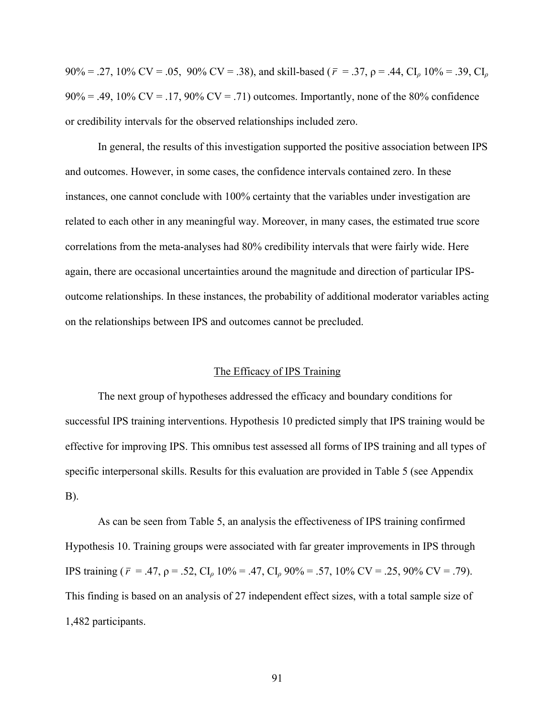90% = .27, 10% CV = .05, 90% CV = .38), and skill-based (*r* = .37, ρ = .44, CI*ρ* 10% = .39, CI*<sup>ρ</sup>*  $90\% = .49, 10\%$  CV = .17,  $90\%$  CV = .71) outcomes. Importantly, none of the 80% confidence or credibility intervals for the observed relationships included zero.

 In general, the results of this investigation supported the positive association between IPS and outcomes. However, in some cases, the confidence intervals contained zero. In these instances, one cannot conclude with 100% certainty that the variables under investigation are related to each other in any meaningful way. Moreover, in many cases, the estimated true score correlations from the meta-analyses had 80% credibility intervals that were fairly wide. Here again, there are occasional uncertainties around the magnitude and direction of particular IPSoutcome relationships. In these instances, the probability of additional moderator variables acting on the relationships between IPS and outcomes cannot be precluded.

## The Efficacy of IPS Training

The next group of hypotheses addressed the efficacy and boundary conditions for successful IPS training interventions. Hypothesis 10 predicted simply that IPS training would be effective for improving IPS. This omnibus test assessed all forms of IPS training and all types of specific interpersonal skills. Results for this evaluation are provided in Table 5 (see Appendix B).

 As can be seen from Table 5, an analysis the effectiveness of IPS training confirmed Hypothesis 10. Training groups were associated with far greater improvements in IPS through IPS training ( $\bar{r}$  = .47,  $\rho$  = .52, CI<sub>*ρ*</sub> 10% = .47, CI<sub>*ρ*</sub> 90% = .57, 10% CV = .25, 90% CV = .79). This finding is based on an analysis of 27 independent effect sizes, with a total sample size of 1,482 participants.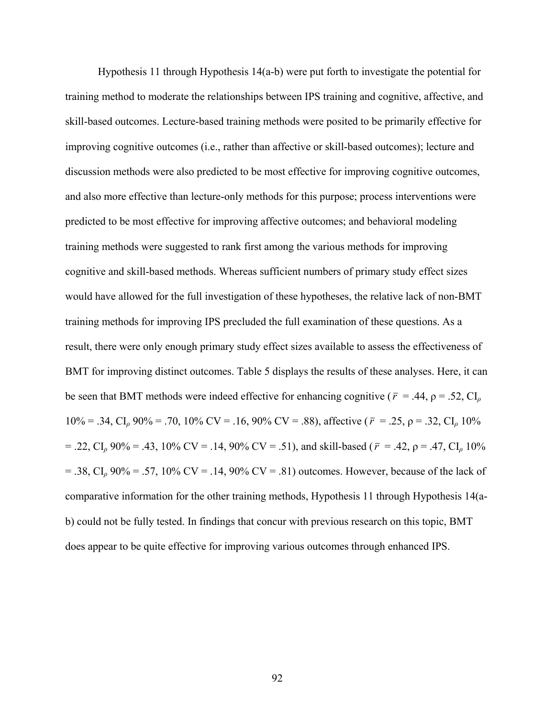Hypothesis 11 through Hypothesis 14(a-b) were put forth to investigate the potential for training method to moderate the relationships between IPS training and cognitive, affective, and skill-based outcomes. Lecture-based training methods were posited to be primarily effective for improving cognitive outcomes (i.e., rather than affective or skill-based outcomes); lecture and discussion methods were also predicted to be most effective for improving cognitive outcomes, and also more effective than lecture-only methods for this purpose; process interventions were predicted to be most effective for improving affective outcomes; and behavioral modeling training methods were suggested to rank first among the various methods for improving cognitive and skill-based methods. Whereas sufficient numbers of primary study effect sizes would have allowed for the full investigation of these hypotheses, the relative lack of non-BMT training methods for improving IPS precluded the full examination of these questions. As a result, there were only enough primary study effect sizes available to assess the effectiveness of BMT for improving distinct outcomes. Table 5 displays the results of these analyses. Here, it can be seen that BMT methods were indeed effective for enhancing cognitive ( $\bar{r}$  = .44,  $\rho$  = .52, CI<sub>*ρ*</sub> 10% = .34, CI*ρ* 90% = .70, 10% CV = .16, 90% CV = .88), affective (*r* = .25, ρ = .32, CI*ρ* 10%  $=$  .22, CI<sub>ρ</sub> 90% = .43, 10% CV = .14, 90% CV = .51), and skill-based ( $\bar{r}$  = .42,  $\rho$  = .47, CI<sub>ρ</sub> 10%  $= .38$ , CI<sub>0</sub> 90% = .57, 10% CV = .14, 90% CV = .81) outcomes. However, because of the lack of comparative information for the other training methods, Hypothesis 11 through Hypothesis 14(ab) could not be fully tested. In findings that concur with previous research on this topic, BMT does appear to be quite effective for improving various outcomes through enhanced IPS.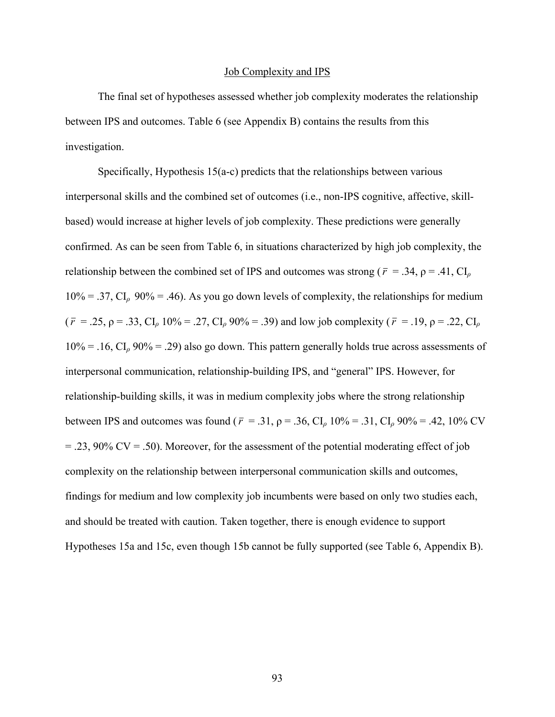#### Job Complexity and IPS

 The final set of hypotheses assessed whether job complexity moderates the relationship between IPS and outcomes. Table 6 (see Appendix B) contains the results from this investigation.

 Specifically, Hypothesis 15(a-c) predicts that the relationships between various interpersonal skills and the combined set of outcomes (i.e., non-IPS cognitive, affective, skillbased) would increase at higher levels of job complexity. These predictions were generally confirmed. As can be seen from Table 6, in situations characterized by high job complexity, the relationship between the combined set of IPS and outcomes was strong ( $\bar{r}$  = .34,  $\rho$  = .41, CI<sub>*ρ*</sub>  $10\% = .37$ , CI<sub>p</sub> 90% = .46). As you go down levels of complexity, the relationships for medium ( $\bar{r}$  = .25,  $\rho$  = .33, CI<sub>*ρ*</sub> 10% = .27, CI<sub>*ρ*</sub> 90% = .39) and low job complexity ( $\bar{r}$  = .19,  $\rho$  = .22, CI<sub>*ρ*</sub> 10% = .16, CI*ρ* 90% = .29) also go down. This pattern generally holds true across assessments of interpersonal communication, relationship-building IPS, and "general" IPS. However, for relationship-building skills, it was in medium complexity jobs where the strong relationship between IPS and outcomes was found ( $\bar{r}$  = .31,  $\rho$  = .36, CI<sub>*ρ*</sub> 10% = .31, CI<sub>*ρ*</sub> 90% = .42, 10% CV  $= .23, 90\%$  CV  $= .50$ ). Moreover, for the assessment of the potential moderating effect of job complexity on the relationship between interpersonal communication skills and outcomes, findings for medium and low complexity job incumbents were based on only two studies each, and should be treated with caution. Taken together, there is enough evidence to support Hypotheses 15a and 15c, even though 15b cannot be fully supported (see Table 6, Appendix B).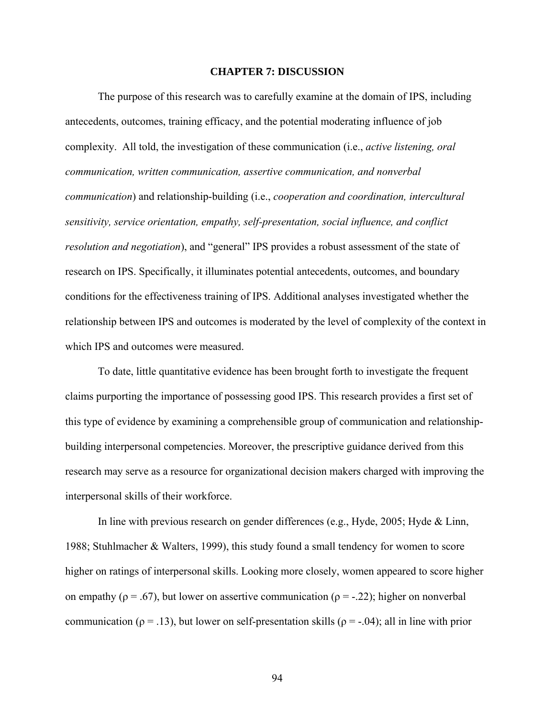#### **CHAPTER 7: DISCUSSION**

The purpose of this research was to carefully examine at the domain of IPS, including antecedents, outcomes, training efficacy, and the potential moderating influence of job complexity. All told, the investigation of these communication (i.e., *active listening, oral communication, written communication, assertive communication, and nonverbal communication*) and relationship-building (i.e., *cooperation and coordination, intercultural sensitivity, service orientation, empathy, self-presentation, social influence, and conflict resolution and negotiation*), and "general" IPS provides a robust assessment of the state of research on IPS. Specifically, it illuminates potential antecedents, outcomes, and boundary conditions for the effectiveness training of IPS. Additional analyses investigated whether the relationship between IPS and outcomes is moderated by the level of complexity of the context in which IPS and outcomes were measured.

To date, little quantitative evidence has been brought forth to investigate the frequent claims purporting the importance of possessing good IPS. This research provides a first set of this type of evidence by examining a comprehensible group of communication and relationshipbuilding interpersonal competencies. Moreover, the prescriptive guidance derived from this research may serve as a resource for organizational decision makers charged with improving the interpersonal skills of their workforce.

In line with previous research on gender differences (e.g., Hyde, 2005; Hyde & Linn, 1988; Stuhlmacher & Walters, 1999), this study found a small tendency for women to score higher on ratings of interpersonal skills. Looking more closely, women appeared to score higher on empathy ( $\rho = .67$ ), but lower on assertive communication ( $\rho = -.22$ ); higher on nonverbal communication ( $\rho = .13$ ), but lower on self-presentation skills ( $\rho = .04$ ); all in line with prior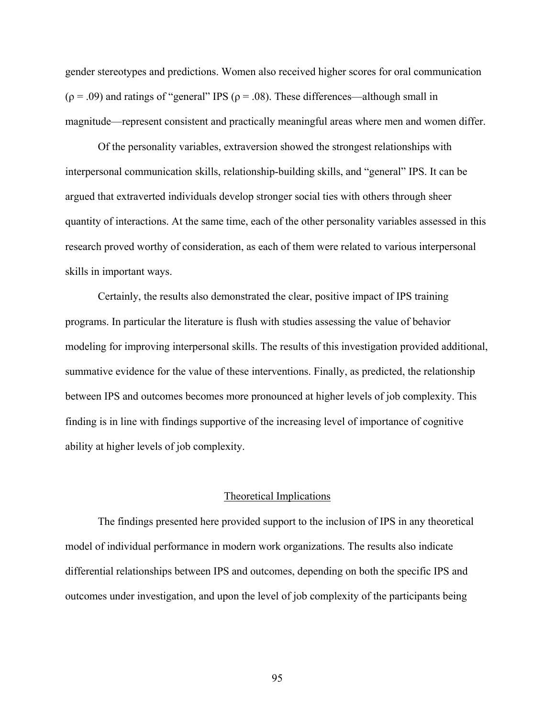gender stereotypes and predictions. Women also received higher scores for oral communication  $(\rho = .09)$  and ratings of "general" IPS ( $\rho = .08$ ). These differences—although small in magnitude—represent consistent and practically meaningful areas where men and women differ.

Of the personality variables, extraversion showed the strongest relationships with interpersonal communication skills, relationship-building skills, and "general" IPS. It can be argued that extraverted individuals develop stronger social ties with others through sheer quantity of interactions. At the same time, each of the other personality variables assessed in this research proved worthy of consideration, as each of them were related to various interpersonal skills in important ways.

Certainly, the results also demonstrated the clear, positive impact of IPS training programs. In particular the literature is flush with studies assessing the value of behavior modeling for improving interpersonal skills. The results of this investigation provided additional, summative evidence for the value of these interventions. Finally, as predicted, the relationship between IPS and outcomes becomes more pronounced at higher levels of job complexity. This finding is in line with findings supportive of the increasing level of importance of cognitive ability at higher levels of job complexity.

## Theoretical Implications

 The findings presented here provided support to the inclusion of IPS in any theoretical model of individual performance in modern work organizations. The results also indicate differential relationships between IPS and outcomes, depending on both the specific IPS and outcomes under investigation, and upon the level of job complexity of the participants being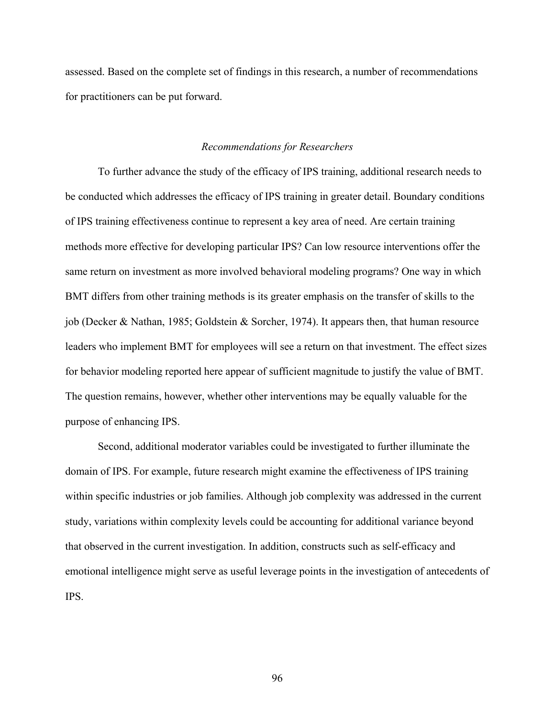assessed. Based on the complete set of findings in this research, a number of recommendations for practitioners can be put forward.

## *Recommendations for Researchers*

To further advance the study of the efficacy of IPS training, additional research needs to be conducted which addresses the efficacy of IPS training in greater detail. Boundary conditions of IPS training effectiveness continue to represent a key area of need. Are certain training methods more effective for developing particular IPS? Can low resource interventions offer the same return on investment as more involved behavioral modeling programs? One way in which BMT differs from other training methods is its greater emphasis on the transfer of skills to the job (Decker & Nathan, 1985; Goldstein & Sorcher, 1974). It appears then, that human resource leaders who implement BMT for employees will see a return on that investment. The effect sizes for behavior modeling reported here appear of sufficient magnitude to justify the value of BMT. The question remains, however, whether other interventions may be equally valuable for the purpose of enhancing IPS.

Second, additional moderator variables could be investigated to further illuminate the domain of IPS. For example, future research might examine the effectiveness of IPS training within specific industries or job families. Although job complexity was addressed in the current study, variations within complexity levels could be accounting for additional variance beyond that observed in the current investigation. In addition, constructs such as self-efficacy and emotional intelligence might serve as useful leverage points in the investigation of antecedents of IPS.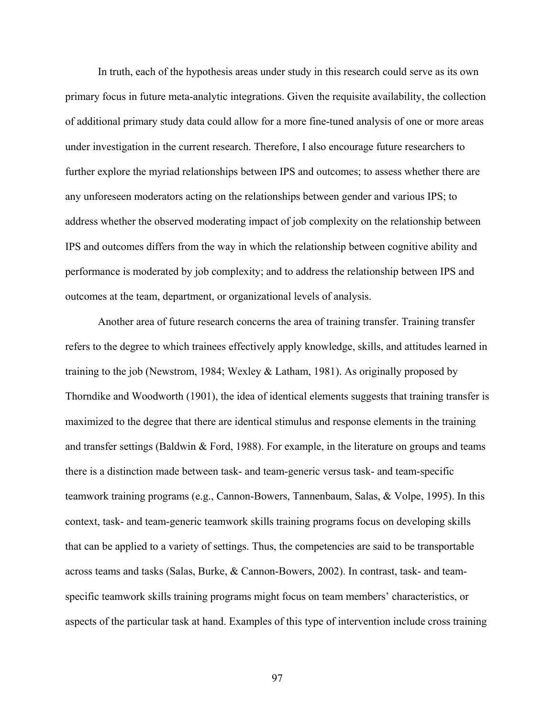In truth, each of the hypothesis areas under study in this research could serve as its own primary focus in future meta-analytic integrations. Given the requisite availability, the collection of additional primary study data could allow for a more fine-tuned analysis of one or more areas under investigation in the current research. Therefore, I also encourage future researchers to further explore the myriad relationships between IPS and outcomes; to assess whether there are any unforeseen moderators acting on the relationships between gender and various IPS; to address whether the observed moderating impact of job complexity on the relationship between IPS and outcomes differs from the way in which the relationship between cognitive ability and performance is moderated by job complexity; and to address the relationship between IPS and outcomes at the team, department, or organizational levels of analysis.

Another area of future research concerns the area of training transfer. Training transfer refers to the degree to which trainees effectively apply knowledge, skills, and attitudes learned in training to the job (Newstrom, 1984; Wexley & Latham, 1981). As originally proposed by Thorndike and Woodworth (1901), the idea of identical elements suggests that training transfer is maximized to the degree that there are identical stimulus and response elements in the training and transfer settings (Baldwin  $\&$  Ford, 1988). For example, in the literature on groups and teams there is a distinction made between task- and team-generic versus task- and team-specific teamwork training programs (e.g., Cannon-Bowers, Tannenbaum, Salas, & Volpe, 1995). In this context, task- and team-generic teamwork skills training programs focus on developing skills that can be applied to a variety of settings. Thus, the competencies are said to be transportable across teams and tasks (Salas, Burke, & Cannon-Bowers, 2002). In contrast, task- and teamspecific teamwork skills training programs might focus on team members' characteristics, or aspects of the particular task at hand. Examples of this type of intervention include cross training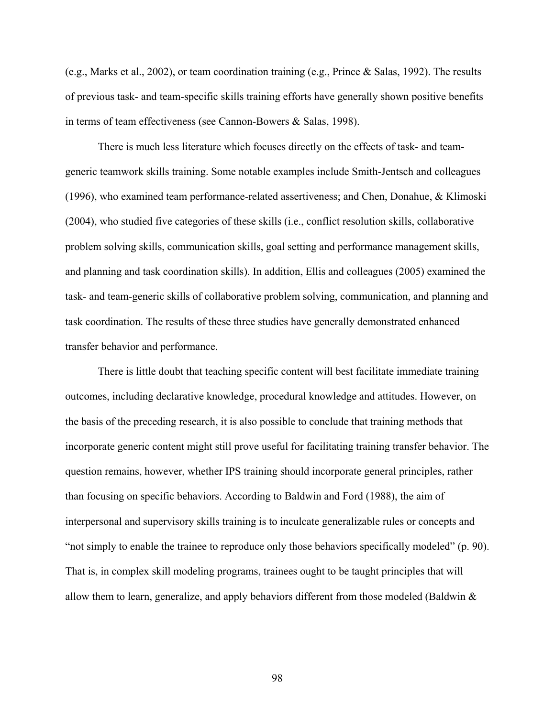(e.g., Marks et al., 2002), or team coordination training (e.g., Prince & Salas, 1992). The results of previous task- and team-specific skills training efforts have generally shown positive benefits in terms of team effectiveness (see Cannon-Bowers & Salas, 1998).

There is much less literature which focuses directly on the effects of task- and teamgeneric teamwork skills training. Some notable examples include Smith-Jentsch and colleagues (1996), who examined team performance-related assertiveness; and Chen, Donahue, & Klimoski (2004), who studied five categories of these skills (i.e., conflict resolution skills, collaborative problem solving skills, communication skills, goal setting and performance management skills, and planning and task coordination skills). In addition, Ellis and colleagues (2005) examined the task- and team-generic skills of collaborative problem solving, communication, and planning and task coordination. The results of these three studies have generally demonstrated enhanced transfer behavior and performance.

There is little doubt that teaching specific content will best facilitate immediate training outcomes, including declarative knowledge, procedural knowledge and attitudes. However, on the basis of the preceding research, it is also possible to conclude that training methods that incorporate generic content might still prove useful for facilitating training transfer behavior. The question remains, however, whether IPS training should incorporate general principles, rather than focusing on specific behaviors. According to Baldwin and Ford (1988), the aim of interpersonal and supervisory skills training is to inculcate generalizable rules or concepts and "not simply to enable the trainee to reproduce only those behaviors specifically modeled" (p. 90). That is, in complex skill modeling programs, trainees ought to be taught principles that will allow them to learn, generalize, and apply behaviors different from those modeled (Baldwin &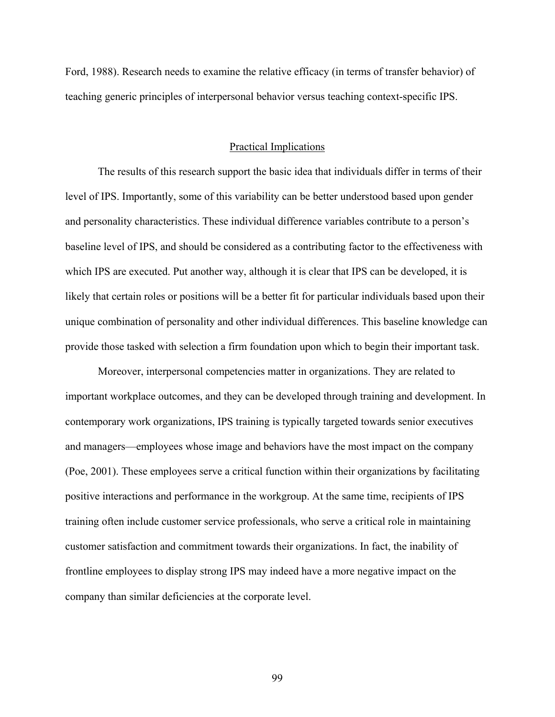Ford, 1988). Research needs to examine the relative efficacy (in terms of transfer behavior) of teaching generic principles of interpersonal behavior versus teaching context-specific IPS.

# Practical Implications

The results of this research support the basic idea that individuals differ in terms of their level of IPS. Importantly, some of this variability can be better understood based upon gender and personality characteristics. These individual difference variables contribute to a person's baseline level of IPS, and should be considered as a contributing factor to the effectiveness with which IPS are executed. Put another way, although it is clear that IPS can be developed, it is likely that certain roles or positions will be a better fit for particular individuals based upon their unique combination of personality and other individual differences. This baseline knowledge can provide those tasked with selection a firm foundation upon which to begin their important task.

Moreover, interpersonal competencies matter in organizations. They are related to important workplace outcomes, and they can be developed through training and development. In contemporary work organizations, IPS training is typically targeted towards senior executives and managers—employees whose image and behaviors have the most impact on the company (Poe, 2001). These employees serve a critical function within their organizations by facilitating positive interactions and performance in the workgroup. At the same time, recipients of IPS training often include customer service professionals, who serve a critical role in maintaining customer satisfaction and commitment towards their organizations. In fact, the inability of frontline employees to display strong IPS may indeed have a more negative impact on the company than similar deficiencies at the corporate level.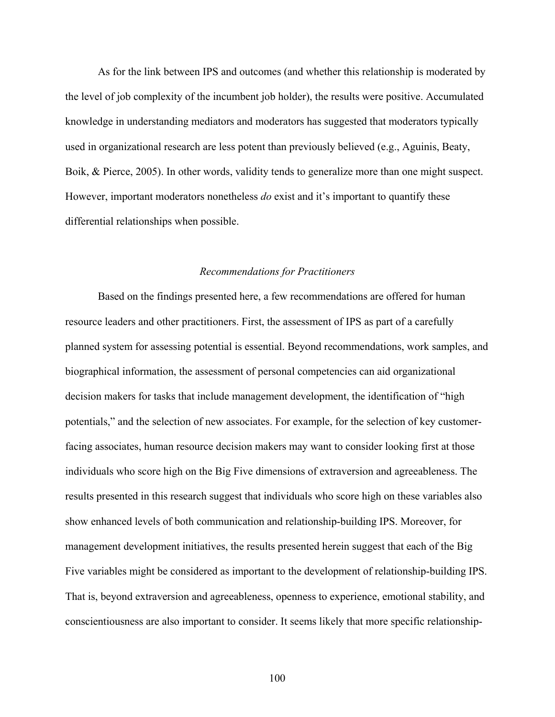As for the link between IPS and outcomes (and whether this relationship is moderated by the level of job complexity of the incumbent job holder), the results were positive. Accumulated knowledge in understanding mediators and moderators has suggested that moderators typically used in organizational research are less potent than previously believed (e.g., Aguinis, Beaty, Boik, & Pierce, 2005). In other words, validity tends to generalize more than one might suspect. However, important moderators nonetheless *do* exist and it's important to quantify these differential relationships when possible.

## *Recommendations for Practitioners*

Based on the findings presented here, a few recommendations are offered for human resource leaders and other practitioners. First, the assessment of IPS as part of a carefully planned system for assessing potential is essential. Beyond recommendations, work samples, and biographical information, the assessment of personal competencies can aid organizational decision makers for tasks that include management development, the identification of "high potentials," and the selection of new associates. For example, for the selection of key customerfacing associates, human resource decision makers may want to consider looking first at those individuals who score high on the Big Five dimensions of extraversion and agreeableness. The results presented in this research suggest that individuals who score high on these variables also show enhanced levels of both communication and relationship-building IPS. Moreover, for management development initiatives, the results presented herein suggest that each of the Big Five variables might be considered as important to the development of relationship-building IPS. That is, beyond extraversion and agreeableness, openness to experience, emotional stability, and conscientiousness are also important to consider. It seems likely that more specific relationship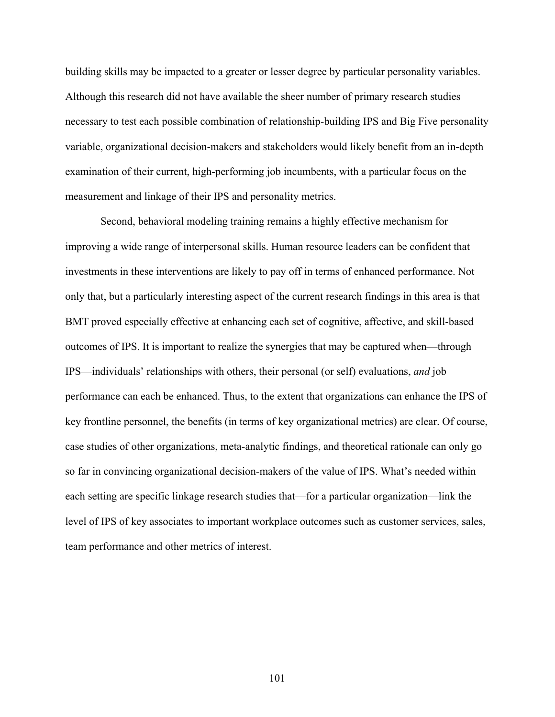building skills may be impacted to a greater or lesser degree by particular personality variables. Although this research did not have available the sheer number of primary research studies necessary to test each possible combination of relationship-building IPS and Big Five personality variable, organizational decision-makers and stakeholders would likely benefit from an in-depth examination of their current, high-performing job incumbents, with a particular focus on the measurement and linkage of their IPS and personality metrics.

 Second, behavioral modeling training remains a highly effective mechanism for improving a wide range of interpersonal skills. Human resource leaders can be confident that investments in these interventions are likely to pay off in terms of enhanced performance. Not only that, but a particularly interesting aspect of the current research findings in this area is that BMT proved especially effective at enhancing each set of cognitive, affective, and skill-based outcomes of IPS. It is important to realize the synergies that may be captured when—through IPS—individuals' relationships with others, their personal (or self) evaluations, *and* job performance can each be enhanced. Thus, to the extent that organizations can enhance the IPS of key frontline personnel, the benefits (in terms of key organizational metrics) are clear. Of course, case studies of other organizations, meta-analytic findings, and theoretical rationale can only go so far in convincing organizational decision-makers of the value of IPS. What's needed within each setting are specific linkage research studies that—for a particular organization—link the level of IPS of key associates to important workplace outcomes such as customer services, sales, team performance and other metrics of interest.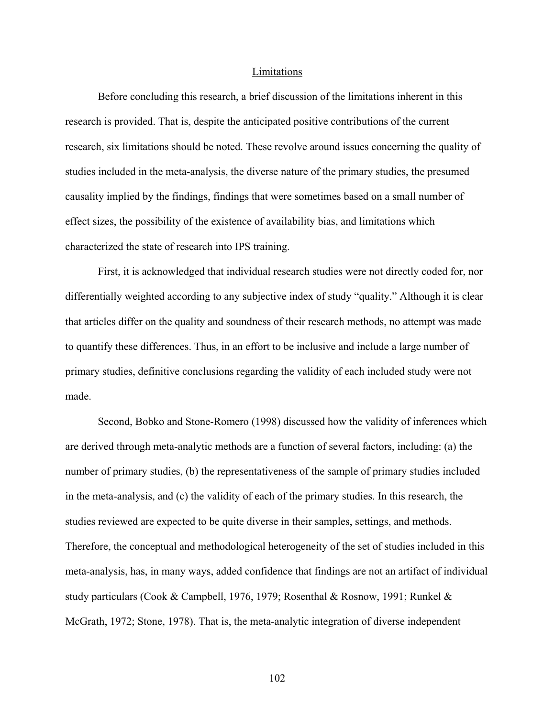#### Limitations

Before concluding this research, a brief discussion of the limitations inherent in this research is provided. That is, despite the anticipated positive contributions of the current research, six limitations should be noted. These revolve around issues concerning the quality of studies included in the meta-analysis, the diverse nature of the primary studies, the presumed causality implied by the findings, findings that were sometimes based on a small number of effect sizes, the possibility of the existence of availability bias, and limitations which characterized the state of research into IPS training.

First, it is acknowledged that individual research studies were not directly coded for, nor differentially weighted according to any subjective index of study "quality." Although it is clear that articles differ on the quality and soundness of their research methods, no attempt was made to quantify these differences. Thus, in an effort to be inclusive and include a large number of primary studies, definitive conclusions regarding the validity of each included study were not made.

Second, Bobko and Stone-Romero (1998) discussed how the validity of inferences which are derived through meta-analytic methods are a function of several factors, including: (a) the number of primary studies, (b) the representativeness of the sample of primary studies included in the meta-analysis, and (c) the validity of each of the primary studies. In this research, the studies reviewed are expected to be quite diverse in their samples, settings, and methods. Therefore, the conceptual and methodological heterogeneity of the set of studies included in this meta-analysis, has, in many ways, added confidence that findings are not an artifact of individual study particulars (Cook & Campbell, 1976, 1979; Rosenthal & Rosnow, 1991; Runkel & McGrath, 1972; Stone, 1978). That is, the meta-analytic integration of diverse independent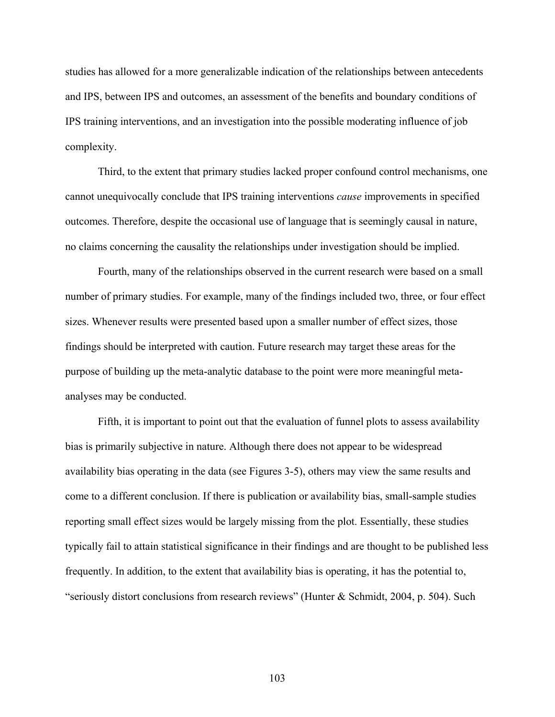studies has allowed for a more generalizable indication of the relationships between antecedents and IPS, between IPS and outcomes, an assessment of the benefits and boundary conditions of IPS training interventions, and an investigation into the possible moderating influence of job complexity.

Third, to the extent that primary studies lacked proper confound control mechanisms, one cannot unequivocally conclude that IPS training interventions *cause* improvements in specified outcomes. Therefore, despite the occasional use of language that is seemingly causal in nature, no claims concerning the causality the relationships under investigation should be implied.

Fourth, many of the relationships observed in the current research were based on a small number of primary studies. For example, many of the findings included two, three, or four effect sizes. Whenever results were presented based upon a smaller number of effect sizes, those findings should be interpreted with caution. Future research may target these areas for the purpose of building up the meta-analytic database to the point were more meaningful metaanalyses may be conducted.

Fifth, it is important to point out that the evaluation of funnel plots to assess availability bias is primarily subjective in nature. Although there does not appear to be widespread availability bias operating in the data (see Figures 3-5), others may view the same results and come to a different conclusion. If there is publication or availability bias, small-sample studies reporting small effect sizes would be largely missing from the plot. Essentially, these studies typically fail to attain statistical significance in their findings and are thought to be published less frequently. In addition, to the extent that availability bias is operating, it has the potential to, "seriously distort conclusions from research reviews" (Hunter & Schmidt, 2004, p. 504). Such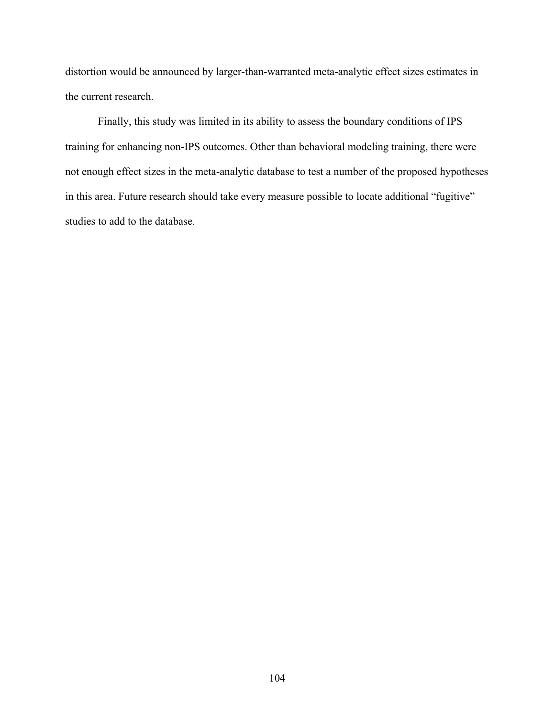distortion would be announced by larger-than-warranted meta-analytic effect sizes estimates in the current research.

Finally, this study was limited in its ability to assess the boundary conditions of IPS training for enhancing non-IPS outcomes. Other than behavioral modeling training, there were not enough effect sizes in the meta-analytic database to test a number of the proposed hypotheses in this area. Future research should take every measure possible to locate additional "fugitive" studies to add to the database.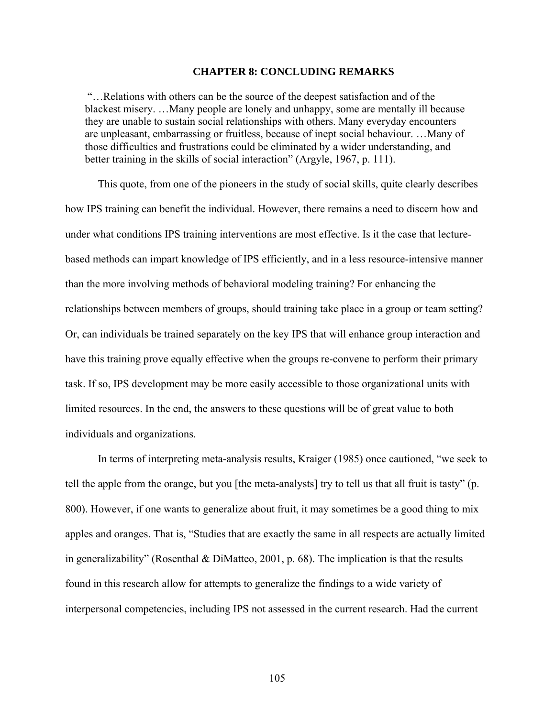### **CHAPTER 8: CONCLUDING REMARKS**

 "…Relations with others can be the source of the deepest satisfaction and of the blackest misery. …Many people are lonely and unhappy, some are mentally ill because they are unable to sustain social relationships with others. Many everyday encounters are unpleasant, embarrassing or fruitless, because of inept social behaviour. …Many of those difficulties and frustrations could be eliminated by a wider understanding, and better training in the skills of social interaction" (Argyle, 1967, p. 111).

This quote, from one of the pioneers in the study of social skills, quite clearly describes how IPS training can benefit the individual. However, there remains a need to discern how and under what conditions IPS training interventions are most effective. Is it the case that lecturebased methods can impart knowledge of IPS efficiently, and in a less resource-intensive manner than the more involving methods of behavioral modeling training? For enhancing the relationships between members of groups, should training take place in a group or team setting? Or, can individuals be trained separately on the key IPS that will enhance group interaction and have this training prove equally effective when the groups re-convene to perform their primary task. If so, IPS development may be more easily accessible to those organizational units with limited resources. In the end, the answers to these questions will be of great value to both individuals and organizations.

In terms of interpreting meta-analysis results, Kraiger (1985) once cautioned, "we seek to tell the apple from the orange, but you [the meta-analysts] try to tell us that all fruit is tasty" (p. 800). However, if one wants to generalize about fruit, it may sometimes be a good thing to mix apples and oranges. That is, "Studies that are exactly the same in all respects are actually limited in generalizability" (Rosenthal & DiMatteo, 2001, p. 68). The implication is that the results found in this research allow for attempts to generalize the findings to a wide variety of interpersonal competencies, including IPS not assessed in the current research. Had the current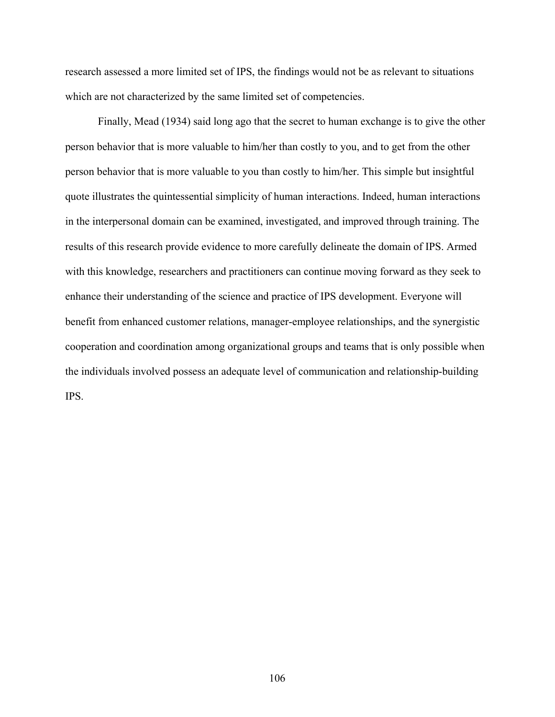research assessed a more limited set of IPS, the findings would not be as relevant to situations which are not characterized by the same limited set of competencies.

Finally, Mead (1934) said long ago that the secret to human exchange is to give the other person behavior that is more valuable to him/her than costly to you, and to get from the other person behavior that is more valuable to you than costly to him/her. This simple but insightful quote illustrates the quintessential simplicity of human interactions. Indeed, human interactions in the interpersonal domain can be examined, investigated, and improved through training. The results of this research provide evidence to more carefully delineate the domain of IPS. Armed with this knowledge, researchers and practitioners can continue moving forward as they seek to enhance their understanding of the science and practice of IPS development. Everyone will benefit from enhanced customer relations, manager-employee relationships, and the synergistic cooperation and coordination among organizational groups and teams that is only possible when the individuals involved possess an adequate level of communication and relationship-building IPS.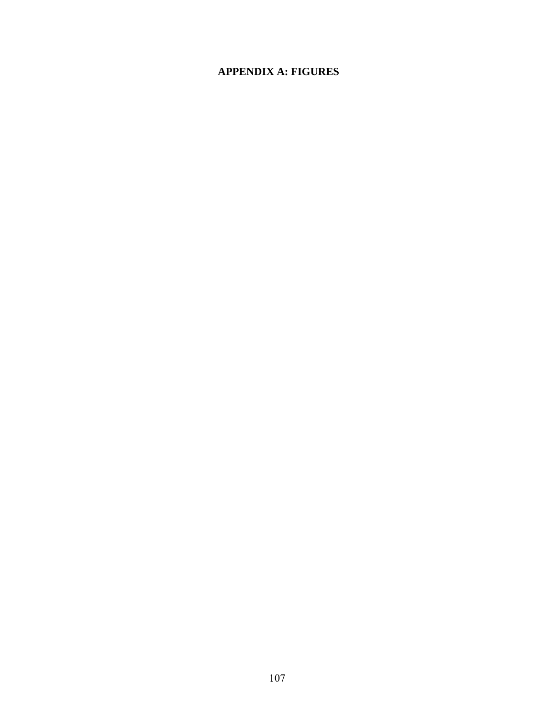# **APPENDIX A: FIGURES**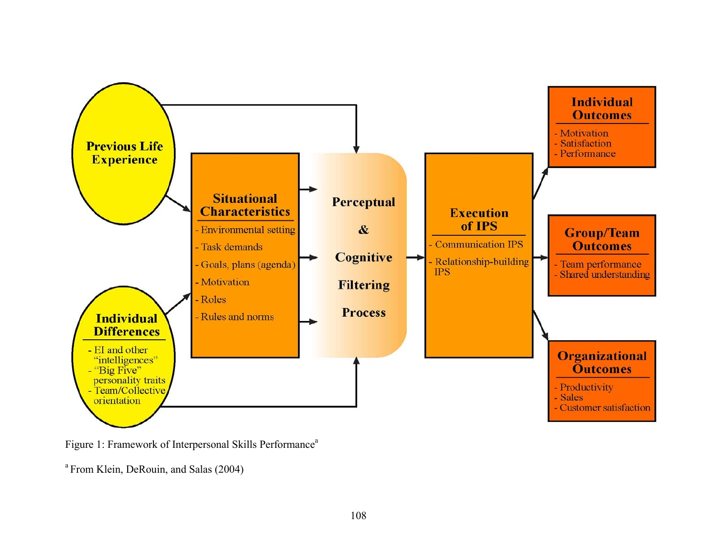

Figure 1: Framework of Interpersonal Skills Performance<sup>a</sup>

a From Klein, DeRouin, and Salas (2004)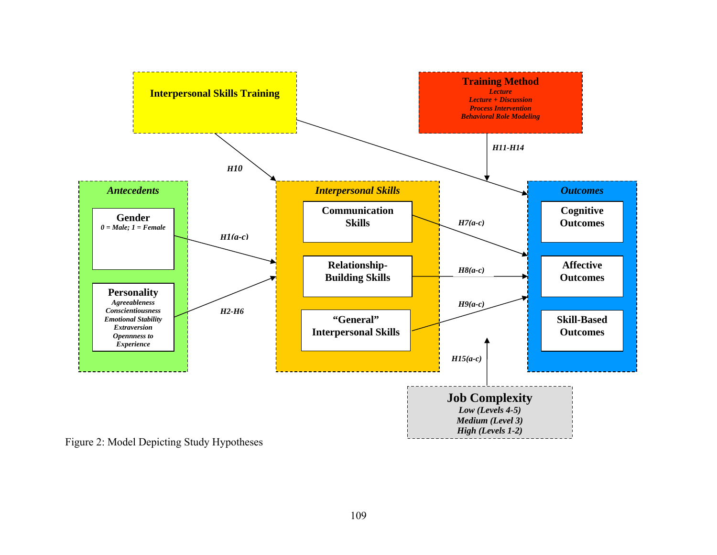

Figure 2: Model Depicting Study Hypotheses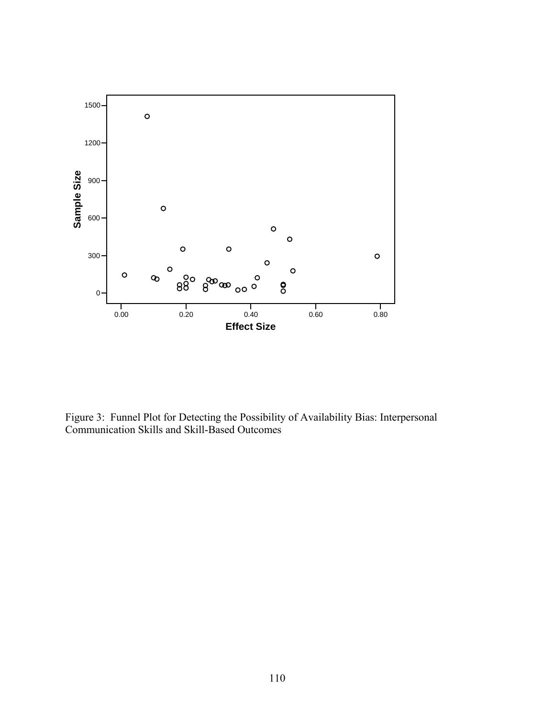

Figure 3: Funnel Plot for Detecting the Possibility of Availability Bias: Interpersonal Communication Skills and Skill-Based Outcomes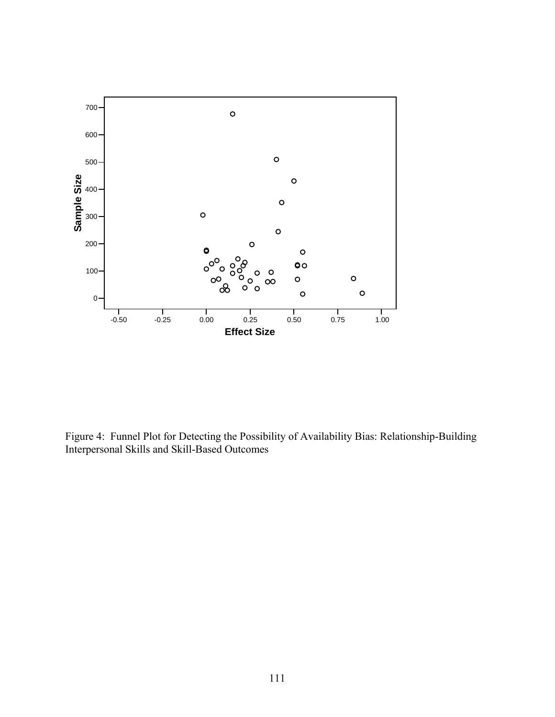

Figure 4: Funnel Plot for Detecting the Possibility of Availability Bias: Relationship-Building Interpersonal Skills and Skill-Based Outcomes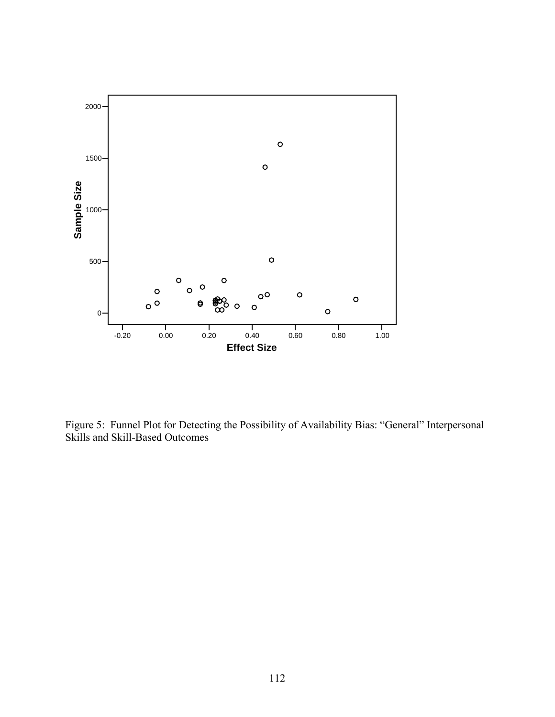

Figure 5: Funnel Plot for Detecting the Possibility of Availability Bias: "General" Interpersonal Skills and Skill-Based Outcomes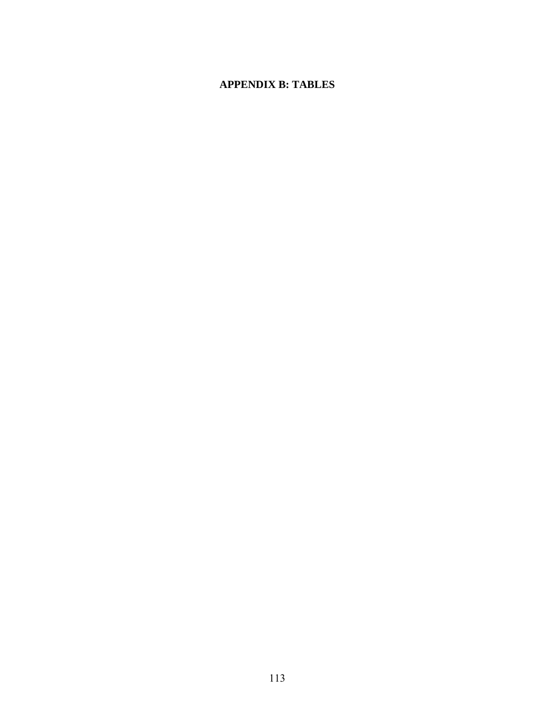### **APPENDIX B: TABLES**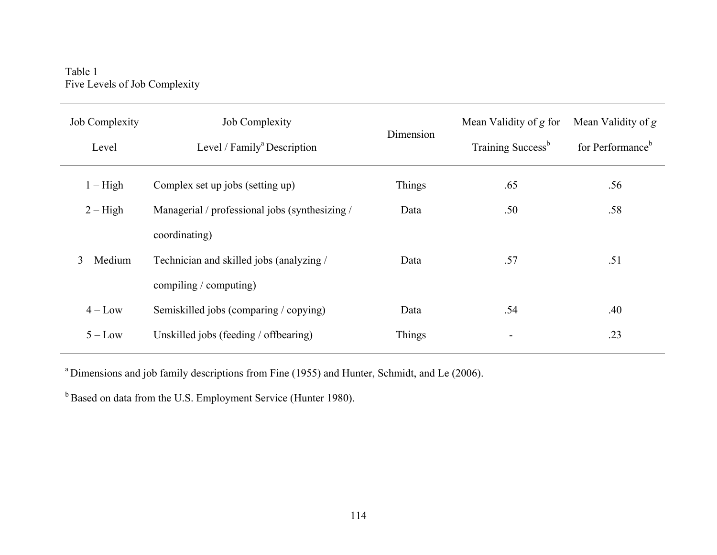Table 1 Five Levels of Job Complexity

| <b>Job Complexity</b><br>Level | <b>Job Complexity</b><br>Level / Family <sup>a</sup> Description | Dimension | Mean Validity of g for<br>Training Success <sup>b</sup> | Mean Validity of g<br>for Performance <sup>b</sup> |
|--------------------------------|------------------------------------------------------------------|-----------|---------------------------------------------------------|----------------------------------------------------|
| $1 - High$                     | Complex set up jobs (setting up)                                 | Things    | .65                                                     | .56                                                |
| $2 - High$                     | Managerial / professional jobs (synthesizing /                   | Data      | .50                                                     | .58                                                |
|                                | coordinating)                                                    |           |                                                         |                                                    |
| $3 - Medium$                   | Technician and skilled jobs (analyzing /                         | Data      | .57                                                     | .51                                                |
|                                | compiling / computing)                                           |           |                                                         |                                                    |
| $4 - Low$                      | Semiskilled jobs (comparing / copying)                           | Data      | .54                                                     | .40                                                |
| $5 - Low$                      | Unskilled jobs (feeding / offbearing)                            | Things    |                                                         | .23                                                |
|                                |                                                                  |           |                                                         |                                                    |

<sup>a</sup> Dimensions and job family descriptions from Fine (1955) and Hunter, Schmidt, and Le (2006).

<sup>b</sup> Based on data from the U.S. Employment Service (Hunter 1980).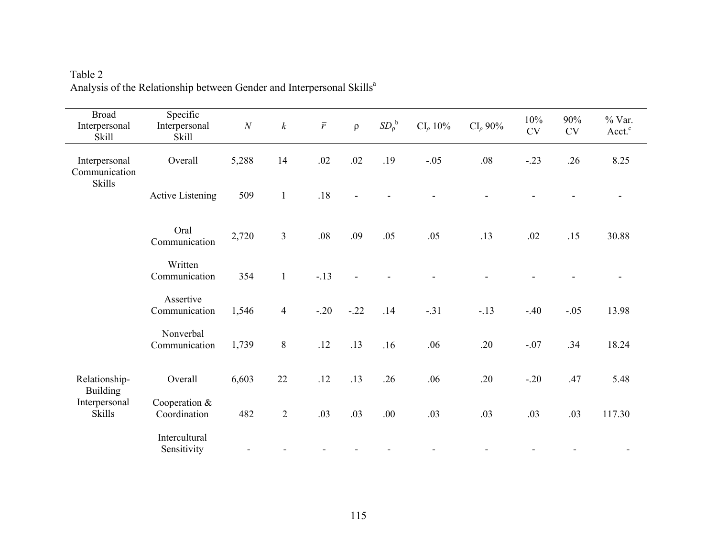| <b>Broad</b><br>Interpersonal<br>Skill | Specific<br>Interpersonal<br><b>Skill</b> | $\cal N$ | $\boldsymbol{k}$ | $\bar{r}$ | $\rho$ | SD <sub>0</sub> <sup>b</sup> | $CI_{\rho}$ 10% | $CI_{\rho}$ 90% | 10%<br>$\mathrm{CV}$ | 90%<br>$\mathrm{CV}$ | % Var.<br>Acct. <sup>c</sup> |
|----------------------------------------|-------------------------------------------|----------|------------------|-----------|--------|------------------------------|-----------------|-----------------|----------------------|----------------------|------------------------------|
| Interpersonal<br>Communication         | Overall                                   | 5,288    | 14               | .02       | .02    | .19                          | $-.05$          | $.08\,$         | $-.23$               | .26                  | 8.25                         |
| <b>Skills</b>                          | <b>Active Listening</b>                   | 509      | $\mathbf{1}$     | .18       |        |                              |                 |                 |                      |                      |                              |
|                                        | Oral<br>Communication                     | 2,720    | $\overline{3}$   | $.08\,$   | .09    | .05                          | .05             | .13             | .02                  | .15                  | 30.88                        |
|                                        | Written<br>Communication                  | 354      | $\mathbf{1}$     | $-.13$    |        |                              |                 |                 |                      |                      |                              |
|                                        | Assertive<br>Communication                | 1,546    | $\overline{4}$   | $-.20$    | $-.22$ | .14                          | $-.31$          | $-.13$          | $-.40$               | $-.05$               | 13.98                        |
|                                        | Nonverbal<br>Communication                | 1,739    | $8\,$            | .12       | .13    | .16                          | .06             | .20             | $-.07$               | .34                  | 18.24                        |
| Relationship-<br><b>Building</b>       | Overall                                   | 6,603    | 22               | .12       | .13    | .26                          | .06             | .20             | $-.20$               | .47                  | 5.48                         |
| Interpersonal<br><b>Skills</b>         | Cooperation $&$<br>Coordination           | 482      | $\overline{2}$   | .03       | .03    | .00.                         | .03             | .03             | .03                  | .03                  | 117.30                       |
|                                        | Intercultural<br>Sensitivity              |          |                  |           |        |                              |                 |                 |                      |                      |                              |

Table 2 Analysis of the Relationship between Gender and Interpersonal Skills<sup>a</sup>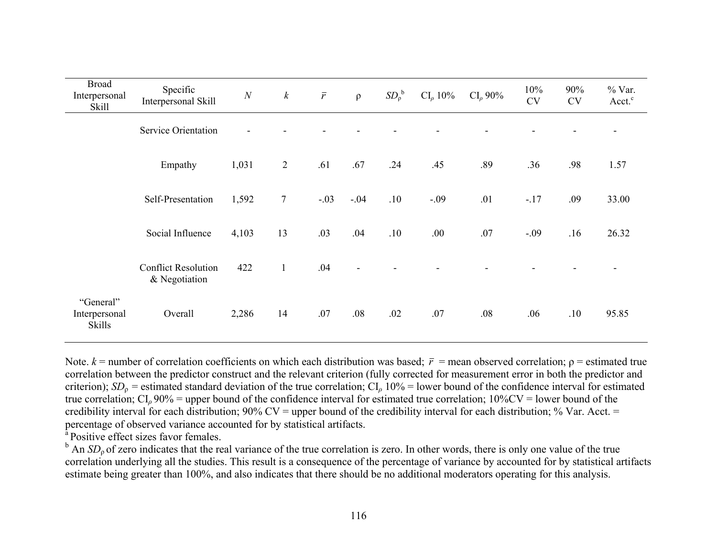| <b>Broad</b><br>Interpersonal<br>Skill      | Specific<br>Interpersonal Skill             | N     | $\boldsymbol{k}$ | $\bar{r}$ | $\rho$         | SD <sub>0</sub> <sup>b</sup> | $CI_{\rho} 10\%$ | CI <sub>o</sub> 90% | 10%<br>CV | 90%<br><b>CV</b> | % Var.<br>Acct. <sup>c</sup> |
|---------------------------------------------|---------------------------------------------|-------|------------------|-----------|----------------|------------------------------|------------------|---------------------|-----------|------------------|------------------------------|
|                                             | <b>Service Orientation</b>                  |       |                  |           |                |                              |                  |                     |           |                  |                              |
|                                             | Empathy                                     | 1,031 | $\overline{2}$   | .61       | .67            | .24                          | .45              | .89                 | .36       | .98              | 1.57                         |
|                                             | Self-Presentation                           | 1,592 | $\tau$           | $-.03$    | $-.04$         | .10                          | $-.09$           | .01                 | $-.17$    | .09              | 33.00                        |
|                                             | Social Influence                            | 4,103 | 13               | .03       | .04            | .10                          | .00              | .07                 | $-.09$    | .16              | 26.32                        |
|                                             | <b>Conflict Resolution</b><br>& Negotiation | 422   | 1                | .04       | $\blacksquare$ | $\blacksquare$               |                  |                     |           |                  | $\overline{\phantom{a}}$     |
| "General"<br>Interpersonal<br><b>Skills</b> | Overall                                     | 2,286 | 14               | .07       | .08            | .02                          | .07              | .08                 | .06       | .10              | 95.85                        |

Note.  $k$  = number of correlation coefficients on which each distribution was based;  $\bar{r}$  = mean observed correlation;  $\rho$  = estimated true correlation between the predictor construct and the relevant criterion (fully corrected for measurement error in both the predictor and criterion);  $SD_0$  = estimated standard deviation of the true correlation;  $CI_0$  10% = lower bound of the confidence interval for estimated true correlation;  $CI_\rho$  90% = upper bound of the confidence interval for estimated true correlation;  $10\%$ CV = lower bound of the credibility interval for each distribution;  $90\%$  CV = upper bound of the credibility interval for each distribution; % Var. Acct. = percentage of observed variance accounted for by statistical artifacts.

<sup>a</sup> Positive effect sizes favor females.

<sup>b</sup> An *SD*<sub>0</sub> of zero indicates that the real variance of the true correlation is zero. In other words, there is only one value of the true correlation underlying all the studies. This result is a consequence of the percentage of variance by accounted for by statistical artifacts estimate being greater than 100%, and also indicates that there should be no additional moderators operating for this analysis.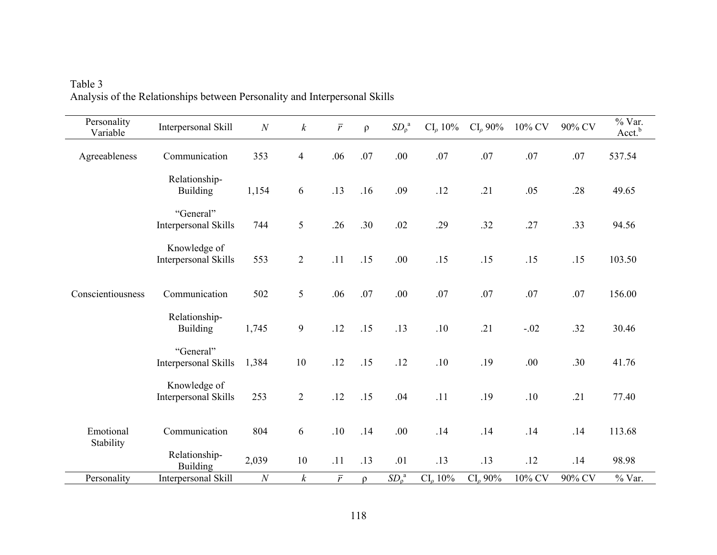| Personality<br>Variable | Interpersonal Skill                      | $\cal N$ | $\boldsymbol{k}$ | $\bar{r}$      | $\rho$ | $SD_{\rho}^{a}$              | $CI_{\rho}$ 10%  | $CI_{\rho}$ 90%  | $10\%$ CV | 90% CV | % Var.<br>Acct. <sup>b</sup> |
|-------------------------|------------------------------------------|----------|------------------|----------------|--------|------------------------------|------------------|------------------|-----------|--------|------------------------------|
| Agreeableness           | Communication                            | 353      | $\overline{4}$   | .06            | .07    | .00                          | .07              | .07              | $.07\,$   | $.07$  | 537.54                       |
|                         | Relationship-<br><b>Building</b>         | 1,154    | 6                | .13            | .16    | .09                          | .12              | .21              | .05       | .28    | 49.65                        |
|                         | "General"<br><b>Interpersonal Skills</b> | 744      | 5                | .26            | .30    | .02                          | .29              | .32              | .27       | .33    | 94.56                        |
|                         | Knowledge of<br>Interpersonal Skills     | 553      | $\overline{2}$   | .11            | .15    | .00.                         | .15              | .15              | .15       | .15    | 103.50                       |
| Conscientiousness       | Communication                            | 502      | 5                | .06            | .07    | .00                          | .07              | .07              | .07       | .07    | 156.00                       |
|                         | Relationship-<br><b>Building</b>         | 1,745    | 9                | .12            | .15    | .13                          | .10              | .21              | $-.02$    | .32    | 30.46                        |
|                         | "General"<br>Interpersonal Skills        | 1,384    | 10               | .12            | .15    | .12                          | .10              | .19              | .00       | .30    | 41.76                        |
|                         | Knowledge of<br>Interpersonal Skills     | 253      | $\overline{2}$   | .12            | .15    | .04                          | .11              | .19              | .10       | .21    | 77.40                        |
| Emotional<br>Stability  | Communication                            | 804      | 6                | .10            | .14    | .00.                         | .14              | .14              | .14       | .14    | 113.68                       |
|                         | Relationship-<br><b>Building</b>         | 2,039    | $10\,$           | .11            | .13    | .01                          | .13              | .13              | .12       | .14    | 98.98                        |
| Personality             | Interpersonal Skill                      | $\cal N$ | $\boldsymbol{k}$ | $\overline{r}$ | $\rho$ | SD <sub>ρ</sub> <sup>a</sup> | $CI_{\rho} 10\%$ | $CI_{\rho} 90\%$ | $10\%$ CV | 90% CV | $%$ Var.                     |

Table 3 Analysis of the Relationships between Personality and Interpersonal Skills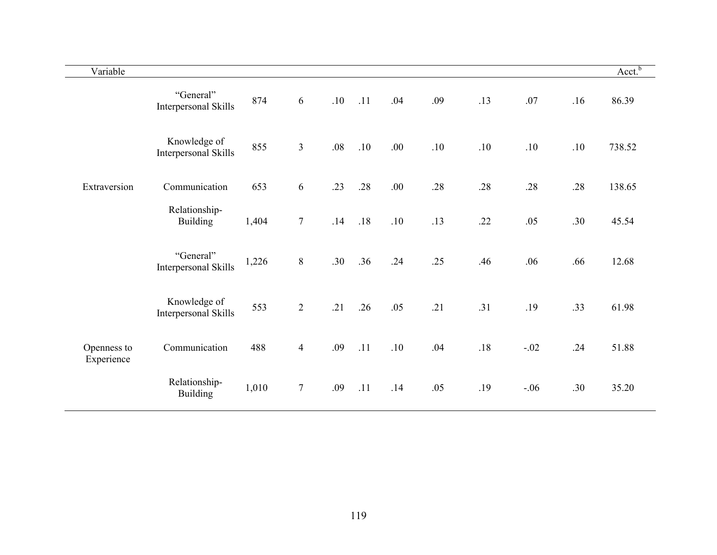| Variable                  |                                      |       |                  |         |     |       |     |       |        |     | Acct <sup>b</sup> |
|---------------------------|--------------------------------------|-------|------------------|---------|-----|-------|-----|-------|--------|-----|-------------------|
|                           | "General"<br>Interpersonal Skills    | 874   | 6                | .10     | .11 | .04   | .09 | .13   | .07    | .16 | 86.39             |
|                           | Knowledge of<br>Interpersonal Skills | 855   | $\overline{3}$   | $.08\,$ | .10 | .00.  | .10 | .10   | $.10$  | .10 | 738.52            |
| Extraversion              | Communication                        | 653   | $\sqrt{6}$       | .23     | .28 | .00.  | .28 | .28   | .28    | .28 | 138.65            |
|                           | Relationship-<br><b>Building</b>     | 1,404 | $\boldsymbol{7}$ | .14     | .18 | $.10$ | .13 | .22   | .05    | .30 | 45.54             |
|                           | "General"<br>Interpersonal Skills    | 1,226 | $8\,$            | .30     | .36 | .24   | .25 | .46   | .06    | .66 | 12.68             |
|                           | Knowledge of<br>Interpersonal Skills | 553   | $\overline{2}$   | .21     | .26 | .05   | .21 | .31   | .19    | .33 | 61.98             |
| Openness to<br>Experience | Communication                        | 488   | $\overline{4}$   | .09     | .11 | .10   | .04 | $.18$ | $-.02$ | .24 | 51.88             |
|                           | Relationship-<br><b>Building</b>     | 1,010 | $\overline{7}$   | .09     | .11 | .14   | .05 | .19   | $-.06$ | .30 | 35.20             |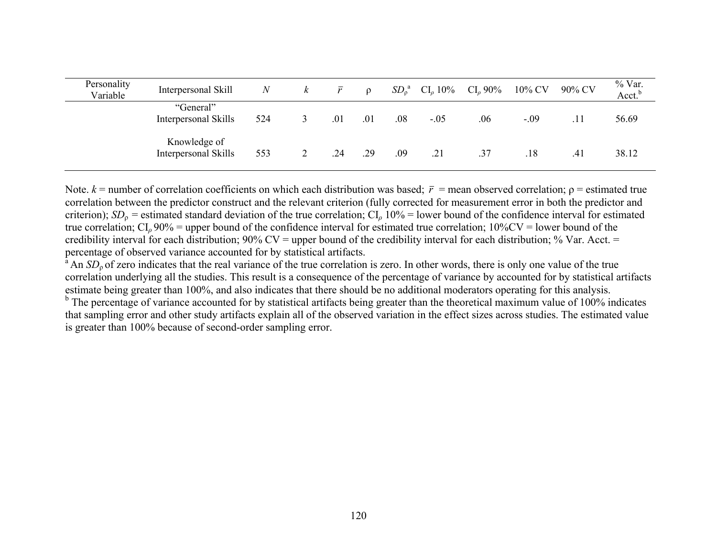| Personality<br>Variable | Interpersonal Skill                  | $\mathcal N$ | $\kappa$ | $\bar{r}$ | $\Omega$ |     | $SD_{\rho}^{a}$ CI <sub>p</sub> 10% | $CI_{\rho} 90\%$ | 10% CV | 90% CV | % Var.<br>Acct. $^{\rm b}$ |
|-------------------------|--------------------------------------|--------------|----------|-----------|----------|-----|-------------------------------------|------------------|--------|--------|----------------------------|
|                         | "General"<br>Interpersonal Skills    | 524          | 3        | .01       | .01      | .08 | $-.05$                              | .06              | $-.09$ |        | 56.69                      |
|                         | Knowledge of<br>Interpersonal Skills | 553          |          | .24       | .29      | .09 | .21                                 | .37              | .18    | .41    | 38.12                      |

Note.  $k$  = number of correlation coefficients on which each distribution was based;  $\bar{r}$  = mean observed correlation;  $\rho$  = estimated true correlation between the predictor construct and the relevant criterion (fully corrected for measurement error in both the predictor and criterion);  $SD_0$  = estimated standard deviation of the true correlation;  $CI_0$  10% = lower bound of the confidence interval for estimated true correlation;  $CI_\rho$  90% = upper bound of the confidence interval for estimated true correlation;  $10\%$ CV = lower bound of the credibility interval for each distribution;  $90\%$  CV = upper bound of the credibility interval for each distribution; % Var. Acct. = percentage of observed variance accounted for by statistical artifacts.

<sup>a</sup> An *SD*<sub>ρ</sub> of zero indicates that the real variance of the true correlation is zero. In other words, there is only one value of the true correlation underlying all the studies. This result is a consequence of the percentage of variance by accounted for by statistical artifacts estimate being greater than 100%, and also indicates that there should be no additional moderators operating for this analysis.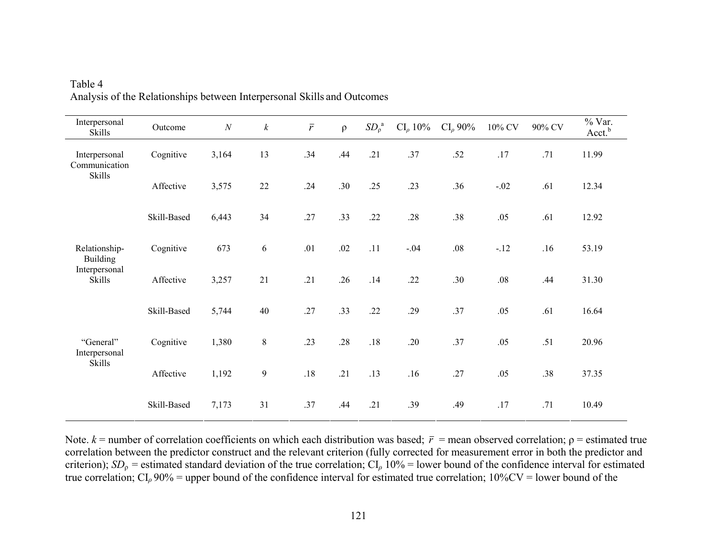| Interpersonal<br>Skills          | Outcome     | $\cal N$ | $\boldsymbol{k}$ | $\bar{r}$ | $\rho$ | SD <sub>0</sub> <sup>a</sup> | $CI_{\rho} 10\%$ | $CI_{\rho}$ 90% | $10\%$ CV | 90% CV | $%$ Var.<br>Acct. <sup>b</sup> |
|----------------------------------|-------------|----------|------------------|-----------|--------|------------------------------|------------------|-----------------|-----------|--------|--------------------------------|
| Interpersonal<br>Communication   | Cognitive   | 3,164    | 13               | .34       | .44    | .21                          | .37              | .52             | .17       | .71    | 11.99                          |
| <b>Skills</b>                    | Affective   | 3,575    | $22\,$           | .24       | .30    | .25                          | .23              | .36             | $-.02$    | .61    | 12.34                          |
|                                  | Skill-Based | 6,443    | 34               | .27       | .33    | .22                          | .28              | .38             | .05       | .61    | 12.92                          |
| Relationship-<br><b>Building</b> | Cognitive   | 673      | 6                | .01       | .02    | .11                          | $-.04$           | $.08\,$         | $-.12$    | .16    | 53.19                          |
| Interpersonal<br>Skills          | Affective   | 3,257    | 21               | .21       | .26    | .14                          | .22              | .30             | .08       | .44    | 31.30                          |
|                                  | Skill-Based | 5,744    | 40               | .27       | .33    | .22                          | .29              | .37             | .05       | .61    | 16.64                          |
| "General"<br>Interpersonal       | Cognitive   | 1,380    | $8\,$            | .23       | .28    | $.18$                        | .20              | .37             | .05       | .51    | 20.96                          |
| Skills                           | Affective   | 1,192    | $\mathbf{9}$     | $.18\,$   | .21    | .13                          | .16              | .27             | .05       | .38    | 37.35                          |
|                                  | Skill-Based | 7,173    | 31               | .37       | .44    | .21                          | .39              | .49             | .17       | .71    | 10.49                          |

Table 4 Analysis of the Relationships between Interpersonal Skills and Outcomes

Note.  $k$  = number of correlation coefficients on which each distribution was based;  $\bar{r}$  = mean observed correlation;  $\rho$  = estimated true correlation between the predictor construct and the relevant criterion (fully corrected for measurement error in both the predictor and criterion);  $SD<sub>p</sub>$  = estimated standard deviation of the true correlation;  $CI<sub>p</sub>$  10% = lower bound of the confidence interval for estimated true correlation;  $CI_\rho$  90% = upper bound of the confidence interval for estimated true correlation;  $10\%$ CV = lower bound of the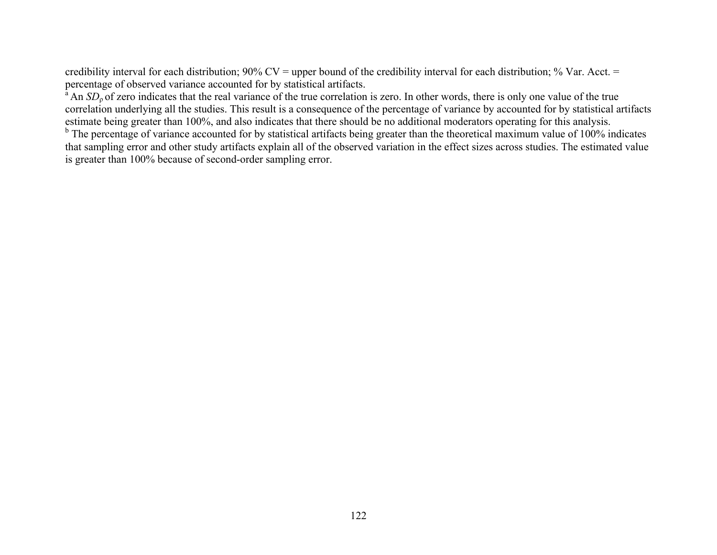credibility interval for each distribution;  $90\%$  CV = upper bound of the credibility interval for each distribution; % Var. Acct. = percentage of observed variance accounted for by statistical artifacts.

<sup>a</sup> An *SD*<sub>ρ</sub> of zero indicates that the real variance of the true correlation is zero. In other words, there is only one value of the true correlation underlying all the studies. This result is a consequence of the percentage of variance by accounted for by statistical artifacts estimate being greater than 100%, and also indicates that there should be no additional moderators operating for this analysis.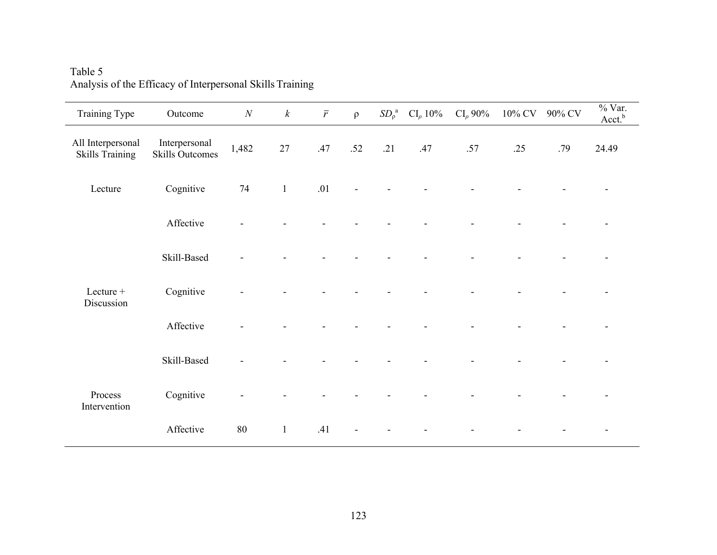| Training Type                               | Outcome                                 | $\cal N$ | $\boldsymbol{k}$ | $\bar{r}$ | $\rho$ |     | $SD_{\rho}^{a}$ CI <sub>p</sub> 10% | $CI_{\rho} 90\%$ |     | 10% CV 90% CV | $%$ Var.<br>Acct. <sup>b</sup> |
|---------------------------------------------|-----------------------------------------|----------|------------------|-----------|--------|-----|-------------------------------------|------------------|-----|---------------|--------------------------------|
| All Interpersonal<br><b>Skills Training</b> | Interpersonal<br><b>Skills Outcomes</b> | 1,482    | 27               | .47       | .52    | .21 | .47                                 | .57              | .25 | .79           | 24.49                          |
| Lecture                                     | Cognitive                               | 74       | $\mathbf{1}$     | .01       |        |     |                                     |                  |     |               |                                |
|                                             | Affective                               |          |                  |           |        |     |                                     |                  |     |               | $\overline{\phantom{a}}$       |
|                                             | Skill-Based                             |          |                  |           |        |     |                                     |                  |     |               |                                |
| Lecture +<br>Discussion                     | Cognitive                               |          |                  |           |        |     |                                     |                  |     |               |                                |
|                                             | Affective                               |          |                  |           |        |     |                                     |                  |     |               |                                |
|                                             | Skill-Based                             |          |                  |           |        |     |                                     |                  |     |               |                                |
| Process<br>Intervention                     | Cognitive                               |          |                  |           |        |     |                                     |                  |     |               |                                |
|                                             | Affective                               | 80       | $\mathbf{1}$     | .41       |        |     |                                     |                  |     |               |                                |

Table 5 Analysis of the Efficacy of Interpersonal Skills Training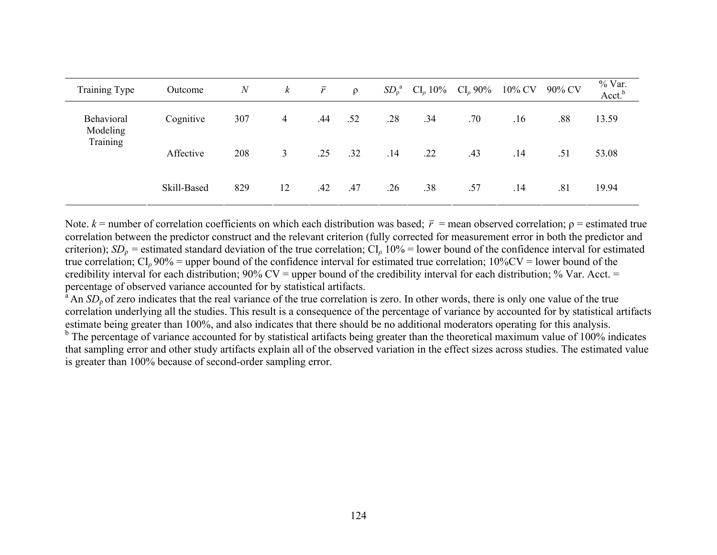| Training Type          | Outcome     | $\boldsymbol{N}$ | $\boldsymbol{k}$ | $\bar{r}$ | $\rho$ | $SD_0^a$ | $CI_{\rho}$ 10% | $CI_0$ 90% | 10% CV | 90% CV | % Var.<br>Acct. <sup>b</sup> |
|------------------------|-------------|------------------|------------------|-----------|--------|----------|-----------------|------------|--------|--------|------------------------------|
| Behavioral<br>Modeling | Cognitive   | 307              | 4                | .44       | .52    | .28      | .34             | .70        | .16    | .88    | 13.59                        |
| Training               | Affective   | 208              | 3                | .25       | .32    | .14      | .22             | .43        | .14    | .51    | 53.08                        |
|                        | Skill-Based | 829              | 12               | .42       | .47    | .26      | .38             | .57        | .14    | .81    | 19.94                        |

Note.  $k$  = number of correlation coefficients on which each distribution was based;  $\bar{r}$  = mean observed correlation;  $\rho$  = estimated true correlation between the predictor construct and the relevant criterion (fully corrected for measurement error in both the predictor and criterion);  $SD_0$  = estimated standard deviation of the true correlation;  $CI_0$  10% = lower bound of the confidence interval for estimated true correlation; CI*<sup>ρ</sup>* 90% = upper bound of the confidence interval for estimated true correlation; 10%CV = lower bound of the credibility interval for each distribution;  $90\%$  CV = upper bound of the credibility interval for each distribution; % Var. Acct. = percentage of observed variance accounted for by statistical artifacts.

<sup>a</sup> An *SD*<sub>ρ</sub> of zero indicates that the real variance of the true correlation is zero. In other words, there is only one value of the true correlation underlying all the studies. This result is a consequence of the percentage of variance by accounted for by statistical artifacts estimate being greater than 100%, and also indicates that there should be no additional moderators operating for this analysis.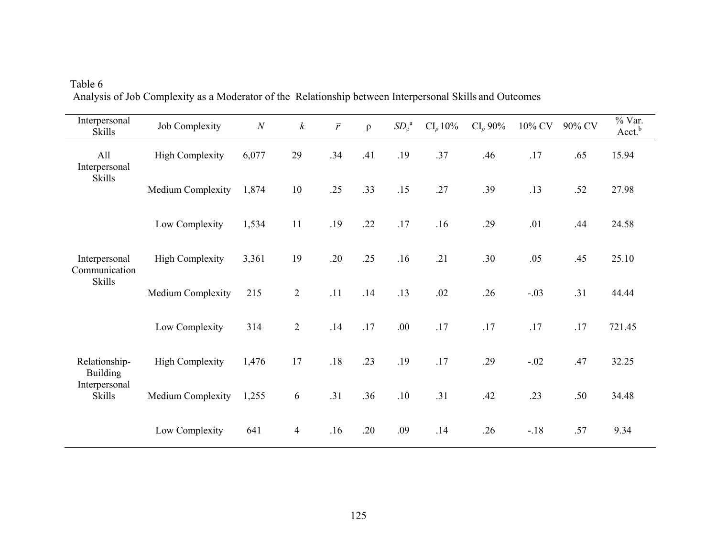| Interpersonal<br><b>Skills</b>   | Job Complexity         | $\boldsymbol{N}$ | $\boldsymbol{k}$ | $\bar{r}$ | $\rho$ | SD <sub>0</sub> <sup>a</sup> | $CI_{\rho} 10\%$ | $CI_{\rho}$ 90% | 10% CV | 90% CV | % Var.<br>Acct. <sup>b</sup> |
|----------------------------------|------------------------|------------------|------------------|-----------|--------|------------------------------|------------------|-----------------|--------|--------|------------------------------|
| All<br>Interpersonal             | <b>High Complexity</b> | 6,077            | 29               | .34       | .41    | .19                          | .37              | .46             | .17    | .65    | 15.94                        |
| <b>Skills</b>                    | Medium Complexity      | 1,874            | 10               | .25       | .33    | .15                          | .27              | .39             | .13    | .52    | 27.98                        |
|                                  | Low Complexity         | 1,534            | 11               | .19       | .22    | .17                          | .16              | .29             | .01    | .44    | 24.58                        |
| Interpersonal<br>Communication   | <b>High Complexity</b> | 3,361            | 19               | .20       | .25    | .16                          | .21              | .30             | .05    | .45    | 25.10                        |
| <b>Skills</b>                    | Medium Complexity      | 215              | $\overline{2}$   | .11       | .14    | .13                          | .02              | .26             | $-.03$ | .31    | 44.44                        |
|                                  | Low Complexity         | 314              | $\overline{2}$   | .14       | .17    | .00                          | .17              | .17             | .17    | .17    | 721.45                       |
| Relationship-<br><b>Building</b> | <b>High Complexity</b> | 1,476            | 17               | $.18$     | .23    | .19                          | .17              | .29             | $-.02$ | .47    | 32.25                        |
| Interpersonal<br><b>Skills</b>   | Medium Complexity      | 1,255            | 6                | .31       | .36    | .10                          | .31              | .42             | .23    | .50    | 34.48                        |
|                                  | Low Complexity         | 641              | $\overline{4}$   | .16       | .20    | .09                          | .14              | .26             | $-.18$ | .57    | 9.34                         |

Table 6 Analysis of Job Complexity as a Moderator of the Relationship between Interpersonal Skills and Outcomes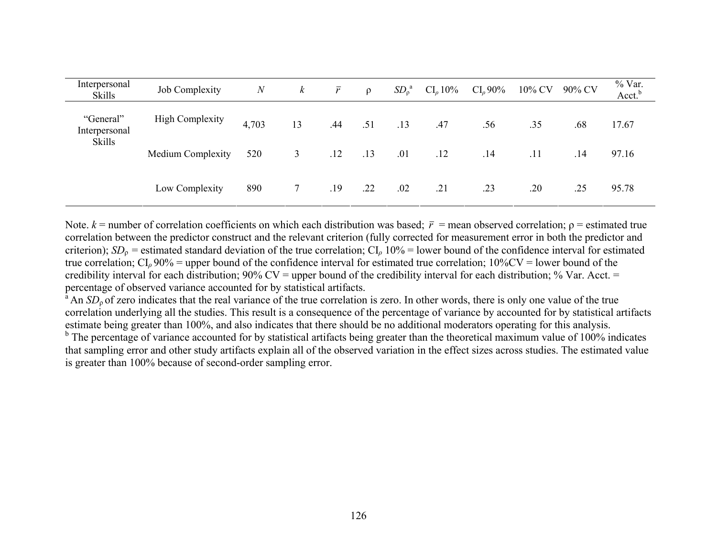| Interpersonal<br><b>Skills</b> | Job Complexity           | $\boldsymbol{N}$ | $\boldsymbol{k}$ | $\bar{r}$ | $\rho$ | SD <sub>0</sub> <sup>a</sup> | $CI_{\rho} 10\%$ | $CI_0 90\%$ | 10% CV | 90% CV | % Var.<br>Acct. <sup>b</sup> |
|--------------------------------|--------------------------|------------------|------------------|-----------|--------|------------------------------|------------------|-------------|--------|--------|------------------------------|
| "General"<br>Interpersonal     | <b>High Complexity</b>   | 4,703            | 13               | .44       | .51    | .13                          | .47              | .56         | .35    | .68    | 17.67                        |
| <b>Skills</b>                  | <b>Medium Complexity</b> | 520              | 3                | .12       | .13    | .01                          | .12              | .14         | .11    | .14    | 97.16                        |
|                                | Low Complexity           | 890              |                  | .19       | .22    | .02                          | .21              | .23         | .20    | .25    | 95.78                        |

Note.  $k$  = number of correlation coefficients on which each distribution was based;  $\bar{r}$  = mean observed correlation;  $\rho$  = estimated true correlation between the predictor construct and the relevant criterion (fully corrected for measurement error in both the predictor and criterion);  $SD_0$  = estimated standard deviation of the true correlation;  $CI_0$  10% = lower bound of the confidence interval for estimated true correlation;  $CI_0$  90% = upper bound of the confidence interval for estimated true correlation;  $10\%$ CV = lower bound of the credibility interval for each distribution;  $90\%$  CV = upper bound of the credibility interval for each distribution; % Var. Acct. = percentage of observed variance accounted for by statistical artifacts.

<sup>a</sup> An *SD*<sub>ρ</sub> of zero indicates that the real variance of the true correlation is zero. In other words, there is only one value of the true correlation underlying all the studies. This result is a consequence of the percentage of variance by accounted for by statistical artifacts estimate being greater than 100%, and also indicates that there should be no additional moderators operating for this analysis.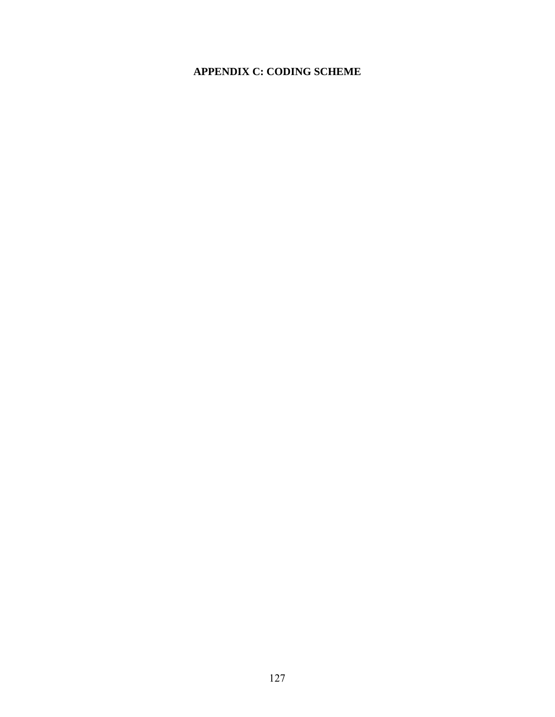## **APPENDIX C: CODING SCHEME**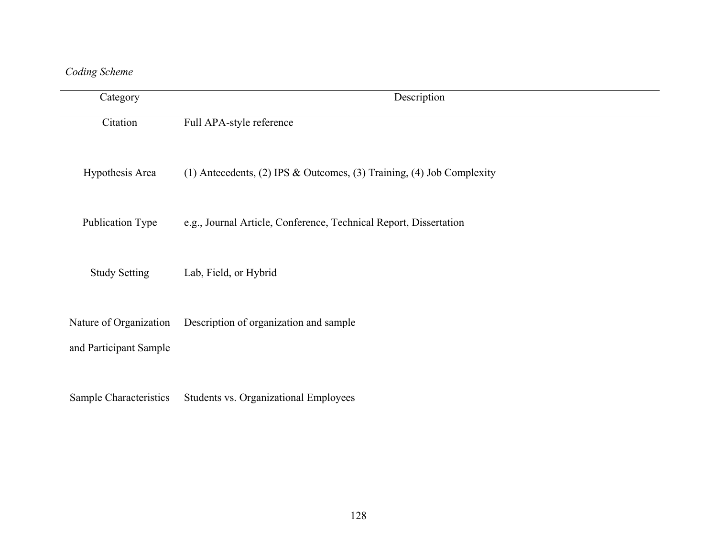# *Coding Scheme*

| Category                                         | Description                                                           |
|--------------------------------------------------|-----------------------------------------------------------------------|
| Citation                                         | Full APA-style reference                                              |
| Hypothesis Area                                  | (1) Antecedents, (2) IPS & Outcomes, (3) Training, (4) Job Complexity |
| Publication Type                                 | e.g., Journal Article, Conference, Technical Report, Dissertation     |
| <b>Study Setting</b>                             | Lab, Field, or Hybrid                                                 |
| Nature of Organization<br>and Participant Sample | Description of organization and sample                                |
| Sample Characteristics                           | Students vs. Organizational Employees                                 |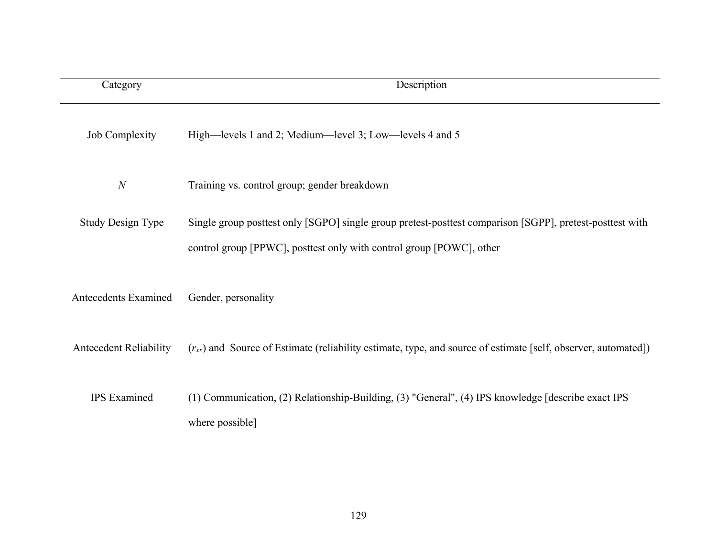| Category                      | Description                                                                                                                                                                      |
|-------------------------------|----------------------------------------------------------------------------------------------------------------------------------------------------------------------------------|
| <b>Job Complexity</b>         | High—levels 1 and 2; Medium—level 3; Low—levels 4 and 5                                                                                                                          |
| $\boldsymbol{N}$              | Training vs. control group; gender breakdown                                                                                                                                     |
| <b>Study Design Type</b>      | Single group posttest only [SGPO] single group pretest-posttest comparison [SGPP], pretest-posttest with<br>control group [PPWC], posttest only with control group [POWC], other |
| <b>Antecedents Examined</b>   | Gender, personality                                                                                                                                                              |
| <b>Antecedent Reliability</b> | $(r_{xx})$ and Source of Estimate (reliability estimate, type, and source of estimate [self, observer, automated])                                                               |
| <b>IPS</b> Examined           | (1) Communication, (2) Relationship-Building, (3) "General", (4) IPS knowledge [describe exact IPS<br>where possible]                                                            |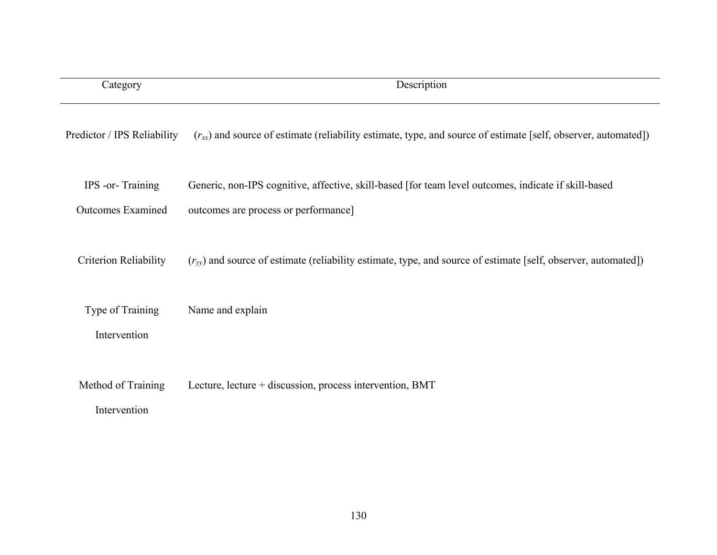| Category                                     | Description                                                                                                                                  |
|----------------------------------------------|----------------------------------------------------------------------------------------------------------------------------------------------|
| Predictor / IPS Reliability                  | $(r_{xx})$ and source of estimate (reliability estimate, type, and source of estimate [self, observer, automated])                           |
| IPS -or-Training<br><b>Outcomes Examined</b> | Generic, non-IPS cognitive, affective, skill-based [for team level outcomes, indicate if skill-based<br>outcomes are process or performance] |
| <b>Criterion Reliability</b>                 | $(r_{vv})$ and source of estimate (reliability estimate, type, and source of estimate [self, observer, automated])                           |
| Type of Training<br>Intervention             | Name and explain                                                                                                                             |
| Method of Training<br>Intervention           | Lecture, lecture + discussion, process intervention, BMT                                                                                     |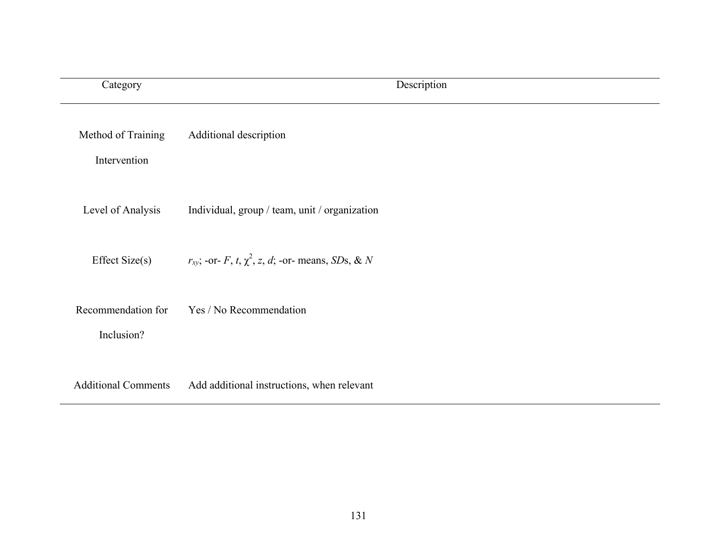| Category                           | Description                                                 |
|------------------------------------|-------------------------------------------------------------|
| Method of Training<br>Intervention | Additional description                                      |
| Level of Analysis                  | Individual, group / team, unit / organization               |
| Effect Size(s)                     | $r_{xy}$ ; -or- F, t, $\chi^2$ , z, d; -or- means, SDs, & N |
| Recommendation for<br>Inclusion?   | Yes / No Recommendation                                     |
| <b>Additional Comments</b>         | Add additional instructions, when relevant                  |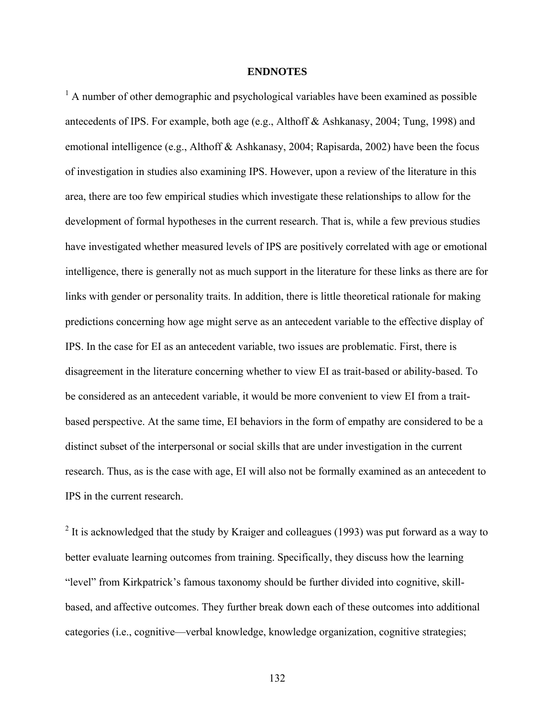### **ENDNOTES**

<sup>1</sup> A number of other demographic and psychological variables have been examined as possible antecedents of IPS. For example, both age (e.g., Althoff & Ashkanasy, 2004; Tung, 1998) and emotional intelligence (e.g., Althoff & Ashkanasy, 2004; Rapisarda, 2002) have been the focus of investigation in studies also examining IPS. However, upon a review of the literature in this area, there are too few empirical studies which investigate these relationships to allow for the development of formal hypotheses in the current research. That is, while a few previous studies have investigated whether measured levels of IPS are positively correlated with age or emotional intelligence, there is generally not as much support in the literature for these links as there are for links with gender or personality traits. In addition, there is little theoretical rationale for making predictions concerning how age might serve as an antecedent variable to the effective display of IPS. In the case for EI as an antecedent variable, two issues are problematic. First, there is disagreement in the literature concerning whether to view EI as trait-based or ability-based. To be considered as an antecedent variable, it would be more convenient to view EI from a traitbased perspective. At the same time, EI behaviors in the form of empathy are considered to be a distinct subset of the interpersonal or social skills that are under investigation in the current research. Thus, as is the case with age, EI will also not be formally examined as an antecedent to IPS in the current research.

<sup>2</sup> It is acknowledged that the study by Kraiger and colleagues (1993) was put forward as a way to better evaluate learning outcomes from training. Specifically, they discuss how the learning "level" from Kirkpatrick's famous taxonomy should be further divided into cognitive, skillbased, and affective outcomes. They further break down each of these outcomes into additional categories (i.e., cognitive—verbal knowledge, knowledge organization, cognitive strategies;

132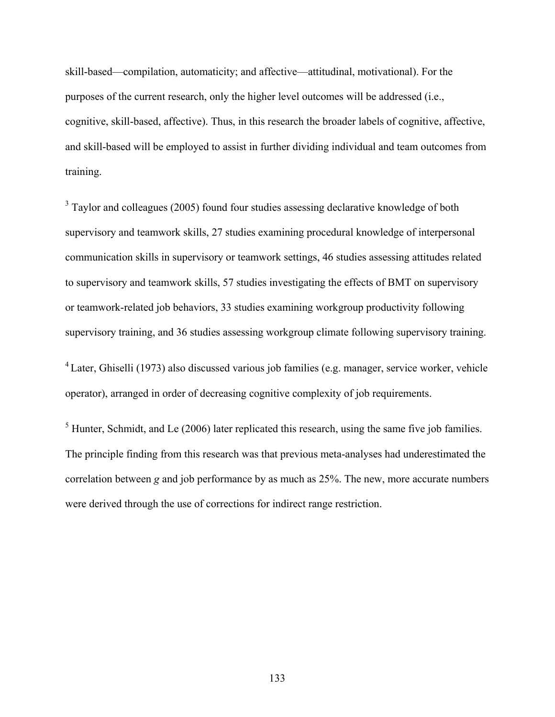skill-based—compilation, automaticity; and affective—attitudinal, motivational). For the purposes of the current research, only the higher level outcomes will be addressed (i.e., cognitive, skill-based, affective). Thus, in this research the broader labels of cognitive, affective, and skill-based will be employed to assist in further dividing individual and team outcomes from training.

<sup>3</sup> Taylor and colleagues (2005) found four studies assessing declarative knowledge of both supervisory and teamwork skills, 27 studies examining procedural knowledge of interpersonal communication skills in supervisory or teamwork settings, 46 studies assessing attitudes related to supervisory and teamwork skills, 57 studies investigating the effects of BMT on supervisory or teamwork-related job behaviors, 33 studies examining workgroup productivity following supervisory training, and 36 studies assessing workgroup climate following supervisory training.

4 Later, Ghiselli (1973) also discussed various job families (e.g. manager, service worker, vehicle operator), arranged in order of decreasing cognitive complexity of job requirements.

 $<sup>5</sup>$  Hunter, Schmidt, and Le (2006) later replicated this research, using the same five job families.</sup> The principle finding from this research was that previous meta-analyses had underestimated the correlation between *g* and job performance by as much as 25%. The new, more accurate numbers were derived through the use of corrections for indirect range restriction.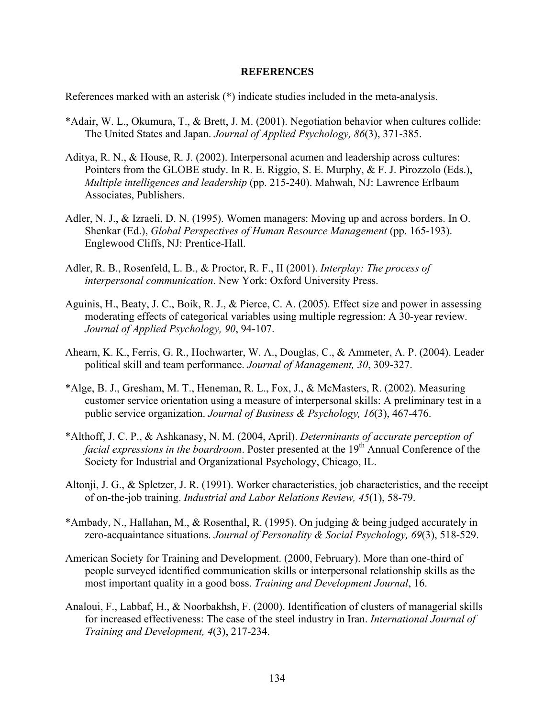#### **REFERENCES**

References marked with an asterisk (\*) indicate studies included in the meta-analysis.

- \*Adair, W. L., Okumura, T., & Brett, J. M. (2001). Negotiation behavior when cultures collide: The United States and Japan. *Journal of Applied Psychology, 86*(3), 371-385.
- Aditya, R. N., & House, R. J. (2002). Interpersonal acumen and leadership across cultures: Pointers from the GLOBE study. In R. E. Riggio, S. E. Murphy, & F. J. Pirozzolo (Eds.), *Multiple intelligences and leadership* (pp. 215-240). Mahwah, NJ: Lawrence Erlbaum Associates, Publishers.
- Adler, N. J., & Izraeli, D. N. (1995). Women managers: Moving up and across borders. In O. Shenkar (Ed.), *Global Perspectives of Human Resource Management* (pp. 165-193). Englewood Cliffs, NJ: Prentice-Hall.
- Adler, R. B., Rosenfeld, L. B., & Proctor, R. F., II (2001). *Interplay: The process of interpersonal communication*. New York: Oxford University Press.
- Aguinis, H., Beaty, J. C., Boik, R. J., & Pierce, C. A. (2005). Effect size and power in assessing moderating effects of categorical variables using multiple regression: A 30-year review. *Journal of Applied Psychology, 90*, 94-107.
- Ahearn, K. K., Ferris, G. R., Hochwarter, W. A., Douglas, C., & Ammeter, A. P. (2004). Leader political skill and team performance. *Journal of Management, 30*, 309-327.
- \*Alge, B. J., Gresham, M. T., Heneman, R. L., Fox, J., & McMasters, R. (2002). Measuring customer service orientation using a measure of interpersonal skills: A preliminary test in a public service organization. *Journal of Business & Psychology, 16*(3), 467-476.
- \*Althoff, J. C. P., & Ashkanasy, N. M. (2004, April). *Determinants of accurate perception of facial expressions in the boardroom.* Poster presented at the 19<sup>th</sup> Annual Conference of the Society for Industrial and Organizational Psychology, Chicago, IL.
- Altonji, J. G., & Spletzer, J. R. (1991). Worker characteristics, job characteristics, and the receipt of on-the-job training. *Industrial and Labor Relations Review, 45*(1), 58-79.
- \*Ambady, N., Hallahan, M., & Rosenthal, R. (1995). On judging & being judged accurately in zero-acquaintance situations. *Journal of Personality & Social Psychology, 69*(3), 518-529.
- American Society for Training and Development. (2000, February). More than one-third of people surveyed identified communication skills or interpersonal relationship skills as the most important quality in a good boss. *Training and Development Journal*, 16.
- Analoui, F., Labbaf, H., & Noorbakhsh, F. (2000). Identification of clusters of managerial skills for increased effectiveness: The case of the steel industry in Iran. *International Journal of Training and Development, 4*(3), 217-234.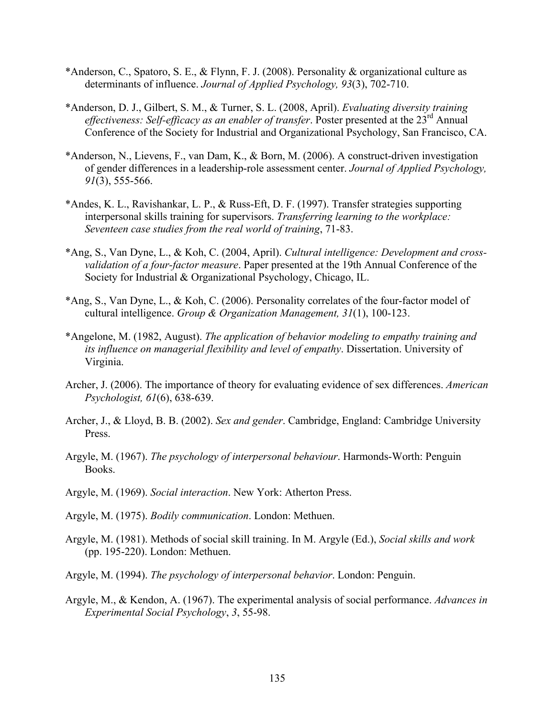- \*Anderson, C., Spatoro, S. E., & Flynn, F. J. (2008). Personality & organizational culture as determinants of influence. *Journal of Applied Psychology, 93*(3), 702-710.
- \*Anderson, D. J., Gilbert, S. M., & Turner, S. L. (2008, April). *Evaluating diversity training effectiveness: Self-efficacy as an enabler of transfer.* Poster presented at the 23<sup>rd</sup> Annual Conference of the Society for Industrial and Organizational Psychology, San Francisco, CA.
- \*Anderson, N., Lievens, F., van Dam, K., & Born, M. (2006). A construct-driven investigation of gender differences in a leadership-role assessment center. *Journal of Applied Psychology, 91*(3), 555-566.
- \*Andes, K. L., Ravishankar, L. P., & Russ-Eft, D. F. (1997). Transfer strategies supporting interpersonal skills training for supervisors. *Transferring learning to the workplace: Seventeen case studies from the real world of training*, 71-83.
- \*Ang, S., Van Dyne, L., & Koh, C. (2004, April). *Cultural intelligence: Development and crossvalidation of a four-factor measure*. Paper presented at the 19th Annual Conference of the Society for Industrial & Organizational Psychology, Chicago, IL.
- \*Ang, S., Van Dyne, L., & Koh, C. (2006). Personality correlates of the four-factor model of cultural intelligence. *Group & Organization Management, 31*(1), 100-123.
- \*Angelone, M. (1982, August). *The application of behavior modeling to empathy training and its influence on managerial flexibility and level of empathy*. Dissertation. University of Virginia.
- Archer, J. (2006). The importance of theory for evaluating evidence of sex differences. *American Psychologist, 61*(6), 638-639.
- Archer, J., & Lloyd, B. B. (2002). *Sex and gender*. Cambridge, England: Cambridge University Press.
- Argyle, M. (1967). *The psychology of interpersonal behaviour*. Harmonds-Worth: Penguin Books.
- Argyle, M. (1969). *Social interaction*. New York: Atherton Press.
- Argyle, M. (1975). *Bodily communication*. London: Methuen.
- Argyle, M. (1981). Methods of social skill training. In M. Argyle (Ed.), *Social skills and work* (pp. 195-220). London: Methuen.
- Argyle, M. (1994). *The psychology of interpersonal behavior*. London: Penguin.
- Argyle, M., & Kendon, A. (1967). The experimental analysis of social performance. *Advances in Experimental Social Psychology*, *3*, 55-98.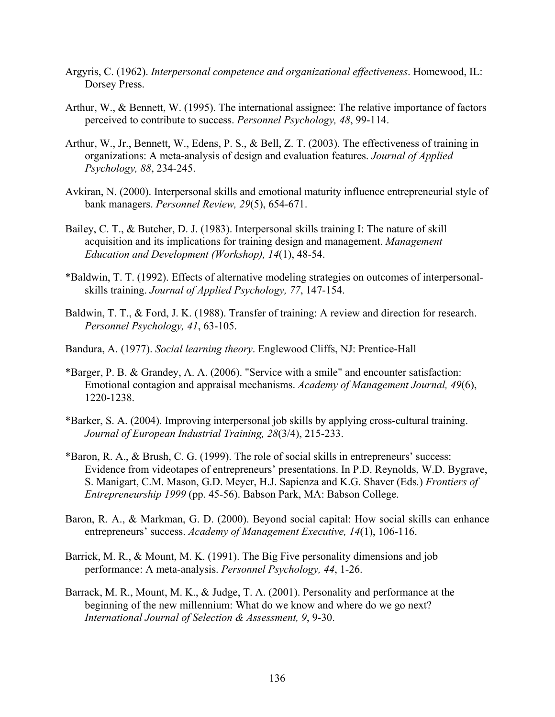- Argyris, C. (1962). *Interpersonal competence and organizational effectiveness*. Homewood, IL: Dorsey Press.
- Arthur, W., & Bennett, W. (1995). The international assignee: The relative importance of factors perceived to contribute to success. *Personnel Psychology, 48*, 99-114.
- Arthur, W., Jr., Bennett, W., Edens, P. S., & Bell, Z. T. (2003). The effectiveness of training in organizations: A meta-analysis of design and evaluation features. *Journal of Applied Psychology, 88*, 234-245.
- Avkiran, N. (2000). Interpersonal skills and emotional maturity influence entrepreneurial style of bank managers. *Personnel Review, 29*(5), 654-671.
- Bailey, C. T., & Butcher, D. J. (1983). Interpersonal skills training I: The nature of skill acquisition and its implications for training design and management. *Management Education and Development (Workshop), 14*(1), 48-54.
- \*Baldwin, T. T. (1992). Effects of alternative modeling strategies on outcomes of interpersonalskills training. *Journal of Applied Psychology, 77*, 147-154.
- Baldwin, T. T., & Ford, J. K. (1988). Transfer of training: A review and direction for research. *Personnel Psychology, 41*, 63-105.
- Bandura, A. (1977). *Social learning theory*. Englewood Cliffs, NJ: Prentice-Hall
- \*Barger, P. B. & Grandey, A. A. (2006). "Service with a smile" and encounter satisfaction: Emotional contagion and appraisal mechanisms. *Academy of Management Journal, 49*(6), 1220-1238.
- \*Barker, S. A. (2004). Improving interpersonal job skills by applying cross-cultural training. *Journal of European Industrial Training, 28*(3/4), 215-233.
- \*Baron, R. A., & Brush, C. G. (1999). The role of social skills in entrepreneurs' success: Evidence from videotapes of entrepreneurs' presentations. In P.D. Reynolds, W.D. Bygrave, S. Manigart, C.M. Mason, G.D. Meyer, H.J. Sapienza and K.G. Shaver (Eds*.*) *Frontiers of Entrepreneurship 1999* (pp. 45-56). Babson Park, MA: Babson College.
- Baron, R. A., & Markman, G. D. (2000). Beyond social capital: How social skills can enhance entrepreneurs' success. *Academy of Management Executive, 14*(1), 106-116.
- Barrick, M. R., & Mount, M. K. (1991). The Big Five personality dimensions and job performance: A meta-analysis. *Personnel Psychology, 44*, 1-26.
- Barrack, M. R., Mount, M. K., & Judge, T. A. (2001). Personality and performance at the beginning of the new millennium: What do we know and where do we go next? *International Journal of Selection & Assessment, 9*, 9-30.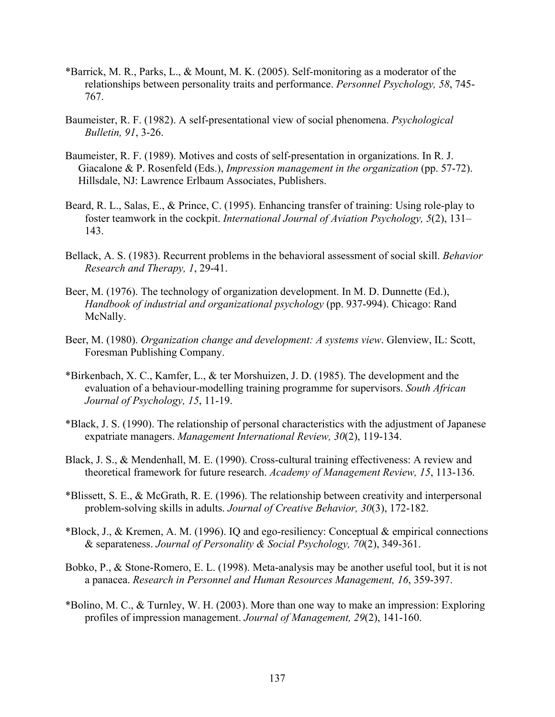- \*Barrick, M. R., Parks, L., & Mount, M. K. (2005). Self-monitoring as a moderator of the relationships between personality traits and performance. *Personnel Psychology, 58*, 745- 767.
- Baumeister, R. F. (1982). A self-presentational view of social phenomena. *Psychological Bulletin, 91*, 3-26.
- Baumeister, R. F. (1989). Motives and costs of self-presentation in organizations. In R. J. Giacalone & P. Rosenfeld (Eds.), *Impression management in the organization* (pp. 57-72). Hillsdale, NJ: Lawrence Erlbaum Associates, Publishers.
- Beard, R. L., Salas, E., & Prince, C. (1995). Enhancing transfer of training: Using role-play to foster teamwork in the cockpit. *International Journal of Aviation Psychology, 5*(2), 131– 143.
- Bellack, A. S. (1983). Recurrent problems in the behavioral assessment of social skill. *Behavior Research and Therapy, 1*, 29-41.
- Beer, M. (1976). The technology of organization development. In M. D. Dunnette (Ed.), *Handbook of industrial and organizational psychology* (pp. 937-994). Chicago: Rand McNally.
- Beer, M. (1980). *Organization change and development: A systems view*. Glenview, IL: Scott, Foresman Publishing Company.
- \*Birkenbach, X. C., Kamfer, L., & ter Morshuizen, J. D. (1985). The development and the evaluation of a behaviour-modelling training programme for supervisors. *South African Journal of Psychology, 15*, 11-19.
- \*Black, J. S. (1990). The relationship of personal characteristics with the adjustment of Japanese expatriate managers. *Management International Review, 30*(2), 119-134.
- Black, J. S., & Mendenhall, M. E. (1990). Cross-cultural training effectiveness: A review and theoretical framework for future research. *Academy of Management Review, 15*, 113-136.
- \*Blissett, S. E., & McGrath, R. E. (1996). The relationship between creativity and interpersonal problem-solving skills in adults. *Journal of Creative Behavior, 30*(3), 172-182.
- \*Block, J., & Kremen, A. M. (1996). IQ and ego-resiliency: Conceptual & empirical connections & separateness. *Journal of Personality & Social Psychology, 70*(2), 349-361.
- Bobko, P., & Stone-Romero, E. L. (1998). Meta-analysis may be another useful tool, but it is not a panacea. *Research in Personnel and Human Resources Management, 16*, 359-397.
- \*Bolino, M. C., & Turnley, W. H. (2003). More than one way to make an impression: Exploring profiles of impression management. *Journal of Management, 29*(2), 141-160.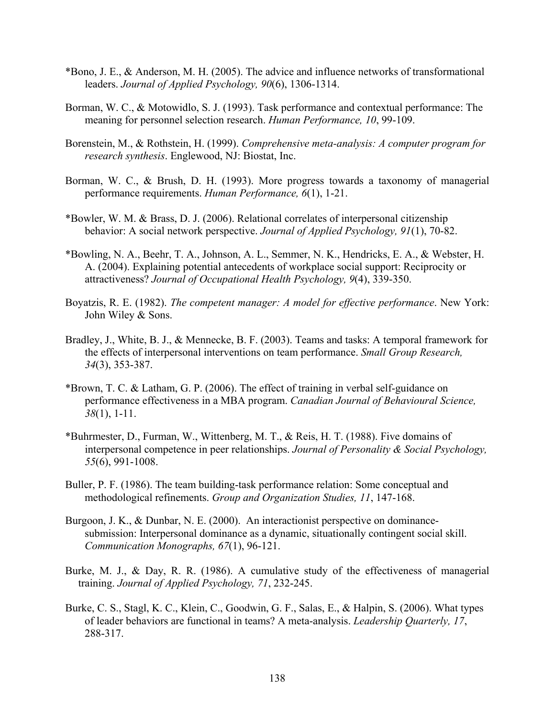- \*Bono, J. E., & Anderson, M. H. (2005). The advice and influence networks of transformational leaders. *Journal of Applied Psychology, 90*(6), 1306-1314.
- Borman, W. C., & Motowidlo, S. J. (1993). Task performance and contextual performance: The meaning for personnel selection research. *Human Performance, 10*, 99-109.
- Borenstein, M., & Rothstein, H. (1999). *Comprehensive meta-analysis: A computer program for research synthesis*. Englewood, NJ: Biostat, Inc.
- Borman, W. C., & Brush, D. H. (1993). More progress towards a taxonomy of managerial performance requirements. *Human Performance, 6*(1), 1-21.
- \*Bowler, W. M. & Brass, D. J. (2006). Relational correlates of interpersonal citizenship behavior: A social network perspective. *Journal of Applied Psychology, 91*(1), 70-82.
- \*Bowling, N. A., Beehr, T. A., Johnson, A. L., Semmer, N. K., Hendricks, E. A., & Webster, H. A. (2004). Explaining potential antecedents of workplace social support: Reciprocity or attractiveness? *Journal of Occupational Health Psychology, 9*(4), 339-350.
- Boyatzis, R. E. (1982). *The competent manager: A model for effective performance*. New York: John Wiley & Sons.
- Bradley, J., White, B. J., & Mennecke, B. F. (2003). Teams and tasks: A temporal framework for the effects of interpersonal interventions on team performance. *Small Group Research, 34*(3), 353-387.
- \*Brown, T. C. & Latham, G. P. (2006). The effect of training in verbal self-guidance on performance effectiveness in a MBA program. *Canadian Journal of Behavioural Science, 38*(1), 1-11.
- \*Buhrmester, D., Furman, W., Wittenberg, M. T., & Reis, H. T. (1988). Five domains of interpersonal competence in peer relationships. *Journal of Personality & Social Psychology, 55*(6), 991-1008.
- Buller, P. F. (1986). The team building-task performance relation: Some conceptual and methodological refinements. *Group and Organization Studies, 11*, 147-168.
- Burgoon, J. K., & Dunbar, N. E. (2000). An interactionist perspective on dominancesubmission: Interpersonal dominance as a dynamic, situationally contingent social skill. *Communication Monographs, 67*(1), 96-121.
- Burke, M. J., & Day, R. R. (1986). A cumulative study of the effectiveness of managerial training. *Journal of Applied Psychology, 71*, 232-245.
- Burke, C. S., Stagl, K. C., Klein, C., Goodwin, G. F., Salas, E., & Halpin, S. (2006). What types of leader behaviors are functional in teams? A meta-analysis. *Leadership Quarterly, 17*, 288-317.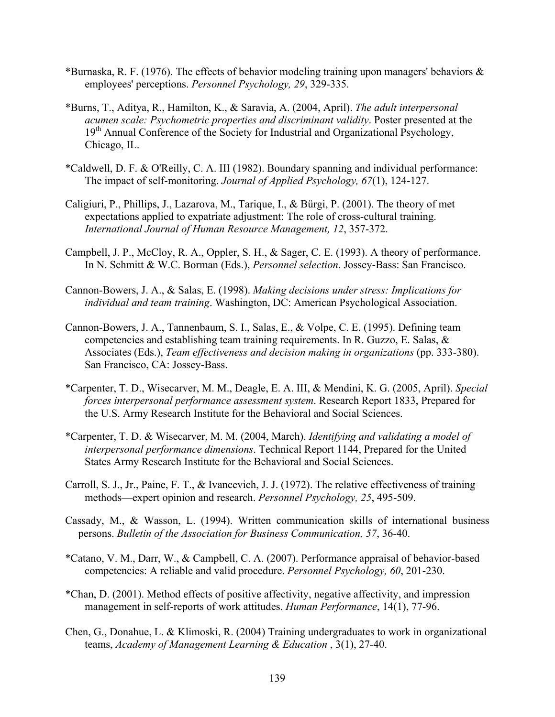- \*Burnaska, R. F. (1976). The effects of behavior modeling training upon managers' behaviors & employees' perceptions. *Personnel Psychology, 29*, 329-335.
- \*Burns, T., Aditya, R., Hamilton, K., & Saravia, A. (2004, April). *The adult interpersonal acumen scale: Psychometric properties and discriminant validity*. Poster presented at the 19<sup>th</sup> Annual Conference of the Society for Industrial and Organizational Psychology, Chicago, IL.
- \*Caldwell, D. F. & O'Reilly, C. A. III (1982). Boundary spanning and individual performance: The impact of self-monitoring. *Journal of Applied Psychology, 67*(1), 124-127.
- Caligiuri, P., Phillips, J., Lazarova, M., Tarique, I., & Bürgi, P. (2001). The theory of met expectations applied to expatriate adjustment: The role of cross-cultural training. *International Journal of Human Resource Management, 12*, 357-372.
- Campbell, J. P., McCloy, R. A., Oppler, S. H., & Sager, C. E. (1993). A theory of performance. In N. Schmitt & W.C. Borman (Eds.), *Personnel selection*. Jossey-Bass: San Francisco.
- Cannon-Bowers, J. A., & Salas, E. (1998). *Making decisions under stress: Implications for individual and team training*. Washington, DC: American Psychological Association.
- Cannon-Bowers, J. A., Tannenbaum, S. I., Salas, E., & Volpe, C. E. (1995). Defining team competencies and establishing team training requirements. In R. Guzzo, E. Salas, & Associates (Eds.), *Team effectiveness and decision making in organizations* (pp. 333-380). San Francisco, CA: Jossey-Bass.
- \*Carpenter, T. D., Wisecarver, M. M., Deagle, E. A. III, & Mendini, K. G. (2005, April). *Special forces interpersonal performance assessment system*. Research Report 1833, Prepared for the U.S. Army Research Institute for the Behavioral and Social Sciences.
- \*Carpenter, T. D. & Wisecarver, M. M. (2004, March). *Identifying and validating a model of interpersonal performance dimensions*. Technical Report 1144, Prepared for the United States Army Research Institute for the Behavioral and Social Sciences.
- Carroll, S. J., Jr., Paine, F. T., & Ivancevich, J. J. (1972). The relative effectiveness of training methods—expert opinion and research. *Personnel Psychology, 25*, 495-509.
- Cassady, M., & Wasson, L. (1994). Written communication skills of international business persons. *Bulletin of the Association for Business Communication, 57*, 36-40.
- \*Catano, V. M., Darr, W., & Campbell, C. A. (2007). Performance appraisal of behavior-based competencies: A reliable and valid procedure. *Personnel Psychology, 60*, 201-230.
- \*Chan, D. (2001). Method effects of positive affectivity, negative affectivity, and impression management in self-reports of work attitudes. *Human Performance*, 14(1), 77-96.
- Chen, G., Donahue, L. & Klimoski, R. (2004) Training undergraduates to work in organizational teams, *Academy of Management Learning & Education* , 3(1), 27-40.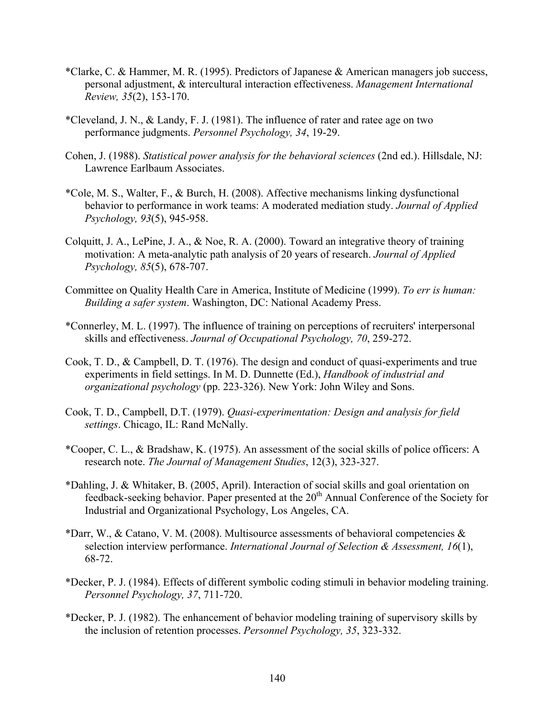- \*Clarke, C. & Hammer, M. R. (1995). Predictors of Japanese & American managers job success, personal adjustment, & intercultural interaction effectiveness. *Management International Review, 35*(2), 153-170.
- \*Cleveland, J. N., & Landy, F. J. (1981). The influence of rater and ratee age on two performance judgments. *Personnel Psychology, 34*, 19-29.
- Cohen, J. (1988). *Statistical power analysis for the behavioral sciences* (2nd ed.). Hillsdale, NJ: Lawrence Earlbaum Associates.
- \*Cole, M. S., Walter, F., & Burch, H. (2008). Affective mechanisms linking dysfunctional behavior to performance in work teams: A moderated mediation study. *Journal of Applied Psychology, 93*(5), 945-958.
- Colquitt, J. A., LePine, J. A., & Noe, R. A. (2000). Toward an integrative theory of training motivation: A meta-analytic path analysis of 20 years of research. *Journal of Applied Psychology, 85*(5), 678-707.
- Committee on Quality Health Care in America, Institute of Medicine (1999). *To err is human: Building a safer system*. Washington, DC: National Academy Press.
- \*Connerley, M. L. (1997). The influence of training on perceptions of recruiters' interpersonal skills and effectiveness. *Journal of Occupational Psychology, 70*, 259-272.
- Cook, T. D., & Campbell, D. T. (1976). The design and conduct of quasi-experiments and true experiments in field settings. In M. D. Dunnette (Ed.), *Handbook of industrial and organizational psychology* (pp. 223-326). New York: John Wiley and Sons.
- Cook, T. D., Campbell, D.T. (1979). *Quasi-experimentation: Design and analysis for field settings*. Chicago, IL: Rand McNally.
- \*Cooper, C. L., & Bradshaw, K. (1975). An assessment of the social skills of police officers: A research note. *The Journal of Management Studies*, 12(3), 323-327.
- \*Dahling, J. & Whitaker, B. (2005, April). Interaction of social skills and goal orientation on feedback-seeking behavior. Paper presented at the 20<sup>th</sup> Annual Conference of the Society for Industrial and Organizational Psychology, Los Angeles, CA.
- \*Darr, W., & Catano, V. M. (2008). Multisource assessments of behavioral competencies  $\&$ selection interview performance. *International Journal of Selection & Assessment, 16*(1), 68-72.
- \*Decker, P. J. (1984). Effects of different symbolic coding stimuli in behavior modeling training. *Personnel Psychology, 37*, 711-720.
- \*Decker, P. J. (1982). The enhancement of behavior modeling training of supervisory skills by the inclusion of retention processes. *Personnel Psychology, 35*, 323-332.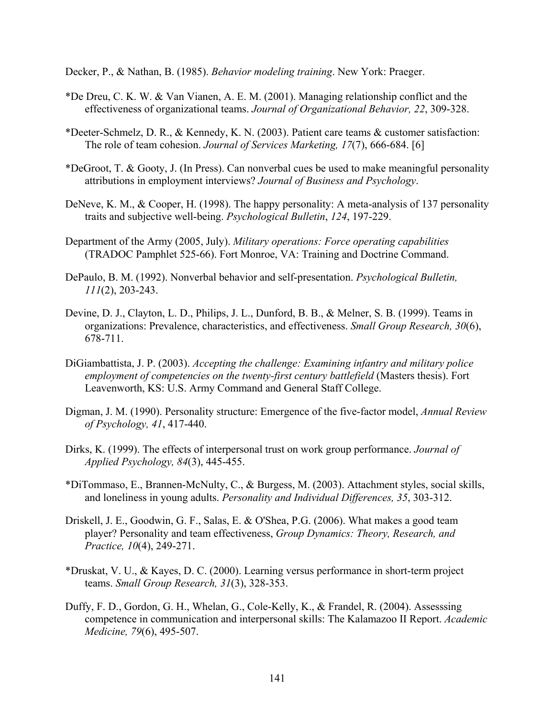Decker, P., & Nathan, B. (1985). *Behavior modeling training*. New York: Praeger.

- \*De Dreu, C. K. W. & Van Vianen, A. E. M. (2001). Managing relationship conflict and the effectiveness of organizational teams. *Journal of Organizational Behavior, 22*, 309-328.
- \*Deeter-Schmelz, D. R., & Kennedy, K. N. (2003). Patient care teams & customer satisfaction: The role of team cohesion. *Journal of Services Marketing, 17*(7), 666-684. [6]
- \*DeGroot, T. & Gooty, J. (In Press). Can nonverbal cues be used to make meaningful personality attributions in employment interviews? *Journal of Business and Psychology*.
- DeNeve, K. M., & Cooper, H. (1998). The happy personality: A meta-analysis of 137 personality traits and subjective well-being. *Psychological Bulletin*, *124*, 197-229.
- Department of the Army (2005, July). *Military operations: Force operating capabilities* (TRADOC Pamphlet 525-66). Fort Monroe, VA: Training and Doctrine Command.
- DePaulo, B. M. (1992). Nonverbal behavior and self-presentation. *Psychological Bulletin, 111*(2), 203-243.
- Devine, D. J., Clayton, L. D., Philips, J. L., Dunford, B. B., & Melner, S. B. (1999). Teams in organizations: Prevalence, characteristics, and effectiveness. *Small Group Research, 30*(6), 678-711.
- DiGiambattista, J. P. (2003). *Accepting the challenge: Examining infantry and military police*  employment of competencies on the twenty-first century battlefield (Masters thesis). Fort Leavenworth, KS: U.S. Army Command and General Staff College.
- Digman, J. M. (1990). Personality structure: Emergence of the five-factor model, *Annual Review of Psychology, 41*, 417-440.
- Dirks, K. (1999). The effects of interpersonal trust on work group performance. *Journal of Applied Psychology, 84*(3), 445-455.
- \*DiTommaso, E., Brannen-McNulty, C., & Burgess, M. (2003). Attachment styles, social skills, and loneliness in young adults. *Personality and Individual Differences, 35*, 303-312.
- Driskell, J. E., Goodwin, G. F., Salas, E. & O'Shea, P.G. (2006). What makes a good team player? Personality and team effectiveness, *Group Dynamics: Theory, Research, and Practice, 10*(4), 249-271.
- \*Druskat, V. U., & Kayes, D. C. (2000). Learning versus performance in short-term project teams. *Small Group Research, 31*(3), 328-353.
- Duffy, F. D., Gordon, G. H., Whelan, G., Cole-Kelly, K., & Frandel, R. (2004). Assesssing competence in communication and interpersonal skills: The Kalamazoo II Report. *Academic Medicine, 79*(6), 495-507.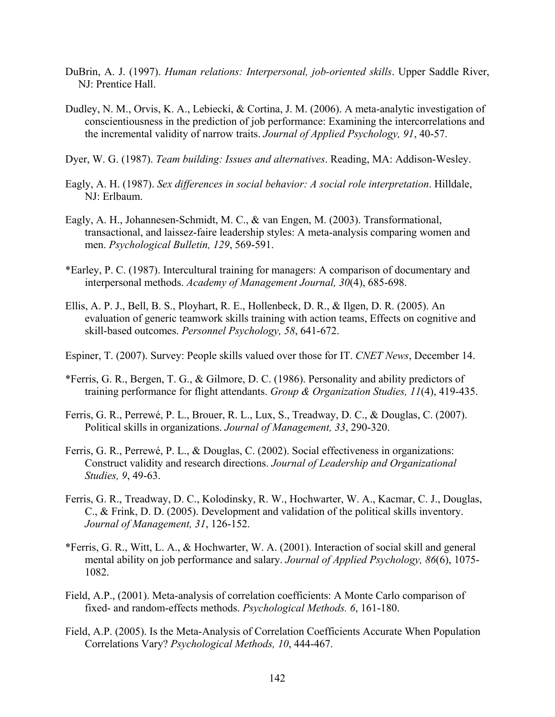- DuBrin, A. J. (1997). *Human relations: Interpersonal, job-oriented skills*. Upper Saddle River, NJ: Prentice Hall.
- Dudley, N. M., Orvis, K. A., Lebiecki, & Cortina, J. M. (2006). A meta-analytic investigation of conscientiousness in the prediction of job performance: Examining the intercorrelations and the incremental validity of narrow traits. *Journal of Applied Psychology, 91*, 40-57.
- Dyer, W. G. (1987). *Team building: Issues and alternatives*. Reading, MA: Addison-Wesley.
- Eagly, A. H. (1987). *Sex differences in social behavior: A social role interpretation*. Hilldale, NJ: Erlbaum.
- Eagly, A. H., Johannesen-Schmidt, M. C., & van Engen, M. (2003). Transformational, transactional, and laissez-faire leadership styles: A meta-analysis comparing women and men. *Psychological Bulletin, 129*, 569-591.
- \*Earley, P. C. (1987). Intercultural training for managers: A comparison of documentary and interpersonal methods. *Academy of Management Journal, 30*(4), 685-698.
- Ellis, A. P. J., Bell, B. S., Ployhart, R. E., Hollenbeck, D. R., & Ilgen, D. R. (2005). An evaluation of generic teamwork skills training with action teams, Effects on cognitive and skill-based outcomes. *Personnel Psychology, 58*, 641-672.
- Espiner, T. (2007). Survey: People skills valued over those for IT. *CNET News*, December 14.
- \*Ferris, G. R., Bergen, T. G., & Gilmore, D. C. (1986). Personality and ability predictors of training performance for flight attendants. *Group & Organization Studies, 11*(4), 419-435.
- Ferris, G. R., Perrewé, P. L., Brouer, R. L., Lux, S., Treadway, D. C., & Douglas, C. (2007). Political skills in organizations. *Journal of Management, 33*, 290-320.
- Ferris, G. R., Perrewé, P. L., & Douglas, C. (2002). Social effectiveness in organizations: Construct validity and research directions. *Journal of Leadership and Organizational Studies, 9*, 49-63.
- Ferris, G. R., Treadway, D. C., Kolodinsky, R. W., Hochwarter, W. A., Kacmar, C. J., Douglas, C., & Frink, D. D. (2005). Development and validation of the political skills inventory. *Journal of Management, 31*, 126-152.
- \*Ferris, G. R., Witt, L. A., & Hochwarter, W. A. (2001). Interaction of social skill and general mental ability on job performance and salary. *Journal of Applied Psychology, 86*(6), 1075- 1082.
- Field, A.P., (2001). Meta-analysis of correlation coefficients: A Monte Carlo comparison of fixed- and random-effects methods. *Psychological Methods. 6*, 161-180.
- Field, A.P. (2005). Is the Meta-Analysis of Correlation Coefficients Accurate When Population Correlations Vary? *Psychological Methods, 10*, 444-467.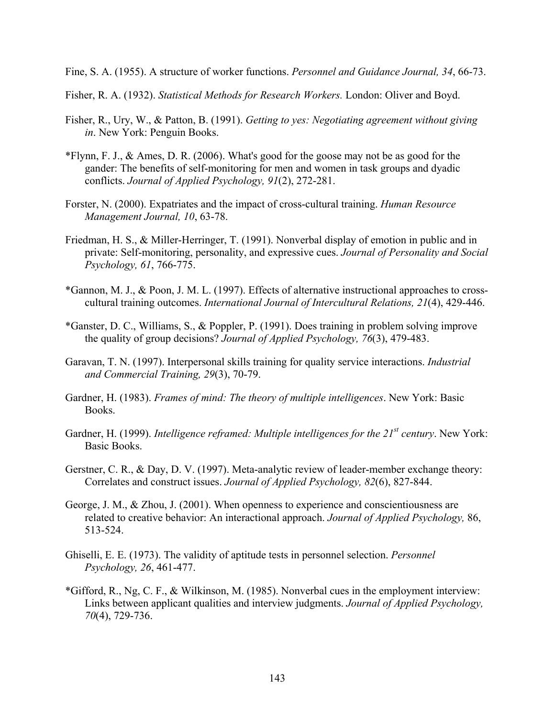Fine, S. A. (1955). A structure of worker functions. *Personnel and Guidance Journal, 34*, 66-73.

Fisher, R. A. (1932). *Statistical Methods for Research Workers.* London: Oliver and Boyd.

- Fisher, R., Ury, W., & Patton, B. (1991). *Getting to yes: Negotiating agreement without giving in*. New York: Penguin Books.
- \*Flynn, F. J., & Ames, D. R. (2006). What's good for the goose may not be as good for the gander: The benefits of self-monitoring for men and women in task groups and dyadic conflicts. *Journal of Applied Psychology, 91*(2), 272-281.
- Forster, N. (2000). Expatriates and the impact of cross-cultural training. *Human Resource Management Journal, 10*, 63-78.
- Friedman, H. S., & Miller-Herringer, T. (1991). Nonverbal display of emotion in public and in private: Self-monitoring, personality, and expressive cues. *Journal of Personality and Social Psychology, 61*, 766-775.
- \*Gannon, M. J., & Poon, J. M. L. (1997). Effects of alternative instructional approaches to crosscultural training outcomes. *International Journal of Intercultural Relations, 21*(4), 429-446.
- \*Ganster, D. C., Williams, S., & Poppler, P. (1991). Does training in problem solving improve the quality of group decisions? *Journal of Applied Psychology, 76*(3), 479-483.
- Garavan, T. N. (1997). Interpersonal skills training for quality service interactions. *Industrial and Commercial Training, 29*(3), 70-79.
- Gardner, H. (1983). *Frames of mind: The theory of multiple intelligences*. New York: Basic Books.
- Gardner, H. (1999). *Intelligence reframed: Multiple intelligences for the 21<sup>st</sup> century*. New York: Basic Books.
- Gerstner, C. R., & Day, D. V. (1997). Meta-analytic review of leader-member exchange theory: Correlates and construct issues. *Journal of Applied Psychology, 82*(6), 827-844.
- George, J. M., & Zhou, J. (2001). When openness to experience and conscientiousness are related to creative behavior: An interactional approach. *Journal of Applied Psychology,* 86, 513-524.
- Ghiselli, E. E. (1973). The validity of aptitude tests in personnel selection. *Personnel Psychology, 26*, 461-477.
- \*Gifford, R., Ng, C. F., & Wilkinson, M. (1985). Nonverbal cues in the employment interview: Links between applicant qualities and interview judgments. *Journal of Applied Psychology, 70*(4), 729-736.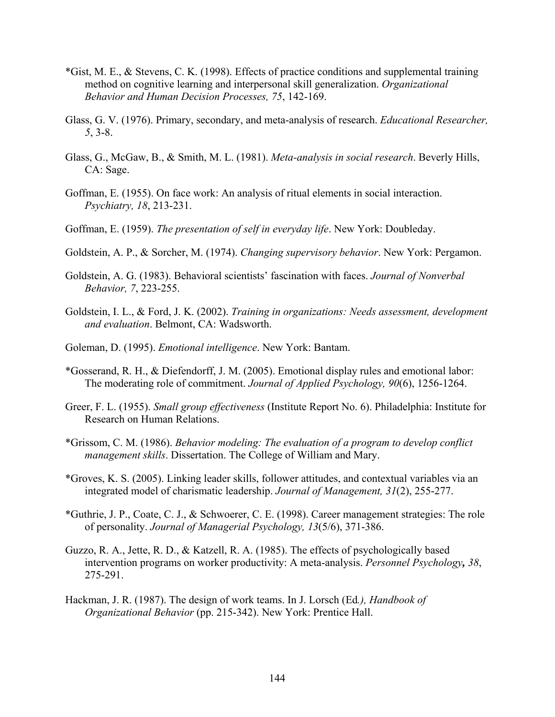- \*Gist, M. E., & Stevens, C. K. (1998). Effects of practice conditions and supplemental training method on cognitive learning and interpersonal skill generalization. *Organizational Behavior and Human Decision Processes, 75*, 142-169.
- Glass, G. V. (1976). Primary, secondary, and meta-analysis of research. *Educational Researcher, 5*, 3-8.
- Glass, G., McGaw, B., & Smith, M. L. (1981). *Meta-analysis in social research*. Beverly Hills, CA: Sage.
- Goffman, E. (1955). On face work: An analysis of ritual elements in social interaction. *Psychiatry, 18*, 213-231.
- Goffman, E. (1959). *The presentation of self in everyday life*. New York: Doubleday.
- Goldstein, A. P., & Sorcher, M. (1974). *Changing supervisory behavior*. New York: Pergamon.
- Goldstein, A. G. (1983). Behavioral scientists' fascination with faces. *Journal of Nonverbal Behavior, 7*, 223-255.
- Goldstein, I. L., & Ford, J. K. (2002). *Training in organizations: Needs assessment, development and evaluation*. Belmont, CA: Wadsworth.
- Goleman, D. (1995). *Emotional intelligence*. New York: Bantam.
- \*Gosserand, R. H., & Diefendorff, J. M. (2005). Emotional display rules and emotional labor: The moderating role of commitment. *Journal of Applied Psychology, 90*(6), 1256-1264.
- Greer, F. L. (1955). *Small group effectiveness* (Institute Report No. 6). Philadelphia: Institute for Research on Human Relations.
- \*Grissom, C. M. (1986). *Behavior modeling: The evaluation of a program to develop conflict management skills*. Dissertation. The College of William and Mary.
- \*Groves, K. S. (2005). Linking leader skills, follower attitudes, and contextual variables via an integrated model of charismatic leadership. *Journal of Management, 31*(2), 255-277.
- \*Guthrie, J. P., Coate, C. J., & Schwoerer, C. E. (1998). Career management strategies: The role of personality. *Journal of Managerial Psychology, 13*(5/6), 371-386.
- Guzzo, R. A., Jette, R. D., & Katzell, R. A. (1985). The effects of psychologically based intervention programs on worker productivity: A meta-analysis. *Personnel Psychology, 38*, 275-291.
- Hackman, J. R. (1987). The design of work teams. In J. Lorsch (Ed*.), Handbook of Organizational Behavior* (pp. 215-342). New York: Prentice Hall.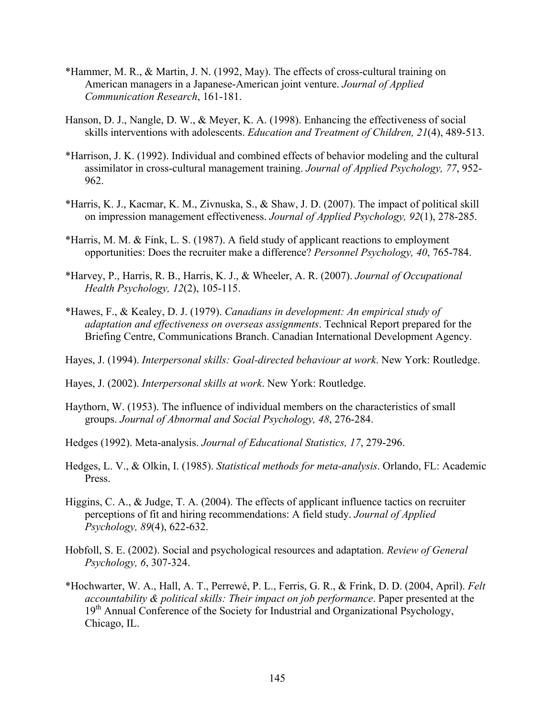- \*Hammer, M. R., & Martin, J. N. (1992, May). The effects of cross-cultural training on American managers in a Japanese-American joint venture. *Journal of Applied Communication Research*, 161-181.
- Hanson, D. J., Nangle, D. W., & Meyer, K. A. (1998). Enhancing the effectiveness of social skills interventions with adolescents. *Education and Treatment of Children, 21*(4), 489-513.
- \*Harrison, J. K. (1992). Individual and combined effects of behavior modeling and the cultural assimilator in cross-cultural management training. *Journal of Applied Psychology, 77*, 952- 962.
- \*Harris, K. J., Kacmar, K. M., Zivnuska, S., & Shaw, J. D. (2007). The impact of political skill on impression management effectiveness. *Journal of Applied Psychology, 92*(1), 278-285.
- \*Harris, M. M. & Fink, L. S. (1987). A field study of applicant reactions to employment opportunities: Does the recruiter make a difference? *Personnel Psychology, 40*, 765-784.
- \*Harvey, P., Harris, R. B., Harris, K. J., & Wheeler, A. R. (2007). *Journal of Occupational Health Psychology, 12*(2), 105-115.
- \*Hawes, F., & Kealey, D. J. (1979). *Canadians in development: An empirical study of adaptation and effectiveness on overseas assignments*. Technical Report prepared for the Briefing Centre, Communications Branch. Canadian International Development Agency.
- Hayes, J. (1994). *Interpersonal skills: Goal-directed behaviour at work*. New York: Routledge.
- Hayes, J. (2002). *Interpersonal skills at work*. New York: Routledge.
- Haythorn, W. (1953). The influence of individual members on the characteristics of small groups. *Journal of Abnormal and Social Psychology, 48*, 276-284.
- Hedges (1992). Meta-analysis. *Journal of Educational Statistics, 17*, 279-296.
- Hedges, L. V., & Olkin, I. (1985). *Statistical methods for meta-analysis*. Orlando, FL: Academic Press.
- Higgins, C. A., & Judge, T. A. (2004). The effects of applicant influence tactics on recruiter perceptions of fit and hiring recommendations: A field study. *Journal of Applied Psychology, 89*(4), 622-632.
- Hobfoll, S. E. (2002). Social and psychological resources and adaptation. *Review of General Psychology, 6*, 307-324.
- \*Hochwarter, W. A., Hall, A. T., Perrewé, P. L., Ferris, G. R., & Frink, D. D. (2004, April). *Felt accountability & political skills: Their impact on job performance*. Paper presented at the 19<sup>th</sup> Annual Conference of the Society for Industrial and Organizational Psychology, Chicago, IL.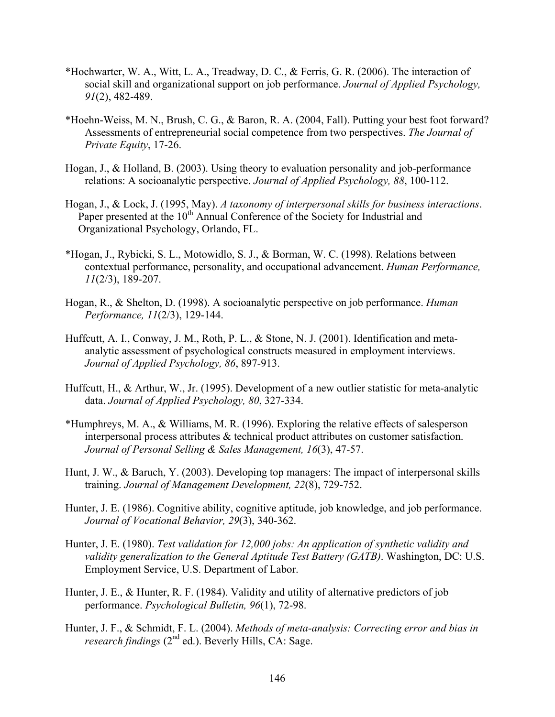- \*Hochwarter, W. A., Witt, L. A., Treadway, D. C., & Ferris, G. R. (2006). The interaction of social skill and organizational support on job performance. *Journal of Applied Psychology, 91*(2), 482-489.
- \*Hoehn-Weiss, M. N., Brush, C. G., & Baron, R. A. (2004, Fall). Putting your best foot forward? Assessments of entrepreneurial social competence from two perspectives. *The Journal of Private Equity*, 17-26.
- Hogan, J., & Holland, B. (2003). Using theory to evaluation personality and job-performance relations: A socioanalytic perspective. *Journal of Applied Psychology, 88*, 100-112.
- Hogan, J., & Lock, J. (1995, May). *A taxonomy of interpersonal skills for business interactions*. Paper presented at the  $10<sup>th</sup>$  Annual Conference of the Society for Industrial and Organizational Psychology, Orlando, FL.
- \*Hogan, J., Rybicki, S. L., Motowidlo, S. J., & Borman, W. C. (1998). Relations between contextual performance, personality, and occupational advancement. *Human Performance, 11*(2/3), 189-207.
- Hogan, R., & Shelton, D. (1998). A socioanalytic perspective on job performance. *Human Performance, 11*(2/3), 129-144.
- Huffcutt, A. I., Conway, J. M., Roth, P. L., & Stone, N. J. (2001). Identification and metaanalytic assessment of psychological constructs measured in employment interviews. *Journal of Applied Psychology, 86*, 897-913.
- Huffcutt, H., & Arthur, W., Jr. (1995). Development of a new outlier statistic for meta-analytic data. *Journal of Applied Psychology, 80*, 327-334.
- \*Humphreys, M. A., & Williams, M. R. (1996). Exploring the relative effects of salesperson interpersonal process attributes & technical product attributes on customer satisfaction. *Journal of Personal Selling & Sales Management, 16*(3), 47-57.
- Hunt, J. W., & Baruch, Y. (2003). Developing top managers: The impact of interpersonal skills training. *Journal of Management Development, 22*(8), 729-752.
- Hunter, J. E. (1986). Cognitive ability, cognitive aptitude, job knowledge, and job performance. *Journal of Vocational Behavior, 29*(3), 340-362.
- Hunter, J. E. (1980). *Test validation for 12,000 jobs: An application of synthetic validity and validity generalization to the General Aptitude Test Battery (GATB)*. Washington, DC: U.S. Employment Service, U.S. Department of Labor.
- Hunter, J. E., & Hunter, R. F. (1984). Validity and utility of alternative predictors of job performance. *Psychological Bulletin, 96*(1), 72-98.
- Hunter, J. F., & Schmidt, F. L. (2004). *Methods of meta-analysis: Correcting error and bias in research findings* (2<sup>nd</sup> ed.). Beverly Hills, CA: Sage.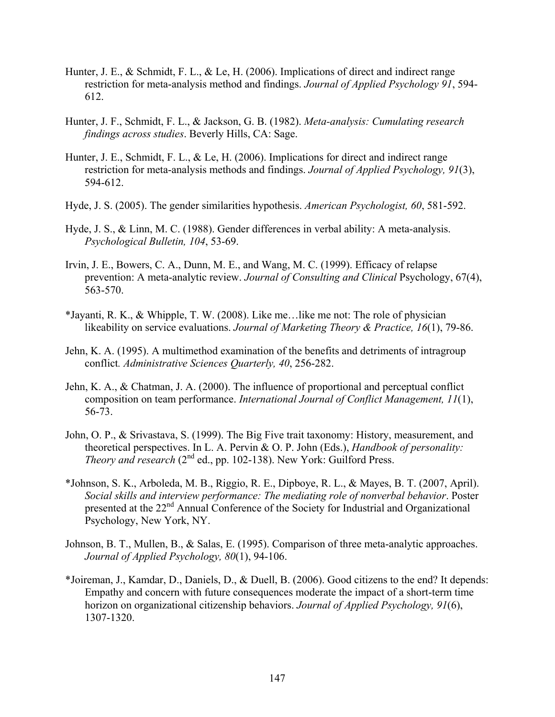- Hunter, J. E., & Schmidt, F. L., & Le, H. (2006). Implications of direct and indirect range restriction for meta-analysis method and findings. *Journal of Applied Psychology 91*, 594- 612.
- Hunter, J. F., Schmidt, F. L., & Jackson, G. B. (1982). *Meta-analysis: Cumulating research findings across studies*. Beverly Hills, CA: Sage.
- Hunter, J. E., Schmidt, F. L., & Le, H. (2006). Implications for direct and indirect range restriction for meta-analysis methods and findings. *Journal of Applied Psychology, 91*(3), 594-612.
- Hyde, J. S. (2005). The gender similarities hypothesis. *American Psychologist, 60*, 581-592.
- Hyde, J. S., & Linn, M. C. (1988). Gender differences in verbal ability: A meta-analysis. *Psychological Bulletin, 104*, 53-69.
- Irvin, J. E., Bowers, C. A., Dunn, M. E., and Wang, M. C. (1999). Efficacy of relapse prevention: A meta-analytic review. *Journal of Consulting and Clinical* Psychology, 67(4), 563-570.
- \*Jayanti, R. K., & Whipple, T. W. (2008). Like me…like me not: The role of physician likeability on service evaluations. *Journal of Marketing Theory & Practice, 16*(1), 79-86.
- Jehn, K. A. (1995). A multimethod examination of the benefits and detriments of intragroup conflict*. Administrative Sciences Quarterly, 40*, 256-282.
- Jehn, K. A., & Chatman, J. A. (2000). The influence of proportional and perceptual conflict composition on team performance. *International Journal of Conflict Management, 11*(1), 56-73.
- John, O. P., & Srivastava, S. (1999). The Big Five trait taxonomy: History, measurement, and theoretical perspectives. In L. A. Pervin & O. P. John (Eds.), *Handbook of personality: Theory and research* (2<sup>nd</sup> ed., pp. 102-138). New York: Guilford Press.
- \*Johnson, S. K., Arboleda, M. B., Riggio, R. E., Dipboye, R. L., & Mayes, B. T. (2007, April). *Social skills and interview performance: The mediating role of nonverbal behavior*. Poster presented at the 22<sup>nd</sup> Annual Conference of the Society for Industrial and Organizational Psychology, New York, NY.
- Johnson, B. T., Mullen, B., & Salas, E. (1995). Comparison of three meta-analytic approaches. *Journal of Applied Psychology, 80*(1), 94-106.
- \*Joireman, J., Kamdar, D., Daniels, D., & Duell, B. (2006). Good citizens to the end? It depends: Empathy and concern with future consequences moderate the impact of a short-term time horizon on organizational citizenship behaviors. *Journal of Applied Psychology, 91*(6), 1307-1320.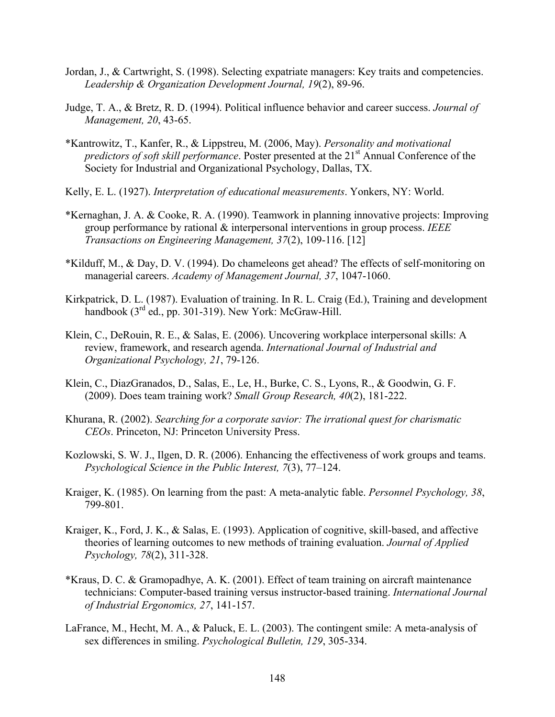- Jordan, J., & Cartwright, S. (1998). Selecting expatriate managers: Key traits and competencies. *Leadership & Organization Development Journal, 19*(2), 89-96.
- Judge, T. A., & Bretz, R. D. (1994). Political influence behavior and career success. *Journal of Management, 20*, 43-65.
- \*Kantrowitz, T., Kanfer, R., & Lippstreu, M. (2006, May). *Personality and motivational predictors of soft skill performance*. Poster presented at the 21<sup>st</sup> Annual Conference of the Society for Industrial and Organizational Psychology, Dallas, TX.
- Kelly, E. L. (1927). *Interpretation of educational measurements*. Yonkers, NY: World.
- \*Kernaghan, J. A. & Cooke, R. A. (1990). Teamwork in planning innovative projects: Improving group performance by rational & interpersonal interventions in group process. *IEEE Transactions on Engineering Management, 37*(2), 109-116. [12]
- \*Kilduff, M., & Day, D. V. (1994). Do chameleons get ahead? The effects of self-monitoring on managerial careers. *Academy of Management Journal, 37*, 1047-1060.
- Kirkpatrick, D. L. (1987). Evaluation of training. In R. L. Craig (Ed.), Training and development handbook  $(3<sup>rd</sup>$  ed., pp. 301-319). New York: McGraw-Hill.
- Klein, C., DeRouin, R. E., & Salas, E. (2006). Uncovering workplace interpersonal skills: A review, framework, and research agenda. *International Journal of Industrial and Organizational Psychology, 21*, 79-126.
- Klein, C., DiazGranados, D., Salas, E., Le, H., Burke, C. S., Lyons, R., & Goodwin, G. F. (2009). Does team training work? *Small Group Research, 40*(2), 181-222.
- Khurana, R. (2002). *Searching for a corporate savior: The irrational quest for charismatic CEOs*. Princeton, NJ: Princeton University Press.
- Kozlowski, S. W. J., Ilgen, D. R. (2006). Enhancing the effectiveness of work groups and teams. *Psychological Science in the Public Interest, 7*(3), 77–124.
- Kraiger, K. (1985). On learning from the past: A meta-analytic fable. *Personnel Psychology, 38*, 799-801.
- Kraiger, K., Ford, J. K., & Salas, E. (1993). Application of cognitive, skill-based, and affective theories of learning outcomes to new methods of training evaluation. *Journal of Applied Psychology, 78*(2), 311-328.
- \*Kraus, D. C. & Gramopadhye, A. K. (2001). Effect of team training on aircraft maintenance technicians: Computer-based training versus instructor-based training. *International Journal of Industrial Ergonomics, 27*, 141-157.
- LaFrance, M., Hecht, M. A., & Paluck, E. L. (2003). The contingent smile: A meta-analysis of sex differences in smiling. *Psychological Bulletin, 129*, 305-334.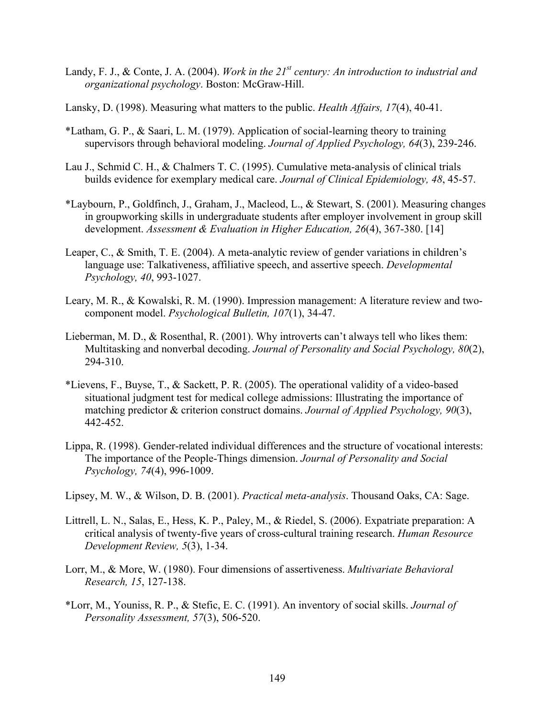- Landy, F. J., & Conte, J. A. (2004). *Work in the 21st century: An introduction to industrial and organizational psychology*. Boston: McGraw-Hill.
- Lansky, D. (1998). Measuring what matters to the public. *Health Affairs, 17*(4), 40-41.
- \*Latham, G. P., & Saari, L. M. (1979). Application of social-learning theory to training supervisors through behavioral modeling. *Journal of Applied Psychology, 64*(3), 239-246.
- Lau J., Schmid C. H., & Chalmers T. C. (1995). Cumulative meta-analysis of clinical trials builds evidence for exemplary medical care. *Journal of Clinical Epidemiology, 48*, 45-57.
- \*Laybourn, P., Goldfinch, J., Graham, J., Macleod, L., & Stewart, S. (2001). Measuring changes in groupworking skills in undergraduate students after employer involvement in group skill development. *Assessment & Evaluation in Higher Education, 26*(4), 367-380. [14]
- Leaper, C., & Smith, T. E. (2004). A meta-analytic review of gender variations in children's language use: Talkativeness, affiliative speech, and assertive speech. *Developmental Psychology, 40*, 993-1027.
- Leary, M. R., & Kowalski, R. M. (1990). Impression management: A literature review and twocomponent model. *Psychological Bulletin, 107*(1), 34-47.
- Lieberman, M. D., & Rosenthal, R. (2001). Why introverts can't always tell who likes them: Multitasking and nonverbal decoding. *Journal of Personality and Social Psychology, 80*(2), 294-310.
- \*Lievens, F., Buyse, T., & Sackett, P. R. (2005). The operational validity of a video-based situational judgment test for medical college admissions: Illustrating the importance of matching predictor & criterion construct domains. *Journal of Applied Psychology, 90*(3), 442-452.
- Lippa, R. (1998). Gender-related individual differences and the structure of vocational interests: The importance of the People-Things dimension. *Journal of Personality and Social Psychology, 74*(4), 996-1009.
- Lipsey, M. W., & Wilson, D. B. (2001). *Practical meta-analysis*. Thousand Oaks, CA: Sage.
- Littrell, L. N., Salas, E., Hess, K. P., Paley, M., & Riedel, S. (2006). Expatriate preparation: A critical analysis of twenty-five years of cross-cultural training research. *Human Resource Development Review, 5*(3), 1-34.
- Lorr, M., & More, W. (1980). Four dimensions of assertiveness. *Multivariate Behavioral Research, 15*, 127-138.
- \*Lorr, M., Youniss, R. P., & Stefic, E. C. (1991). An inventory of social skills. *Journal of Personality Assessment, 57*(3), 506-520.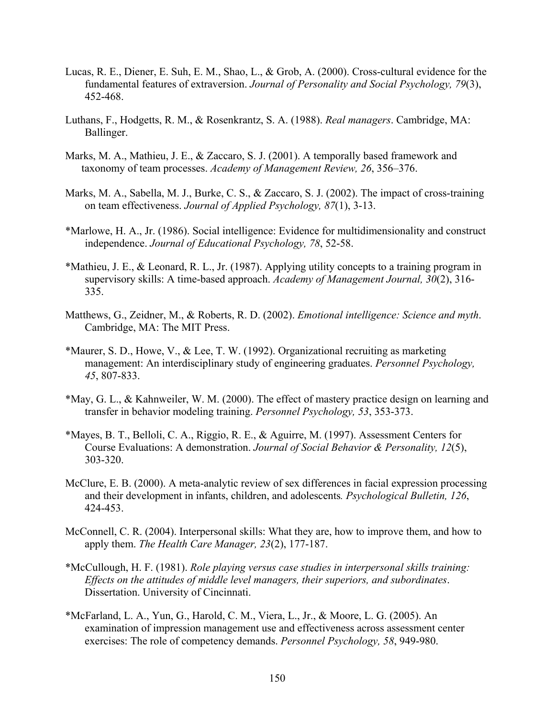- Lucas, R. E., Diener, E. Suh, E. M., Shao, L., & Grob, A. (2000). Cross-cultural evidence for the fundamental features of extraversion. *Journal of Personality and Social Psychology, 79*(3), 452-468.
- Luthans, F., Hodgetts, R. M., & Rosenkrantz, S. A. (1988). *Real managers*. Cambridge, MA: Ballinger.
- Marks, M. A., Mathieu, J. E., & Zaccaro, S. J. (2001). A temporally based framework and taxonomy of team processes. *Academy of Management Review, 26*, 356–376.
- Marks, M. A., Sabella, M. J., Burke, C. S., & Zaccaro, S. J. (2002). The impact of cross-training on team effectiveness. *Journal of Applied Psychology, 87*(1), 3-13.
- \*Marlowe, H. A., Jr. (1986). Social intelligence: Evidence for multidimensionality and construct independence. *Journal of Educational Psychology, 78*, 52-58.
- \*Mathieu, J. E., & Leonard, R. L., Jr. (1987). Applying utility concepts to a training program in supervisory skills: A time-based approach. *Academy of Management Journal, 30*(2), 316- 335.
- Matthews, G., Zeidner, M., & Roberts, R. D. (2002). *Emotional intelligence: Science and myth*. Cambridge, MA: The MIT Press.
- \*Maurer, S. D., Howe, V., & Lee, T. W. (1992). Organizational recruiting as marketing management: An interdisciplinary study of engineering graduates. *Personnel Psychology, 45*, 807-833.
- \*May, G. L., & Kahnweiler, W. M. (2000). The effect of mastery practice design on learning and transfer in behavior modeling training. *Personnel Psychology, 53*, 353-373.
- \*Mayes, B. T., Belloli, C. A., Riggio, R. E., & Aguirre, M. (1997). Assessment Centers for Course Evaluations: A demonstration. *Journal of Social Behavior & Personality, 12*(5), 303-320.
- McClure, E. B. (2000). A meta-analytic review of sex differences in facial expression processing and their development in infants, children, and adolescents*. Psychological Bulletin, 126*, 424-453.
- McConnell, C. R. (2004). Interpersonal skills: What they are, how to improve them, and how to apply them. *The Health Care Manager, 23*(2), 177-187.
- \*McCullough, H. F. (1981). *Role playing versus case studies in interpersonal skills training: Effects on the attitudes of middle level managers, their superiors, and subordinates*. Dissertation. University of Cincinnati.
- \*McFarland, L. A., Yun, G., Harold, C. M., Viera, L., Jr., & Moore, L. G. (2005). An examination of impression management use and effectiveness across assessment center exercises: The role of competency demands. *Personnel Psychology, 58*, 949-980.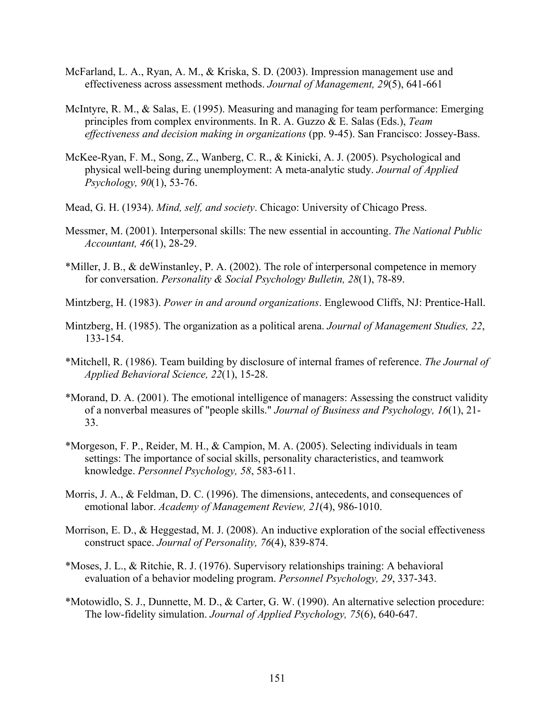- McFarland, L. A., Ryan, A. M., & Kriska, S. D. (2003). Impression management use and effectiveness across assessment methods. *Journal of Management, 29*(5), 641-661
- McIntyre, R. M., & Salas, E. (1995). Measuring and managing for team performance: Emerging principles from complex environments. In R. A. Guzzo & E. Salas (Eds.), *Team effectiveness and decision making in organizations* (pp. 9-45). San Francisco: Jossey-Bass.
- McKee-Ryan, F. M., Song, Z., Wanberg, C. R., & Kinicki, A. J. (2005). Psychological and physical well-being during unemployment: A meta-analytic study. *Journal of Applied Psychology, 90*(1), 53-76.
- Mead, G. H. (1934). *Mind, self, and society*. Chicago: University of Chicago Press.
- Messmer, M. (2001). Interpersonal skills: The new essential in accounting. *The National Public Accountant, 46*(1), 28-29.
- \*Miller, J. B., & deWinstanley, P. A. (2002). The role of interpersonal competence in memory for conversation. *Personality & Social Psychology Bulletin, 28*(1), 78-89.
- Mintzberg, H. (1983). *Power in and around organizations*. Englewood Cliffs, NJ: Prentice-Hall.
- Mintzberg, H. (1985). The organization as a political arena. *Journal of Management Studies, 22*, 133-154.
- \*Mitchell, R. (1986). Team building by disclosure of internal frames of reference. *The Journal of Applied Behavioral Science, 22*(1), 15-28.
- \*Morand, D. A. (2001). The emotional intelligence of managers: Assessing the construct validity of a nonverbal measures of "people skills." *Journal of Business and Psychology, 16*(1), 21- 33.
- \*Morgeson, F. P., Reider, M. H., & Campion, M. A. (2005). Selecting individuals in team settings: The importance of social skills, personality characteristics, and teamwork knowledge. *Personnel Psychology, 58*, 583-611.
- Morris, J. A., & Feldman, D. C. (1996). The dimensions, antecedents, and consequences of emotional labor. *Academy of Management Review, 21*(4), 986-1010.
- Morrison, E. D., & Heggestad, M. J. (2008). An inductive exploration of the social effectiveness construct space. *Journal of Personality, 76*(4), 839-874.
- \*Moses, J. L., & Ritchie, R. J. (1976). Supervisory relationships training: A behavioral evaluation of a behavior modeling program. *Personnel Psychology, 29*, 337-343.
- \*Motowidlo, S. J., Dunnette, M. D., & Carter, G. W. (1990). An alternative selection procedure: The low-fidelity simulation. *Journal of Applied Psychology, 75*(6), 640-647.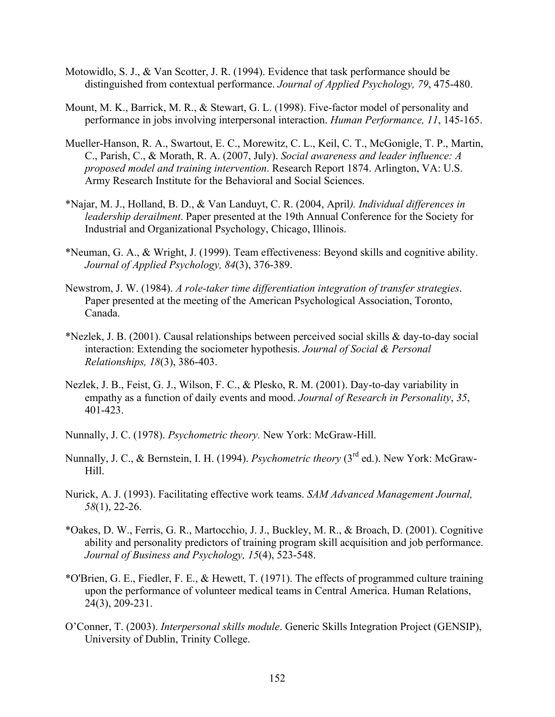- Motowidlo, S. J., & Van Scotter, J. R. (1994). Evidence that task performance should be distinguished from contextual performance. *Journal of Applied Psychology, 79*, 475-480.
- Mount, M. K., Barrick, M. R., & Stewart, G. L. (1998). Five-factor model of personality and performance in jobs involving interpersonal interaction. *Human Performance, 11*, 145-165.
- Mueller-Hanson, R. A., Swartout, E. C., Morewitz, C. L., Keil, C. T., McGonigle, T. P., Martin, C., Parish, C., & Morath, R. A. (2007, July). *Social awareness and leader influence: A proposed model and training intervention*. Research Report 1874. Arlington, VA: U.S. Army Research Institute for the Behavioral and Social Sciences.
- \*Najar, M. J., Holland, B. D., & Van Landuyt, C. R. (2004, April*). Individual differences in leadership derailment*. Paper presented at the 19th Annual Conference for the Society for Industrial and Organizational Psychology, Chicago, Illinois.
- \*Neuman, G. A., & Wright, J. (1999). Team effectiveness: Beyond skills and cognitive ability. *Journal of Applied Psychology, 84*(3), 376-389.
- Newstrom, J. W. (1984). *A role-taker time differentiation integration of transfer strategies*. Paper presented at the meeting of the American Psychological Association, Toronto, Canada.
- \*Nezlek, J. B. (2001). Causal relationships between perceived social skills & day-to-day social interaction: Extending the sociometer hypothesis. *Journal of Social & Personal Relationships, 18*(3), 386-403.
- Nezlek, J. B., Feist, G. J., Wilson, F. C., & Plesko, R. M. (2001). Day-to-day variability in empathy as a function of daily events and mood. *Journal of Research in Personality*, *35*, 401-423.
- Nunnally, J. C. (1978). *Psychometric theory.* New York: McGraw-Hill.
- Nunnally, J. C., & Bernstein, I. H. (1994). *Psychometric theory* (3<sup>rd</sup> ed.). New York: McGraw-Hill.
- Nurick, A. J. (1993). Facilitating effective work teams. *SAM Advanced Management Journal, 58*(1), 22-26.
- \*Oakes, D. W., Ferris, G. R., Martocchio, J. J., Buckley, M. R., & Broach, D. (2001). Cognitive ability and personality predictors of training program skill acquisition and job performance. *Journal of Business and Psychology, 15*(4), 523-548.
- \*O'Brien, G. E., Fiedler, F. E., & Hewett, T. (1971). The effects of programmed culture training upon the performance of volunteer medical teams in Central America. Human Relations, 24(3), 209-231.
- O'Conner, T. (2003). *Interpersonal skills module*. Generic Skills Integration Project (GENSIP), University of Dublin, Trinity College.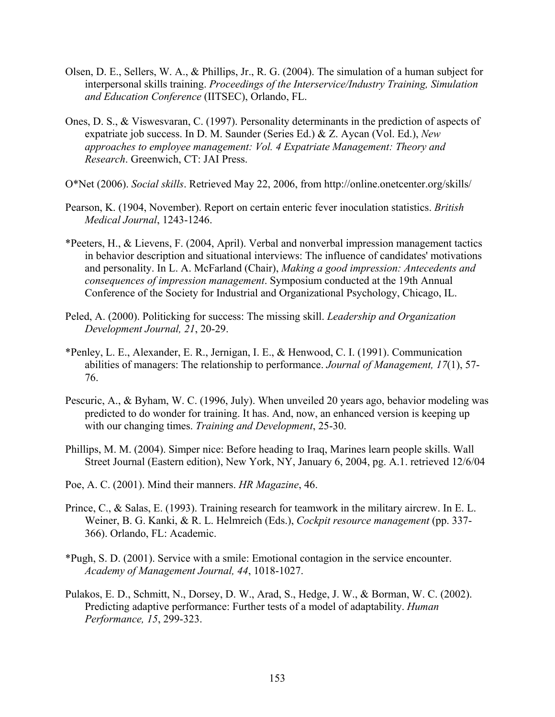- Olsen, D. E., Sellers, W. A., & Phillips, Jr., R. G. (2004). The simulation of a human subject for interpersonal skills training. *Proceedings of the Interservice/Industry Training, Simulation and Education Conference* (IITSEC), Orlando, FL.
- Ones, D. S., & Viswesvaran, C. (1997). Personality determinants in the prediction of aspects of expatriate job success. In D. M. Saunder (Series Ed.) & Z. Aycan (Vol. Ed.), *New approaches to employee management: Vol. 4 Expatriate Management: Theory and Research*. Greenwich, CT: JAI Press.
- O\*Net (2006). *Social skills*. Retrieved May 22, 2006, from http://online.onetcenter.org/skills/
- Pearson, K. (1904, November). Report on certain enteric fever inoculation statistics. *British Medical Journal*, 1243-1246.
- \*Peeters, H., & Lievens, F. (2004, April). Verbal and nonverbal impression management tactics in behavior description and situational interviews: The influence of candidates' motivations and personality. In L. A. McFarland (Chair), *Making a good impression: Antecedents and consequences of impression management*. Symposium conducted at the 19th Annual Conference of the Society for Industrial and Organizational Psychology, Chicago, IL.
- Peled, A. (2000). Politicking for success: The missing skill. *Leadership and Organization Development Journal, 21*, 20-29.
- \*Penley, L. E., Alexander, E. R., Jernigan, I. E., & Henwood, C. I. (1991). Communication abilities of managers: The relationship to performance. *Journal of Management, 17*(1), 57- 76.
- Pescuric, A., & Byham, W. C. (1996, July). When unveiled 20 years ago, behavior modeling was predicted to do wonder for training. It has. And, now, an enhanced version is keeping up with our changing times. *Training and Development*, 25-30.
- Phillips, M. M. (2004). Simper nice: Before heading to Iraq, Marines learn people skills. Wall Street Journal (Eastern edition), New York, NY, January 6, 2004, pg. A.1. retrieved 12/6/04
- Poe, A. C. (2001). Mind their manners. *HR Magazine*, 46.
- Prince, C., & Salas, E. (1993). Training research for teamwork in the military aircrew. In E. L. Weiner, B. G. Kanki, & R. L. Helmreich (Eds.), *Cockpit resource management* (pp. 337- 366). Orlando, FL: Academic.
- \*Pugh, S. D. (2001). Service with a smile: Emotional contagion in the service encounter. *Academy of Management Journal, 44*, 1018-1027.
- Pulakos, E. D., Schmitt, N., Dorsey, D. W., Arad, S., Hedge, J. W., & Borman, W. C. (2002). Predicting adaptive performance: Further tests of a model of adaptability. *Human Performance, 15*, 299-323.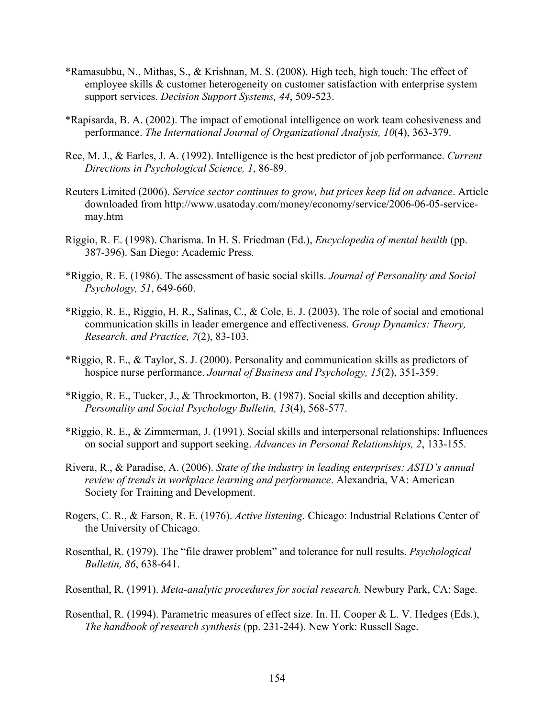- \*Ramasubbu, N., Mithas, S., & Krishnan, M. S. (2008). High tech, high touch: The effect of employee skills & customer heterogeneity on customer satisfaction with enterprise system support services. *Decision Support Systems, 44*, 509-523.
- \*Rapisarda, B. A. (2002). The impact of emotional intelligence on work team cohesiveness and performance. *The International Journal of Organizational Analysis, 10*(4), 363-379.
- Ree, M. J., & Earles, J. A. (1992). Intelligence is the best predictor of job performance. *Current Directions in Psychological Science, 1*, 86-89.
- Reuters Limited (2006). *Service sector continues to grow, but prices keep lid on advance*. Article downloaded from http://www.usatoday.com/money/economy/service/2006-06-05-servicemay.htm
- Riggio, R. E. (1998). Charisma. In H. S. Friedman (Ed.), *Encyclopedia of mental health* (pp. 387-396). San Diego: Academic Press.
- \*Riggio, R. E. (1986). The assessment of basic social skills. *Journal of Personality and Social Psychology, 51*, 649-660.
- \*Riggio, R. E., Riggio, H. R., Salinas, C., & Cole, E. J. (2003). The role of social and emotional communication skills in leader emergence and effectiveness. *Group Dynamics: Theory, Research, and Practice, 7*(2), 83-103.
- \*Riggio, R. E., & Taylor, S. J. (2000). Personality and communication skills as predictors of hospice nurse performance. *Journal of Business and Psychology, 15*(2), 351-359.
- \*Riggio, R. E., Tucker, J., & Throckmorton, B. (1987). Social skills and deception ability. *Personality and Social Psychology Bulletin, 13*(4), 568-577.
- \*Riggio, R. E., & Zimmerman, J. (1991). Social skills and interpersonal relationships: Influences on social support and support seeking. *Advances in Personal Relationships, 2*, 133-155.
- Rivera, R., & Paradise, A. (2006). *State of the industry in leading enterprises: ASTD's annual review of trends in workplace learning and performance*. Alexandria, VA: American Society for Training and Development.
- Rogers, C. R., & Farson, R. E. (1976). *Active listening*. Chicago: Industrial Relations Center of the University of Chicago.
- Rosenthal, R. (1979). The "file drawer problem" and tolerance for null results. *Psychological Bulletin, 86*, 638-641.
- Rosenthal, R. (1991). *Meta-analytic procedures for social research.* Newbury Park, CA: Sage.
- Rosenthal, R. (1994). Parametric measures of effect size. In. H. Cooper & L. V. Hedges (Eds.), *The handbook of research synthesis* (pp. 231-244). New York: Russell Sage.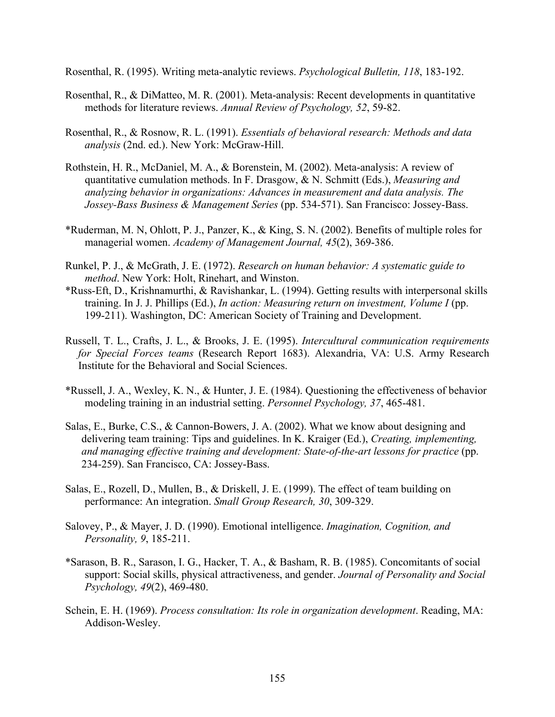Rosenthal, R. (1995). Writing meta-analytic reviews. *Psychological Bulletin, 118*, 183-192.

- Rosenthal, R., & DiMatteo, M. R. (2001). Meta-analysis: Recent developments in quantitative methods for literature reviews. *Annual Review of Psychology, 52*, 59-82.
- Rosenthal, R., & Rosnow, R. L. (1991). *Essentials of behavioral research: Methods and data analysis* (2nd. ed.). New York: McGraw-Hill.
- Rothstein, H. R., McDaniel, M. A., & Borenstein, M. (2002). Meta-analysis: A review of quantitative cumulation methods. In F. Drasgow, & N. Schmitt (Eds.), *Measuring and analyzing behavior in organizations: Advances in measurement and data analysis. The Jossey-Bass Business & Management Series* (pp. 534-571). San Francisco: Jossey-Bass.
- \*Ruderman, M. N, Ohlott, P. J., Panzer, K., & King, S. N. (2002). Benefits of multiple roles for managerial women. *Academy of Management Journal, 45*(2), 369-386.
- Runkel, P. J., & McGrath, J. E. (1972). *Research on human behavior: A systematic guide to method*. New York: Holt, Rinehart, and Winston.
- \*Russ-Eft, D., Krishnamurthi, & Ravishankar, L. (1994). Getting results with interpersonal skills training. In J. J. Phillips (Ed.), *In action: Measuring return on investment, Volume I* (pp. 199-211). Washington, DC: American Society of Training and Development.
- Russell, T. L., Crafts, J. L., & Brooks, J. E. (1995). *Intercultural communication requirements for Special Forces teams* (Research Report 1683). Alexandria, VA: U.S. Army Research Institute for the Behavioral and Social Sciences.
- \*Russell, J. A., Wexley, K. N., & Hunter, J. E. (1984). Questioning the effectiveness of behavior modeling training in an industrial setting. *Personnel Psychology, 37*, 465-481.
- Salas, E., Burke, C.S., & Cannon-Bowers, J. A. (2002). What we know about designing and delivering team training: Tips and guidelines. In K. Kraiger (Ed.), *Creating, implementing, and managing effective training and development: State-of-the-art lessons for practice* (pp. 234-259). San Francisco, CA: Jossey-Bass.
- Salas, E., Rozell, D., Mullen, B., & Driskell, J. E. (1999). The effect of team building on performance: An integration. *Small Group Research, 30*, 309-329.
- Salovey, P., & Mayer, J. D. (1990). Emotional intelligence. *Imagination, Cognition, and Personality, 9*, 185-211.
- \*Sarason, B. R., Sarason, I. G., Hacker, T. A., & Basham, R. B. (1985). Concomitants of social support: Social skills, physical attractiveness, and gender. *Journal of Personality and Social Psychology, 49*(2), 469-480.
- Schein, E. H. (1969). *Process consultation: Its role in organization development*. Reading, MA: Addison-Wesley.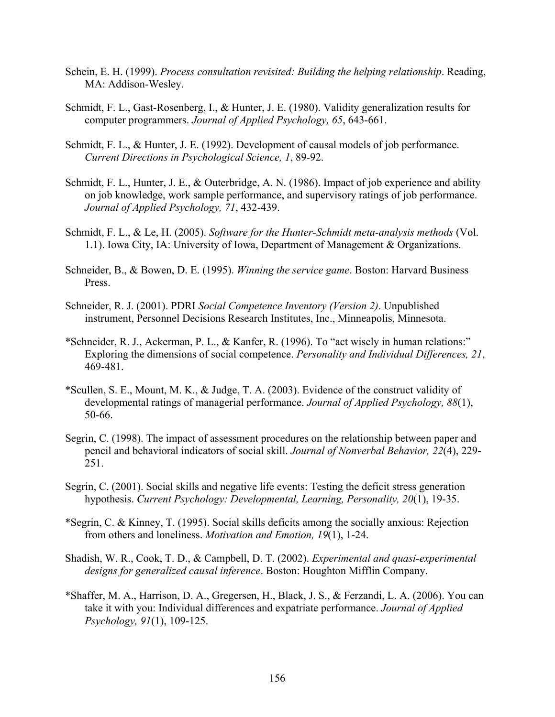- Schein, E. H. (1999). *Process consultation revisited: Building the helping relationship*. Reading, MA: Addison-Wesley.
- Schmidt, F. L., Gast-Rosenberg, I., & Hunter, J. E. (1980). Validity generalization results for computer programmers. *Journal of Applied Psychology, 65*, 643-661.
- Schmidt, F. L., & Hunter, J. E. (1992). Development of causal models of job performance. *Current Directions in Psychological Science, 1*, 89-92.
- Schmidt, F. L., Hunter, J. E., & Outerbridge, A. N. (1986). Impact of job experience and ability on job knowledge, work sample performance, and supervisory ratings of job performance. *Journal of Applied Psychology, 71*, 432-439.
- Schmidt, F. L., & Le, H. (2005). *Software for the Hunter-Schmidt meta-analysis methods* (Vol. 1.1). Iowa City, IA: University of Iowa, Department of Management & Organizations.
- Schneider, B., & Bowen, D. E. (1995). *Winning the service game*. Boston: Harvard Business Press.
- Schneider, R. J. (2001). PDRI *Social Competence Inventory (Version 2)*. Unpublished instrument, Personnel Decisions Research Institutes, Inc., Minneapolis, Minnesota.
- \*Schneider, R. J., Ackerman, P. L., & Kanfer, R. (1996). To "act wisely in human relations:" Exploring the dimensions of social competence. *Personality and Individual Differences, 21*, 469-481.
- \*Scullen, S. E., Mount, M. K., & Judge, T. A. (2003). Evidence of the construct validity of developmental ratings of managerial performance. *Journal of Applied Psychology, 88*(1), 50-66.
- Segrin, C. (1998). The impact of assessment procedures on the relationship between paper and pencil and behavioral indicators of social skill. *Journal of Nonverbal Behavior, 22*(4), 229- 251.
- Segrin, C. (2001). Social skills and negative life events: Testing the deficit stress generation hypothesis. *Current Psychology: Developmental, Learning, Personality, 20*(1), 19-35.
- \*Segrin, C. & Kinney, T. (1995). Social skills deficits among the socially anxious: Rejection from others and loneliness. *Motivation and Emotion, 19*(1), 1-24.
- Shadish, W. R., Cook, T. D., & Campbell, D. T. (2002). *Experimental and quasi-experimental designs for generalized causal inference*. Boston: Houghton Mifflin Company.
- \*Shaffer, M. A., Harrison, D. A., Gregersen, H., Black, J. S., & Ferzandi, L. A. (2006). You can take it with you: Individual differences and expatriate performance. *Journal of Applied Psychology, 91*(1), 109-125.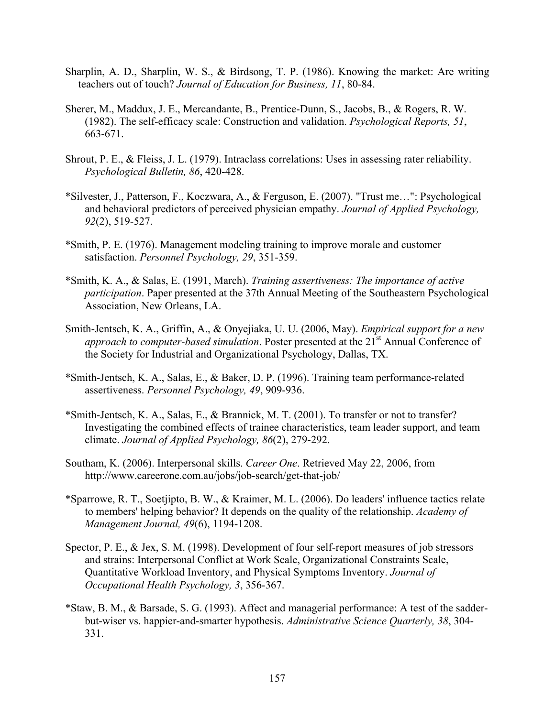- Sharplin, A. D., Sharplin, W. S., & Birdsong, T. P. (1986). Knowing the market: Are writing teachers out of touch? *Journal of Education for Business, 11*, 80-84.
- Sherer, M., Maddux, J. E., Mercandante, B., Prentice-Dunn, S., Jacobs, B., & Rogers, R. W. (1982). The self-efficacy scale: Construction and validation. *Psychological Reports, 51*, 663-671.
- Shrout, P. E., & Fleiss, J. L. (1979). Intraclass correlations: Uses in assessing rater reliability. *Psychological Bulletin, 86*, 420-428.
- \*Silvester, J., Patterson, F., Koczwara, A., & Ferguson, E. (2007). "Trust me…": Psychological and behavioral predictors of perceived physician empathy. *Journal of Applied Psychology, 92*(2), 519-527.
- \*Smith, P. E. (1976). Management modeling training to improve morale and customer satisfaction. *Personnel Psychology, 29*, 351-359.
- \*Smith, K. A., & Salas, E. (1991, March). *Training assertiveness: The importance of active participation*. Paper presented at the 37th Annual Meeting of the Southeastern Psychological Association, New Orleans, LA.
- Smith-Jentsch, K. A., Griffin, A., & Onyejiaka, U. U. (2006, May). *Empirical support for a new approach to computer-based simulation.* Poster presented at the 21<sup>st</sup> Annual Conference of the Society for Industrial and Organizational Psychology, Dallas, TX.
- \*Smith-Jentsch, K. A., Salas, E., & Baker, D. P. (1996). Training team performance-related assertiveness. *Personnel Psychology, 49*, 909-936.
- \*Smith-Jentsch, K. A., Salas, E., & Brannick, M. T. (2001). To transfer or not to transfer? Investigating the combined effects of trainee characteristics, team leader support, and team climate. *Journal of Applied Psychology, 86*(2), 279-292.
- Southam, K. (2006). Interpersonal skills. *Career One*. Retrieved May 22, 2006, from http://www.careerone.com.au/jobs/job-search/get-that-job/
- \*Sparrowe, R. T., Soetjipto, B. W., & Kraimer, M. L. (2006). Do leaders' influence tactics relate to members' helping behavior? It depends on the quality of the relationship. *Academy of Management Journal, 49*(6), 1194-1208.
- Spector, P. E., & Jex, S. M. (1998). Development of four self-report measures of job stressors and strains: Interpersonal Conflict at Work Scale, Organizational Constraints Scale, Quantitative Workload Inventory, and Physical Symptoms Inventory. *Journal of Occupational Health Psychology, 3*, 356-367.
- \*Staw, B. M., & Barsade, S. G. (1993). Affect and managerial performance: A test of the sadderbut-wiser vs. happier-and-smarter hypothesis. *Administrative Science Quarterly, 38*, 304- 331.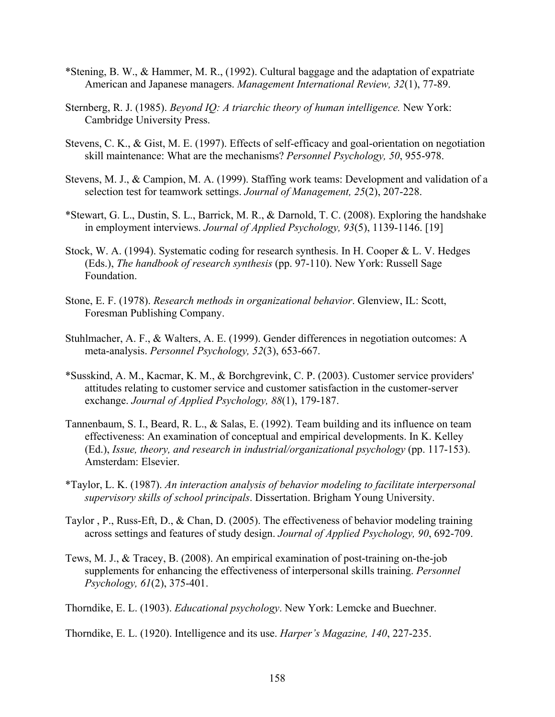- \*Stening, B. W., & Hammer, M. R., (1992). Cultural baggage and the adaptation of expatriate American and Japanese managers. *Management International Review, 32*(1), 77-89.
- Sternberg, R. J. (1985). *Beyond IQ: A triarchic theory of human intelligence.* New York: Cambridge University Press.
- Stevens, C. K., & Gist, M. E. (1997). Effects of self-efficacy and goal-orientation on negotiation skill maintenance: What are the mechanisms? *Personnel Psychology, 50*, 955-978.
- Stevens, M. J., & Campion, M. A. (1999). Staffing work teams: Development and validation of a selection test for teamwork settings. *Journal of Management, 25*(2), 207-228.
- \*Stewart, G. L., Dustin, S. L., Barrick, M. R., & Darnold, T. C. (2008). Exploring the handshake in employment interviews. *Journal of Applied Psychology, 93*(5), 1139-1146. [19]
- Stock, W. A. (1994). Systematic coding for research synthesis. In H. Cooper & L. V. Hedges (Eds.), *The handbook of research synthesis* (pp. 97-110). New York: Russell Sage Foundation.
- Stone, E. F. (1978). *Research methods in organizational behavior*. Glenview, IL: Scott, Foresman Publishing Company.
- Stuhlmacher, A. F., & Walters, A. E. (1999). Gender differences in negotiation outcomes: A meta-analysis. *Personnel Psychology, 52*(3), 653-667.
- \*Susskind, A. M., Kacmar, K. M., & Borchgrevink, C. P. (2003). Customer service providers' attitudes relating to customer service and customer satisfaction in the customer-server exchange. *Journal of Applied Psychology, 88*(1), 179-187.
- Tannenbaum, S. I., Beard, R. L., & Salas, E. (1992). Team building and its influence on team effectiveness: An examination of conceptual and empirical developments. In K. Kelley (Ed.), *Issue, theory, and research in industrial/organizational psychology* (pp. 117-153). Amsterdam: Elsevier.
- \*Taylor, L. K. (1987). *An interaction analysis of behavior modeling to facilitate interpersonal supervisory skills of school principals*. Dissertation. Brigham Young University.
- Taylor , P., Russ-Eft, D., & Chan, D. (2005). The effectiveness of behavior modeling training across settings and features of study design. *Journal of Applied Psychology, 90*, 692-709.
- Tews, M. J., & Tracey, B. (2008). An empirical examination of post-training on-the-job supplements for enhancing the effectiveness of interpersonal skills training. *Personnel Psychology, 61*(2), 375-401.

Thorndike, E. L. (1903). *Educational psychology*. New York: Lemcke and Buechner.

Thorndike, E. L. (1920). Intelligence and its use. *Harper's Magazine, 140*, 227-235.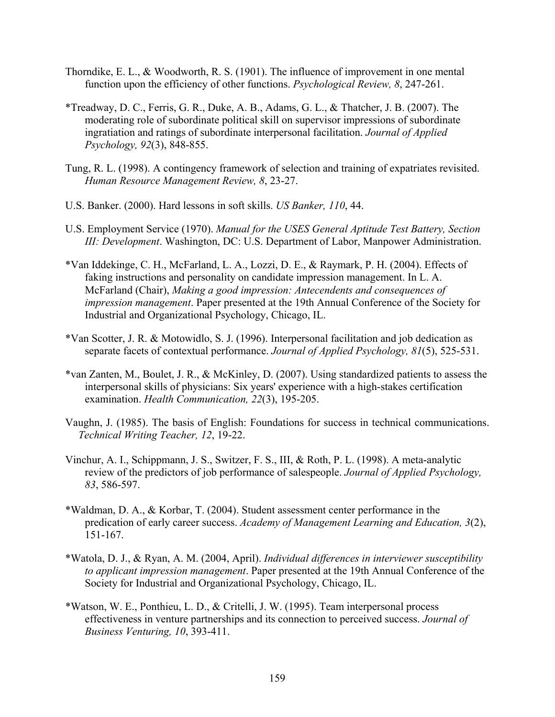- Thorndike, E. L., & Woodworth, R. S. (1901). The influence of improvement in one mental function upon the efficiency of other functions. *Psychological Review, 8*, 247-261.
- \*Treadway, D. C., Ferris, G. R., Duke, A. B., Adams, G. L., & Thatcher, J. B. (2007). The moderating role of subordinate political skill on supervisor impressions of subordinate ingratiation and ratings of subordinate interpersonal facilitation. *Journal of Applied Psychology, 92*(3), 848-855.
- Tung, R. L. (1998). A contingency framework of selection and training of expatriates revisited. *Human Resource Management Review, 8*, 23-27.
- U.S. Banker. (2000). Hard lessons in soft skills. *US Banker, 110*, 44.
- U.S. Employment Service (1970). *Manual for the USES General Aptitude Test Battery, Section III: Development*. Washington, DC: U.S. Department of Labor, Manpower Administration.
- \*Van Iddekinge, C. H., McFarland, L. A., Lozzi, D. E., & Raymark, P. H. (2004). Effects of faking instructions and personality on candidate impression management. In L. A. McFarland (Chair), *Making a good impression: Antecendents and consequences of impression management*. Paper presented at the 19th Annual Conference of the Society for Industrial and Organizational Psychology, Chicago, IL.
- \*Van Scotter, J. R. & Motowidlo, S. J. (1996). Interpersonal facilitation and job dedication as separate facets of contextual performance. *Journal of Applied Psychology, 81*(5), 525-531.
- \*van Zanten, M., Boulet, J. R., & McKinley, D. (2007). Using standardized patients to assess the interpersonal skills of physicians: Six years' experience with a high-stakes certification examination. *Health Communication, 22*(3), 195-205.
- Vaughn, J. (1985). The basis of English: Foundations for success in technical communications. *Technical Writing Teacher, 12*, 19-22.
- Vinchur, A. I., Schippmann, J. S., Switzer, F. S., III, & Roth, P. L. (1998). A meta-analytic review of the predictors of job performance of salespeople. *Journal of Applied Psychology, 83*, 586-597.
- \*Waldman, D. A., & Korbar, T. (2004). Student assessment center performance in the predication of early career success. *Academy of Management Learning and Education, 3*(2), 151-167.
- \*Watola, D. J., & Ryan, A. M. (2004, April). *Individual differences in interviewer susceptibility to applicant impression management*. Paper presented at the 19th Annual Conference of the Society for Industrial and Organizational Psychology, Chicago, IL.
- \*Watson, W. E., Ponthieu, L. D., & Critelli, J. W. (1995). Team interpersonal process effectiveness in venture partnerships and its connection to perceived success. *Journal of Business Venturing, 10*, 393-411.